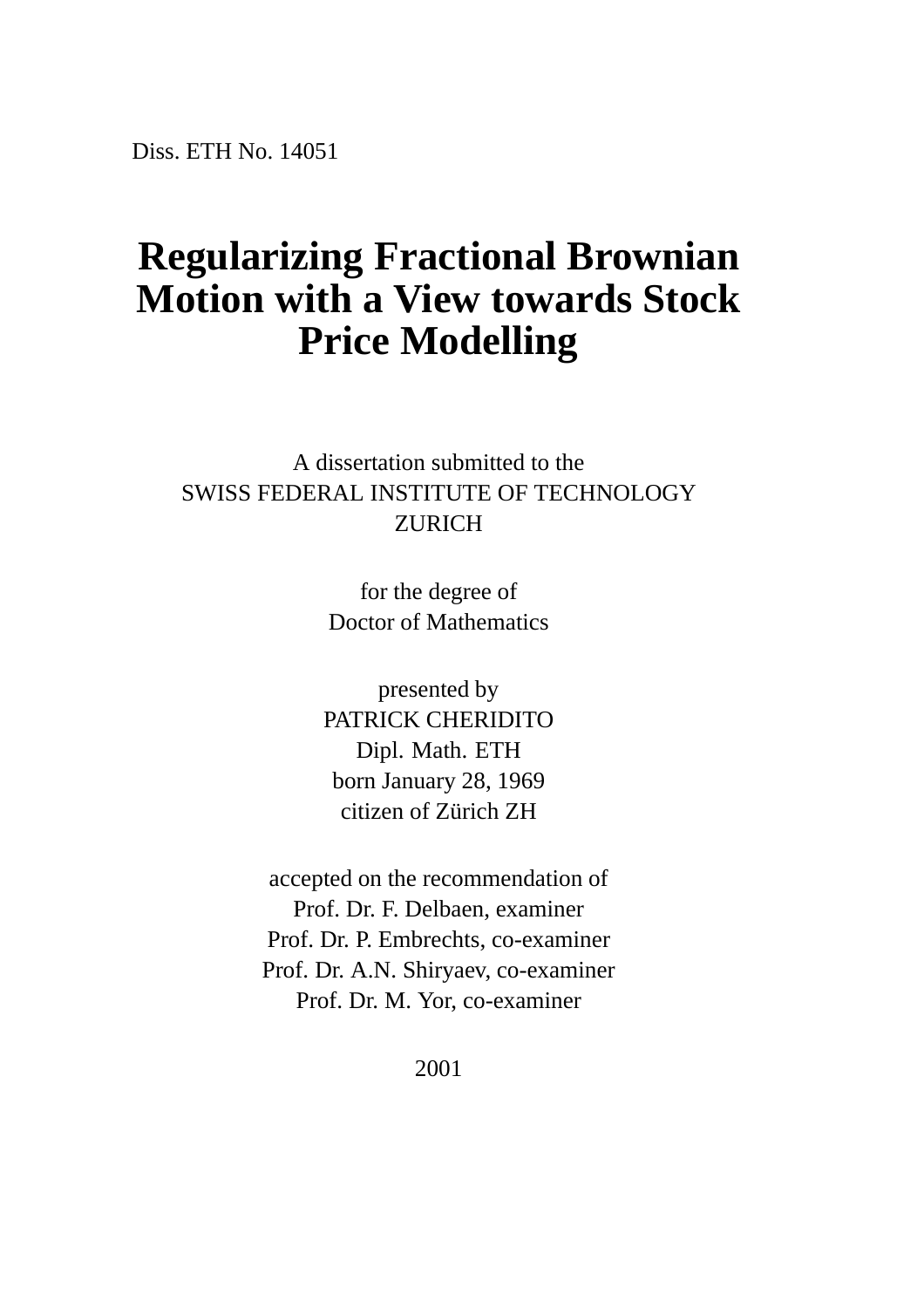Diss. ETH No. 14051

### **Regularizing Fractional Brownian Motion with a View towards Stock Price Modelling**

A dissertation submitted to the SWISS FEDERAL INSTITUTE OF TECHNOLOGY ZURICH

> for the degree of Doctor of Mathematics

presented by PATRICK CHERIDITO Dipl. Math. ETH born January 28, 1969 citizen of Zürich ZH

accepted on the recommendation of Prof. Dr. F. Delbaen, examiner Prof. Dr. P. Embrechts, co-examiner Prof. Dr. A.N. Shiryaev, co-examiner Prof. Dr. M. Yor, co-examiner

2001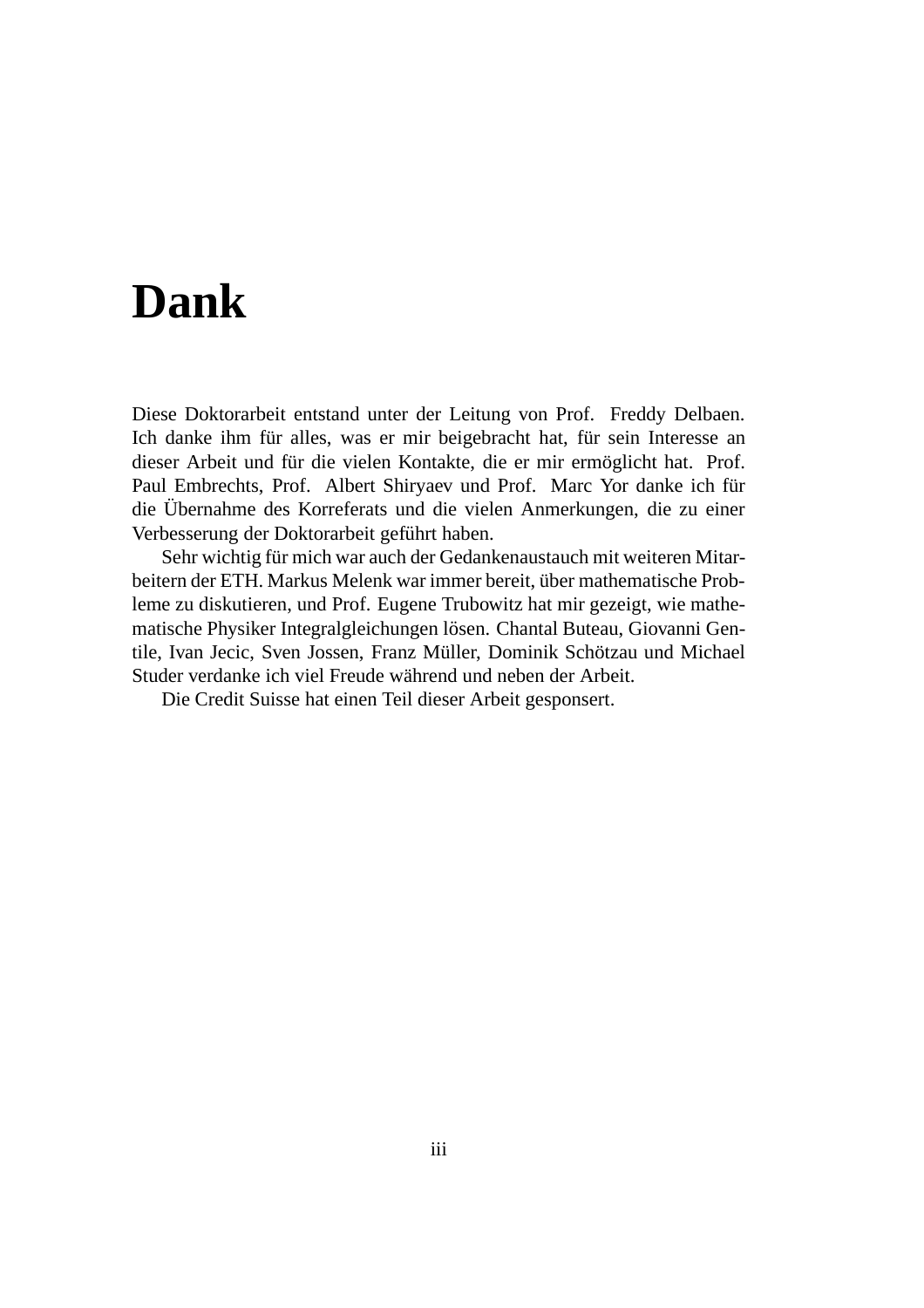# **Dank**

Diese Doktorarbeit entstand unter der Leitung von Prof. Freddy Delbaen. Ich danke ihm für alles, was er mir beigebracht hat, für sein Interesse an dieser Arbeit und für die vielen Kontakte, die er mir ermöglicht hat. Prof. Paul Embrechts, Prof. Albert Shiryaev und Prof. Marc Yor danke ich für die Übernahme des Korreferats und die vielen Anmerkungen, die zu einer Verbesserung der Doktorarbeit geführt haben.

Sehr wichtig für mich war auch der Gedankenaustauch mit weiteren Mitarbeitern der ETH. Markus Melenk war immer bereit, über mathematische Probleme zu diskutieren, und Prof. Eugene Trubowitz hat mir gezeigt, wie mathematische Physiker Integralgleichungen lösen. Chantal Buteau, Giovanni Gentile, Ivan Jecic, Sven Jossen, Franz Müller, Dominik Schötzau und Michael Studer verdanke ich viel Freude während und neben der Arbeit.

Die Credit Suisse hat einen Teil dieser Arbeit gesponsert.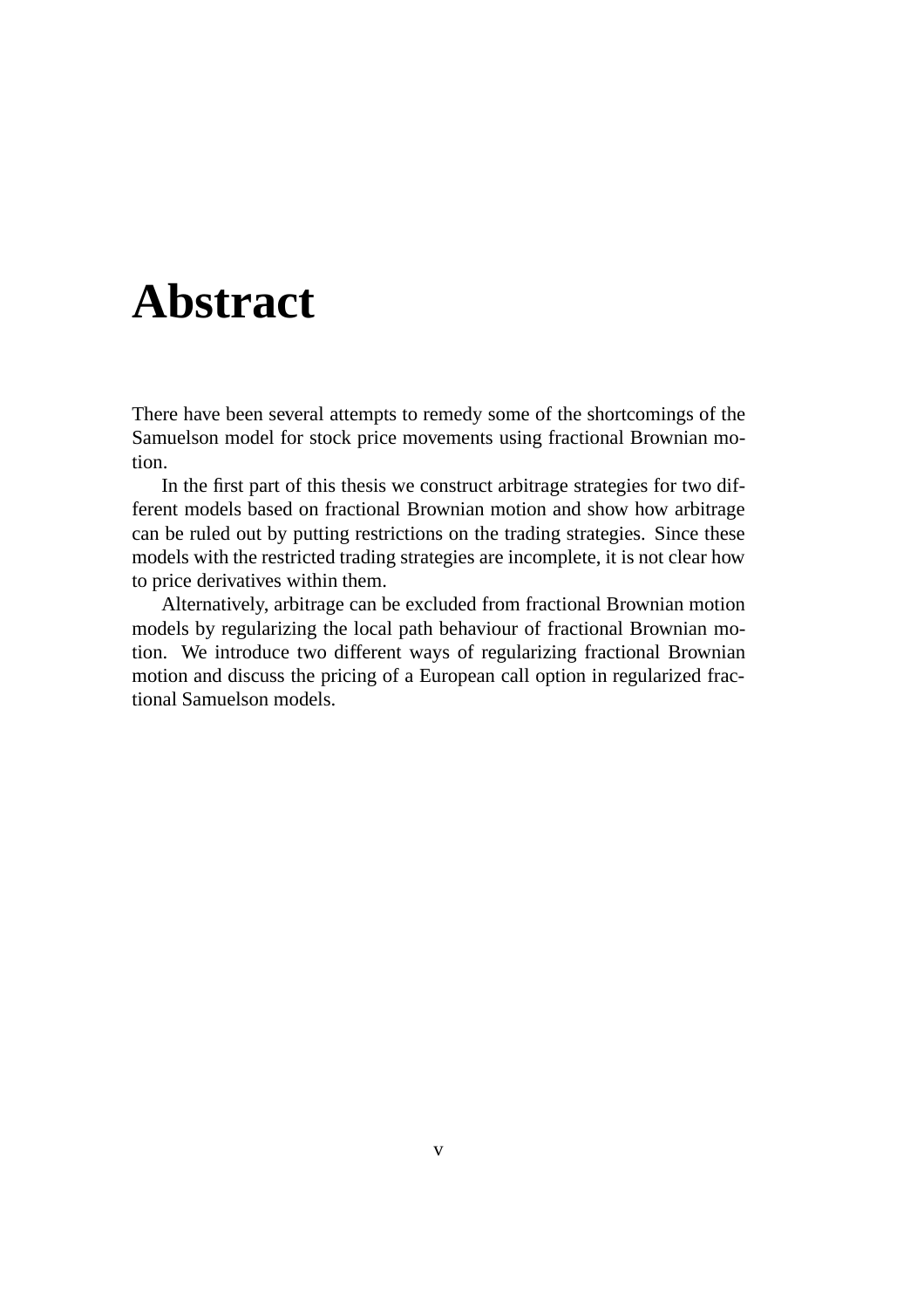## **Abstract**

There have been several attempts to remedy some of the shortcomings of the Samuelson model for stock price movements using fractional Brownian motion.

In the first part of this thesis we construct arbitrage strategies for two different models based on fractional Brownian motion and show how arbitrage can be ruled out by putting restrictions on the trading strategies. Since these models with the restricted trading strategies are incomplete, it is not clear how to price derivatives within them.

Alternatively, arbitrage can be excluded from fractional Brownian motion models by regularizing the local path behaviour of fractional Brownian motion. We introduce two different ways of regularizing fractional Brownian motion and discuss the pricing of a European call option in regularized fractional Samuelson models.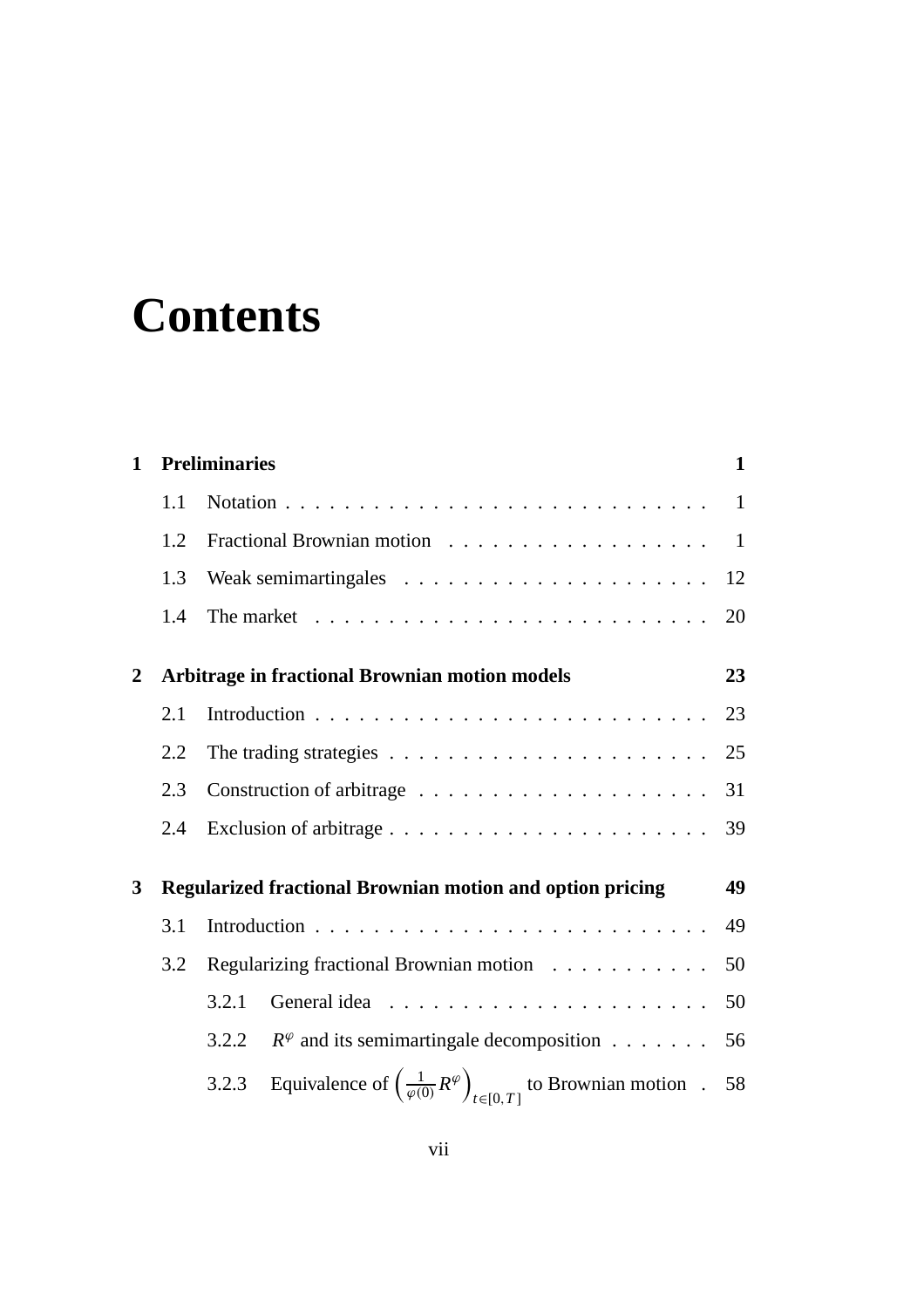# **Contents**

| $\mathbf{1}$ | <b>Preliminaries</b>                                             |                                                                                |                                                                                                   |    |  |  |  |
|--------------|------------------------------------------------------------------|--------------------------------------------------------------------------------|---------------------------------------------------------------------------------------------------|----|--|--|--|
|              | 1.1                                                              |                                                                                |                                                                                                   | -1 |  |  |  |
|              | 1.2                                                              |                                                                                |                                                                                                   |    |  |  |  |
|              | 1.3                                                              |                                                                                |                                                                                                   |    |  |  |  |
|              | 1.4                                                              | The market $\dots \dots \dots \dots \dots \dots \dots \dots \dots \dots \dots$ |                                                                                                   |    |  |  |  |
| $\mathbf{2}$ | <b>Arbitrage in fractional Brownian motion models</b>            |                                                                                |                                                                                                   |    |  |  |  |
|              | 2.1                                                              |                                                                                |                                                                                                   |    |  |  |  |
|              | 2.2                                                              | The trading strategies $\ldots \ldots \ldots \ldots \ldots \ldots \ldots$      |                                                                                                   |    |  |  |  |
|              | 2.3                                                              |                                                                                |                                                                                                   |    |  |  |  |
|              | 2.4                                                              |                                                                                |                                                                                                   |    |  |  |  |
| 3            | <b>Regularized fractional Brownian motion and option pricing</b> |                                                                                |                                                                                                   |    |  |  |  |
|              | 3.1                                                              |                                                                                |                                                                                                   | 49 |  |  |  |
|              | 3.2                                                              | Regularizing fractional Brownian motion                                        |                                                                                                   |    |  |  |  |
|              |                                                                  | 3.2.1                                                                          |                                                                                                   | 50 |  |  |  |
|              |                                                                  | 3.2.2                                                                          | $R^{\varphi}$ and its semimartingale decomposition                                                | 56 |  |  |  |
|              |                                                                  | 3.2.3                                                                          | Equivalence of $\left(\frac{1}{\varphi(0)}R^{\varphi}\right)_{t\in[0,T]}$ to Brownian motion . 58 |    |  |  |  |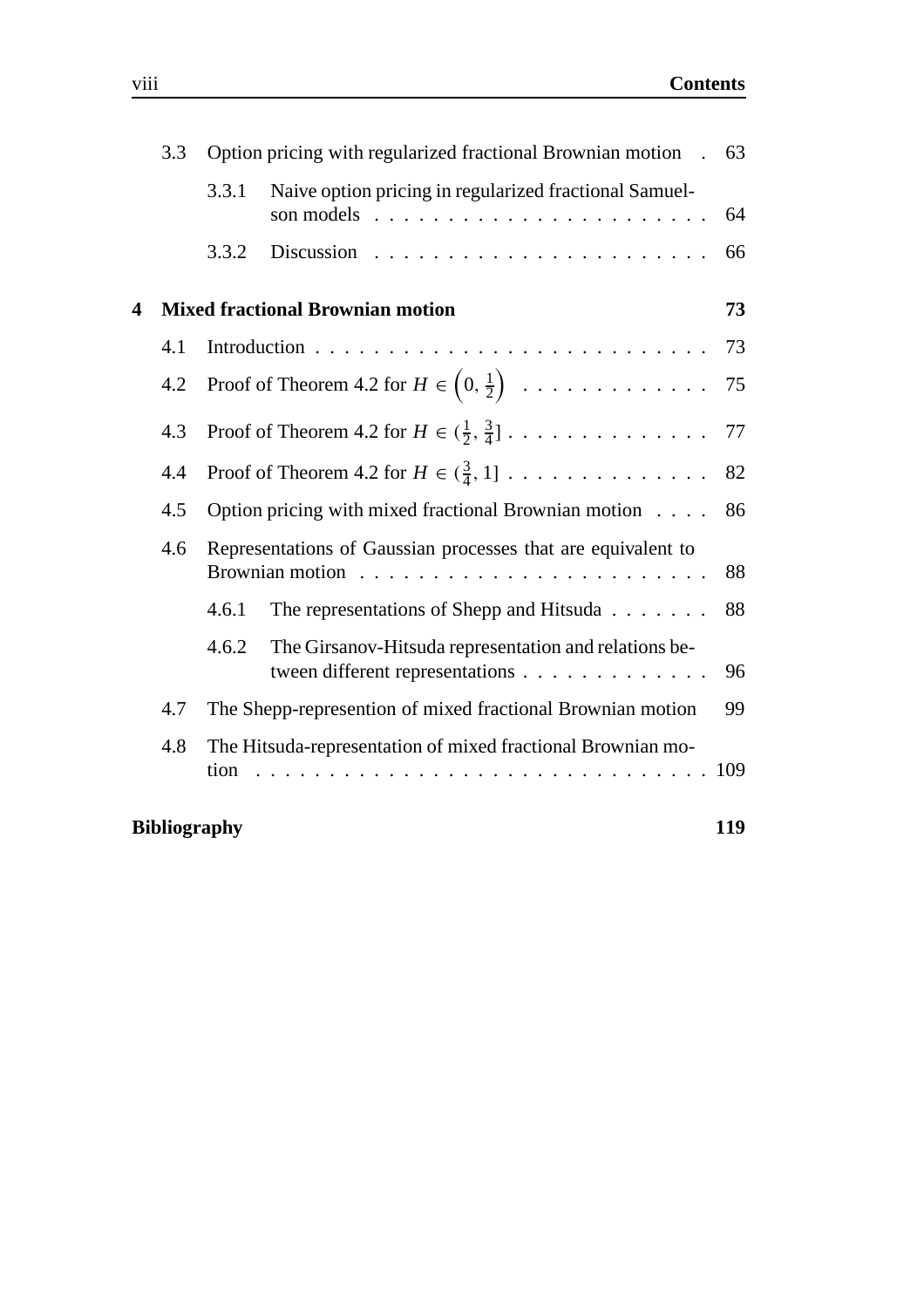|   | 3.3                                                                 | Option pricing with regularized fractional Brownian motion                                                                                                                                                                                                                                                    |                                                                                          |     | 63  |  |  |
|---|---------------------------------------------------------------------|---------------------------------------------------------------------------------------------------------------------------------------------------------------------------------------------------------------------------------------------------------------------------------------------------------------|------------------------------------------------------------------------------------------|-----|-----|--|--|
|   |                                                                     | 3.3.1                                                                                                                                                                                                                                                                                                         | Naive option pricing in regularized fractional Samuel-<br>son models                     | 64  |     |  |  |
|   |                                                                     | 3.3.2                                                                                                                                                                                                                                                                                                         |                                                                                          | 66  |     |  |  |
| 4 | <b>Mixed fractional Brownian motion</b><br>73                       |                                                                                                                                                                                                                                                                                                               |                                                                                          |     |     |  |  |
|   | 4.1                                                                 |                                                                                                                                                                                                                                                                                                               |                                                                                          | 73  |     |  |  |
|   | Proof of Theorem 4.2 for $H \in \left(0, \frac{1}{2}\right)$<br>4.2 |                                                                                                                                                                                                                                                                                                               |                                                                                          |     | 75  |  |  |
|   | 4.3                                                                 |                                                                                                                                                                                                                                                                                                               | Proof of Theorem 4.2 for $H \in (\frac{1}{2}, \frac{3}{4}]$                              | 77  |     |  |  |
|   | 4.4                                                                 | Proof of Theorem 4.2 for $H \in (\frac{3}{4}, 1]$<br>82                                                                                                                                                                                                                                                       |                                                                                          |     |     |  |  |
|   | 4.5                                                                 | Option pricing with mixed fractional Brownian motion<br>86                                                                                                                                                                                                                                                    |                                                                                          |     |     |  |  |
|   | 4.6                                                                 | Representations of Gaussian processes that are equivalent to<br><b>Brownian motion</b>                                                                                                                                                                                                                        |                                                                                          |     |     |  |  |
|   |                                                                     | 4.6.1                                                                                                                                                                                                                                                                                                         | The representations of Shepp and Hitsuda                                                 | 88  |     |  |  |
|   |                                                                     | 4.6.2                                                                                                                                                                                                                                                                                                         | The Girsanov-Hitsuda representation and relations be-<br>tween different representations | 96  |     |  |  |
|   | 4.7                                                                 | The Shepp-represention of mixed fractional Brownian motion                                                                                                                                                                                                                                                    |                                                                                          |     |     |  |  |
|   | 4.8                                                                 | The Hitsuda-representation of mixed fractional Brownian mo-<br>tion<br>and the state of the state of the state of the state of the state of the state of the state of the state of the<br>The state of the state of the state of the state of the state of the state of the state of the state of the st<br>. |                                                                                          |     | 109 |  |  |
|   |                                                                     | <b>Bibliography</b>                                                                                                                                                                                                                                                                                           |                                                                                          | 119 |     |  |  |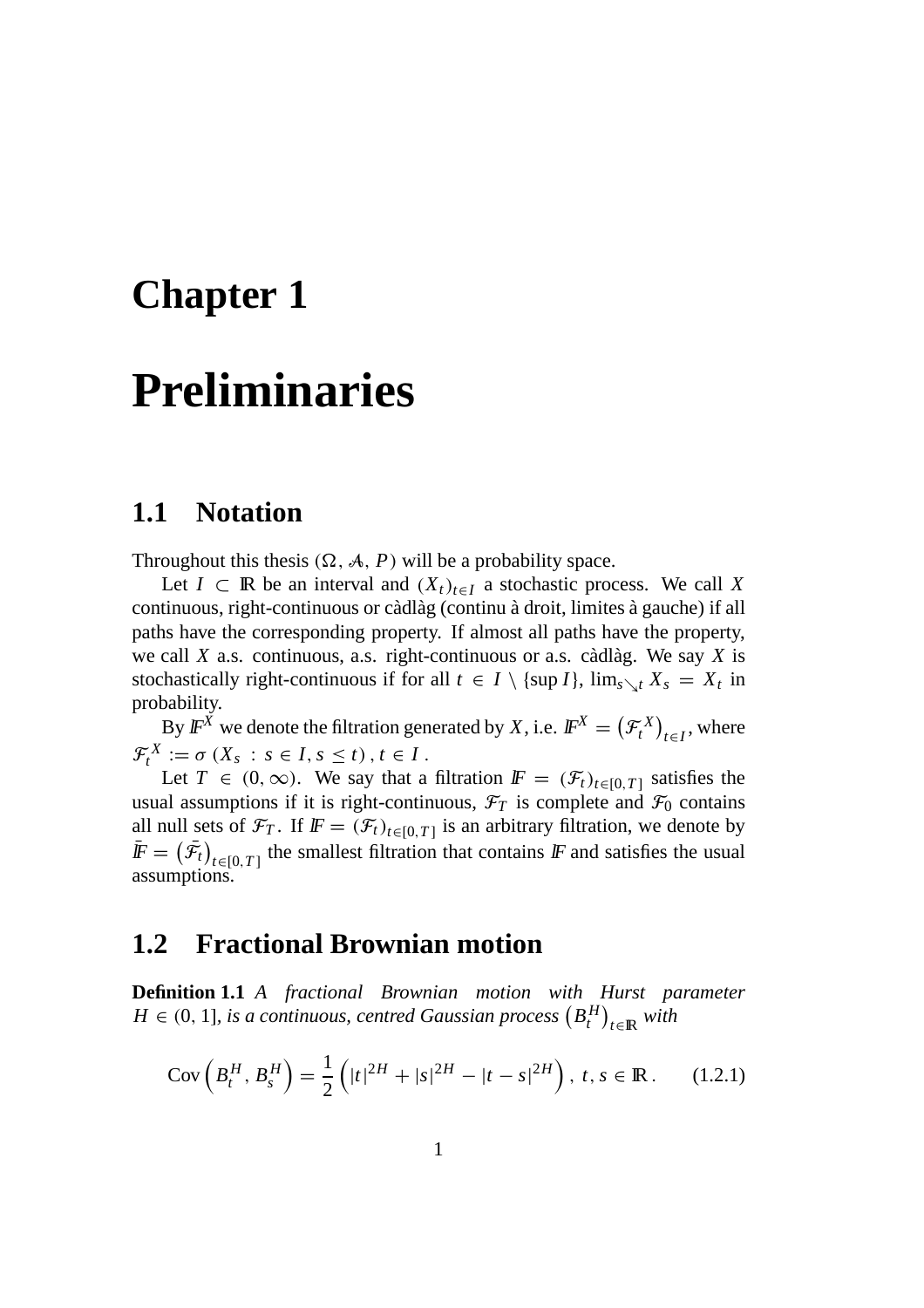### **Chapter 1**

## **Preliminaries**

### **1.1 Notation**

Throughout this thesis  $(\Omega, \mathcal{A}, P)$  will be a probability space.

Let *I* ⊂ **R** be an interval and  $(X_t)_{t \in I}$  a stochastic process. We call *X* continuous, right-continuous or càdlàg (continu à droit, limites à gauche) if all paths have the corresponding property. If almost all paths have the property, we call  $X$  a.s. continuous, a.s. right-continuous or a.s. càdlàg. We say  $X$  is stochastically right-continuous if for all  $t \in I \setminus \{\sup I\}$ ,  $\lim_{s \searrow t} X_s = X_t$  in probability.

By  $\mathbb{F}^X$  we denote the filtration generated by *X*, i.e.  $\mathbb{F}^X = (\mathcal{F}^X_t)_{t \in I}$ , where  $\mathcal{F}_{t}^{X} := \sigma(X_{s} : s \in I, s \leq t), t \in I.$ 

Let  $T \in (0, \infty)$ . We say that a filtration  $\mathbb{F} = (\mathcal{F}_t)_{t \in [0, T]}$  satisfies the usual assumptions if it is right-continuous,  $\mathcal{F}_T$  is complete and  $\mathcal{F}_0$  contains all null sets of  $\mathcal{F}_T$ . If  $\mathbf{F} = (\mathcal{F}_t)_{t \in [0,T]}$  is an arbitrary filtration, we denote by  $\bar{F} = (\bar{\mathcal{F}}_t)_{t \in [0,T]}$  the smallest filtration that contains F and satisfies the usual assumptions.

### **1.2 Fractional Brownian motion**

**Definition 1.1** *A fractional Brownian motion with Hurst parameter*  $H \in (0, 1]$ , is a continuous, centred Gaussian process  $(B_t^H)_{t\in\mathbb{R}}$  with

$$
Cov\left(B_t^H, B_s^H\right) = \frac{1}{2} \left( |t|^{2H} + |s|^{2H} - |t - s|^{2H} \right), \ t, s \in \mathbb{R} \,. \tag{1.2.1}
$$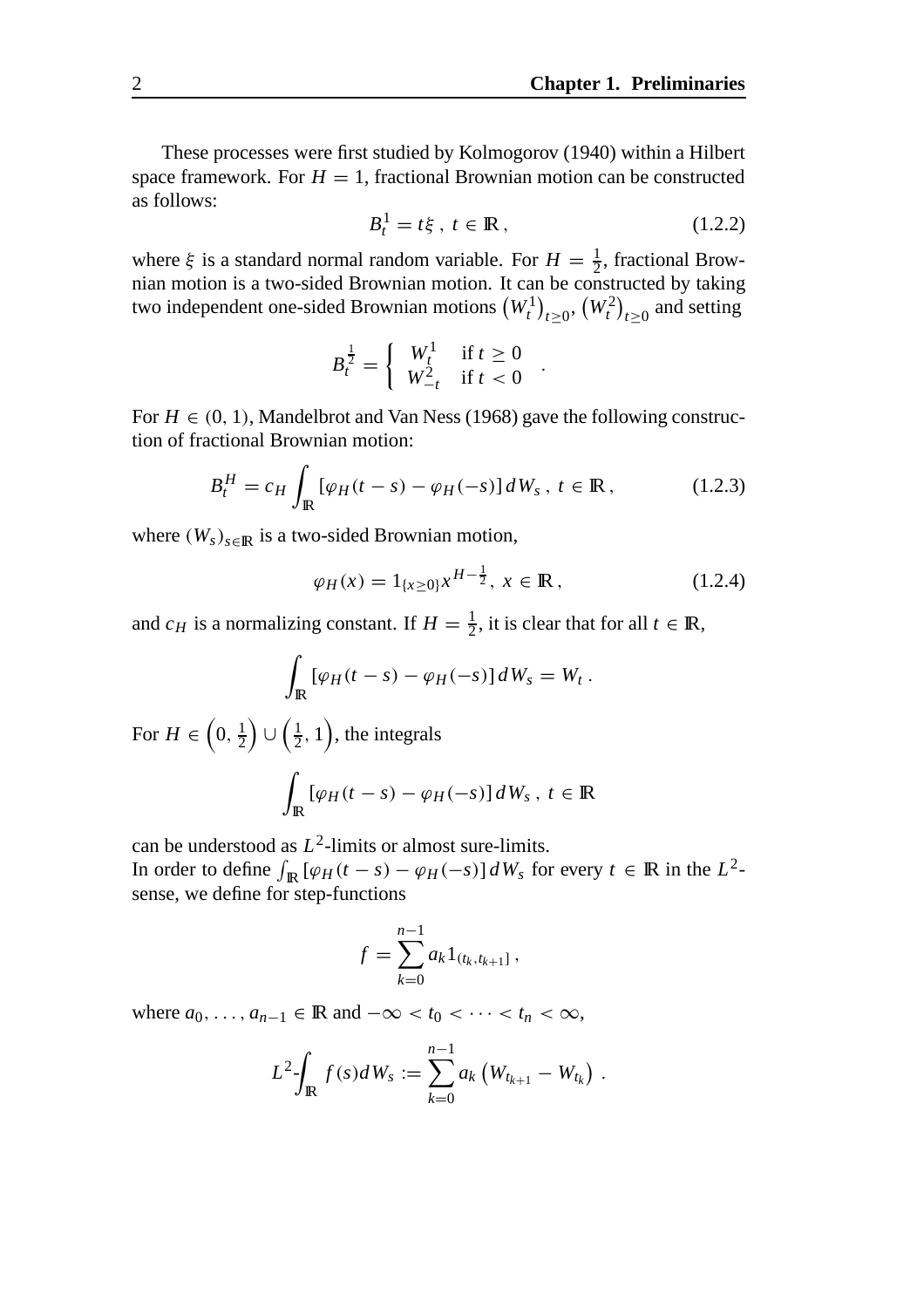These processes were first studied by Kolmogorov (1940) within a Hilbert space framework. For  $H = 1$ , fractional Brownian motion can be constructed as follows:

$$
B_t^1 = t\xi, \ t \in \mathbb{R}, \tag{1.2.2}
$$

where  $\xi$  is a standard normal random variable. For  $H = \frac{1}{2}$ , fractional Brownian motion is a two-sided Brownian motion. It can be constructed by taking two independent one-sided Brownian motions  $(W_t^1)_{t\geq 0}, (W_t^2)_{t\geq 0}$  and setting

$$
B_t^{\frac{1}{2}} = \begin{cases} W_t^1 & \text{if } t \ge 0 \\ W_{-t}^2 & \text{if } t < 0 \end{cases} .
$$

For  $H \in (0, 1)$ , Mandelbrot and Van Ness (1968) gave the following construction of fractional Brownian motion:

$$
B_t^H = c_H \int_{\mathbb{R}} \left[ \varphi_H(t-s) - \varphi_H(-s) \right] dW_s, \ t \in \mathbb{R}, \qquad (1.2.3)
$$

where  $(W_s)_{s \in \mathbb{R}}$  is a two-sided Brownian motion,

$$
\varphi_H(x) = 1_{\{x \ge 0\}} x^{H - \frac{1}{2}}, \ x \in \mathbb{R}, \tag{1.2.4}
$$

and *c<sub>H</sub>* is a normalizing constant. If  $H = \frac{1}{2}$ , it is clear that for all  $t \in \mathbb{R}$ ,

$$
\int_{\mathbb{R}} \left[ \varphi_H(t-s) - \varphi_H(-s) \right] dW_s = W_t.
$$

For  $H \in \left(0, \frac{1}{2}\right)$  $\left( \frac{1}{2}, 1 \right)$ , the integrals

$$
\int_{\mathbb{R}} \left[ \varphi_H(t-s) - \varphi_H(-s) \right] dW_s, \ t \in \mathbb{R}
$$

can be understood as *L*2-limits or almost sure-limits.

In order to define  $\int_{\mathbb{R}} [\varphi_H(t-s) - \varphi_H(-s)] dW_s$  for every  $t \in \mathbb{R}$  in the  $L^2$ sense, we define for step-functions

$$
f = \sum_{k=0}^{n-1} a_k 1_{(t_k, t_{k+1}]},
$$

where  $a_0, \ldots, a_{n-1} \in \mathbb{R}$  and  $-\infty < t_0 < \cdots < t_n < \infty$ ,

$$
L^2 \int_{\mathbb{R}} f(s) dW_s := \sum_{k=0}^{n-1} a_k \left( W_{t_{k+1}} - W_{t_k} \right) .
$$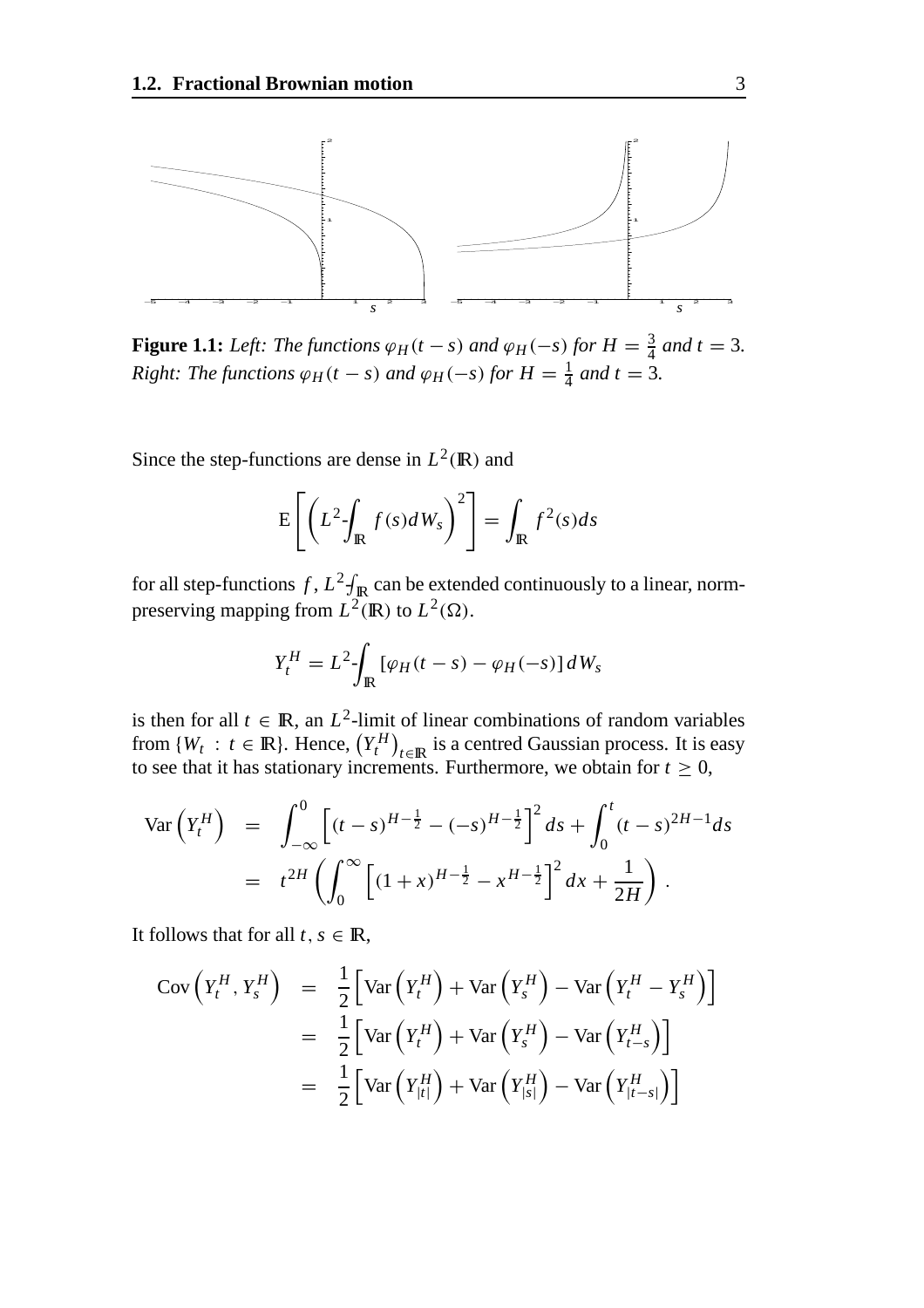

**Figure 1.1:** *Left: The functions*  $\varphi_H(t-s)$  *and*  $\varphi_H(-s)$  *for*  $H = \frac{3}{4}$  *and*  $t = 3$ *. Right: The functions*  $\varphi_H(t-s)$  *and*  $\varphi_H(-s)$  *for*  $H = \frac{1}{4}$  *and*  $t = 3$ *.* 

Since the step-functions are dense in  $L^2(\mathbb{R})$  and

$$
E\left[\left(L^2 \int_{\mathbb{R}} f(s) dW_s\right)^2\right] = \int_{\mathbb{R}} f^2(s) ds
$$

for all step-functions  $f$ ,  $L^2 \int_{\mathbb{R}}$  can be extended continuously to a linear, normpreserving mapping from  $L^2(\mathbb{R})$  to  $L^2(\Omega)$ .

$$
Y_t^H = L^2 \int_{\mathbb{R}} \left[ \varphi_H(t-s) - \varphi_H(-s) \right] dW_s
$$

is then for all  $t \in \mathbb{R}$ , an  $L^2$ -limit of linear combinations of random variables from  $\{W_t : t \in \mathbb{R}\}$ . Hence,  $(Y_t^H)_{t \in \mathbb{R}}$  is a centred Gaussian process. It is easy to see that it has stationary increments. Furthermore, we obtain for  $t \geq 0$ ,

$$
\begin{split} \text{Var}\left(Y_t^H\right) &= \int_{-\infty}^0 \left[ (t-s)^{H-\frac{1}{2}} - (-s)^{H-\frac{1}{2}} \right]^2 ds + \int_0^t (t-s)^{2H-1} ds \\ &= t^{2H} \left( \int_0^\infty \left[ (1+x)^{H-\frac{1}{2}} - x^{H-\frac{1}{2}} \right]^2 dx + \frac{1}{2H} \right) . \end{split}
$$

It follows that for all  $t, s \in \mathbb{R}$ ,

$$
\begin{array}{rcl}\n\text{Cov}\left(Y_t^H, Y_s^H\right) & = & \frac{1}{2} \left[ \text{Var}\left(Y_t^H\right) + \text{Var}\left(Y_s^H\right) - \text{Var}\left(Y_t^H - Y_s^H\right) \right] \\
& = & \frac{1}{2} \left[ \text{Var}\left(Y_t^H\right) + \text{Var}\left(Y_s^H\right) - \text{Var}\left(Y_{t-s}^H\right) \right] \\
& = & \frac{1}{2} \left[ \text{Var}\left(Y_{|t|}^H\right) + \text{Var}\left(Y_{|s|}^H\right) - \text{Var}\left(Y_{|t-s|}^H\right) \right]\n\end{array}
$$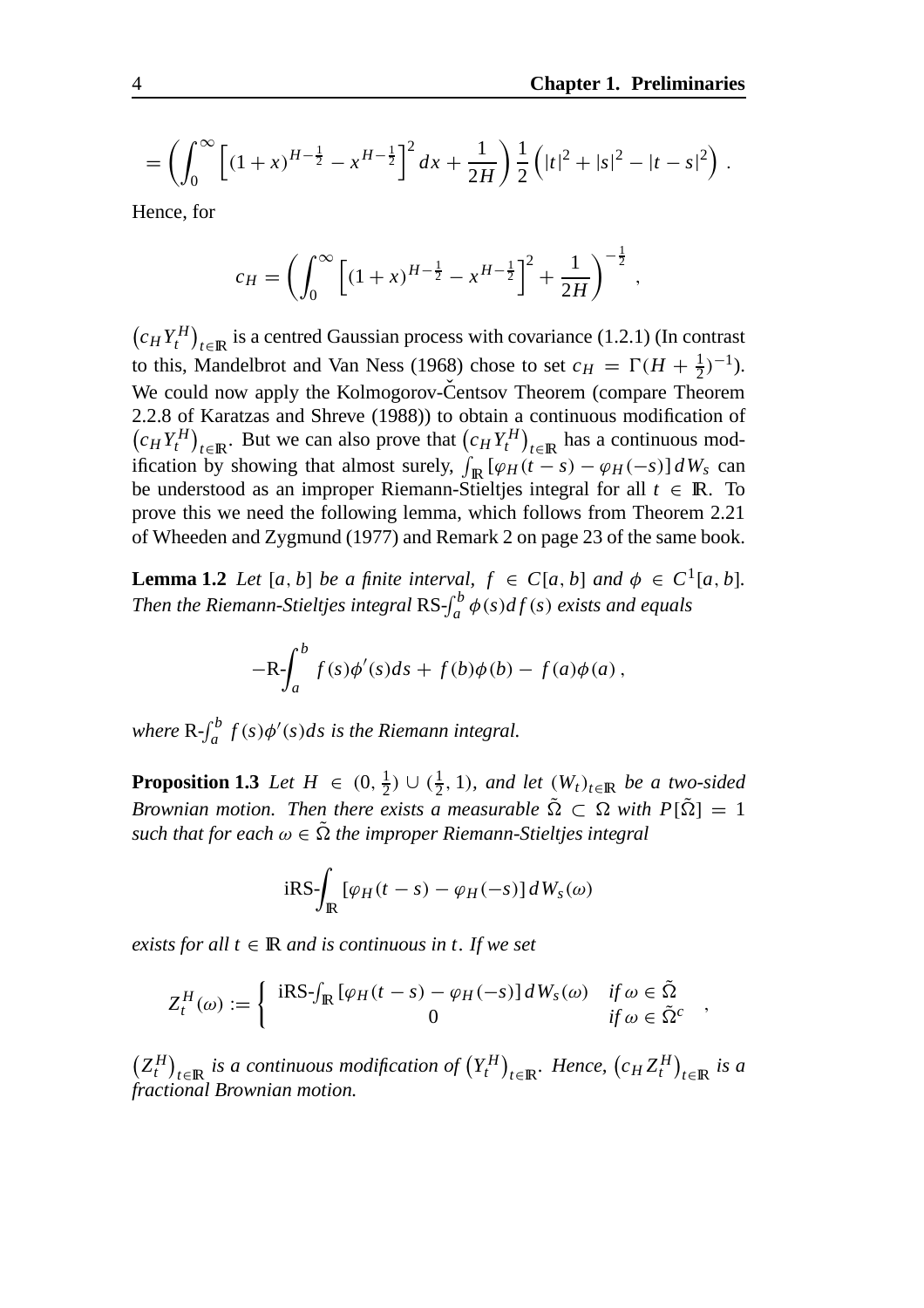,

$$
= \left(\int_0^\infty \left[ (1+x)^{H-\frac{1}{2}} - x^{H-\frac{1}{2}} \right]^2 dx + \frac{1}{2H} \right) \frac{1}{2} \left( |t|^2 + |s|^2 - |t-s|^2 \right).
$$

Hence, for

$$
c_H = \left(\int_0^\infty \left[ (1+x)^{H-\frac{1}{2}} - x^{H-\frac{1}{2}} \right]^2 + \frac{1}{2H} \right)^{-\frac{1}{2}}
$$

 $(c_H Y_t^H)_{t \in \mathbb{R}}$  is a centred Gaussian process with covariance (1.2.1) (In contrast to this, Mandelbrot and Van Ness (1968) chose to set  $c_H = \Gamma(H + \frac{1}{2})^{-1}$ ). We could now apply the Kolmogorov-Centsov Theorem (compare Theorem 2.2.8 of Karatzas and Shreve (1988)) to obtain a continuous modification of  $(c_H Y_t^H)_{t \in \mathbb{R}}$ . But we can also prove that  $(c_H Y_t^H)_{t \in \mathbb{R}}$  has a continuous modification by showing that almost surely,  $\int_{\mathbb{R}} [\varphi_H(t-s) - \varphi_H(-s)] dW_s$  can be understood as an improper Riemann-Stieltjes integral for all  $t \in \mathbb{R}$ . To prove this we need the following lemma, which follows from Theorem 2.21 of Wheeden and Zygmund (1977) and Remark 2 on page 23 of the same book.

**Lemma 1.2** *Let* [*a*, *b*] *be a finite interval,*  $f \in C[a, b]$  *and*  $\phi \in C^1[a, b]$ *. Then the Riemann-Stieltjes integral*  $\text{RS-}\int_a^b \phi(s) df(s)$  *exists and equals* 

$$
-R\int_a^b f(s)\phi'(s)ds + f(b)\phi(b) - f(a)\phi(a),
$$

*where*  $R - \int_a^b f(s) \phi'(s) ds$  *is the Riemann integral.* 

**Proposition 1.3** *Let*  $H \in (0, \frac{1}{2}) \cup (\frac{1}{2}, 1)$ *, and let*  $(W_t)_{t \in \mathbb{R}}$  *be a two-sided Brownian motion. Then there exists a measurable*  $\tilde{\Omega} \subset \Omega$  with  $P[\tilde{\Omega}] = 1$ *such that for each*  $\omega \in \Omega$  *the improper Riemann-Stieltjes integral* 

$$
iRS \int_{\mathbb{R}} \left[ \varphi_H(t-s) - \varphi_H(-s) \right] dW_s(\omega)
$$

*exists for all*  $t \in \mathbb{R}$  *and is continuous in t. If we set* 

$$
Z_t^H(\omega) := \begin{cases} iRS \int_{\mathbb{R}} \left[ \varphi_H(t-s) - \varphi_H(-s) \right] dW_s(\omega) & \text{if } \omega \in \tilde{\Omega} \\ 0 & \text{if } \omega \in \tilde{\Omega}^c \end{cases}
$$

 $(Z_t^H)_{t \in \mathbb{R}}$  *is a continuous modification of*  $(Y_t^H)_{t \in \mathbb{R}}$ *. Hence,*  $(c_H Z_t^H)_{t \in \mathbb{R}}$  *is a fractional Brownian motion.*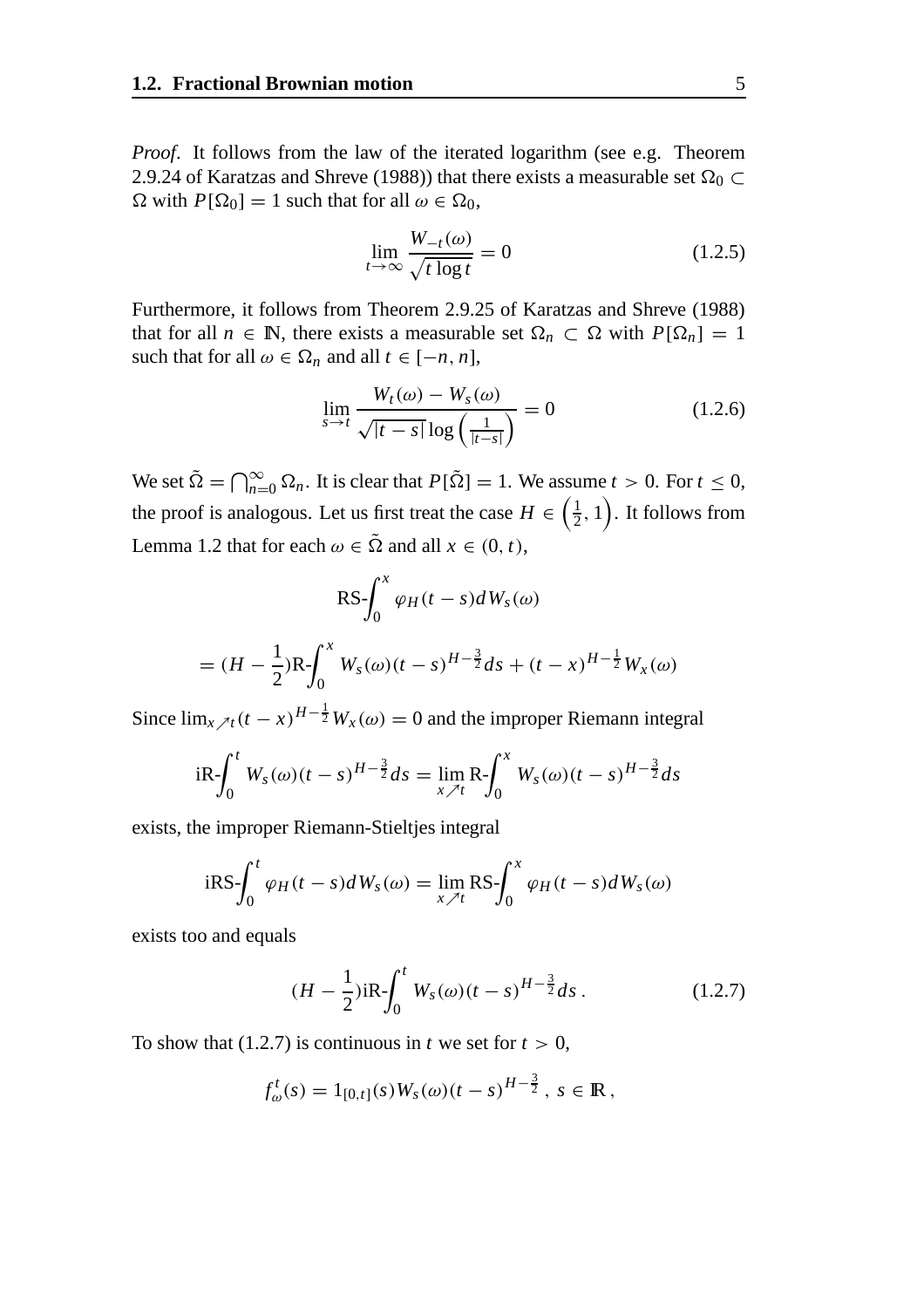*Proof.* It follows from the law of the iterated logarithm (see e.g. Theorem 2.9.24 of Karatzas and Shreve (1988)) that there exists a measurable set  $\Omega_0 \subset$  $\Omega$  with  $P[\Omega_0] = 1$  such that for all  $\omega \in \Omega_0$ ,

$$
\lim_{t \to \infty} \frac{W_{-t}(\omega)}{\sqrt{t \log t}} = 0
$$
\n(1.2.5)

Furthermore, it follows from Theorem 2.9.25 of Karatzas and Shreve (1988) that for all  $n \in \mathbb{N}$ , there exists a measurable set  $\Omega_n \subset \Omega$  with  $P[\Omega_n] = 1$ such that for all  $\omega \in \Omega_n$  and all  $t \in [-n, n]$ ,

$$
\lim_{s \to t} \frac{W_t(\omega) - W_s(\omega)}{\sqrt{|t - s|} \log \left(\frac{1}{|t - s|}\right)} = 0 \tag{1.2.6}
$$

We set  $\tilde{\Omega} = \bigcap_{n=0}^{\infty} \Omega_n$ . It is clear that  $P[\tilde{\Omega}] = 1$ . We assume  $t > 0$ . For  $t \leq 0$ , the proof is analogous. Let us first treat the case  $H \in \left(\frac{1}{2}, 1\right)$ . It follows from Lemma 1.2 that for each  $\omega \in \tilde{\Omega}$  and all  $x \in (0, t)$ ,

$$
RS - \int_0^x \varphi_H(t-s)dW_s(\omega)
$$
  
=  $(H - \frac{1}{2})R - \int_0^x W_s(\omega)(t-s)^{H-\frac{3}{2}}ds + (t-x)^{H-\frac{1}{2}}W_x(\omega)$ 

Since  $\lim_{x \nearrow t} (t - x)^{H-\frac{1}{2}} W_x(\omega) = 0$  and the improper Riemann integral

$$
iR\int_0^t W_s(\omega)(t-s)^{H-\frac{3}{2}}ds = \lim_{x \nearrow t} R\int_0^x W_s(\omega)(t-s)^{H-\frac{3}{2}}ds
$$

exists, the improper Riemann-Stieltjes integral

$$
iRS - \int_0^t \varphi_H(t-s)dW_s(\omega) = \lim_{x \nearrow t} RS - \int_0^x \varphi_H(t-s)dW_s(\omega)
$$

exists too and equals

$$
(H - \frac{1}{2})\text{i}R - \int_0^t W_s(\omega)(t - s)^{H - \frac{3}{2}} ds. \qquad (1.2.7)
$$

To show that  $(1.2.7)$  is continuous in *t* we set for  $t > 0$ ,

$$
f_{\omega}^t(s) = 1_{[0,t]}(s)W_s(\omega)(t-s)^{H-\frac{3}{2}}, \ s \in \mathbb{R},
$$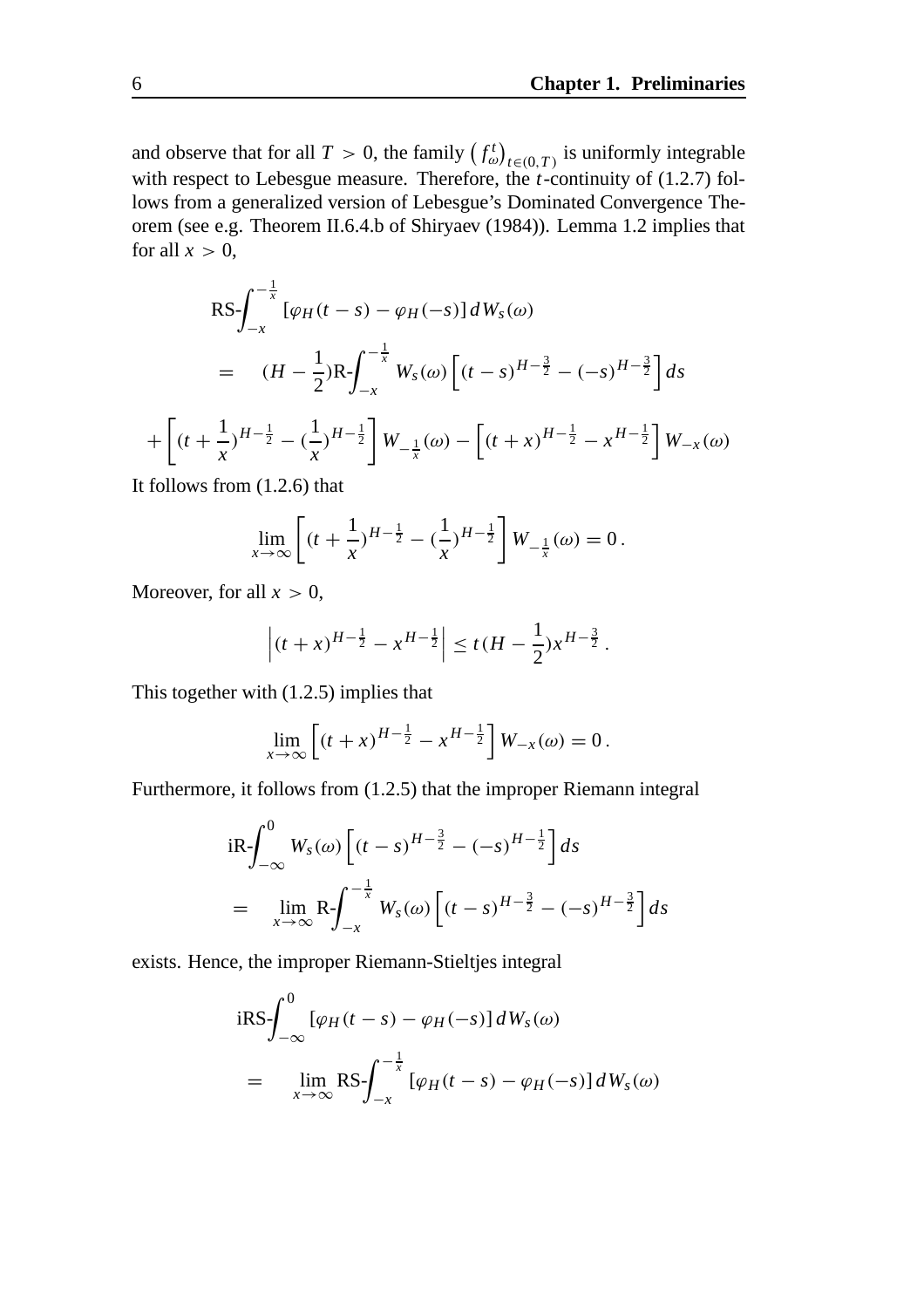and observe that for all  $T > 0$ , the family  $(f_{\omega}^{t})_{t \in (0,T)}$  is uniformly integrable with respect to Lebesgue measure. Therefore, the *t*-continuity of (1.2.7) follows from a generalized version of Lebesgue's Dominated Convergence Theorem (see e.g. Theorem II.6.4.b of Shiryaev (1984)). Lemma 1.2 implies that for all  $x > 0$ ,

$$
RS - \int_{-x}^{-\frac{1}{x}} [\varphi_H(t-s) - \varphi_H(-s)] dW_s(\omega)
$$
  
=  $(H - \frac{1}{2})R - \int_{-x}^{-\frac{1}{x}} W_s(\omega) [(t-s)^{H-\frac{3}{2}} - (-s)^{H-\frac{3}{2}}] ds$   

$$
[(t + \frac{1}{x})^{H-\frac{1}{2}} - (\frac{1}{x})^{H-\frac{1}{2}}] W_{-\frac{1}{x}}(\omega) - [(t + x)^{H-\frac{1}{2}} - x^{H-\frac{1}{2}}] W_{-x}(\omega)
$$

It follows from (1.2.6) that

$$
\lim_{x \to \infty} \left[ (t + \frac{1}{x})^{H - \frac{1}{2}} - (\frac{1}{x})^{H - \frac{1}{2}} \right] W_{-\frac{1}{x}}(\omega) = 0.
$$

Moreover, for all  $x > 0$ ,

$$
\left| (t+x)^{H-\frac{1}{2}} - x^{H-\frac{1}{2}} \right| \le t(H-\frac{1}{2})x^{H-\frac{3}{2}}.
$$

This together with (1.2.5) implies that

$$
\lim_{x \to \infty} \left[ (t+x)^{H-\frac{1}{2}} - x^{H-\frac{1}{2}} \right] W_{-x}(\omega) = 0.
$$

Furthermore, it follows from (1.2.5) that the improper Riemann integral

$$
iR - \int_{-\infty}^{0} W_s(\omega) \left[ (t-s)^{H-\frac{3}{2}} - (-s)^{H-\frac{1}{2}} \right] ds
$$
  
= 
$$
\lim_{x \to \infty} R - \int_{-x}^{-\frac{1}{x}} W_s(\omega) \left[ (t-s)^{H-\frac{3}{2}} - (-s)^{H-\frac{3}{2}} \right] ds
$$

exists. Hence, the improper Riemann-Stieltjes integral

$$
iRS - \int_{-\infty}^{0} [\varphi_H(t-s) - \varphi_H(-s)] dW_s(\omega)
$$
  
= 
$$
\lim_{x \to \infty} RS - \int_{-x}^{-\frac{1}{x}} [\varphi_H(t-s) - \varphi_H(-s)] dW_s(\omega)
$$

 $+$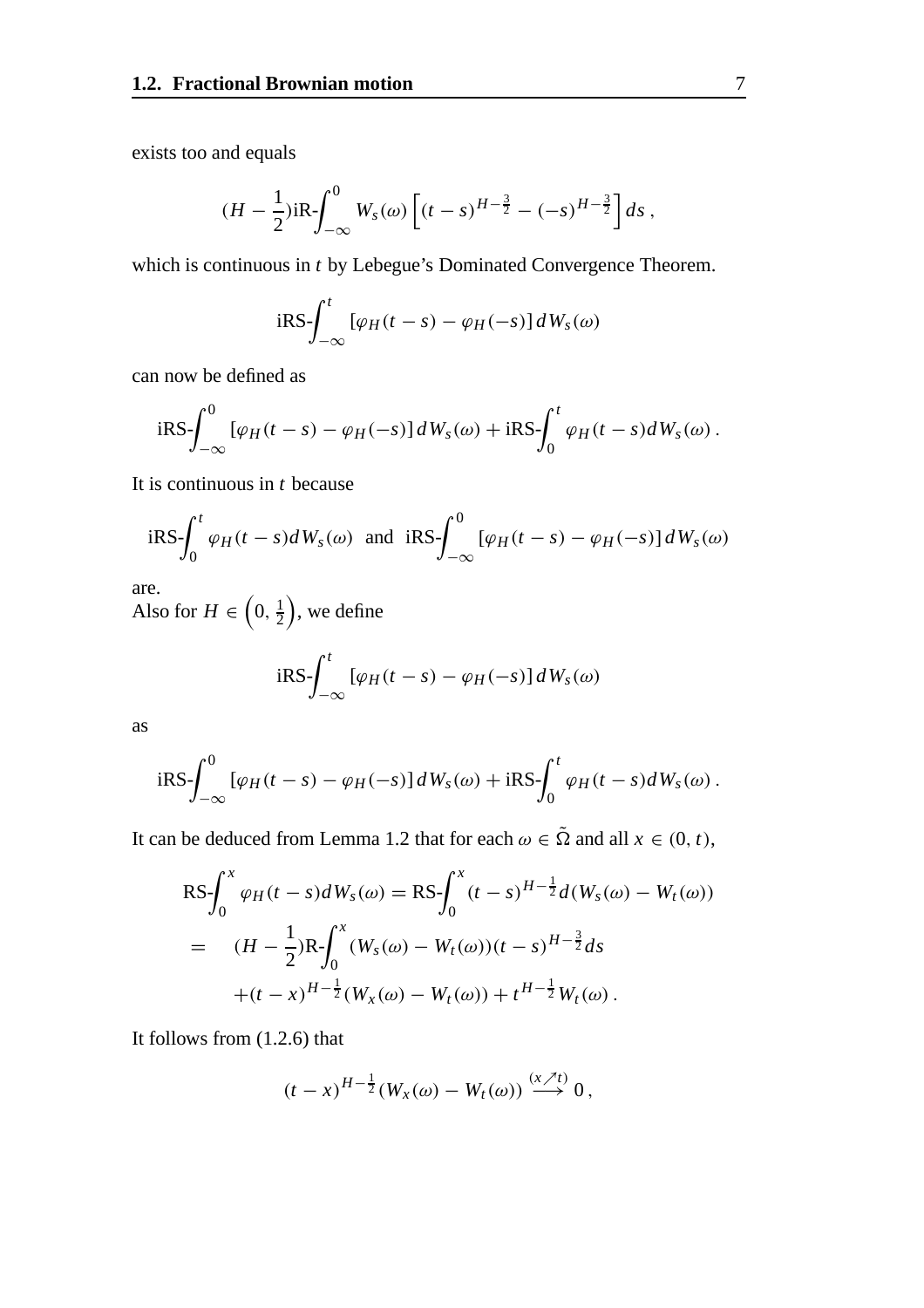exists too and equals

$$
(H - \frac{1}{2})iR - \int_{-\infty}^{0} W_s(\omega) \left[ (t - s)^{H - \frac{3}{2}} - (-s)^{H - \frac{3}{2}} \right] ds,
$$

which is continuous in *t* by Lebegue's Dominated Convergence Theorem.

$$
iRS - \int_{-\infty}^{t} \left[ \varphi_H(t-s) - \varphi_H(-s) \right] dW_s(\omega)
$$

can now be defined as

$$
iRS - \int_{-\infty}^{0} [\varphi_H(t-s) - \varphi_H(-s)] dW_s(\omega) + iRS - \int_{0}^{t} \varphi_H(t-s) dW_s(\omega).
$$

It is continuous in *t* because

$$
iRS - \int_0^t \varphi_H(t-s)dW_s(\omega) \text{ and } iRS - \int_{-\infty}^0 [\varphi_H(t-s) - \varphi_H(-s)]dW_s(\omega)
$$

are.

Also for  $H \in \left(0, \frac{1}{2}\right)$ , we define

$$
iRS - \int_{-\infty}^{t} [\varphi_H(t-s) - \varphi_H(-s)] dW_s(\omega)
$$

as

$$
iRS - \int_{-\infty}^{0} [\varphi_H(t-s) - \varphi_H(-s)] dW_s(\omega) + iRS - \int_{0}^{t} \varphi_H(t-s) dW_s(\omega).
$$

It can be deduced from Lemma 1.2 that for each  $\omega \in \tilde{\Omega}$  and all  $x \in (0, t)$ ,

$$
RS - \int_0^x \varphi_H(t - s) dW_s(\omega) = RS - \int_0^x (t - s)^{H - \frac{1}{2}} d(W_s(\omega) - W_t(\omega))
$$
  
= 
$$
(H - \frac{1}{2})R - \int_0^x (W_s(\omega) - W_t(\omega))(t - s)^{H - \frac{3}{2}} ds
$$
  
+ 
$$
(t - x)^{H - \frac{1}{2}} (W_x(\omega) - W_t(\omega)) + t^{H - \frac{1}{2}} W_t(\omega).
$$

It follows from (1.2.6) that

$$
(t-x)^{H-\frac{1}{2}}(W_x(\omega)-W_t(\omega))\stackrel{(x\nearrow t)}{\longrightarrow}0,
$$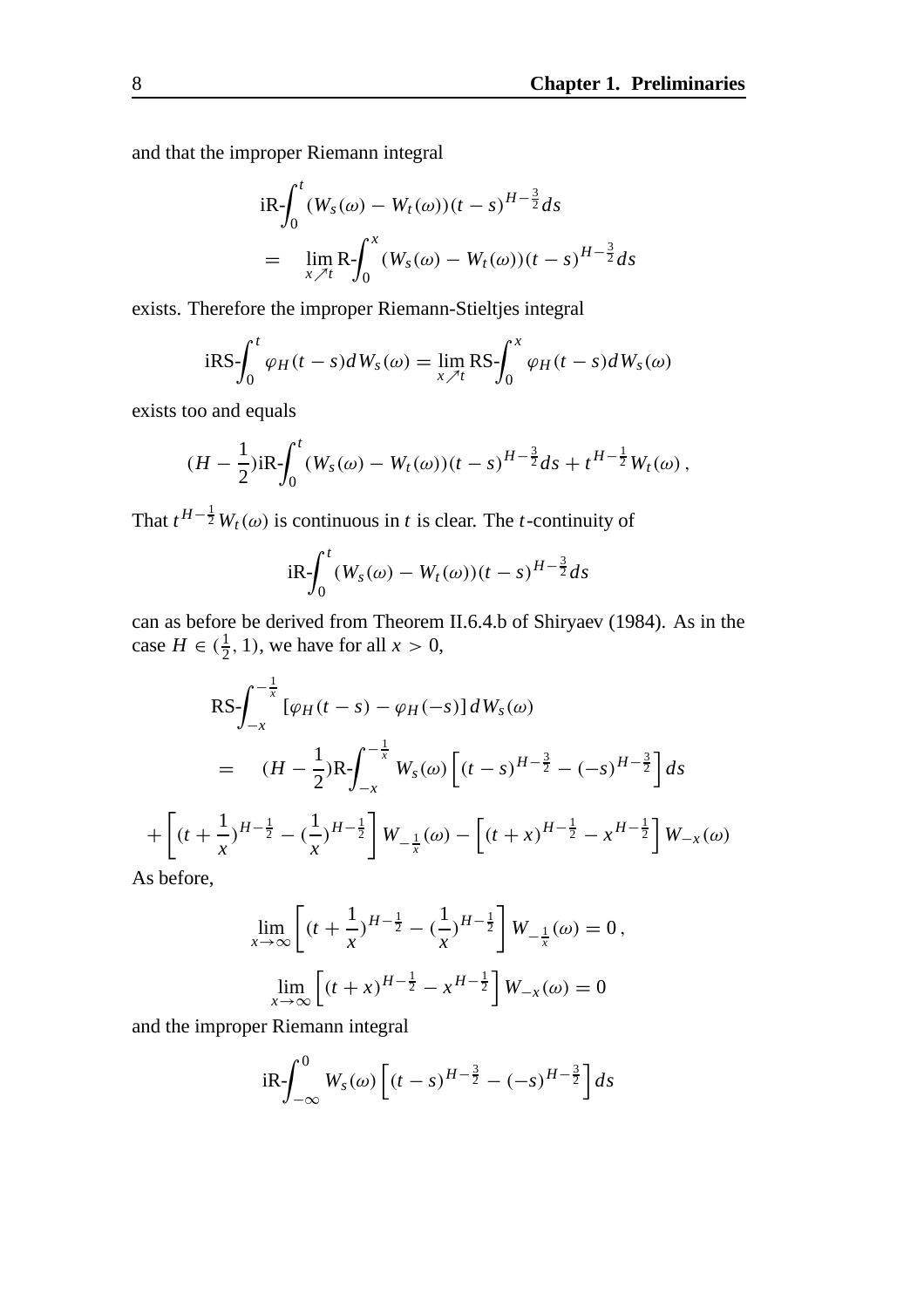and that the improper Riemann integral

$$
iR - \int_0^t (W_s(\omega) - W_t(\omega))(t - s)^{H - \frac{3}{2}} ds
$$
  
= 
$$
\lim_{x \nearrow t} R - \int_0^x (W_s(\omega) - W_t(\omega))(t - s)^{H - \frac{3}{2}} ds
$$

exists. Therefore the improper Riemann-Stieltjes integral

$$
iRS - \int_0^t \varphi_H(t-s)dW_s(\omega) = \lim_{x \nearrow t} RS - \int_0^x \varphi_H(t-s)dW_s(\omega)
$$

exists too and equals

$$
(H - \frac{1}{2})iR - \int_0^t (W_s(\omega) - W_t(\omega))(t - s)^{H - \frac{3}{2}} ds + t^{H - \frac{1}{2}} W_t(\omega),
$$

That  $t^{H-\frac{1}{2}}W_t(\omega)$  is continuous in *t* is clear. The *t*-continuity of

$$
iR - \int_0^t (W_s(\omega) - W_t(\omega))(t - s)^{H - \frac{3}{2}} ds
$$

can as before be derived from Theorem II.6.4.b of Shiryaev (1984). As in the case  $H \in (\frac{1}{2}, 1)$ , we have for all  $x > 0$ ,

$$
RS \int_{-x}^{-\frac{1}{x}} [\varphi_H(t-s) - \varphi_H(-s)] dW_s(\omega)
$$
  
=  $(H - \frac{1}{2})R \int_{-x}^{-\frac{1}{x}} W_s(\omega) [(t-s)^{H-\frac{3}{2}} - (-s)^{H-\frac{3}{2}}] ds$   
+  $[(t + \frac{1}{x})^{H-\frac{1}{2}} - (\frac{1}{x})^{H-\frac{1}{2}}] W_{-\frac{1}{x}}(\omega) - [(t + x)^{H-\frac{1}{2}} - x^{H-\frac{1}{2}}] W_{-x}(\omega)$   
s before

As before,

$$
\lim_{x \to \infty} \left[ (t + \frac{1}{x})^{H - \frac{1}{2}} - (\frac{1}{x})^{H - \frac{1}{2}} \right] W_{-\frac{1}{x}}(\omega) = 0,
$$
  

$$
\lim_{x \to \infty} \left[ (t + x)^{H - \frac{1}{2}} - x^{H - \frac{1}{2}} \right] W_{-x}(\omega) = 0
$$

and the improper Riemann integral

$$
iR\int_{-\infty}^{0} W_s(\omega)\left[ (t-s)^{H-\frac{3}{2}} - (-s)^{H-\frac{3}{2}} \right] ds
$$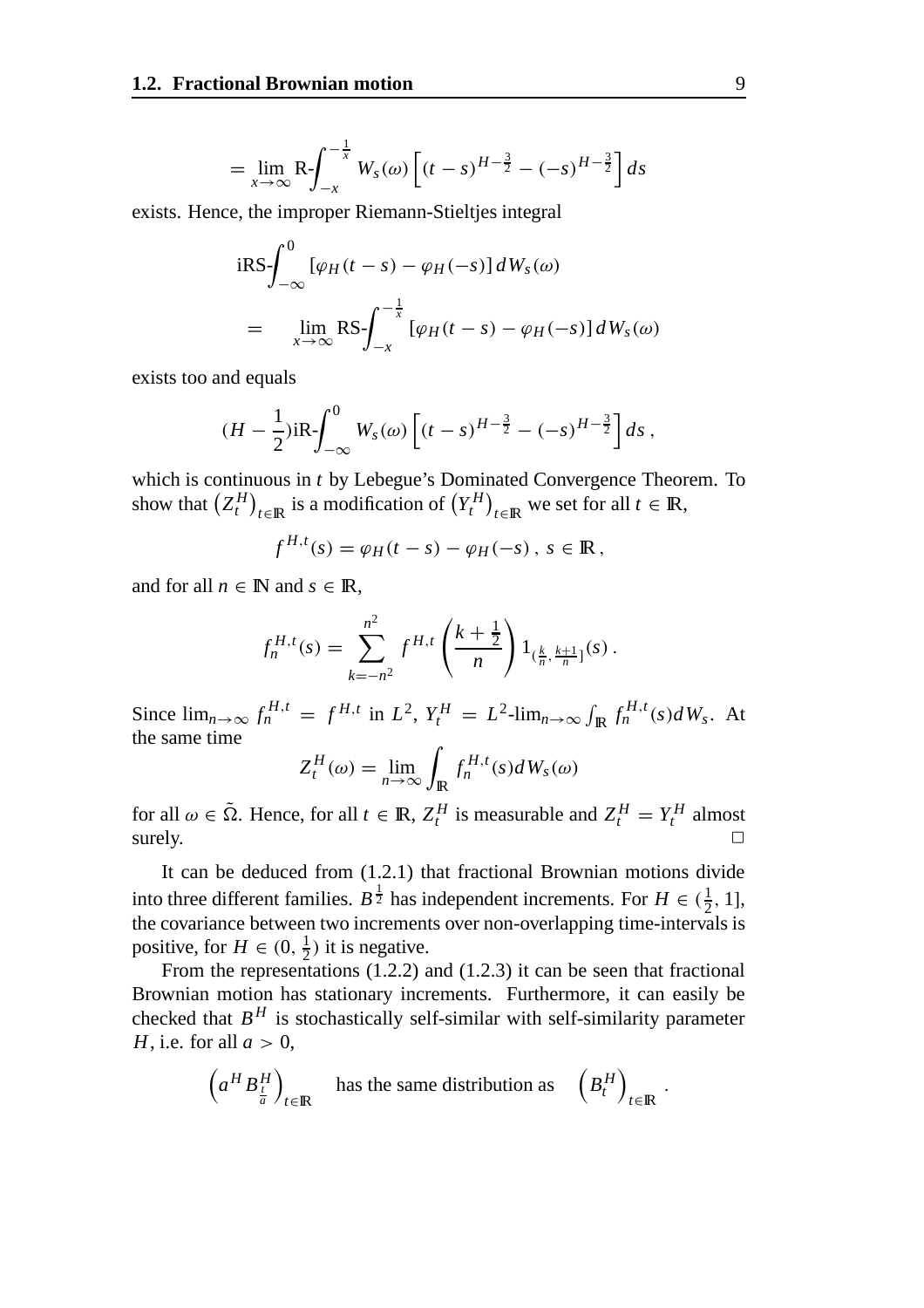$$
= \lim_{x \to \infty} \mathsf{R} \int_{-x}^{-\frac{1}{x}} W_s(\omega) \left[ (t-s)^{H-\frac{3}{2}} - (-s)^{H-\frac{3}{2}} \right] ds
$$

exists. Hence, the improper Riemann-Stieltjes integral

$$
iRS - \int_{-\infty}^{0} [\varphi_H(t-s) - \varphi_H(-s)] dW_s(\omega)
$$
  
= 
$$
\lim_{x \to \infty} RS - \int_{-x}^{-\frac{1}{x}} [\varphi_H(t-s) - \varphi_H(-s)] dW_s(\omega)
$$

exists too and equals

$$
(H - \frac{1}{2})iR - \int_{-\infty}^{0} W_s(\omega) \left[ (t - s)^{H - \frac{3}{2}} - (-s)^{H - \frac{3}{2}} \right] ds,
$$

which is continuous in *t* by Lebegue's Dominated Convergence Theorem. To show that  $(Z_t^H)_{t \in \mathbb{R}}$  is a modification of  $(Y_t^H)_{t \in \mathbb{R}}$  we set for all  $t \in \mathbb{R}$ ,

$$
f^{H,t}(s) = \varphi_H(t-s) - \varphi_H(-s), \ s \in \mathbb{R},
$$

and for all  $n \in \mathbb{N}$  and  $s \in \mathbb{R}$ ,

$$
f_n^{H,t}(s) = \sum_{k=-n^2}^{n^2} f^{H,t} \left( \frac{k+\frac{1}{2}}{n} \right) 1_{(\frac{k}{n}, \frac{k+1}{n}]}(s) .
$$

Since  $\lim_{n\to\infty} f_n^{H,t} = f^{H,t}$  in  $L^2$ ,  $Y_t^H = L^2$ - $\lim_{n\to\infty} \int_{\mathbb{R}} f_n^{H,t}(s) dW_s$ . At the same time

$$
Z_t^H(\omega) = \lim_{n \to \infty} \int_{\mathbb{R}} f_n^{H,t}(s) dW_s(\omega)
$$

for all  $\omega \in \tilde{\Omega}$ . Hence, for all  $t \in \mathbb{R}$ ,  $Z_t^H$  is measurable and  $Z_t^H = Y_t^H$  almost surely.  $\Box$ 

It can be deduced from (1.2.1) that fractional Brownian motions divide into three different families.  $B^{\frac{1}{2}}$  has independent increments. For  $H \in (\frac{1}{2}, 1]$ , the covariance between two increments over non-overlapping time-intervals is positive, for  $H \in (0, \frac{1}{2})$  it is negative.

From the representations (1.2.2) and (1.2.3) it can be seen that fractional Brownian motion has stationary increments. Furthermore, it can easily be checked that  $B<sup>H</sup>$  is stochastically self-similar with self-similarity parameter *H*, i.e. for all  $a > 0$ ,

$$
\left(a^H B_{\frac{l}{a}}^H\right)_{t \in \mathbb{R}} \quad \text{has the same distribution as} \quad \left(B_t^H\right)_{t \in \mathbb{R}}.
$$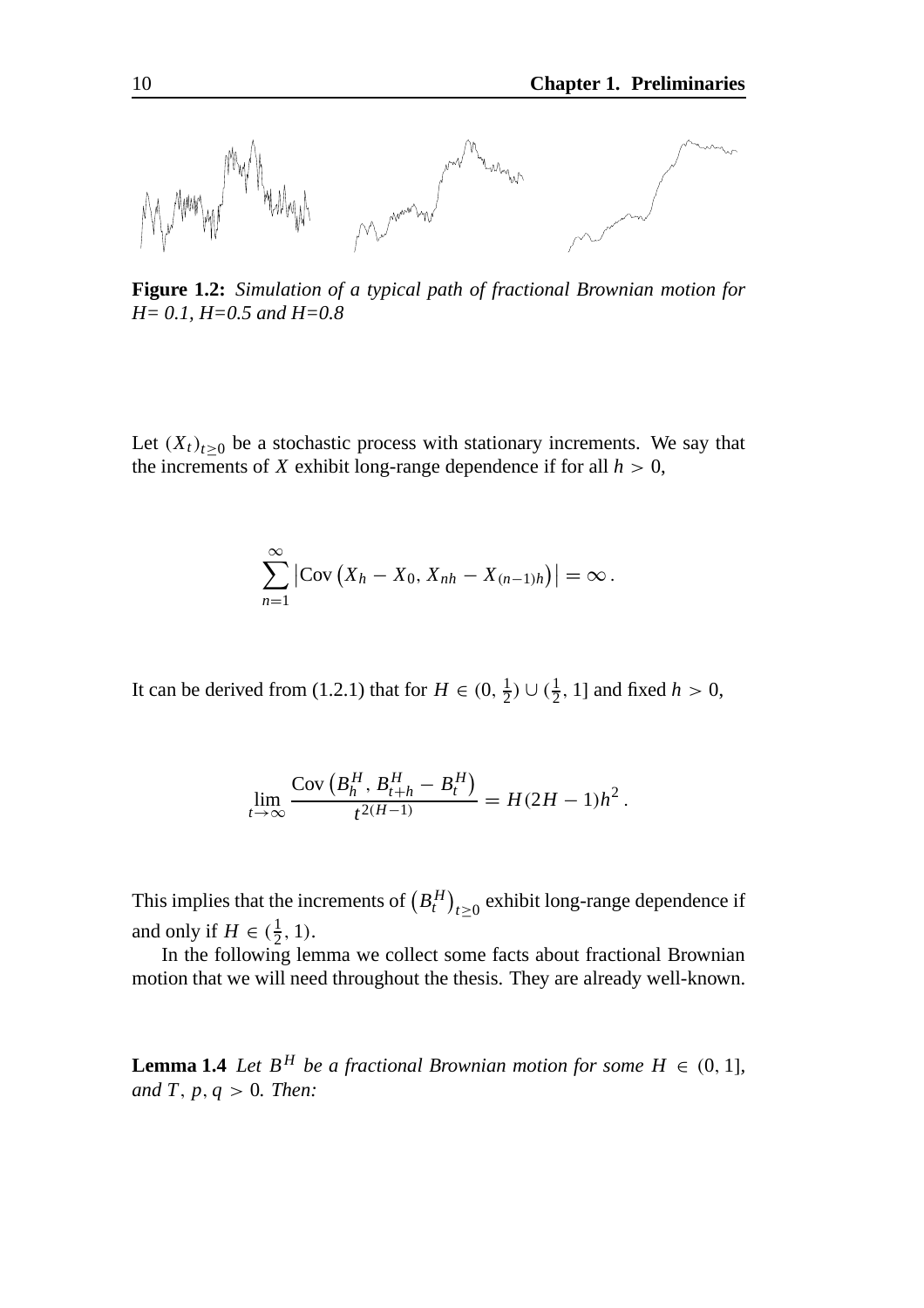

**Figure 1.2:** *Simulation of a typical path of fractional Brownian motion for H= 0.1, H=0.5 and H=0.8*

Let  $(X_t)_{t\geq0}$  be a stochastic process with stationary increments. We say that the increments of *X* exhibit long-range dependence if for all  $h > 0$ ,

$$
\sum_{n=1}^{\infty} |Cov(X_h - X_0, X_{nh} - X_{(n-1)h})| = \infty.
$$

It can be derived from (1.2.1) that for  $H \in (0, \frac{1}{2}) \cup (\frac{1}{2}, 1]$  and fixed  $h > 0$ ,

$$
\lim_{t \to \infty} \frac{\text{Cov}\left(B_h^H, B_{t+h}^H - B_t^H\right)}{t^{2(H-1)}} = H(2H-1)h^2.
$$

This implies that the increments of  $\left(B_t^H\right)_{t\geq 0}$  exhibit long-range dependence if and only if  $H \in (\frac{1}{2}, 1)$ .

In the following lemma we collect some facts about fractional Brownian motion that we will need throughout the thesis. They are already well-known.

**Lemma 1.4** *Let*  $B^H$  *be a fractional Brownian motion for some*  $H \in (0, 1]$ *, and T*, *p*, *q* > 0*. Then:*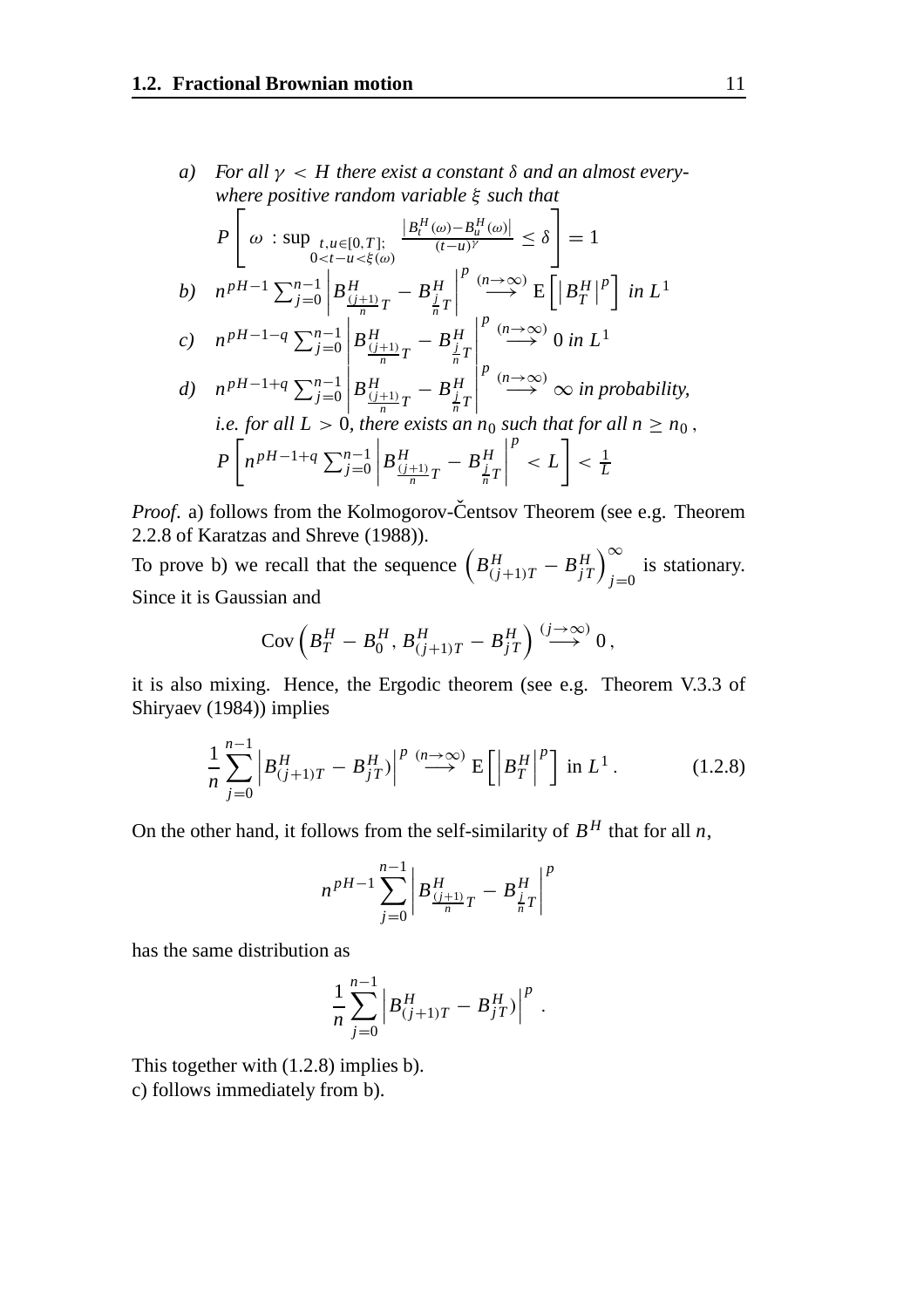*a) For all* γ < *H there exist a constant* δ *and an almost everywhere positive random variable* ξ *such that*

$$
P\left[\omega : \sup_{0 < t-u < \xi(\omega)} \frac{|B_t^H(\omega) - B_u^H(\omega)|}{(t-u)^\gamma} \le \delta\right] = 1
$$
\n
$$
b) \quad n^{pH-1} \sum_{j=0}^{n-1} \left| B_{\frac{(j+1)}{n}T}^H - B_{\frac{j}{n}T}^H \right|^p \stackrel{(n \to \infty)}{\longrightarrow} E\left[ |B_T^H|^p \right] \text{ in } L^1
$$
\n
$$
c) \quad n^{pH-1-q} \sum_{j=0}^{n-1} \left| B_{\frac{(j+1)}{n}T}^H - B_{\frac{j}{n}T}^H \right|^p \stackrel{(n \to \infty)}{\longrightarrow} 0 \text{ in } L^1
$$
\n
$$
d) \quad n^{pH-1+q} \sum_{j=0}^{n-1} \left| B_{\frac{(j+1)}{n}T}^H - B_{\frac{j}{n}T}^H \right|^p \stackrel{(n \to \infty)}{\longrightarrow} \infty \text{ in probability,}
$$
\n
$$
\text{i.e. for all } L > 0, \text{ there exists an } n_0 \text{ such that for all } n \ge n_0,
$$
\n
$$
P\left[n^{pH-1+q} \sum_{j=0}^{n-1} \left| B_{\frac{(j+1)}{n}T}^H - B_{\frac{j}{n}T}^H \right|^p < L\right] < \frac{1}{L}
$$

*Proof.* a) follows from the Kolmogorov-Centsov Theorem (see e.g. Theorem 2.2.8 of Karatzas and Shreve (1988)).

To prove b) we recall that the sequence  $\left(B_{(j+1)T}^H - B_{jT}^H\right)_{j=0}^{\infty}$  is stationary. Since it is Gaussian and

$$
Cov\left(B_T^H - B_0^H, B_{(j+1)T}^H - B_{jT}^H\right) \stackrel{(j \to \infty)}{\longrightarrow} 0,
$$

it is also mixing. Hence, the Ergodic theorem (see e.g. Theorem V.3.3 of Shiryaev (1984)) implies

$$
\frac{1}{n}\sum_{j=0}^{n-1} \left| B_{(j+1)T}^H - B_{jT}^H \right|^p \stackrel{(n \to \infty)}{\longrightarrow} \mathbb{E} \left[ \left| B_T^H \right|^p \right] \text{ in } L^1. \tag{1.2.8}
$$

On the other hand, it follows from the self-similarity of  $B<sup>H</sup>$  that for all *n*,

$$
n^{pH-1} \sum_{j=0}^{n-1} \left| B_{\frac{(j+1)}{n}T}^H - B_{\frac{j}{n}T}^H \right|^p
$$

has the same distribution as

$$
\frac{1}{n}\sum_{j=0}^{n-1} \left| B_{(j+1)T}^H - B_{jT}^H \right|^p.
$$

This together with (1.2.8) implies b). c) follows immediately from b).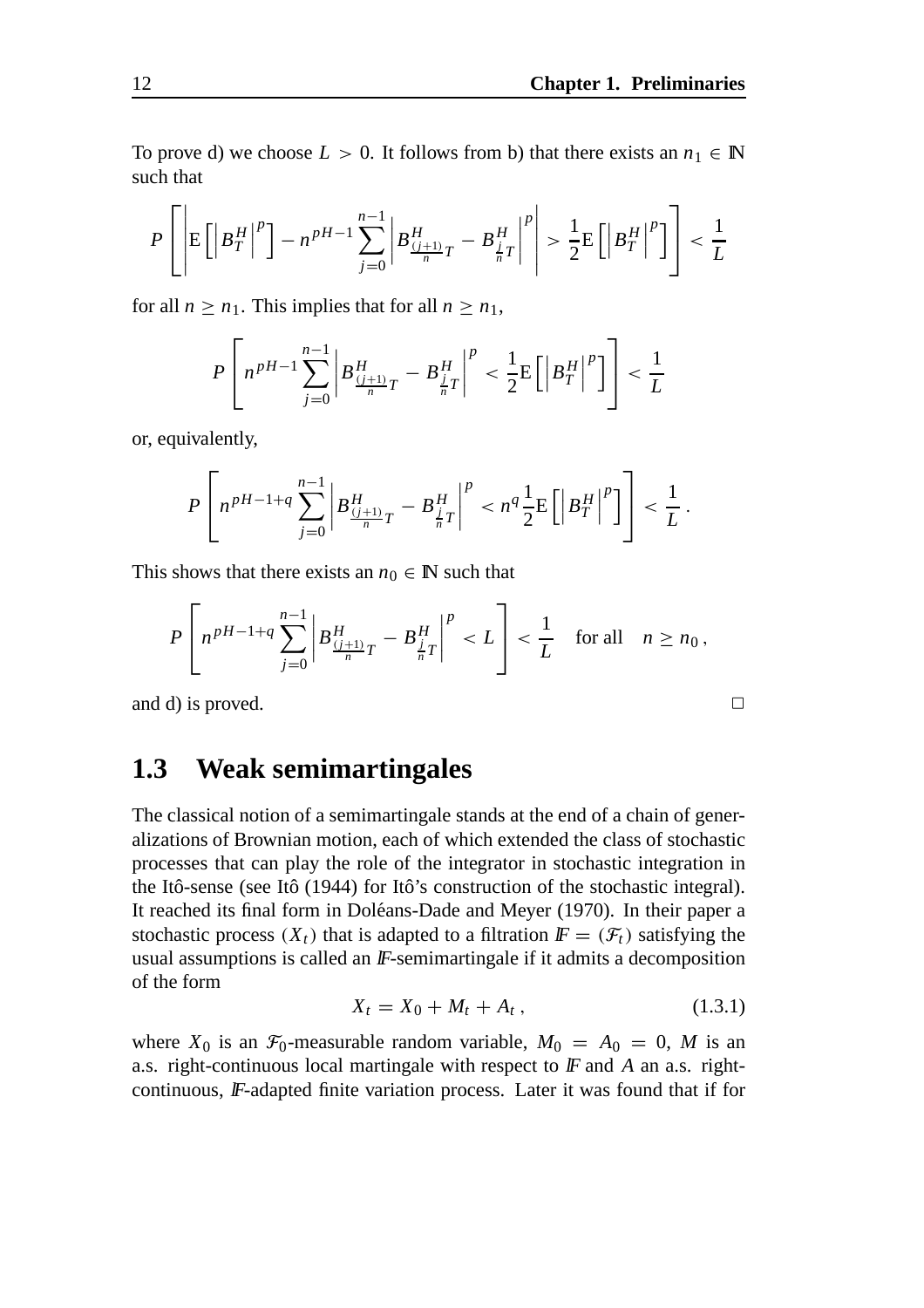To prove d) we choose  $L > 0$ . It follows from b) that there exists an  $n_1 \in \mathbb{N}$ such that

$$
P\left[\left|\mathbb{E}\left[\left|B_T^H\right|^p\right]-n^{pH-1}\sum_{j=0}^{n-1}\left|B_{\frac{(j+1)}{n}T}^H-B_{\frac{j}{n}T}^H\right|^p\right|>\frac{1}{2}\mathbb{E}\left[\left|B_T^H\right|^p\right]\right]<\frac{1}{L}
$$

for all  $n \geq n_1$ . This implies that for all  $n \geq n_1$ ,

$$
P\left[n^{pH-1}\sum_{j=0}^{n-1}\left|B_{\frac{(j+1)}{n}T}^H-B_{\frac{j}{n}T}^H\right|^p < \frac{1}{2}\mathrm{E}\left[\left|B_T^H\right|^p\right]\right] < \frac{1}{L}
$$

or, equivalently,

$$
P\left[n^{pH-1+q}\sum_{j=0}^{n-1}\left|B_{\frac{(j+1)}{n}T}^H - B_{\frac{j}{n}T}^H\right|^p < n^q\frac{1}{2}E\left[\left|B_T^H\right|^p\right]\right] < \frac{1}{L}.
$$

This shows that there exists an  $n_0 \in \mathbb{N}$  such that

$$
P\left[n^{pH-1+q}\sum_{j=0}^{n-1}\left|B_{\frac{(j+1)}{n}T}^H - B_{\frac{j}{n}T}^H\right|^p < L\right] < \frac{1}{L} \quad \text{for all} \quad n \ge n_0,
$$

and d) is proved.  $\Box$ 

### **1.3 Weak semimartingales**

The classical notion of a semimartingale stands at the end of a chain of generalizations of Brownian motion, each of which extended the class of stochastic processes that can play the role of the integrator in stochastic integration in the Itô-sense (see Itô  $(1944)$  for Itô's construction of the stochastic integral). It reached its final form in Doléans-Dade and Meyer (1970). In their paper a stochastic process  $(X_t)$  that is adapted to a filtration  $\mathbf{F} = (\mathcal{F}_t)$  satisfying the usual assumptions is called an  $F$ -semimartingale if it admits a decomposition of the form

$$
X_t = X_0 + M_t + A_t, \t\t(1.3.1)
$$

where  $X_0$  is an  $\mathcal{F}_0$ -measurable random variable,  $M_0 = A_0 = 0$ , M is an a.s. right-continuous local martingale with respect to F and A an a.s. rightcontinuous, IF-adapted finite variation process. Later it was found that if for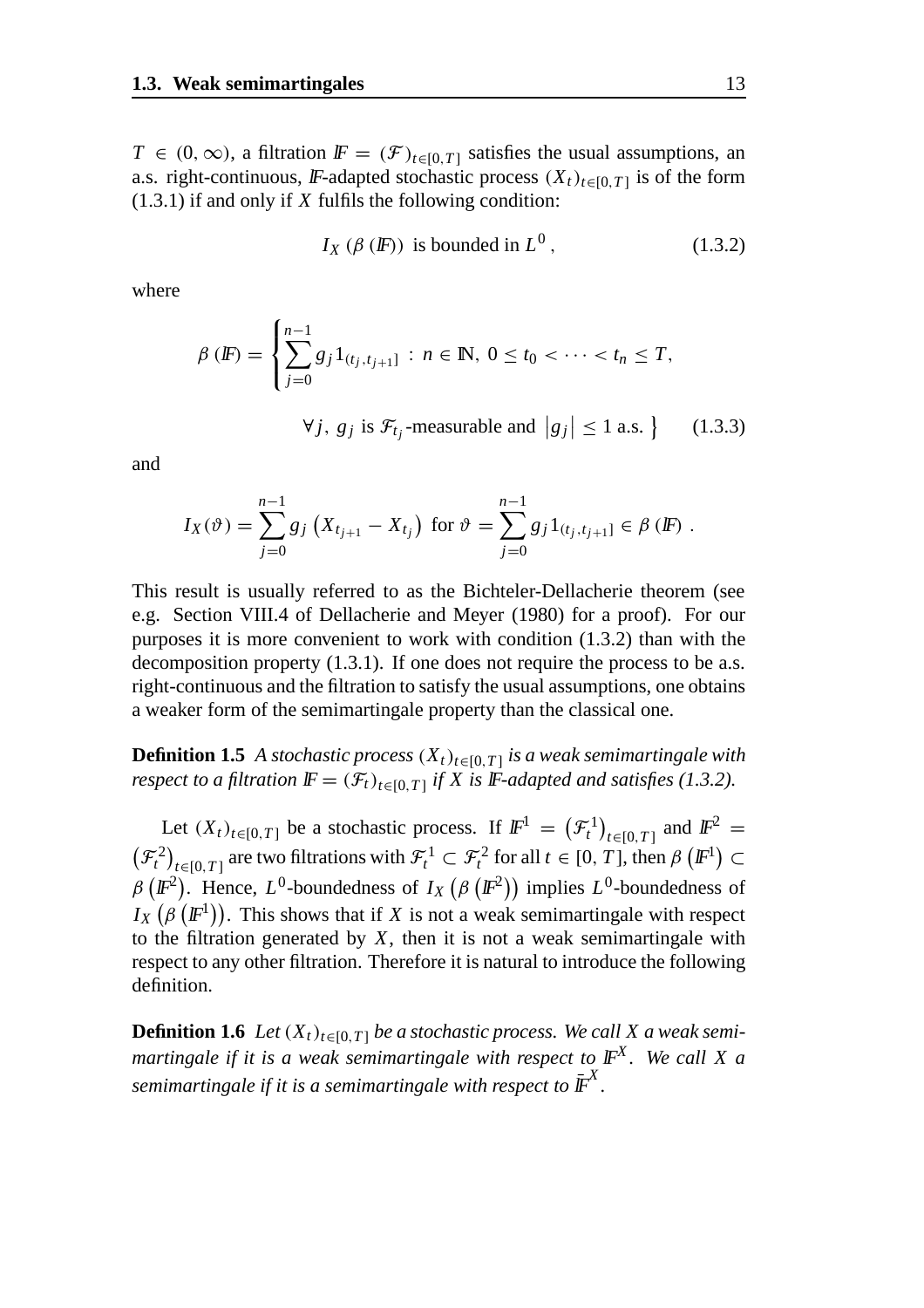*T* ∈ (0, ∞), a filtration  $\mathbb{F} = (\mathcal{F})_{t \in [0,T]}$  satisfies the usual assumptions, an a.s. right-continuous, IF-adapted stochastic process  $(X_t)_{t\in[0,T]}$  is of the form (1.3.1) if and only if *X* fulfils the following condition:

$$
I_X(\beta(\mathbb{F})) \text{ is bounded in } L^0, \qquad (1.3.2)
$$

where

$$
\beta(\mathbb{F}) = \left\{ \sum_{j=0}^{n-1} g_j 1_{(t_j,t_{j+1}]} : n \in \mathbb{N}, 0 \le t_0 < \cdots < t_n \le T, \right\}
$$

$$
\forall j, \ g_j \text{ is } \mathcal{F}_{t_j}\text{-measurable and } \left|g_j\right| \le 1 \text{ a.s. } \tag{1.3.3}
$$

and

$$
I_X(\vartheta) = \sum_{j=0}^{n-1} g_j \left( X_{t_{j+1}} - X_{t_j} \right) \text{ for } \vartheta = \sum_{j=0}^{n-1} g_j 1_{(t_j, t_{j+1}]} \in \beta \left( \mathbb{F} \right).
$$

This result is usually referred to as the Bichteler-Dellacherie theorem (see e.g. Section VIII.4 of Dellacherie and Meyer (1980) for a proof). For our purposes it is more convenient to work with condition (1.3.2) than with the decomposition property (1.3.1). If one does not require the process to be a.s. right-continuous and the filtration to satisfy the usual assumptions, one obtains a weaker form of the semimartingale property than the classical one.

**Definition 1.5** *A stochastic process*  $(X_t)_{t \in [0,T]}$  *is a weak semimartingale with respect to a filtration*  $\mathbb{F} = (\mathcal{F}_t)_{t \in [0, T]}$  *if* X is F-adapted and satisfies (1.3.2).

Let  $(X_t)_{t \in [0,T]}$  be a stochastic process. If  $\mathbb{F}^1 = (\mathcal{F}^1_t)_{t \in [0,T]}$  and  $\mathbb{F}^2 =$  $(\mathcal{F}^2_t)_{t\in[0,T]}$  are two filtrations with  $\mathcal{F}^1_t \subset \mathcal{F}^2_t$  for all  $t \in [0,T]$ , then  $\beta(\mathbb{F}^1) \subset$  $\beta$  ( $\mathbb{F}^2$ ). Hence, *L*<sup>0</sup>-boundedness of *I<sub>X</sub>* ( $\beta$  ( $\mathbb{F}^2$ )) implies *L*<sup>0</sup>-boundedness of  $I_X(\beta(\mathbb{F}^1))$ . This shows that if *X* is not a weak semimartingale with respect to the filtration generated by *X*, then it is not a weak semimartingale with respect to any other filtration. Therefore it is natural to introduce the following definition.

**Definition 1.6** *Let*  $(X_t)_{t \in [0,T]}$  *be a stochastic process. We call X a weak semimartingale if it is a weak semimartingale with respect to* lF*<sup>X</sup> . We call X a* semimartingale if it is a semimartingale with respect to  $\bar{\mathbb{F}}^X$ .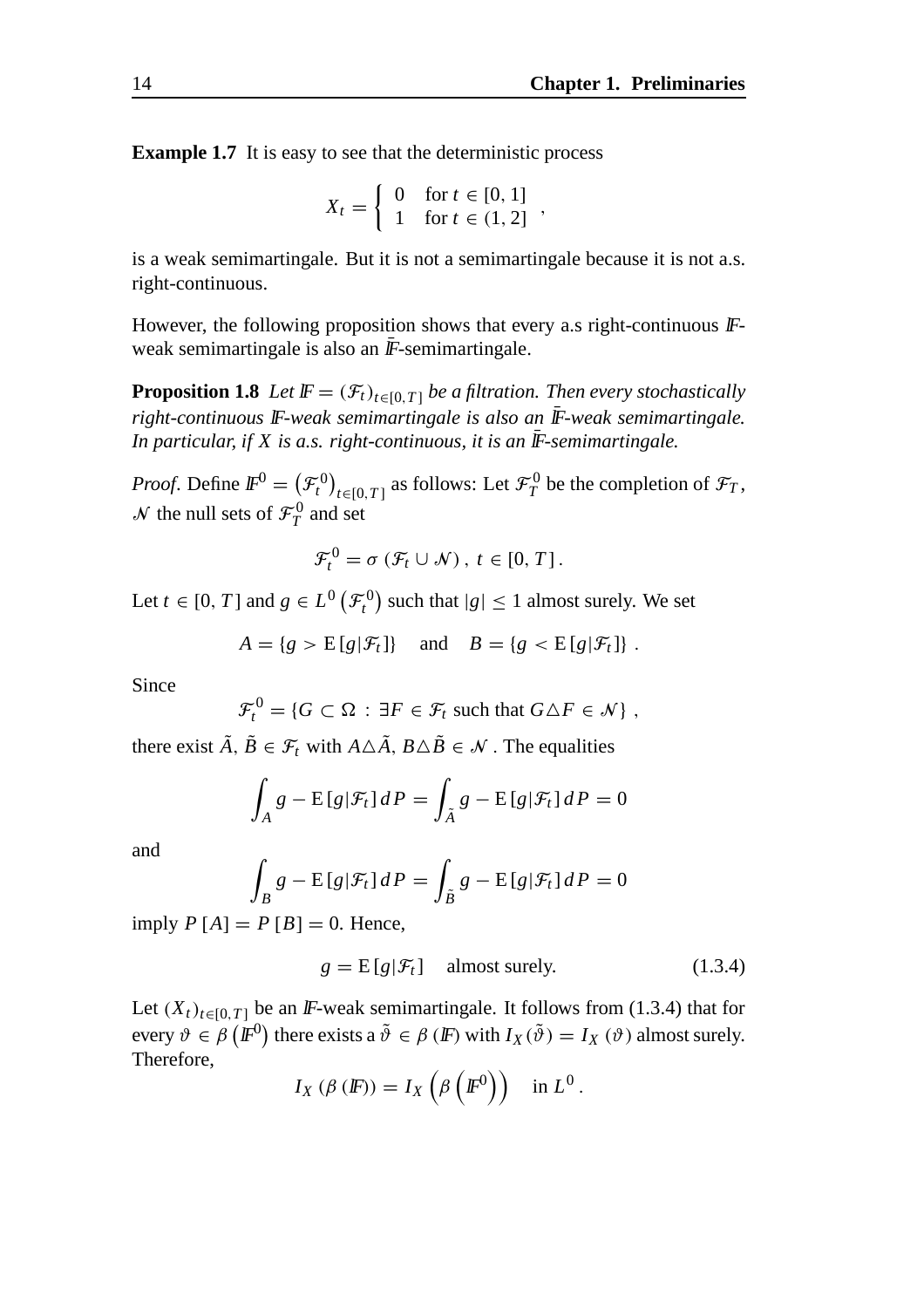**Example 1.7** It is easy to see that the deterministic process

$$
X_t = \begin{cases} 0 & \text{for } t \in [0, 1] \\ 1 & \text{for } t \in (1, 2] \end{cases}
$$

is a weak semimartingale. But it is not a semimartingale because it is not a.s. right-continuous.

However, the following proposition shows that every a.s right-continuous  $\mathbb{F}$ weak semimartingale is also an  $\bar{F}$ -semimartingale.

**Proposition 1.8** *Let*  $\mathbb{F} = (\mathcal{F}_t)_{t \in [0,T]}$  *be a filtration. Then every stochastically* right-continuous **IF**-weak semimartingale is also an **IF**-weak semimartingale. *In particular, if X is a.s. right-continuous, it is an*  $\overline{F}$ -semimartingale.

*Proof.* Define  $I\!F^0 = (\mathcal{F}_t^0)_{t \in [0,T]}$  as follows: Let  $\mathcal{F}_T^0$  be the completion of  $\mathcal{F}_T$ ,  $N$  the null sets of  $\mathcal{F}_T^0$  and set

$$
\mathcal{F}_t^0 = \sigma \left( \mathcal{F}_t \cup \mathcal{N} \right), \ t \in [0, T].
$$

Let  $t \in [0, T]$  and  $g \in L^0\left(\mathcal{F}_t^0\right)$  such that  $|g| \leq 1$  almost surely. We set

$$
A = \{g > E[g|\mathcal{F}_t]\} \quad \text{and} \quad B = \{g < E[g|\mathcal{F}_t]\}.
$$

Since

$$
\mathcal{F}_t^0 = \{ G \subset \Omega : \exists F \in \mathcal{F}_t \text{ such that } G \triangle F \in \mathcal{N} \},
$$

there exist  $\tilde{A}$ ,  $\tilde{B} \in \mathcal{F}_t$  with  $A \triangle \tilde{A}$ ,  $B \triangle \tilde{B} \in \mathcal{N}$ . The equalities

$$
\int_A g - \mathbb{E}[g|\mathcal{F}_t] dP = \int_{\tilde{A}} g - \mathbb{E}[g|\mathcal{F}_t] dP = 0
$$

and

$$
\int_{B} g - \mathbb{E}[g|\mathcal{F}_{t}] dP = \int_{\tilde{B}} g - \mathbb{E}[g|\mathcal{F}_{t}] dP = 0
$$

imply  $P[A] = P[B] = 0$ . Hence,

$$
g = E[g|\mathcal{F}_t] \quad \text{almost surely.} \tag{1.3.4}
$$

Let  $(X_t)_{t \in [0,T]}$  be an *IF*-weak semimartingale. It follows from (1.3.4) that for every  $\vartheta \in \beta \left( \mathbb{F}^0 \right)$  there exists a  $\tilde{\vartheta} \in \beta \left( \mathbb{F} \right)$  with  $I_X(\tilde{\vartheta}) = I_X(\vartheta)$  almost surely. Therefore,

$$
I_X(\beta(\mathbb{F}))=I_X\left(\beta\left(\mathbb{F}^0\right)\right)\quad\text{in }L^0\,.
$$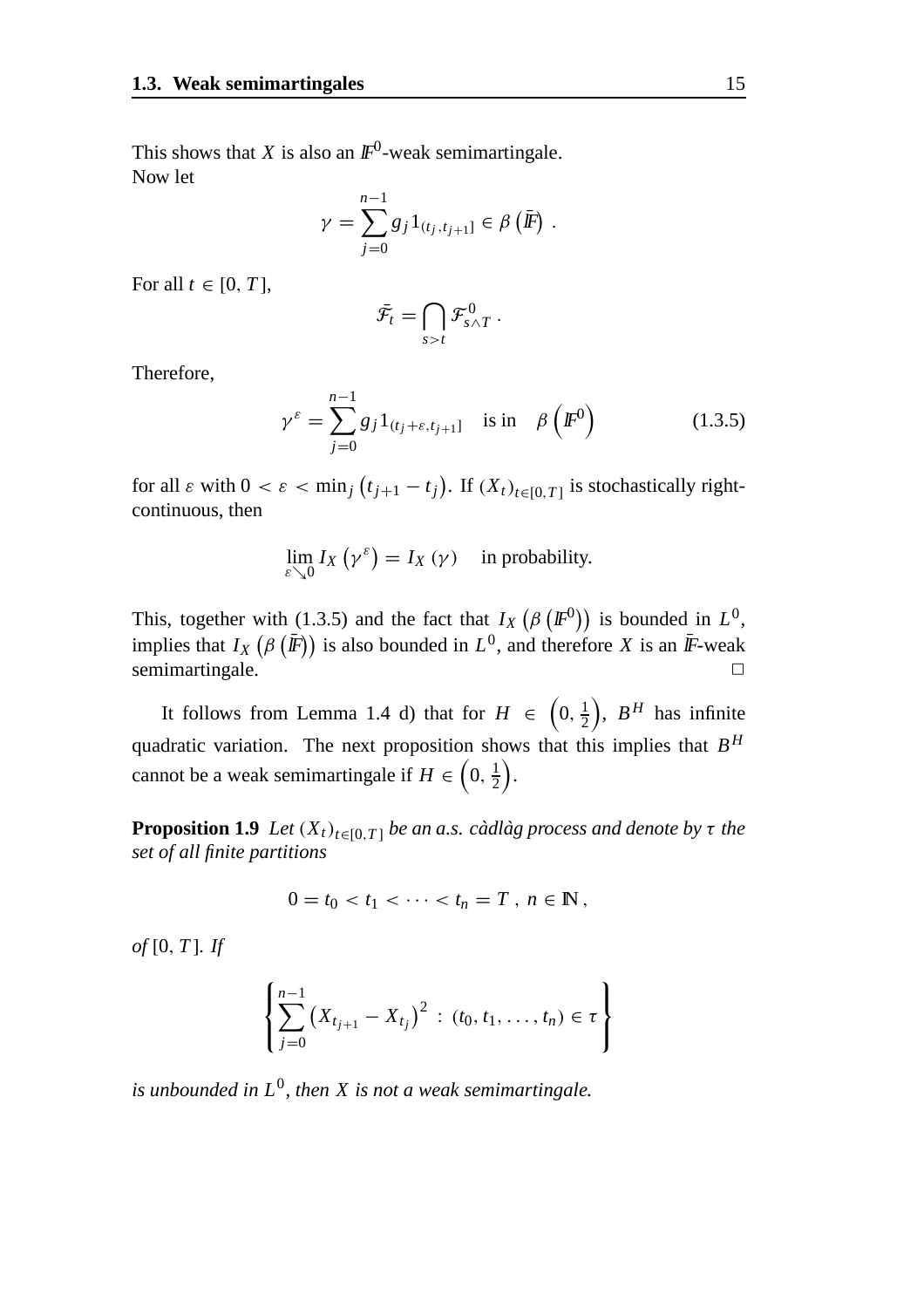This shows that *X* is also an  $\mathbb{F}^0$ -weak semimartingale. Now let

$$
\gamma = \sum_{j=0}^{n-1} g_j 1_{(t_j, t_{j+1}]} \in \beta (\bar{F}) .
$$

For all  $t \in [0, T]$ ,

$$
\bar{\mathcal{F}}_t = \bigcap_{s>t} \mathcal{F}_{s\wedge T}^0.
$$

Therefore,

$$
\gamma^{\varepsilon} = \sum_{j=0}^{n-1} g_j 1_{(t_j + \varepsilon, t_{j+1}]} \quad \text{is in} \quad \beta\left(\mathbb{F}^0\right) \tag{1.3.5}
$$

for all  $\varepsilon$  with  $0 < \varepsilon < \min_j (t_{j+1} - t_j)$ . If  $(X_t)_{t \in [0,T]}$  is stochastically rightcontinuous, then

$$
\lim_{\varepsilon \searrow 0} I_X(\gamma^{\varepsilon}) = I_X(\gamma) \quad \text{in probability.}
$$

This, together with (1.3.5) and the fact that  $I_X(\beta(\mathbb{F}^0))$  is bounded in  $L^0$ , implies that  $I_X(\beta(\bar{F}))$  is also bounded in  $L^0$ , and therefore *X* is an  $\bar{F}$ -weak semimartingale.

It follows from Lemma 1.4 d) that for  $H \in (0, \frac{1}{2})$ ),  $B^H$  has infinite quadratic variation. The next proposition shows that this implies that  $B^H$ cannot be a weak semimartingale if  $H \in \left(0, \frac{1}{2}\right)$ .

**Proposition 1.9** *Let*  $(X_t)_{t \in [0,T]}$  *be an a.s. cadlag process and denote by*  $\tau$  *the set of all finite partitions*

$$
0=t_0
$$

*of* [0, *T* ]*. If*

$$
\left\{\sum_{j=0}^{n-1} (X_{t_{j+1}}-X_{t_j})^2 : (t_0, t_1, \ldots, t_n) \in \tau\right\}
$$

*is unbounded in L*0*, then X is not a weak semimartingale.*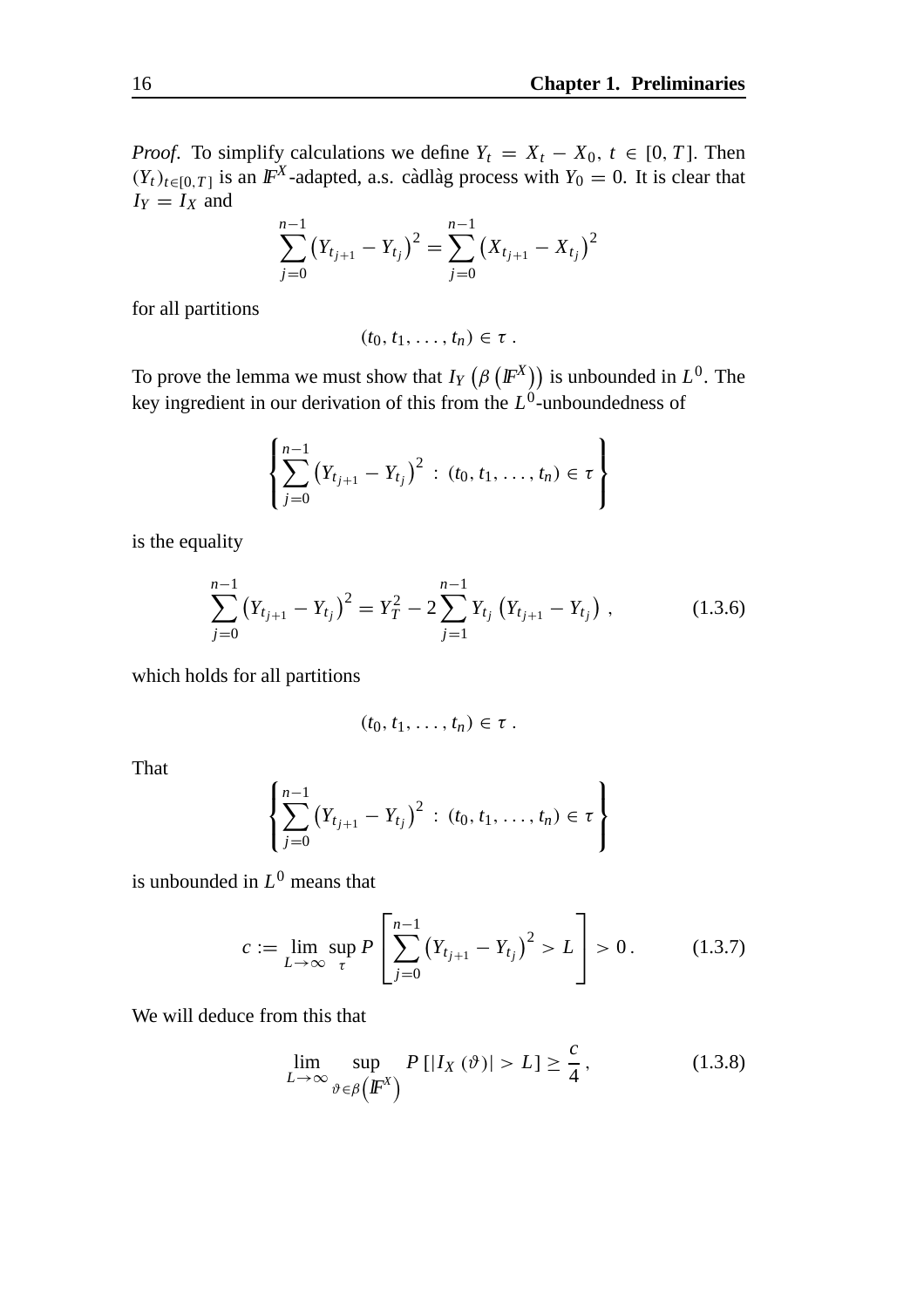*Proof.* To simplify calculations we define  $Y_t = X_t - X_0$ ,  $t \in [0, T]$ . Then  $(Y_t)_{t \in [0,T]}$  is an  $\mathbb{F}^X$ -adapted, a.s. càdlàg process with  $Y_0 = 0$ . It is clear that  $I_Y = I_X$  and

$$
\sum_{j=0}^{n-1} (Y_{t_{j+1}} - Y_{t_j})^2 = \sum_{j=0}^{n-1} (X_{t_{j+1}} - X_{t_j})^2
$$

for all partitions

$$
(t_0, t_1, \ldots, t_n) \in \tau.
$$

To prove the lemma we must show that  $I_Y(\beta \left(\mathbb{F}^X\right))$  is unbounded in  $L^0$ . The key ingredient in our derivation of this from the *L*0-unboundedness of

$$
\left\{\sum_{j=0}^{n-1} (Y_{t_{j+1}} - Y_{t_j})^2 : (t_0, t_1, \ldots, t_n) \in \tau\right\}
$$

is the equality

$$
\sum_{j=0}^{n-1} (Y_{t_{j+1}} - Y_{t_j})^2 = Y_T^2 - 2 \sum_{j=1}^{n-1} Y_{t_j} (Y_{t_{j+1}} - Y_{t_j}), \qquad (1.3.6)
$$

which holds for all partitions

$$
(t_0, t_1, \ldots, t_n) \in \tau.
$$

That

$$
\left\{\sum_{j=0}^{n-1} (Y_{t_{j+1}}-Y_{t_j})^2 : (t_0, t_1, \ldots, t_n) \in \tau\right\}
$$

is unbounded in *L*<sup>0</sup> means that

$$
c := \lim_{L \to \infty} \sup_{\tau} P\left[\sum_{j=0}^{n-1} (Y_{t_{j+1}} - Y_{t_j})^2 > L\right] > 0. \tag{1.3.7}
$$

We will deduce from this that

$$
\lim_{L \to \infty} \sup_{\vartheta \in \beta \left( \mathbb{F}^X \right)} P\left[ |I_X(\vartheta)| > L \right] \ge \frac{c}{4},\tag{1.3.8}
$$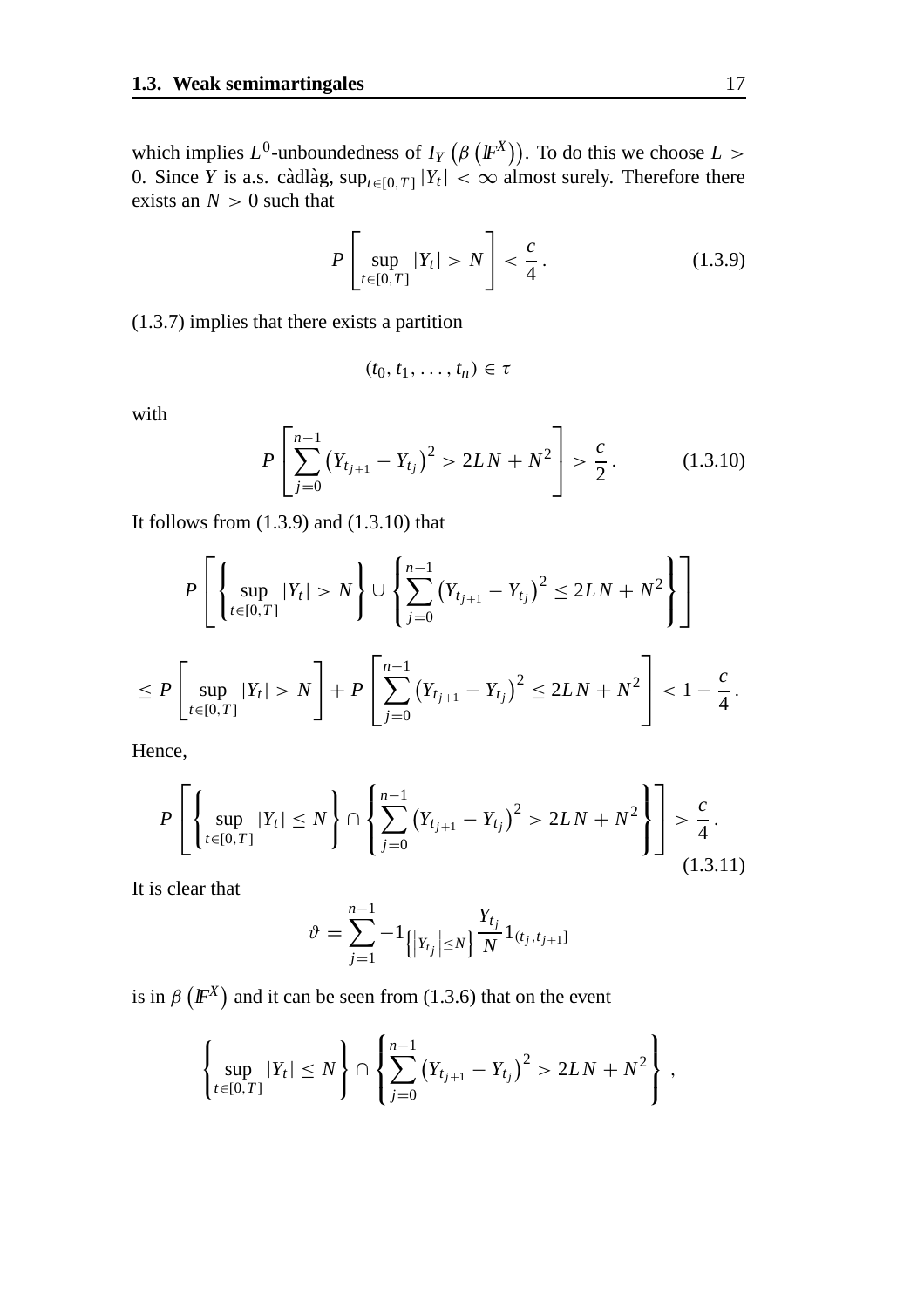which implies  $L^0$ -unboundedness of  $I_Y(\beta(\mathbb{F}^X))$ . To do this we choose  $L >$ 0. Since *Y* is a.s. càdlàg,  $\sup_{t \in [0,T]} |Y_t| < \infty$  almost surely. Therefore there exists an  $N > 0$  such that

$$
P\left[\sup_{t\in[0,T]}|Y_t|>N\right]<\frac{c}{4}.
$$
\n(1.3.9)

(1.3.7) implies that there exists a partition

$$
(t_0, t_1, \ldots, t_n) \in \tau
$$

with

$$
P\left[\sum_{j=0}^{n-1} (Y_{t_{j+1}} - Y_{t_j})^2 > 2LN + N^2\right] > \frac{c}{2}.
$$
 (1.3.10)

It follows from (1.3.9) and (1.3.10) that

$$
P\left[\left\{\sup_{t\in[0,T]}|Y_t|>N\right\}\cup\left\{\sum_{j=0}^{n-1}(Y_{t_{j+1}}-Y_{t_j})^2\leq 2LN+N^2\right\}\right]
$$
  

$$
\leq P\left[\sup_{t\in[0,T]}|Y_t|>N\right]+P\left[\sum_{j=0}^{n-1}(Y_{t_{j+1}}-Y_{t_j})^2\leq 2LN+N^2\right]<1-\frac{c}{4}.
$$

Hence,

$$
P\left[\left\{\sup_{t\in[0,T]}|Y_t|\leq N\right\}\cap\left\{\sum_{j=0}^{n-1}\left(Y_{t_{j+1}}-Y_{t_j}\right)^2>2LN+N^2\right\}\right]>\frac{c}{4}.
$$
\n(1.3.11)

It is clear that

$$
\vartheta = \sum_{j=1}^{n-1} -1 \left\{ \left| Y_{t_j} \right| \le N \right\} \frac{Y_{t_j}}{N} 1_{(t_j, t_{j+1}]}
$$

is in  $\beta$  ( $\mathbb{F}^{X}$ ) and it can be seen from (1.3.6) that on the event

$$
\left\{\sup_{t\in[0,T]}|Y_t|\leq N\right\}\cap\left\{\sum_{j=0}^{n-1}\left(Y_{t_{j+1}}-Y_{t_j}\right)^2>2LN+N^2\right\}\,,
$$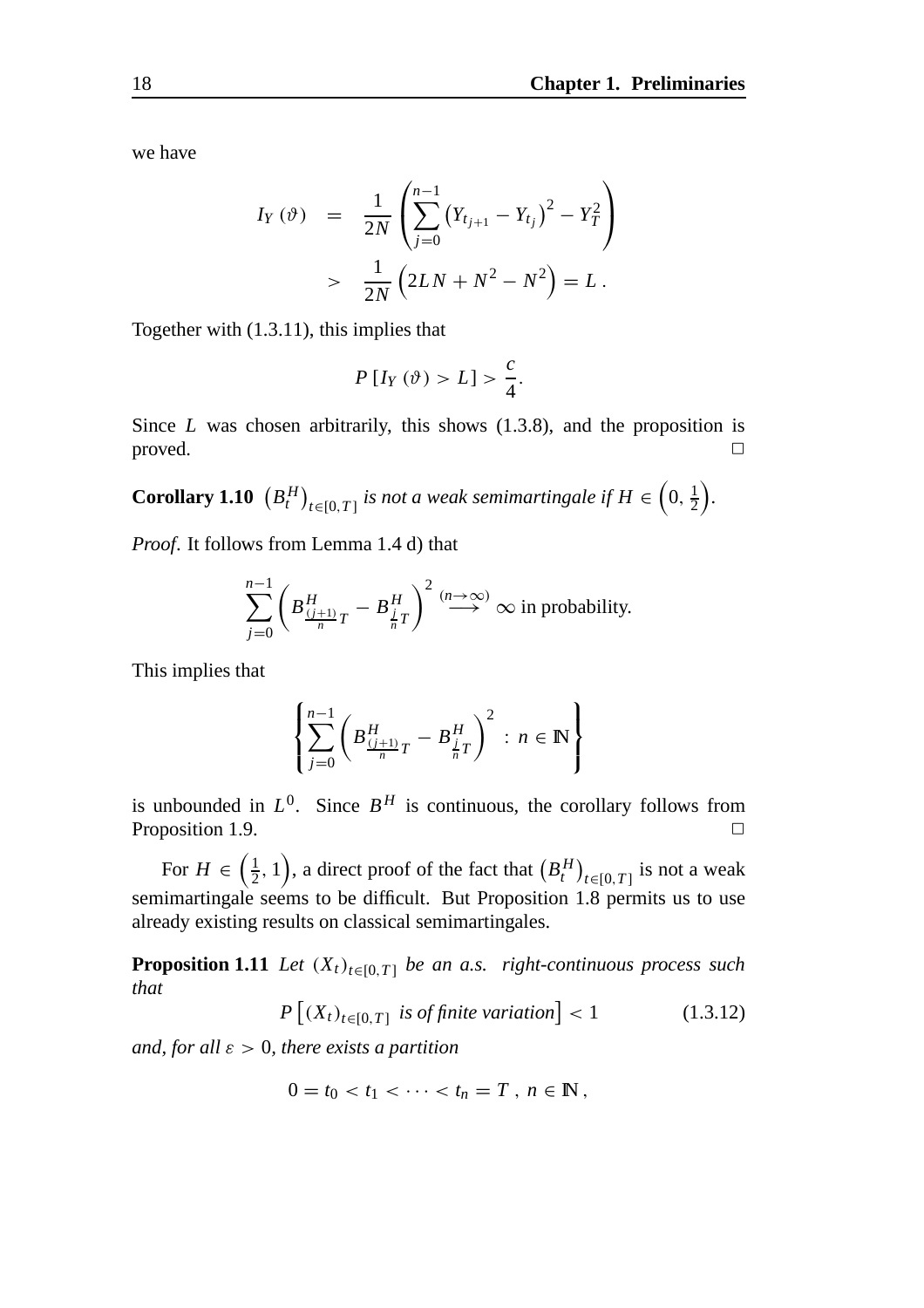we have

$$
I_Y(\vartheta) = \frac{1}{2N} \left( \sum_{j=0}^{n-1} (Y_{t_{j+1}} - Y_{t_j})^2 - Y_T^2 \right) > \frac{1}{2N} \left( 2LN + N^2 - N^2 \right) = L.
$$

Together with (1.3.11), this implies that

$$
P[I_Y(\vartheta) > L] > \frac{c}{4}.
$$

Since *L* was chosen arbitrarily, this shows (1.3.8), and the proposition is  $\Box$ 

**Corollary 1.10**  $(B_t^H)_{t \in [0,T]}$  is not a weak semimartingale if  $H \in (0, \frac{1}{2})$ *.*

*Proof*. It follows from Lemma 1.4 d) that

$$
\sum_{j=0}^{n-1} \left( B \frac{H}{(j+1)} T - B \frac{H}{n} T \right)^2 \stackrel{(n \to \infty)}{\longrightarrow} \infty \text{ in probability.}
$$

This implies that

$$
\left\{\sum_{j=0}^{n-1} \left(B_{\frac{(j+1)}{n}T}^H - B_{\frac{j}{n}T}^H\right)^2 : n \in \mathbb{N}\right\}
$$

is unbounded in  $L^0$ . Since  $B^H$  is continuous, the corollary follows from Proposition 1.9.  $\Box$ 

For  $H \in \left(\frac{1}{2}, 1\right)$ , a direct proof of the fact that  $\left(B_t^H\right)_{t \in [0, T]}$  is not a weak semimartingale seems to be difficult. But Proposition 1.8 permits us to use already existing results on classical semimartingales.

**Proposition 1.11** *Let*  $(X_t)_{t \in [0,T]}$  *be an a.s. right-continuous process such that*

$$
P\left[\left(X_t\right)_{t\in[0,T]}\text{ is of finite variation}\right] < 1\tag{1.3.12}
$$

*and, for all* ε > 0*, there exists a partition*

$$
0=t_0
$$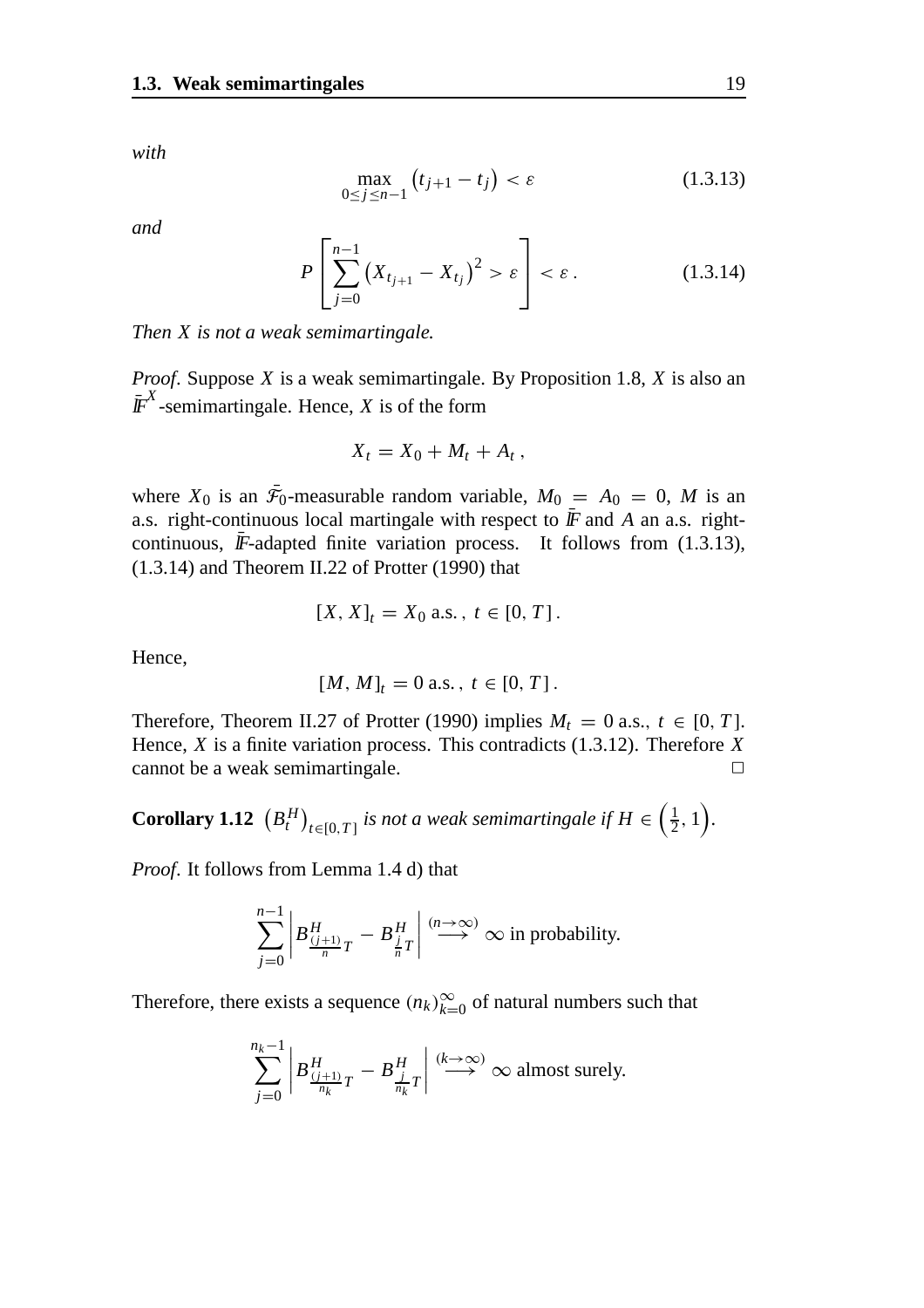*with*

$$
\max_{0 \le j \le n-1} (t_{j+1} - t_j) < \varepsilon \tag{1.3.13}
$$

*and*

$$
P\left[\sum_{j=0}^{n-1} (X_{t_{j+1}} - X_{t_j})^2 > \varepsilon\right] < \varepsilon.
$$
 (1.3.14)

*Then X is not a weak semimartingale.*

*Proof*. Suppose *X* is a weak semimartingale. By Proposition 1.8, *X* is also an  $\overline{I}$ <sup>X</sup>-semimartingale. Hence, *X* is of the form

$$
X_t=X_0+M_t+A_t,
$$

where  $X_0$  is an  $\bar{\mathcal{F}}_0$ -measurable random variable,  $M_0 = A_0 = 0$ , M is an a.s. right-continuous local martingale with respect to  $\bar{F}$  and *A* an a.s. rightcontinuous,  $\bar{F}$ -adapted finite variation process. It follows from (1.3.13), (1.3.14) and Theorem II.22 of Protter (1990) that

$$
[X, X]_t = X_0 \text{ a.s.}, t \in [0, T].
$$

Hence,

$$
[M, M]_t = 0 \text{ a.s.}, t \in [0, T].
$$

Therefore, Theorem II.27 of Protter (1990) implies  $M_t = 0$  a.s.,  $t \in [0, T]$ . Hence, *X* is a finite variation process. This contradicts (1.3.12). Therefore *X*  $c$  cannot be a weak semimartingale.  $\Box$ 

**Corollary 1.12**  $(B_t^H)_{t \in [0,T]}$  is not a weak semimartingale if  $H \in \left(\frac{1}{2}, 1\right)$ .

*Proof*. It follows from Lemma 1.4 d) that

$$
\sum_{j=0}^{n-1} \left| B_{\frac{(j+1)}{n}T}^H - B_{\frac{j}{n}T}^H \right| \stackrel{(n \to \infty)}{\longrightarrow} \infty \text{ in probability.}
$$

Therefore, there exists a sequence  $(n_k)_{k=0}^{\infty}$  of natural numbers such that

$$
\sum_{j=0}^{n_k-1} \left| B_{\frac{(j+1)}{n_k}T}^H - B_{\frac{j}{n_k}T}^H \right| \stackrel{(k \to \infty)}{\longrightarrow} \infty \text{ almost surely.}
$$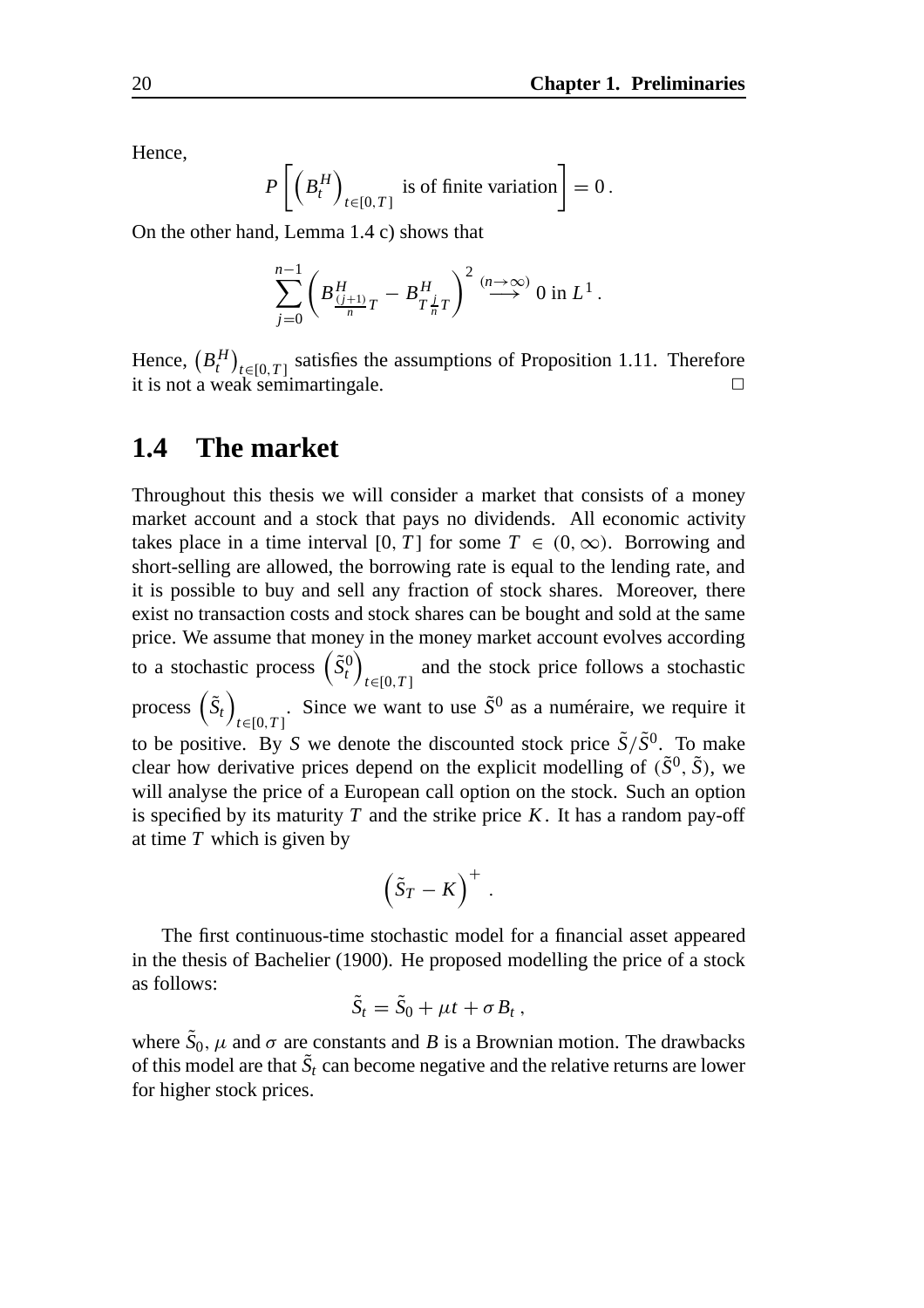Hence,

$$
P\left[\left(B_t^H\right)_{t\in[0,T]} \text{ is of finite variation}\right] = 0\,.
$$

On the other hand, Lemma 1.4 c) shows that

$$
\sum_{j=0}^{n-1} \left( B_{\frac{(j+1)}{n}T}^H - B_{T_{\overline{n}}^{\underline{j}}}^H \right)^2 \stackrel{(n \to \infty)}{\longrightarrow} 0 \text{ in } L^1.
$$

Hence,  $(B_t^H)_{t \in [0,T]}$  satisfies the assumptions of Proposition 1.11. Therefore it is not a weak semimartingale.  $\Box$ 

### **1.4 The market**

Throughout this thesis we will consider a market that consists of a money market account and a stock that pays no dividends. All economic activity takes place in a time interval [0, *T*] for some  $T \in (0, \infty)$ . Borrowing and short-selling are allowed, the borrowing rate is equal to the lending rate, and it is possible to buy and sell any fraction of stock shares. Moreover, there exist no transaction costs and stock shares can be bought and sold at the same price. We assume that money in the money market account evolves according to a stochastic process  $(\tilde{S}_t^0)$ *t*∈[0,*T* ] and the stock price follows a stochastic process  $(\tilde{S}_t)$ *t*∈[0,*T* ] . Since we want to use  $\tilde{S}^0$  as a numéraire, we require it to be positive. By *S* we denote the discounted stock price  $\tilde{S}/\tilde{S}^{0}$ . To make clear how derivative prices depend on the explicit modelling of  $(\tilde{S}^0, \tilde{S})$ , we will analyse the price of a European call option on the stock. Such an option is specified by its maturity *T* and the strike price *K*. It has a random pay-off at time *T* which is given by

$$
\left(\tilde{S}_T-K\right)^+.
$$

The first continuous-time stochastic model for a financial asset appeared in the thesis of Bachelier (1900). He proposed modelling the price of a stock as follows:

$$
\tilde{S}_t = \tilde{S}_0 + \mu t + \sigma B_t ,
$$

where  $\tilde{S}_0$ ,  $\mu$  and  $\sigma$  are constants and *B* is a Brownian motion. The drawbacks of this model are that  $\tilde{S}_t$  can become negative and the relative returns are lower for higher stock prices.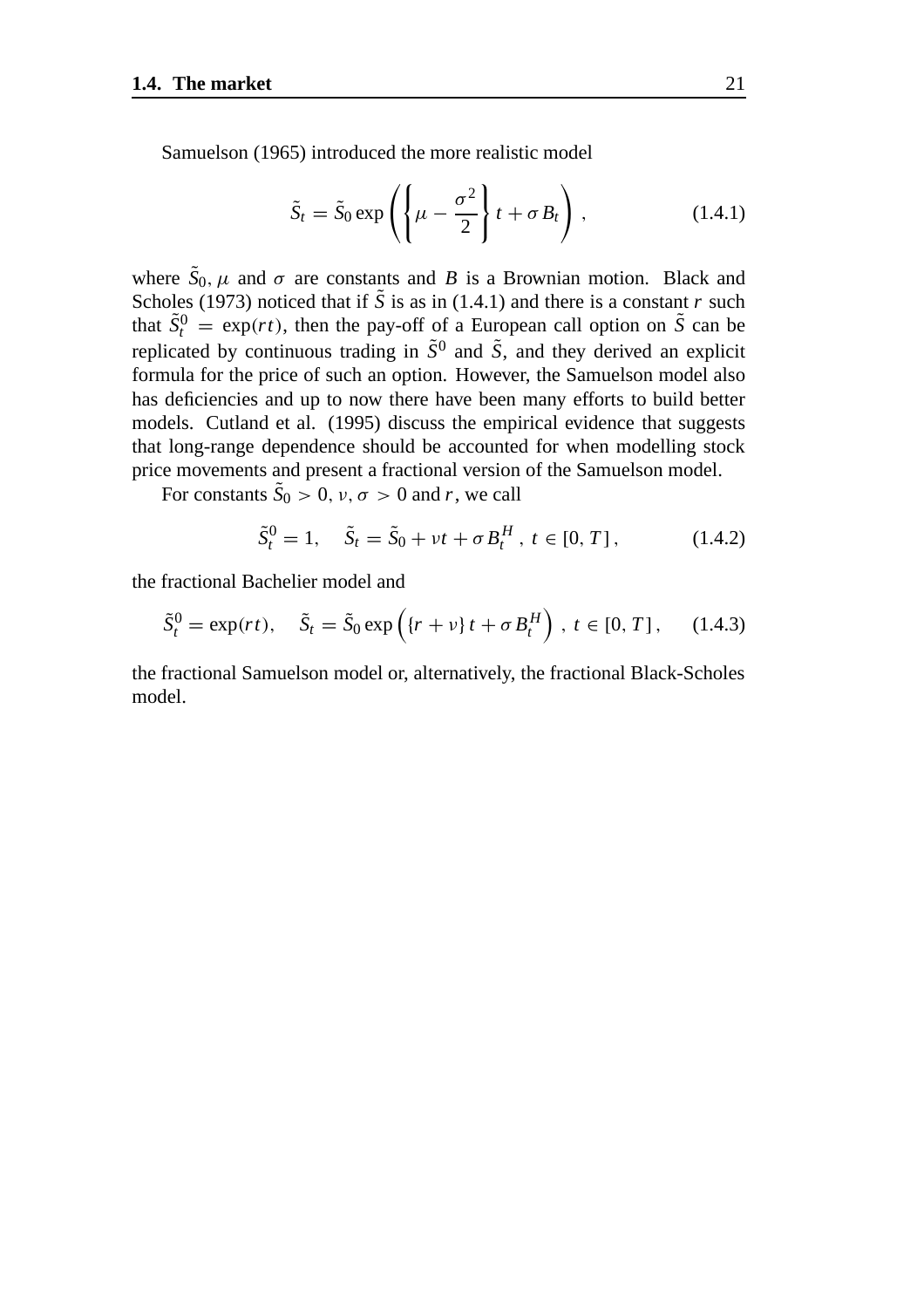Samuelson (1965) introduced the more realistic model

$$
\tilde{S}_t = \tilde{S}_0 \exp\left(\left\{\mu - \frac{\sigma^2}{2}\right\} t + \sigma B_t\right),\tag{1.4.1}
$$

where  $\tilde{S}_0$ ,  $\mu$  and  $\sigma$  are constants and *B* is a Brownian motion. Black and Scholes (1973) noticed that if  $\tilde{S}$  is as in (1.4.1) and there is a constant *r* such that  $\tilde{S}_t^0 = \exp(rt)$ , then the pay-off of a European call option on  $\tilde{S}$  can be replicated by continuous trading in  $\tilde{S}^0$  and  $\tilde{S}$ , and they derived an explicit formula for the price of such an option. However, the Samuelson model also has deficiencies and up to now there have been many efforts to build better models. Cutland et al. (1995) discuss the empirical evidence that suggests that long-range dependence should be accounted for when modelling stock price movements and present a fractional version of the Samuelson model.

For constants  $\tilde{S}_0 > 0$ ,  $v, \sigma > 0$  and r, we call

$$
\tilde{S}_t^0 = 1, \quad \tilde{S}_t = \tilde{S}_0 + vt + \sigma B_t^H, \ t \in [0, T], \tag{1.4.2}
$$

the fractional Bachelier model and

$$
\tilde{S}_t^0 = \exp(rt), \quad \tilde{S}_t = \tilde{S}_0 \exp\left(\left\{r + \nu\right\}t + \sigma B_t^H\right), \ t \in [0, T], \quad (1.4.3)
$$

the fractional Samuelson model or, alternatively, the fractional Black-Scholes model.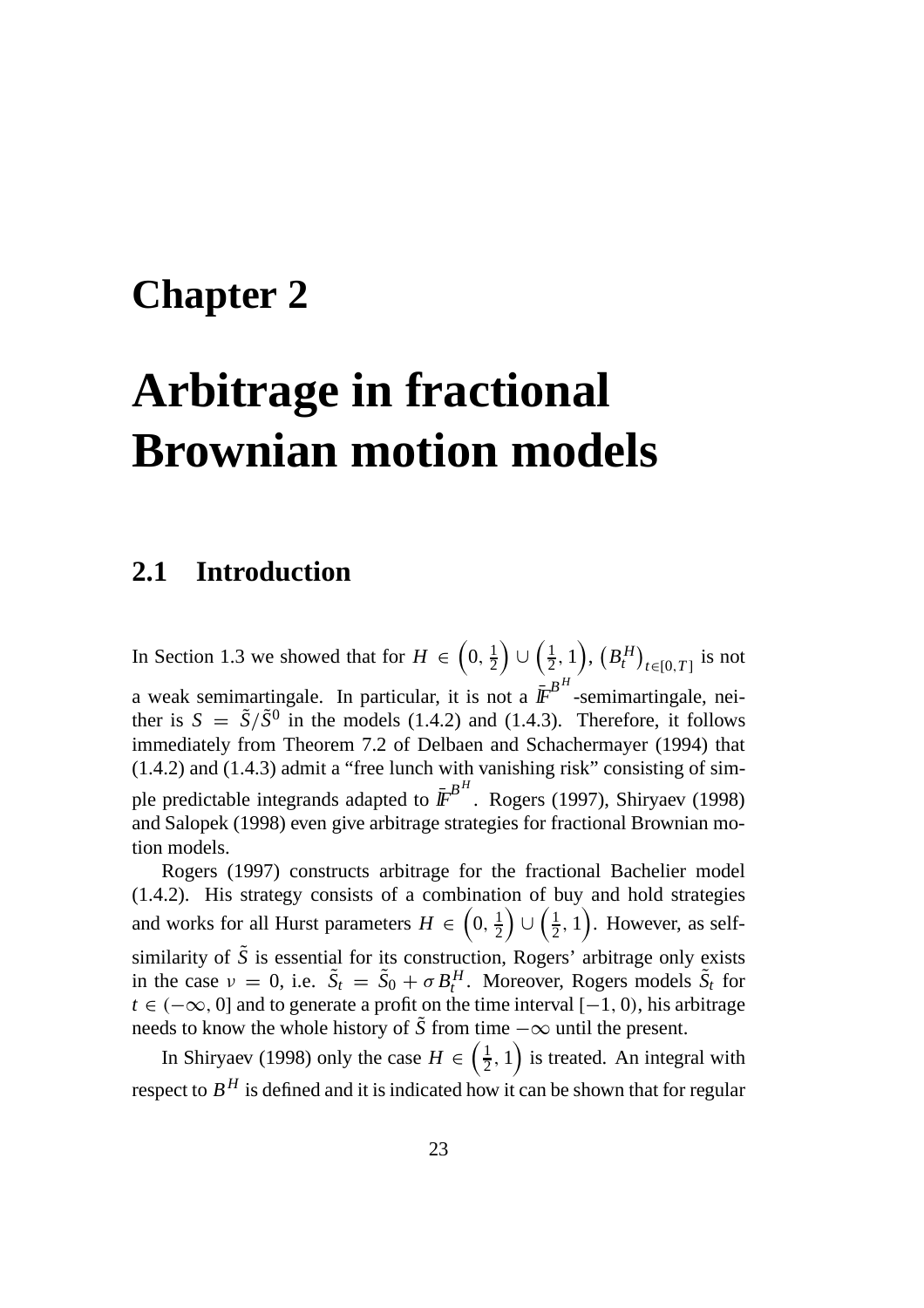### **Chapter 2**

# **Arbitrage in fractional Brownian motion models**

### **2.1 Introduction**

In Section 1.3 we showed that for  $H \in \left(0, \frac{1}{2}\right)$  $\left(\frac{1}{2},1\right),\,\left(B_t^H\right)_{t\in[0,T]}$  is not a weak semimartingale. In particular, it is not a  $\bar{\textbf{F}}^{B^H}$ -semimartingale, neither is  $S = \tilde{S}/\tilde{S}^{0}$  in the models (1.4.2) and (1.4.3). Therefore, it follows immediately from Theorem 7.2 of Delbaen and Schachermayer (1994) that (1.4.2) and (1.4.3) admit a "free lunch with vanishing risk" consisting of simple predictable integrands adapted to  $I\!\!F^{B^H}$ . Rogers (1997), Shiryaev (1998) and Salopek (1998) even give arbitrage strategies for fractional Brownian motion models.

Rogers (1997) constructs arbitrage for the fractional Bachelier model (1.4.2). His strategy consists of a combination of buy and hold strategies and works for all Hurst parameters  $H \in \left(0, \frac{1}{2}\right)$  $\left( \frac{1}{2}, 1 \right)$ . However, as selfsimilarity of  $\tilde{S}$  is essential for its construction, Rogers' arbitrage only exists in the case  $v = 0$ , i.e.  $\tilde{S}_t = \tilde{S}_0 + \sigma B_t^H$ . Moreover, Rogers models  $\tilde{S}_t$  for  $t \in (-\infty, 0]$  and to generate a profit on the time interval  $[-1, 0)$ , his arbitrage needs to know the whole history of  $\tilde{S}$  from time  $-\infty$  until the present.

In Shiryaev (1998) only the case  $H \in \left(\frac{1}{2}, 1\right)$  is treated. An integral with respect to  $B<sup>H</sup>$  is defined and it is indicated how it can be shown that for regular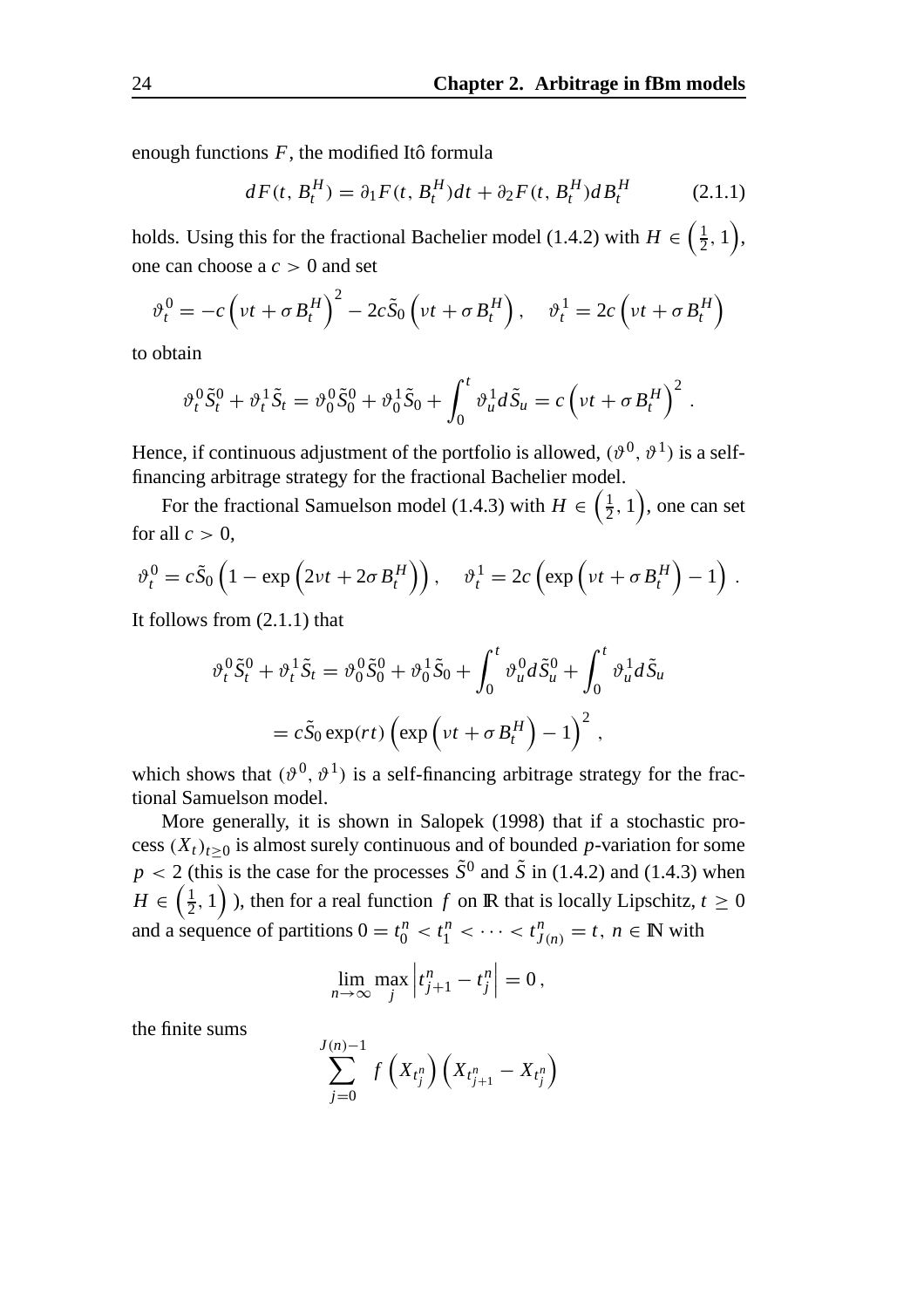enough functions  $F$ , the modified Itô formula

$$
dF(t, B_t^H) = \partial_1 F(t, B_t^H) dt + \partial_2 F(t, B_t^H) dB_t^H
$$
 (2.1.1)

holds. Using this for the fractional Bachelier model (1.4.2) with  $H \in \left(\frac{1}{2}, 1\right)$ , one can choose a *c* > 0 and set

$$
\vartheta_t^0 = -c \left( vt + \sigma B_t^H \right)^2 - 2c \tilde{S}_0 \left( vt + \sigma B_t^H \right), \quad \vartheta_t^1 = 2c \left( vt + \sigma B_t^H \right)
$$

to obtain

$$
\vartheta_t^0 \tilde{S}_t^0 + \vartheta_t^1 \tilde{S}_t = \vartheta_0^0 \tilde{S}_0^0 + \vartheta_0^1 \tilde{S}_0 + \int_0^t \vartheta_u^1 d\tilde{S}_u = c \left( vt + \sigma B_t^H \right)^2.
$$

Hence, if continuous adjustment of the portfolio is allowed,  $(\vartheta^0, \vartheta^1)$  is a selffinancing arbitrage strategy for the fractional Bachelier model.

For the fractional Samuelson model (1.4.3) with  $H \in \left(\frac{1}{2}, 1\right)$ , one can set for all  $c > 0$ ,

$$
\vartheta_t^0 = c\tilde{S}_0 \left( 1 - \exp \left( 2\nu t + 2\sigma B_t^H \right) \right), \quad \vartheta_t^1 = 2c \left( \exp \left( \nu t + \sigma B_t^H \right) - 1 \right).
$$

It follows from (2.1.1) that

$$
\vartheta_t^0 \tilde{S}_t^0 + \vartheta_t^1 \tilde{S}_t = \vartheta_0^0 \tilde{S}_0^0 + \vartheta_0^1 \tilde{S}_0 + \int_0^t \vartheta_u^0 d\tilde{S}_u^0 + \int_0^t \vartheta_u^1 d\tilde{S}_u
$$
  
=  $c \tilde{S}_0 \exp(rt) \left( \exp \left( vt + \sigma B_t^H \right) - 1 \right)^2$ ,

which shows that  $(\vartheta^0, \vartheta^1)$  is a self-financing arbitrage strategy for the fractional Samuelson model.

More generally, it is shown in Salopek (1998) that if a stochastic process  $(X_t)_{t\geq0}$  is almost surely continuous and of bounded *p*-variation for some  $p < 2$  (this is the case for the processes  $\tilde{S}^0$  and  $\tilde{S}$  in (1.4.2) and (1.4.3) when  $H \in \left(\frac{1}{2}, 1\right)$  ), then for a real function  $f$  on  $\mathbb R$  that is locally Lipschitz,  $t \geq 0$ and a sequence of partitions  $0 = t_0^n < t_1^n < \cdots < t_{J(n)}^n = t$ ,  $n \in \mathbb{N}$  with

$$
\lim_{n\to\infty}\max_j\left|t_{j+1}^n-t_j^n\right|=0\,,
$$

the finite sums

$$
\sum_{j=0}^{J(n)-1} f\left(X_{t_j^n}\right) \left(X_{t_{j+1}^n} - X_{t_j^n}\right)
$$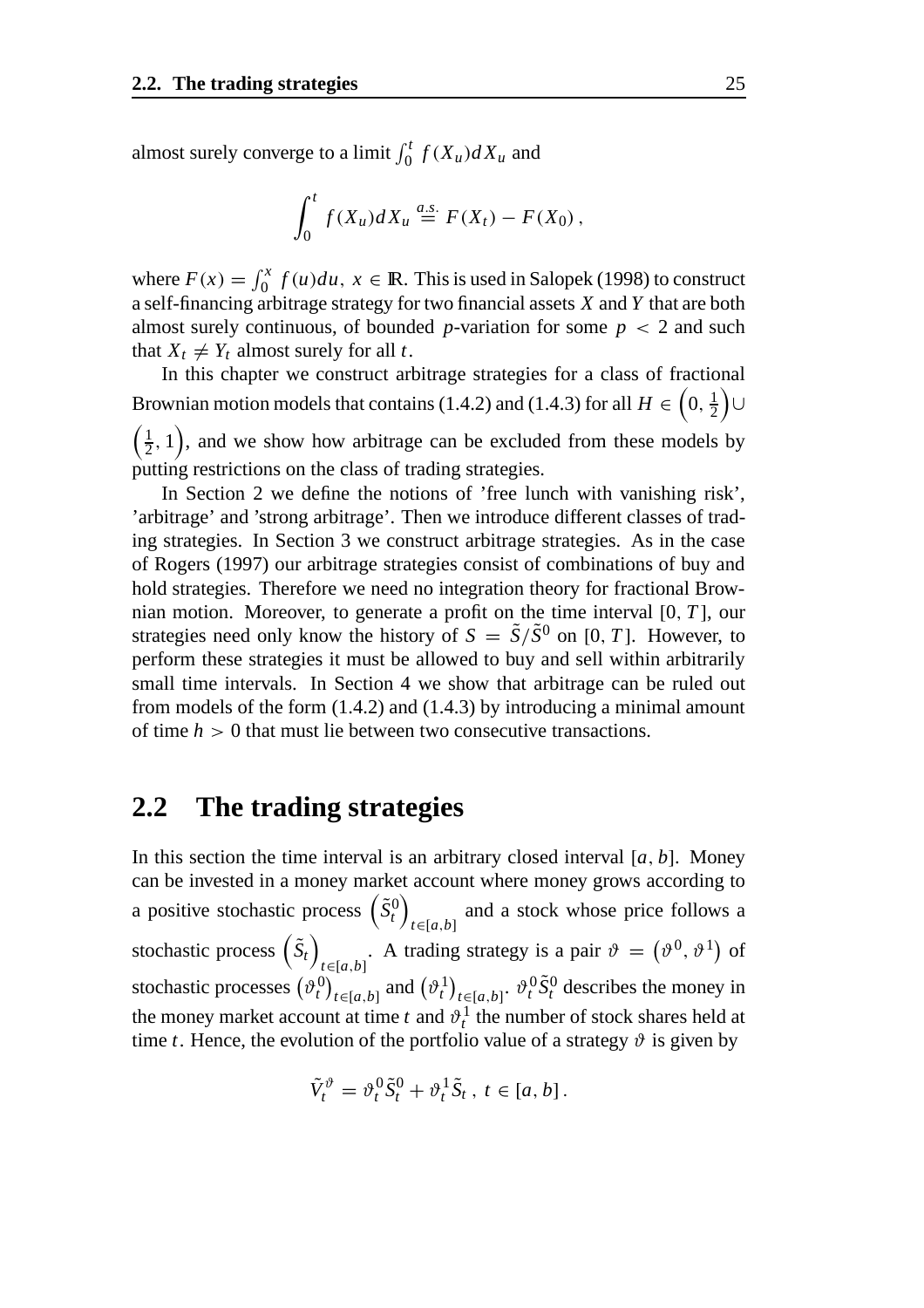almost surely converge to a limit  $\int_0^t f(X_u) dX_u$  and

$$
\int_0^t f(X_u)dX_u \stackrel{a.s.}{=} F(X_t) - F(X_0),
$$

where  $F(x) = \int_0^x f(u) du$ ,  $x \in \mathbb{R}$ . This is used in Salopek (1998) to construct a self-financing arbitrage strategy for two financial assets *X* and *Y* that are both almost surely continuous, of bounded *p*-variation for some  $p < 2$  and such that  $X_t \neq Y_t$  almost surely for all *t*.

In this chapter we construct arbitrage strategies for a class of fractional Brownian motion models that contains (1.4.2) and (1.4.3) for all  $H\in\left(0,\frac{1}{2}\right)$ ∪

 $\left(\frac{1}{2}, 1\right)$ , and we show how arbitrage can be excluded from these models by putting restrictions on the class of trading strategies.

In Section 2 we define the notions of 'free lunch with vanishing risk', 'arbitrage' and 'strong arbitrage'. Then we introduce different classes of trading strategies. In Section 3 we construct arbitrage strategies. As in the case of Rogers (1997) our arbitrage strategies consist of combinations of buy and hold strategies. Therefore we need no integration theory for fractional Brownian motion. Moreover, to generate a profit on the time interval [0, *T* ], our strategies need only know the history of  $S = \tilde{S}/\tilde{S}^{0}$  on [0, *T*]. However, to perform these strategies it must be allowed to buy and sell within arbitrarily small time intervals. In Section 4 we show that arbitrage can be ruled out from models of the form (1.4.2) and (1.4.3) by introducing a minimal amount of time *h* > 0 that must lie between two consecutive transactions.

#### **2.2 The trading strategies**

In this section the time interval is an arbitrary closed interval  $[a, b]$ . Money can be invested in a money market account where money grows according to a positive stochastic process  $(\tilde{S}_t^0)$ *t*∈[*a*,*b*] and a stock whose price follows a stochastic process  $(\tilde{S}_t)$ *t*∈[*a*,*b*] . A trading strategy is a pair  $\vartheta = (\vartheta^0, \vartheta^1)$  of stochastic processes  $(\vartheta_t^0)_{t \in [a,b]}$  and  $(\vartheta_t^1)_{t \in [a,b]}$ .  $\vartheta_t^0 \tilde{S}_t^0$  describes the money in the money market account at time  $t$  and  $\vartheta_t^1$  the number of stock shares held at time *t*. Hence, the evolution of the portfolio value of a strategy  $\vartheta$  is given by

$$
\tilde{V}_t^{\vartheta} = \vartheta_t^0 \tilde{S}_t^0 + \vartheta_t^1 \tilde{S}_t, \ t \in [a, b].
$$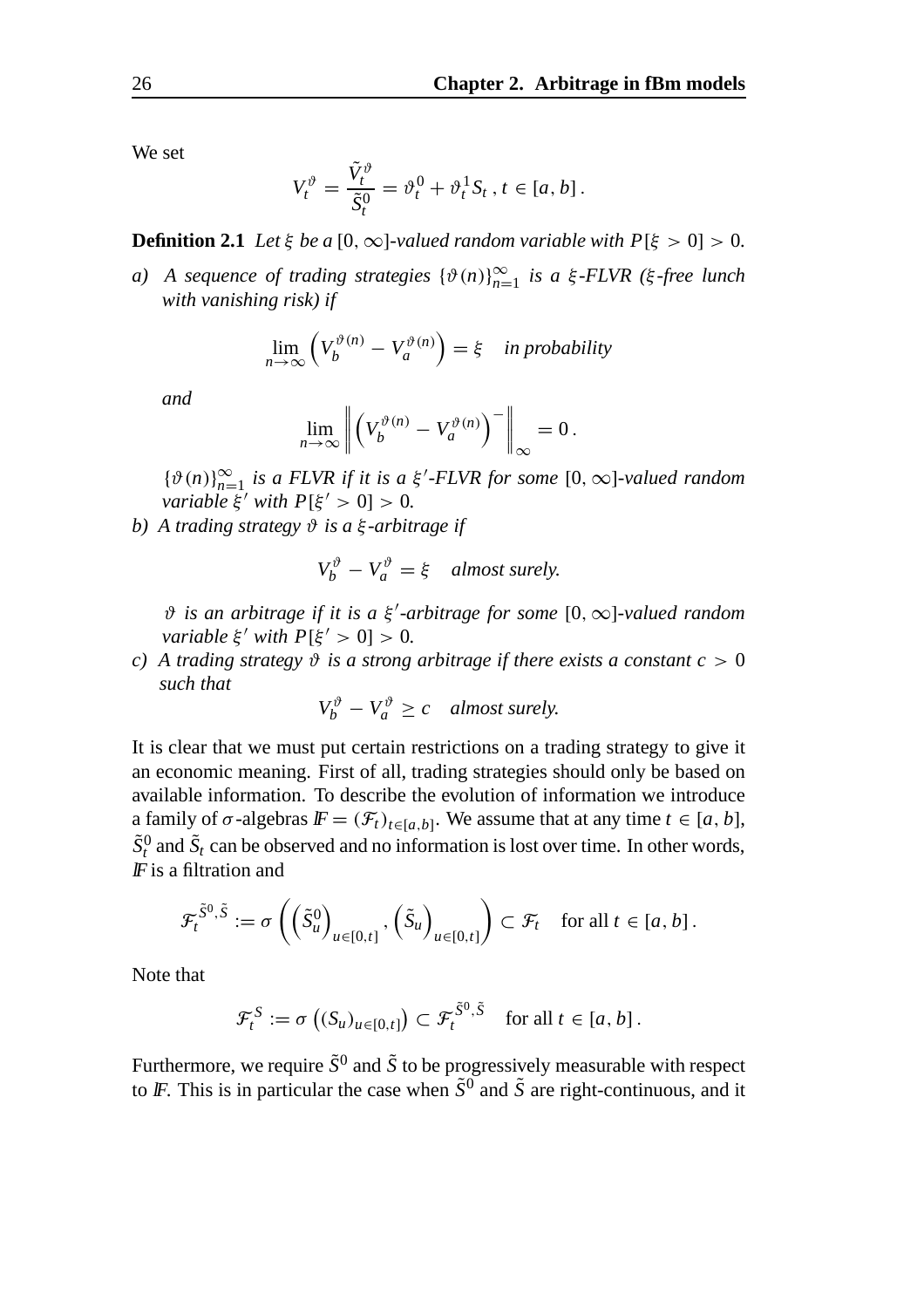We set

$$
V_t^{\vartheta} = \frac{\tilde{V}_t^{\vartheta}}{\tilde{S}_t^0} = \vartheta_t^0 + \vartheta_t^1 S_t, t \in [a, b].
$$

**Definition 2.1** *Let*  $\xi$  *be a* [0,  $\infty$ *]-valued random variable with*  $P[\xi > 0] > 0$ *.* 

*a*) A sequence of trading strategies  $\{\vartheta(n)\}_{n=1}^{\infty}$  is a ξ-FLVR (ξ-free lunch *with vanishing risk) if*

$$
\lim_{n \to \infty} \left( V_b^{\vartheta(n)} - V_a^{\vartheta(n)} \right) = \xi \quad \text{in probability}
$$

*and*

$$
\lim_{n\to\infty}\left\|\left(V_b^{\vartheta(n)}-V_a^{\vartheta(n)}\right)^-\right\|_{\infty}=0.
$$

 $\{\vartheta(n)\}_{n=1}^{\infty}$  *is a FLVR if it is a*  $\xi'$ *-FLVR for some*  $[0, \infty]$ -valued random *variable*  $\xi'$  *with*  $P[\xi' > 0] > 0$ .

*b) A trading strategy* ϑ *is a* ξ *-arbitrage if*

$$
V_b^{\vartheta} - V_a^{\vartheta} = \xi \quad almost \, surely.
$$

*θ* is an arbitrage if it is a ξ'-arbitrage for some [0, ∞]-valued random *variable*  $\xi'$  *with*  $P[\xi' > 0] > 0$ .

*c*) A trading strategy  $\vartheta$  *is a strong arbitrage if there exists a constant*  $c > 0$ *such that*

 $V_b^{\vartheta} - V_a^{\vartheta} \ge c$  almost surely.

It is clear that we must put certain restrictions on a trading strategy to give it an economic meaning. First of all, trading strategies should only be based on available information. To describe the evolution of information we introduce a family of  $\sigma$ -algebras  $\mathbf{F} = (\mathcal{F}_t)_{t \in [a,b]}$ . We assume that at any time  $t \in [a, b]$ ,  $\tilde{S}_t^0$  and  $\tilde{S}_t$  can be observed and no information is lost over time. In other words,  $\mathbf{F}$  is a filtration and

$$
\mathcal{F}_t^{\tilde{S}^0, \tilde{S}} := \sigma \left( \left( \tilde{S}_u^0 \right)_{u \in [0, t]}, \left( \tilde{S}_u \right)_{u \in [0, t]} \right) \subset \mathcal{F}_t \quad \text{for all } t \in [a, b].
$$

Note that

$$
\mathcal{F}_t^S := \sigma\left( (S_u)_{u \in [0,t]} \right) \subset \mathcal{F}_t^{\tilde{S}^0, \tilde{S}} \quad \text{for all } t \in [a,b].
$$

Furthermore, we require  $\tilde{S}^0$  and  $\tilde{S}$  to be progressively measurable with respect to *IF*. This is in particular the case when  $\tilde{S}^0$  and  $\tilde{S}$  are right-continuous, and it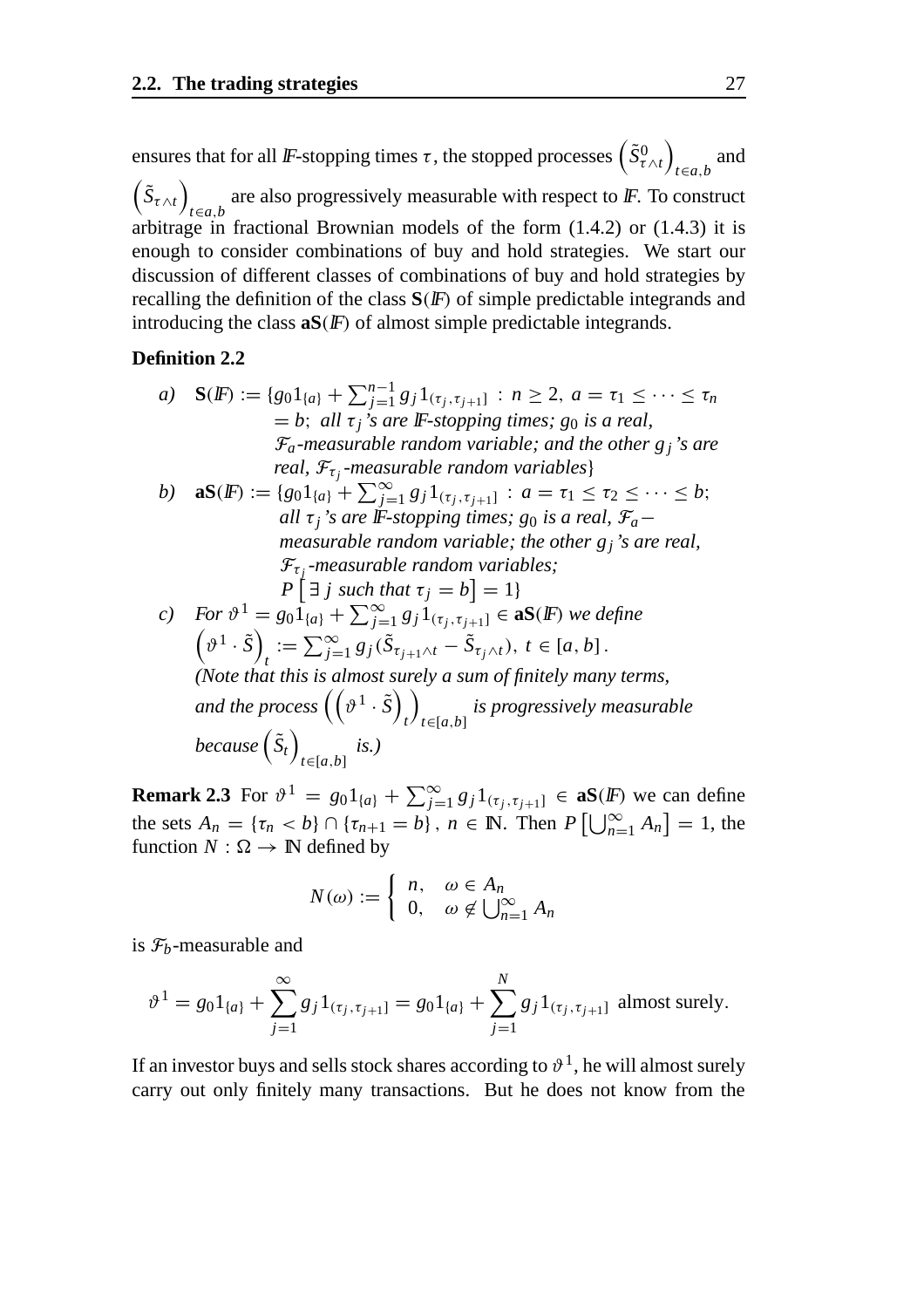ensures that for all *IF*-stopping times  $\tau$  , the stopped processes  $\left(\tilde{S}_{\tau\wedge t}^{0}\right)$ *t*∈*a*,*b* and  $(\tilde{S}_{\tau \wedge t})$ *t*∈*a*,*b* are also progressively measurable with respect to  $\mathbb F$ . To construct arbitrage in fractional Brownian models of the form (1.4.2) or (1.4.3) it is enough to consider combinations of buy and hold strategies. We start our discussion of different classes of combinations of buy and hold strategies by recalling the definition of the class  $S(F)$  of simple predictable integrands and introducing the class  $aS(F)$  of almost simple predictable integrands.

#### **Definition 2.2**

a) 
$$
\mathbf{S}(F) := \{g_0 1_{\{a\}} + \sum_{j=1}^{n-1} g_j 1_{(\tau_j, \tau_{j+1}]} : n \ge 2, a = \tau_1 \le \cdots \le \tau_n
$$
  
\n= b; all  $\tau_j$ 's are F-stopping times; g\_0 is a real,  
\n $\mathcal{F}_a$ -measurable random variable; and the other  $g_j$ 's are  
\nreal,  $\mathcal{F}_{\tau_j}$ -measurable random variables

*b*) **aS**(**IF**) := { $g_0 1_{\{a\}} + \sum_{j=1}^{\infty} g_j 1_{(\tau_j, \tau_{j+1}]}$  :  $a = \tau_1 \leq \tau_2 \leq \cdots \leq b$ ; *all*  $\tau_i$ 's are IF-stopping times; g<sub>0</sub> is a real,  $\mathcal{F}_a$ *measurable random variable; the other gj's are real,*  $\mathcal{F}_{\tau_i}$ *-measurable random variables;*  $P\left[\exists j \text{ such that } \tau_j = b\right] = 1\}$ 

c) For 
$$
\vartheta^1 = g_0 1_{\{a\}} + \sum_{j=1}^{\infty} g_j 1_{(\tau_j, \tau_{j+1}]} \in \mathbf{aS}(F)
$$
 we define  
\n
$$
\left(\vartheta^1 \cdot \tilde{S}\right)_t := \sum_{j=1}^{\infty} g_j (\tilde{S}_{\tau_{j+1} \wedge t} - \tilde{S}_{\tau_j \wedge t}), t \in [a, b].
$$
\n(Note that this is almost surely a sum of finitely many terms,  
\nand the process  $\left((\vartheta^1 \cdot \tilde{S})_t\right)_{t \in [a, b]}$  is progressively measurable  
\nbecause  $(\tilde{S}_t)_{t \in [a, b]}$  is.)

**Remark 2.3** For  $\vartheta^1 = g_0 1_{\{a\}} + \sum_{j=1}^{\infty} g_j 1_{(\tau_j, \tau_{j+1}]} \in \mathbf{aS}(F)$  we can define the sets  $A_n = \{\tau_n < b\} \cap \{\tau_{n+1} = b\}$ ,  $n \in \mathbb{N}$ . Then  $P\left[\bigcup_{n=1}^{\infty} A_n\right] = 1$ , the function  $N : \Omega \to \mathbb{N}$  defined by

$$
N(\omega) := \begin{cases} n, & \omega \in A_n \\ 0, & \omega \notin \bigcup_{n=1}^{\infty} A_n \end{cases}
$$

is  $\mathcal{F}_b$ -measurable and

$$
\vartheta^{1} = g_{0} 1_{\{a\}} + \sum_{j=1}^{\infty} g_{j} 1_{(\tau_{j}, \tau_{j+1}]} = g_{0} 1_{\{a\}} + \sum_{j=1}^{N} g_{j} 1_{(\tau_{j}, \tau_{j+1}]} \text{ almost surely.}
$$

If an investor buys and sells stock shares according to  $\vartheta^1$ , he will almost surely carry out only finitely many transactions. But he does not know from the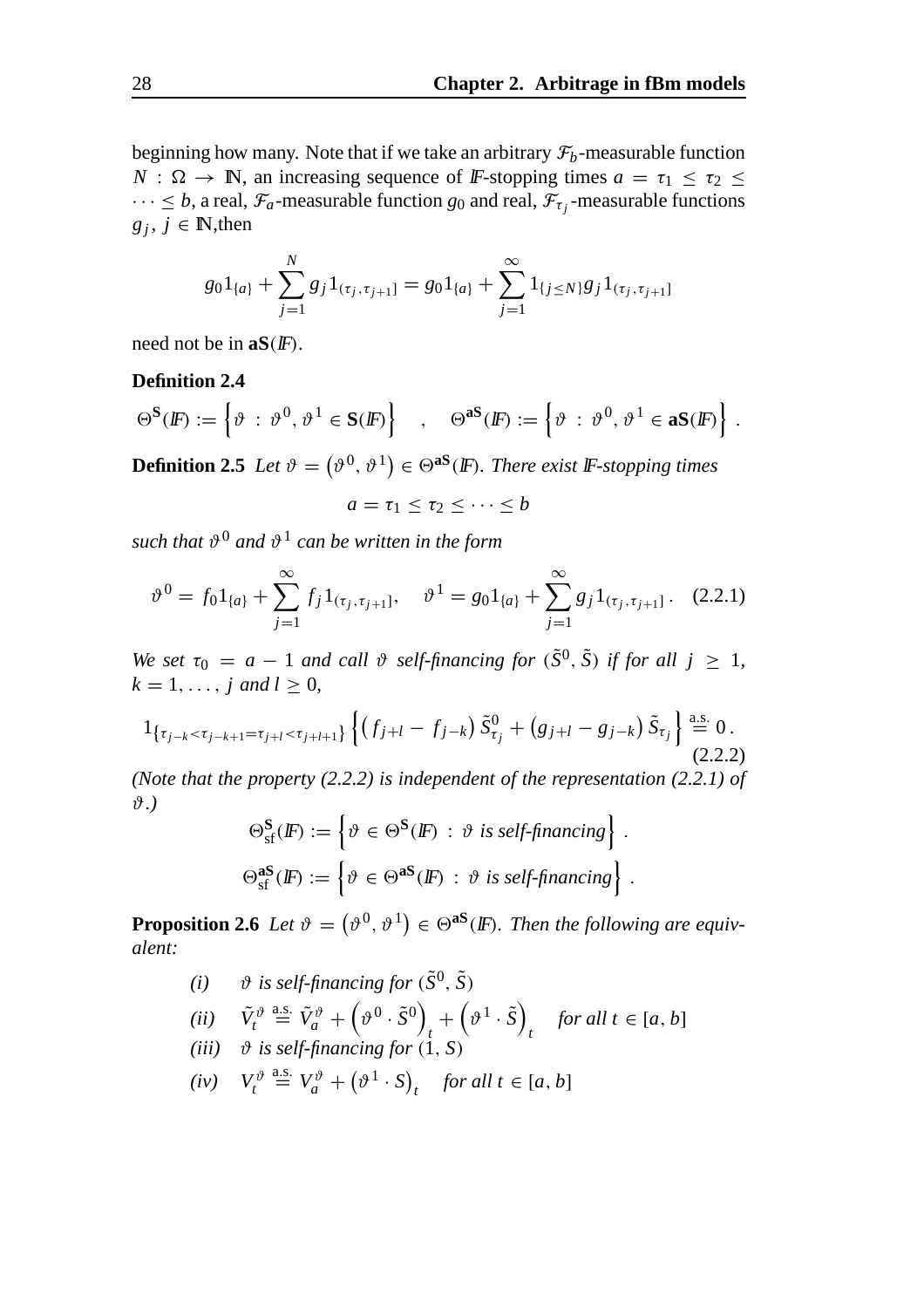beginning how many. Note that if we take an arbitrary  $\mathcal{F}_b$ -measurable function *N* :  $\Omega \rightarrow \mathbb{N}$ , an increasing sequence of *IF*-stopping times  $a = \tau_1 \leq \tau_2 \leq \tau_1$  $\cdots \leq b$ , a real,  $\mathcal{F}_a$ -measurable function  $g_0$  and real,  $\mathcal{F}_{\tau_i}$ -measurable functions  $g_j$ ,  $j \in \mathbb{N}$ , then

$$
g_0 1_{\{a\}} + \sum_{j=1}^N g_j 1_{(\tau_j, \tau_{j+1}]} = g_0 1_{\{a\}} + \sum_{j=1}^\infty 1_{\{j \le N\}} g_j 1_{(\tau_j, \tau_{j+1}]}
$$

need not be in **aS**(lF).

#### **Definition 2.4**

$$
\Theta^{\mathbf{S}}(F) := \left\{ \vartheta \; : \; \vartheta^0, \, \vartheta^1 \in \mathbf{S}(F) \right\} \quad , \quad \Theta^{\mathbf{aS}}(F) := \left\{ \vartheta \; : \; \vartheta^0, \, \vartheta^1 \in \mathbf{aS}(F) \right\} \, .
$$

**Definition 2.5** Let  $\vartheta = (\vartheta^0, \vartheta^1) \in \Theta^{aS}(F)$ *. There exist* F-stopping times

 $a = \tau_1 \leq \tau_2 \leq \cdots \leq b$ 

*such that*  $\vartheta^0$  *and*  $\vartheta^1$  *can be written in the form* 

$$
\vartheta^0 = f_0 1_{\{a\}} + \sum_{j=1}^{\infty} f_j 1_{(\tau_j, \tau_{j+1}]}, \quad \vartheta^1 = g_0 1_{\{a\}} + \sum_{j=1}^{\infty} g_j 1_{(\tau_j, \tau_{j+1}]}. \quad (2.2.1)
$$

*We set*  $\tau_0 = a - 1$  *and call*  $\vartheta$  *self-financing for*  $(\tilde{S}^0, \tilde{S})$  *if for all*  $j \ge 1$ *,*  $k = 1, \ldots, j \text{ and } l \geq 0,$ 

$$
1_{\{\tau_{j-k} < \tau_{j-k+1} = \tau_{j+l} < \tau_{j+l+1}\}} \left\{ \left(f_{j+l} - f_{j-k}\right) \tilde{S}_{\tau_j}^0 + \left(g_{j+l} - g_{j-k}\right) \tilde{S}_{\tau_j} \right\} \stackrel{\text{a.s.}}{=} 0. \tag{2.2.2}
$$

*(Note that the property (2.2.2) is independent of the representation (2.2.1) of* ϑ*.)*

$$
\Theta_{\text{sf}}^{\mathbf{S}}(F) := \left\{ \vartheta \in \Theta^{\mathbf{S}}(F) : \vartheta \text{ is self-financing} \right\}.
$$

$$
\Theta_{\text{sf}}^{\mathbf{as}}(F) := \left\{ \vartheta \in \Theta^{\mathbf{as}}(F) : \vartheta \text{ is self-financing} \right\}.
$$

**Proposition 2.6** Let  $\vartheta = (\vartheta^0, \vartheta^1) \in \Theta^{aS}(F)$ . Then the following are equiv*alent:*

*(i)*  $\vartheta$  *is self-financing for*  $(\tilde{S}^0, \tilde{S})$ 

$$
(ii) \quad \tilde{V}_t^{\vartheta} \stackrel{\text{a.s.}}{=} \tilde{V}_a^{\vartheta} + \left(\vartheta^0 \cdot \tilde{S}^0\right)_t + \left(\vartheta^1 \cdot \tilde{S}\right)_t \quad \text{for all } t \in [a, b]
$$

- $(iii)$   $\vartheta$  *is self-financing for*  $(1, S)$
- $(iv)$   $V_t^{\vartheta} \stackrel{\text{a.s.}}{=} V_a^{\vartheta} + (\vartheta^1 \cdot S)_t$  *for all t* ∈ [*a*, *b*]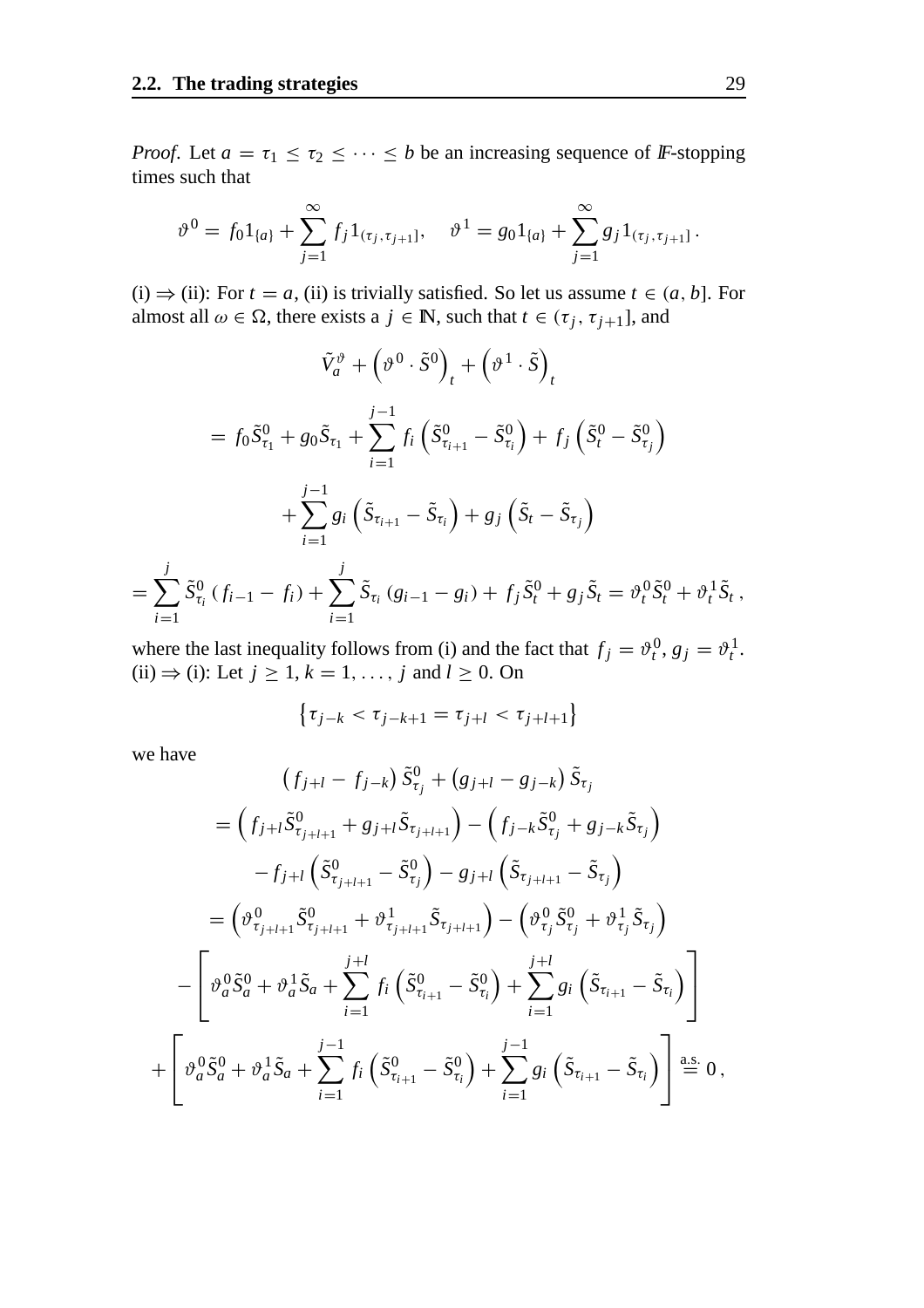*Proof.* Let  $a = \tau_1 \leq \tau_2 \leq \cdots \leq b$  be an increasing sequence of *IF*-stopping times such that

$$
\vartheta^0 = f_0 1_{\{a\}} + \sum_{j=1}^{\infty} f_j 1_{(\tau_j, \tau_{j+1}]}, \quad \vartheta^1 = g_0 1_{\{a\}} + \sum_{j=1}^{\infty} g_j 1_{(\tau_j, \tau_{j+1}]}.
$$

(i)  $\Rightarrow$  (ii): For *t* = *a*, (ii) is trivially satisfied. So let us assume *t* ∈ (*a*, *b*]. For almost all  $\omega \in \Omega$ , there exists a  $j \in \mathbb{N}$ , such that  $t \in (\tau_j, \tau_{j+1}]$ , and

$$
\tilde{V}_a^{\vartheta} + \left(\vartheta^0 \cdot \tilde{S}^0\right)_t + \left(\vartheta^1 \cdot \tilde{S}\right)_t
$$
\n
$$
= f_0 \tilde{S}_{\tau_1}^0 + g_0 \tilde{S}_{\tau_1} + \sum_{i=1}^{j-1} f_i \left(\tilde{S}_{\tau_{i+1}}^0 - \tilde{S}_{\tau_i}^0\right) + f_j \left(\tilde{S}_t^0 - \tilde{S}_{\tau_j}^0\right)
$$
\n
$$
+ \sum_{i=1}^{j-1} g_i \left(\tilde{S}_{\tau_{i+1}} - \tilde{S}_{\tau_i}\right) + g_j \left(\tilde{S}_t - \tilde{S}_{\tau_j}\right)
$$
\n
$$
\sum_{i=1}^{j} \tilde{S}_{\tau_0}^0 (f_i - f_i) + \sum_{i=1}^{j} \tilde{S}_{\tau_0}^0 (g_i - g_i) + f_i \tilde{S}_{\tau_0}^0 + g_i \tilde{S}_{\tau_0}^0 + g_i \tilde{S}_{\tau_0}^0 + g_i \tilde{S}_{\tau_0}^0
$$

 $=$   $\sum$ *i*=1  $\tilde{S}_{\tau_i}^0$  (  $f_{i-1} - f_i$  ) +  $\sum$ *i*=1  $\tilde{S}_{\tau_i} (g_{i-1} - g_i) + f_j \tilde{S}_t^0 + g_j \tilde{S}_t = \vartheta_t^0 \tilde{S}_t^0 + \vartheta_t^1 \tilde{S}_t$ ,

where the last inequality follows from (i) and the fact that  $f_j = \vartheta_t^0$ ,  $g_j = \vartheta_t^1$ . (ii)  $\Rightarrow$  (i): Let  $j \ge 1, k = 1, \ldots, j$  and  $l \ge 0$ . On

$$
\{\tau_{j-k} < \tau_{j-k+1} = \tau_{j+l} < \tau_{j+l+1}\}
$$

we have

$$
(f_{j+l} - f_{j-k}) \tilde{S}_{\tau_j}^0 + (g_{j+l} - g_{j-k}) \tilde{S}_{\tau_j}
$$
  
\n
$$
= (f_{j+l} \tilde{S}_{\tau_{j+l+1}}^0 + g_{j+l} \tilde{S}_{\tau_{j+l+1}}) - (f_{j-k} \tilde{S}_{\tau_j}^0 + g_{j-k} \tilde{S}_{\tau_j})
$$
  
\n
$$
-f_{j+l} (\tilde{S}_{\tau_{j+l+1}}^0 - \tilde{S}_{\tau_j}^0) - g_{j+l} (\tilde{S}_{\tau_{j+l+1}} - \tilde{S}_{\tau_j})
$$
  
\n
$$
= (\vartheta_{\tau_{j+l+1}}^0 \tilde{S}_{\tau_{j+l+1}}^0 + \vartheta_{\tau_{j+l+1}}^1 \tilde{S}_{\tau_{j+l+1}}) - (\vartheta_{\tau_j}^0 \tilde{S}_{\tau_j}^0 + \vartheta_{\tau_j}^1 \tilde{S}_{\tau_j})
$$
  
\n
$$
- \left[ \vartheta_a^0 \tilde{S}_a^0 + \vartheta_a^1 \tilde{S}_a + \sum_{i=1}^{j+l} f_i (\tilde{S}_{\tau_{i+1}}^0 - \tilde{S}_{\tau_i}^0) + \sum_{i=1}^{j+l} g_i (\tilde{S}_{\tau_{i+1}} - \tilde{S}_{\tau_i}) \right]
$$
  
\n
$$
+ \left[ \vartheta_a^0 \tilde{S}_a^0 + \vartheta_a^1 \tilde{S}_a + \sum_{i=1}^{j-1} f_i (\tilde{S}_{\tau_{i+1}}^0 - \tilde{S}_{\tau_i}^0) + \sum_{i=1}^{j-1} g_i (\tilde{S}_{\tau_{i+1}} - \tilde{S}_{\tau_i}) \right] \stackrel{\text{a.s.}}{=} 0,
$$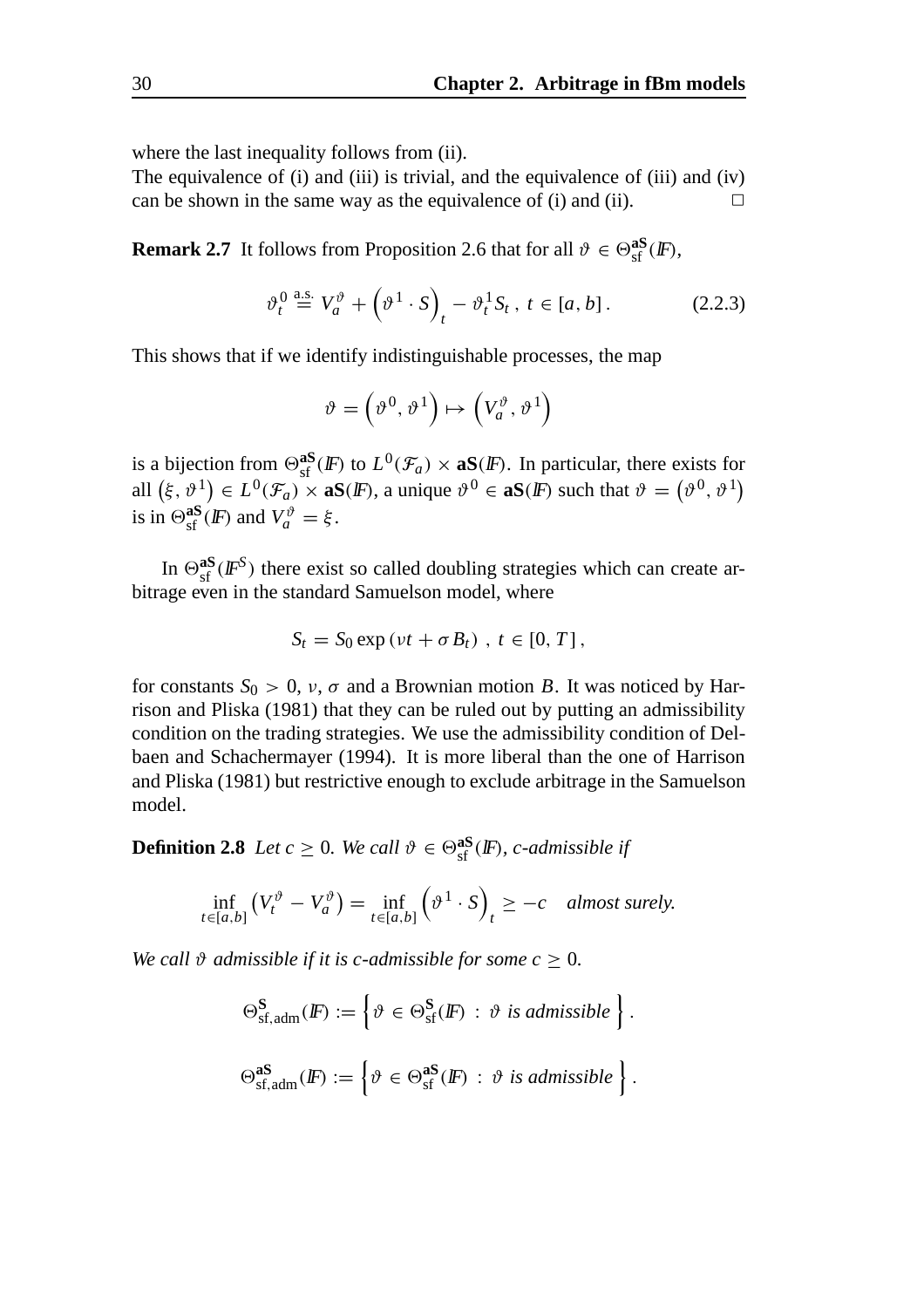where the last inequality follows from (ii).

The equivalence of (i) and (iii) is trivial, and the equivalence of (iii) and (iv) can be shown in the same way as the equivalence of (i) and (ii).  $\Box$ 

**Remark 2.7** It follows from Proposition 2.6 that for all  $\vartheta \in \Theta_{\text{sf}}^{\text{aS}}(I\!\!F)$ ,

$$
\vartheta_t^0 \stackrel{\text{a.s.}}{=} V_a^{\vartheta} + \left(\vartheta^1 \cdot S\right)_t - \vartheta_t^1 S_t \,, \ t \in [a, b] \,. \tag{2.2.3}
$$

This shows that if we identify indistinguishable processes, the map

$$
\vartheta = (\vartheta^0, \vartheta^1) \mapsto (V_a^{\vartheta}, \vartheta^1)
$$

is a bijection from  $\Theta_{\text{sf}}^{aS}(F)$  to  $L^0(\mathcal{F}_a) \times aS(F)$ . In particular, there exists for all  $(\xi, \vartheta^1) \in L^0(\mathcal{F}_a) \times \mathbf{a}S(F)$ , a unique  $\vartheta^0 \in \mathbf{a}S(F)$  such that  $\vartheta = (\vartheta^0, \vartheta^1)$ is in  $\Theta_{\text{sf}}^{\text{aS}}(F)$  and  $V_a^{\vartheta} = \xi$ .

In  $\Theta_{\text{sf}}^{\text{as}}(I\!\!F^S)$  there exist so called doubling strategies which can create arbitrage even in the standard Samuelson model, where

$$
S_t = S_0 \exp(vt + \sigma B_t), t \in [0, T],
$$

for constants  $S_0 > 0$ ,  $\nu$ ,  $\sigma$  and a Brownian motion *B*. It was noticed by Harrison and Pliska (1981) that they can be ruled out by putting an admissibility condition on the trading strategies. We use the admissibility condition of Delbaen and Schachermayer (1994). It is more liberal than the one of Harrison and Pliska (1981) but restrictive enough to exclude arbitrage in the Samuelson model.

**Definition 2.8** *Let*  $c \geq 0$ *. We call*  $\vartheta \in \Theta_{\text{sf}}^{\text{as}}(\mathbb{F})$ *, c-admissible if* 

$$
\inf_{t \in [a,b]} \left( V_t^{\vartheta} - V_a^{\vartheta} \right) = \inf_{t \in [a,b]} \left( \vartheta^1 \cdot S \right)_t \ge -c \quad \text{almost surely.}
$$

*We call*  $\vartheta$  *admissible if it is c-admissible for some*  $c \geq 0$ *.* 

$$
\Theta_{\text{sf,adm}}^{\mathbf{S}}(F) := \left\{ \vartheta \in \Theta_{\text{sf}}^{\mathbf{S}}(F) \, : \, \vartheta \text{ is admissible} \right\}.
$$

$$
\Theta_{\text{sf,adm}}^{\mathbf{aS}}(F) := \left\{ \vartheta \in \Theta_{\text{sf}}^{\mathbf{aS}}(F) \, : \, \vartheta \text{ is admissible} \right\}.
$$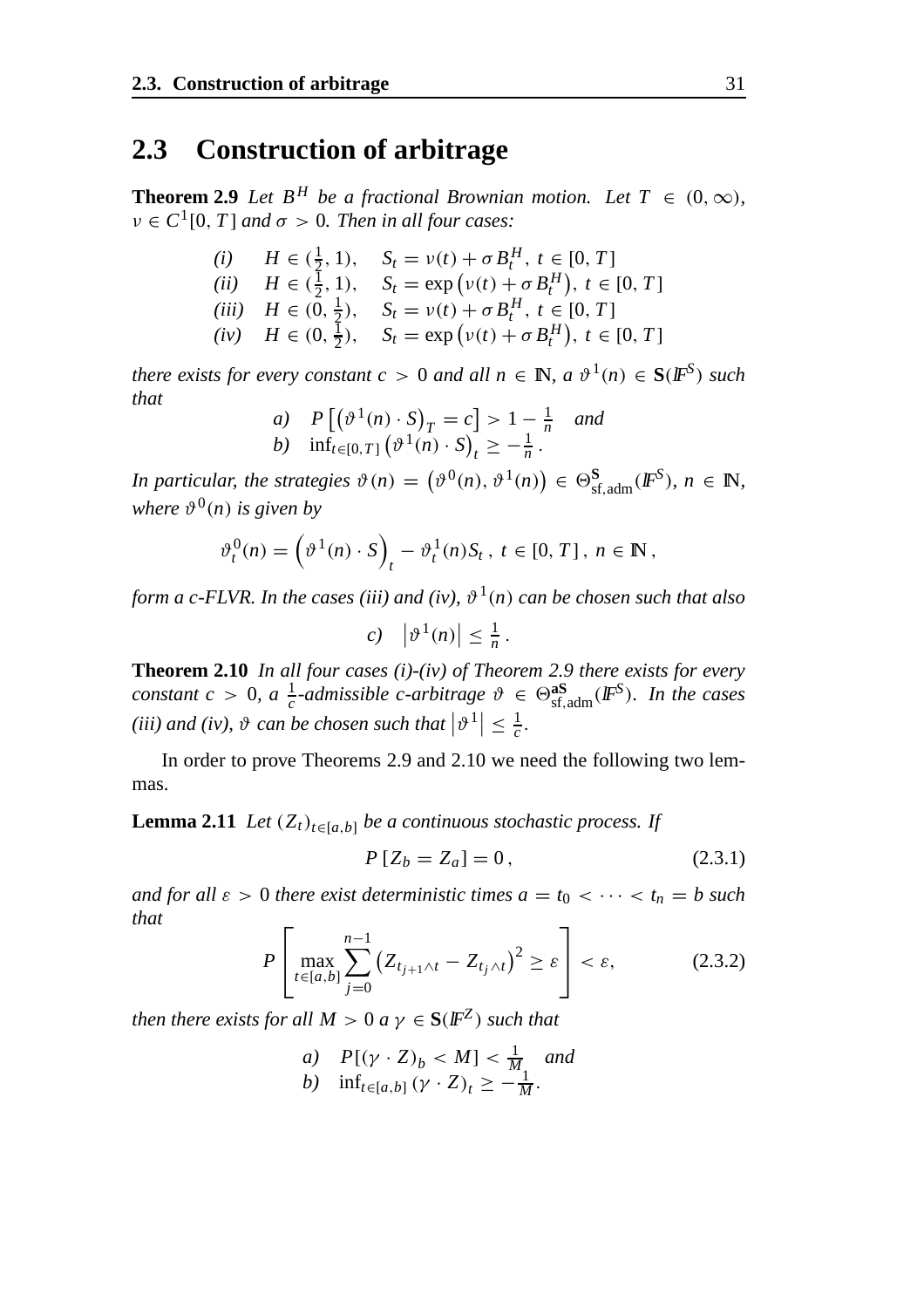### **2.3 Construction of arbitrage**

**Theorem 2.9** *Let*  $B^H$  *be a fractional Brownian motion. Let*  $T \in (0, \infty)$ *,*  $v \in C^1[0, T]$  *and*  $\sigma > 0$ *. Then in all four cases:* 

> *(i)*  $H \in (\frac{1}{2}, 1), S_t = v(t) + \sigma B_t^H, t \in [0, T]$ (*ii*)  $H \in (\frac{1}{2}, 1), \quad S_t = \exp(v(t) + \sigma B_t^H), t \in [0, T]$ *(iii)*  $H \in (\overline{0}, \frac{1}{2}), \quad S_t = v(t) + \sigma B_t^H, t \in [0, T]$  $(iv)$  *H*  $\in$  (0,  $\frac{1}{2}$ ), *S<sub>t</sub>* = exp ( $v(t) + \sigma B_t^H$ ),  $t \in [0, T]$

*there exists for every constant c* > 0 *and all*  $n \in \mathbb{N}$ ,  $a \vartheta^1(n) \in S(\mathbb{F}^S)$  *such that*

a) 
$$
P[(\vartheta^1(n) \cdot S)_T = c] > 1 - \frac{1}{n}
$$
 and  
b)  $\inf_{t \in [0,T]} (\vartheta^1(n) \cdot S)_t \ge -\frac{1}{n}$ .

*In particular, the strategies*  $\vartheta(n) = (\vartheta^0(n), \vartheta^1(n)) \in \Theta_{\text{sf,adm}}^S(\mathbb{F}^S), n \in \mathbb{N},$ *where*  $\vartheta^0(n)$  *is given by* 

$$
\vartheta_t^0(n) = \left(\vartheta^1(n) \cdot S\right)_t - \vartheta_t^1(n)S_t, \ t \in [0, T], \ n \in \mathbb{N},
$$

*form a c-FLVR. In the cases (iii) and (iv),*  $\vartheta^1(n)$  *can be chosen such that also* 

$$
c)\quad |\vartheta^1(n)|\leq \frac{1}{n}\,.
$$

**Theorem 2.10** *In all four cases (i)-(iv) of Theorem 2.9 there exists for every constant c* > 0, *a*  $\frac{1}{c}$ -*admissible c-arbitrage*  $\vartheta \in \Theta_{\text{sf,adm}}^{\text{as}}(\mathbb{F}^S)$ *. In the cases* (*iii*) and (*iv*),  $\vartheta$  can be chosen such that  $|\vartheta^1| \leq \frac{1}{c}$ .

In order to prove Theorems 2.9 and 2.10 we need the following two lemmas.

**Lemma 2.11** *Let*  $(Z_t)_{t \in [a,b]}$  *be a continuous stochastic process. If* 

$$
P[Z_b = Z_a] = 0, \t(2.3.1)
$$

*and for all*  $\varepsilon > 0$  *there exist deterministic times*  $a = t_0 < \cdots < t_n = b$  *such that*

$$
P\left[\max_{t\in[a,b]} \sum_{j=0}^{n-1} \left(Z_{t_{j+1}\wedge t} - Z_{t_j\wedge t}\right)^2 \geq \varepsilon\right] < \varepsilon,\tag{2.3.2}
$$

*then there exists for all*  $M > 0$  *a*  $\gamma \in S(\mathbb{F}^Z)$  *such that* 

*a*)  $P[(\gamma \cdot Z)_b < M] < \frac{1}{M}$  and *b*)  $\inf_{t \in [a,b]} (\gamma \cdot Z)_t \geq -\frac{1}{M}.$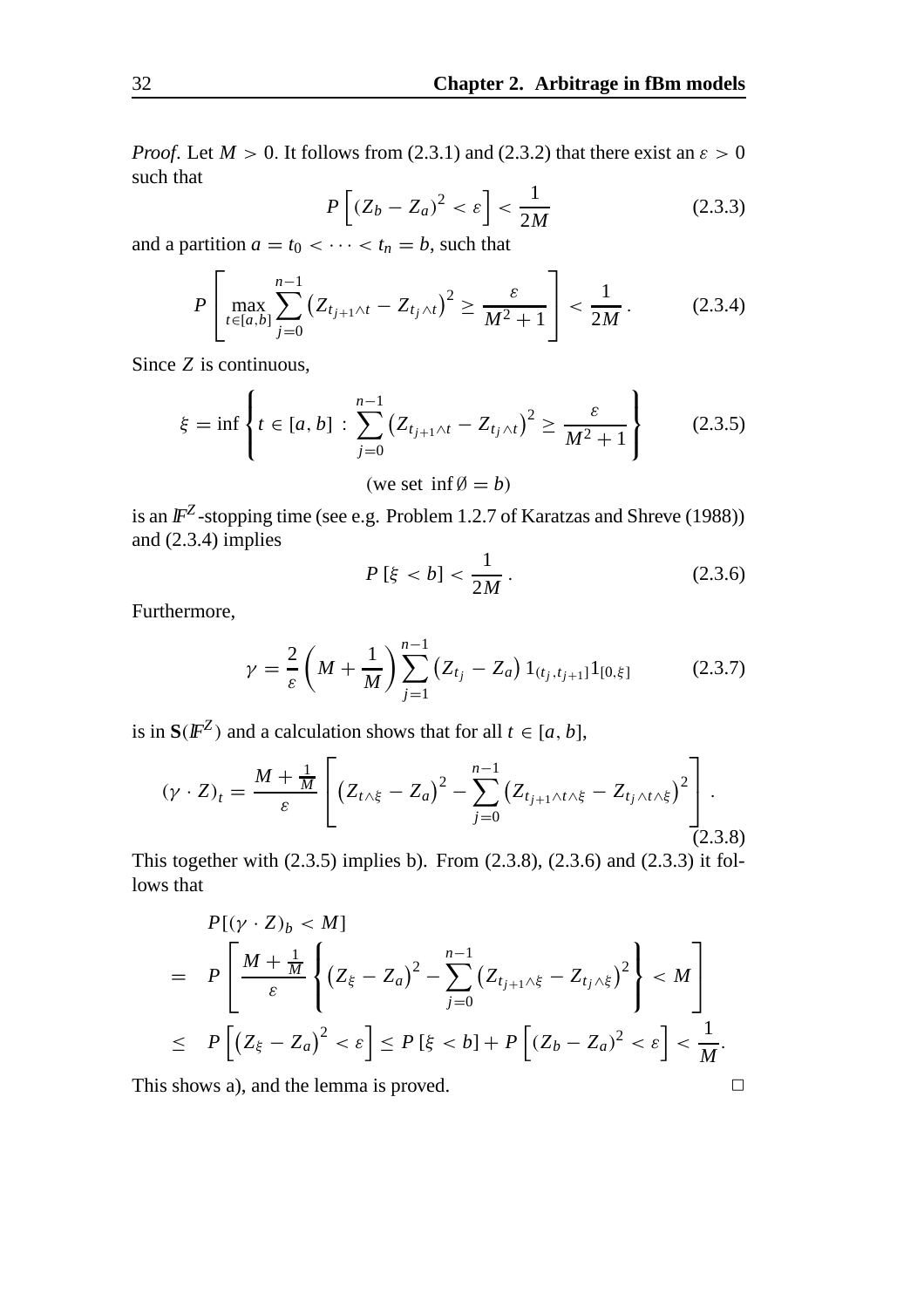*Proof.* Let  $M > 0$ . It follows from (2.3.1) and (2.3.2) that there exist an  $\varepsilon > 0$ such that

$$
P\left[\left(Z_b - Z_a\right)^2 < \varepsilon\right] < \frac{1}{2M} \tag{2.3.3}
$$

and a partition  $a = t_0 < \cdots < t_n = b$ , such that

$$
P\left[\max_{t\in[a,b]}\sum_{j=0}^{n-1}\left(Z_{t_{j+1}\wedge t}-Z_{t_{j}\wedge t}\right)^{2}\geq\frac{\varepsilon}{M^{2}+1}\right]<\frac{1}{2M}.
$$
 (2.3.4)

Since *Z* is continuous,

$$
\xi = \inf \left\{ t \in [a, b] : \sum_{j=0}^{n-1} (Z_{t_{j+1} \wedge t} - Z_{t_j \wedge t})^2 \ge \frac{\varepsilon}{M^2 + 1} \right\}
$$
(2.3.5)

(we set inf $\emptyset = b$ )

is an  $\mathbb{F}^Z$ -stopping time (see e.g. Problem 1.2.7 of Karatzas and Shreve (1988)) and  $(2.3.4)$  implies

$$
P\left[\xi < b\right] < \frac{1}{2M} \,. \tag{2.3.6}
$$

Furthermore,

$$
\gamma = \frac{2}{\varepsilon} \left( M + \frac{1}{M} \right) \sum_{j=1}^{n-1} \left( Z_{t_j} - Z_a \right) 1_{(t_j, t_{j+1}]} 1_{[0, \xi]} \tag{2.3.7}
$$

is in  $S(F^Z)$  and a calculation shows that for all  $t \in [a, b]$ ,

$$
(\gamma \cdot Z)_t = \frac{M + \frac{1}{M}}{\varepsilon} \left[ \left( Z_{t \wedge \xi} - Z_a \right)^2 - \sum_{j=0}^{n-1} \left( Z_{t_{j+1} \wedge t \wedge \xi} - Z_{t_j \wedge t \wedge \xi} \right)^2 \right].
$$
\n(2.3.8)

This together with (2.3.5) implies b). From (2.3.8), (2.3.6) and (2.3.3) it follows that

$$
P[(\gamma \cdot Z)_b < M]
$$
\n
$$
= P\left[\frac{M + \frac{1}{M}}{\varepsilon} \left\{ (Z_{\xi} - Z_a)^2 - \sum_{j=0}^{n-1} (Z_{t_{j+1} \wedge \xi} - Z_{t_j \wedge \xi})^2 \right\} < M \right]
$$
\n
$$
\leq P\left[ (Z_{\xi} - Z_a)^2 < \varepsilon \right] \leq P\left[ \xi < b \right] + P\left[ (Z_b - Z_a)^2 < \varepsilon \right] < \frac{1}{M}.
$$

This shows a), and the lemma is proved.  $\Box$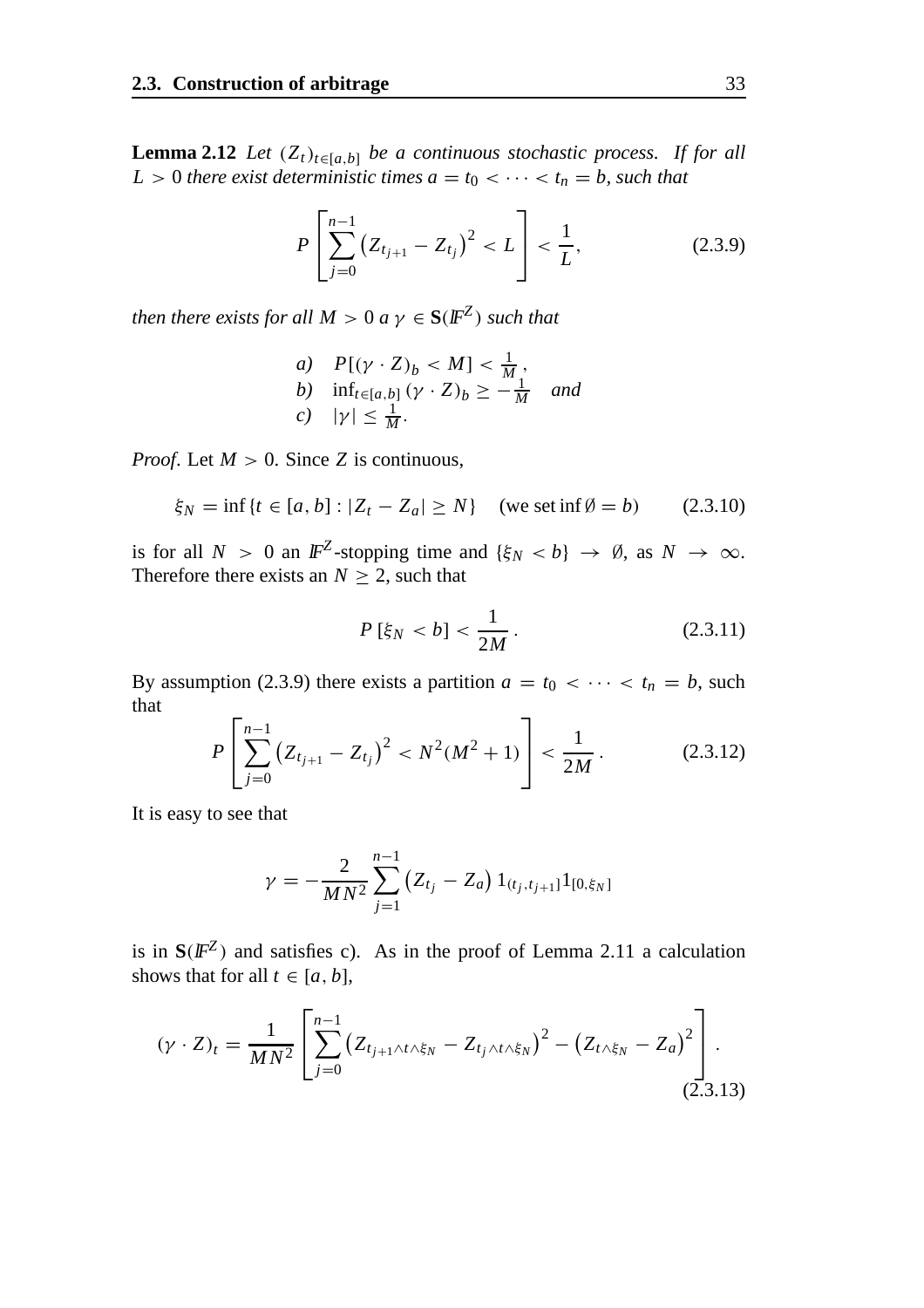**Lemma 2.12** *Let*  $(Z_t)_{t \in [a,b]}$  *be a continuous stochastic process. If for all L* > 0 *there exist deterministic times*  $a = t_0 < \cdots < t_n = b$ *, such that* 

$$
P\left[\sum_{j=0}^{n-1} (Z_{t_{j+1}} - Z_{t_j})^2 < L\right] < \frac{1}{L},\tag{2.3.9}
$$

*then there exists for all*  $M > 0$  *a*  $\gamma \in S(\mathbb{F}^Z)$  *such that* 

a) 
$$
P[(\gamma \cdot Z)_b < M] < \frac{1}{M}
$$
,  
\nb)  $\inf_{t \in [a,b]} (\gamma \cdot Z)_b \ge -\frac{1}{M}$  and  
\nc)  $|\gamma| \le \frac{1}{M}$ .

*Proof.* Let  $M > 0$ . Since *Z* is continuous,

$$
\xi_N = \inf \{ t \in [a, b] : |Z_t - Z_a| \ge N \}
$$
 (we set  $\inf \emptyset = b$ ) (2.3.10)

is for all  $N > 0$  an  $\mathbb{F}^Z$ -stopping time and  $\{\xi_N < b\} \to \emptyset$ , as  $N \to \infty$ . Therefore there exists an  $N \geq 2$ , such that

$$
P\left[\xi_N < b\right] < \frac{1}{2M} \,. \tag{2.3.11}
$$

By assumption (2.3.9) there exists a partition  $a = t_0 < \cdots < t_n = b$ , such that

$$
P\left[\sum_{j=0}^{n-1} (Z_{t_{j+1}} - Z_{t_j})^2 < N^2(M^2 + 1) \right] < \frac{1}{2M} \,. \tag{2.3.12}
$$

It is easy to see that

$$
\gamma = -\frac{2}{MN^2} \sum_{j=1}^{n-1} (Z_{t_j} - Z_a) 1_{(t_j, t_{j+1}]} 1_{[0, \xi_N]}
$$

is in  $S(\mathbb{F}^Z)$  and satisfies c). As in the proof of Lemma 2.11 a calculation shows that for all  $t \in [a, b]$ ,

$$
(\gamma \cdot Z)_t = \frac{1}{MN^2} \left[ \sum_{j=0}^{n-1} \left( Z_{t_{j+1} \wedge t \wedge \xi_N} - Z_{t_j \wedge t \wedge \xi_N} \right)^2 - \left( Z_{t \wedge \xi_N} - Z_a \right)^2 \right].
$$
\n(2.3.13)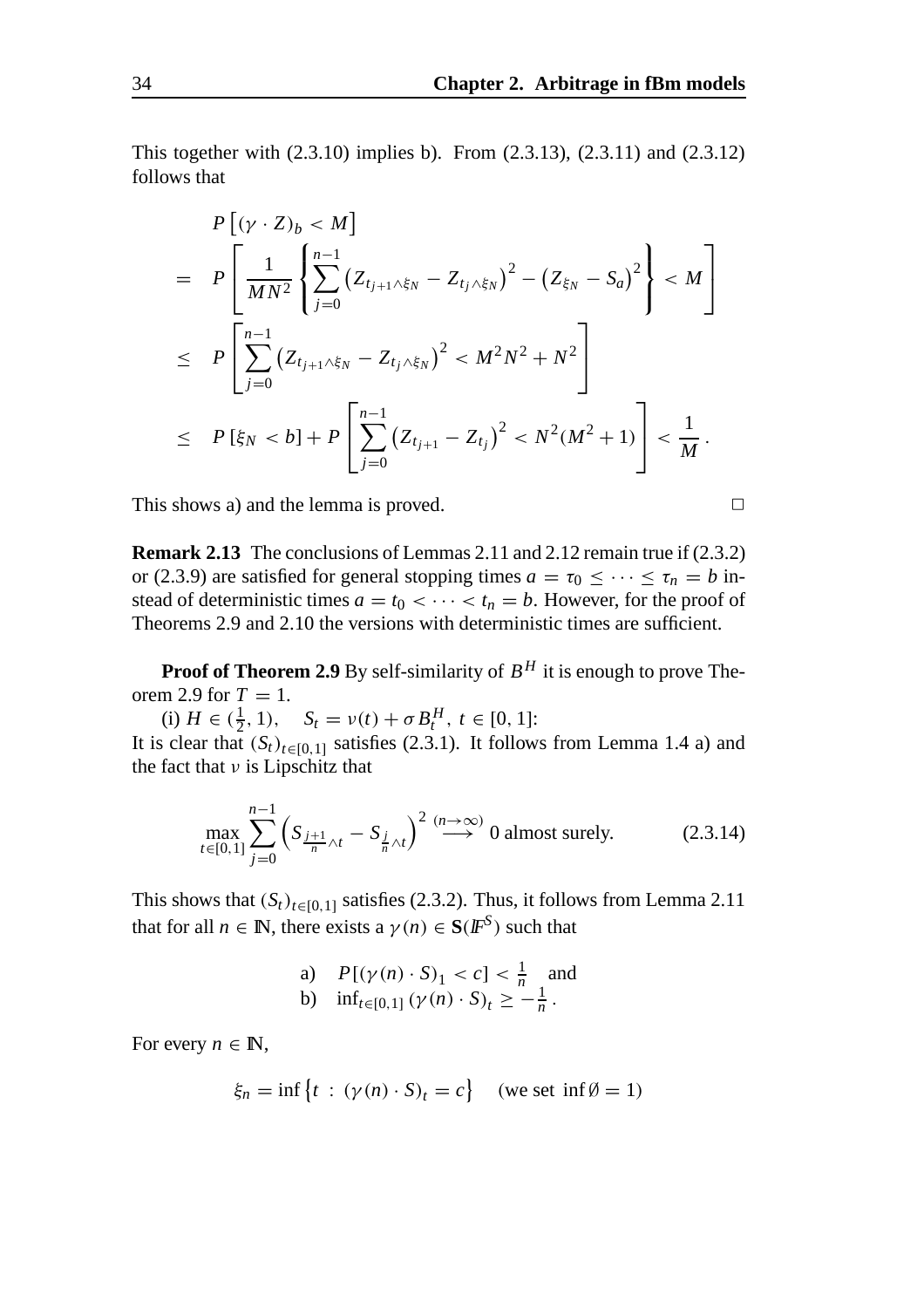This together with (2.3.10) implies b). From (2.3.13), (2.3.11) and (2.3.12) follows that

$$
P[(\gamma \cdot Z)_b < M]
$$
  
=  $P\left[\frac{1}{MN^2} \left\{ \sum_{j=0}^{n-1} (Z_{t_{j+1}\wedge \xi_N} - Z_{t_j \wedge \xi_N})^2 - (Z_{\xi_N} - S_a)^2 \right\} < M \right]$   
 $\leq P\left[\sum_{j=0}^{n-1} (Z_{t_{j+1}\wedge \xi_N} - Z_{t_j \wedge \xi_N})^2 < M^2N^2 + N^2 \right]$   
 $\leq P[\xi_N < b] + P\left[\sum_{j=0}^{n-1} (Z_{t_{j+1}} - Z_{t_j})^2 < N^2(M^2 + 1) \right] < \frac{1}{M}.$ 

This shows a) and the lemma is proved.

**Remark 2.13** The conclusions of Lemmas 2.11 and 2.12 remain true if (2.3.2) or (2.3.9) are satisfied for general stopping times  $a = \tau_0 \leq \cdots \leq \tau_n = b$  instead of deterministic times  $a = t_0 < \cdots < t_n = b$ . However, for the proof of Theorems 2.9 and 2.10 the versions with deterministic times are sufficient.

**Proof of Theorem 2.9** By self-similarity of  $B<sup>H</sup>$  it is enough to prove Theorem 2.9 for  $T = 1$ .

(i)  $H \in (\frac{1}{2}, 1), \quad S_t = v(t) + \sigma B_t^H, t \in [0, 1]:$ It is clear that  $(S_t)_{t \in [0,1]}$  satisfies (2.3.1). It follows from Lemma 1.4 a) and the fact that  $\nu$  is Lipschitz that

$$
\max_{t \in [0,1]} \sum_{j=0}^{n-1} \left( S_{\frac{j+1}{n}\wedge t} - S_{\frac{j}{n}\wedge t} \right)^2 \stackrel{(n \to \infty)}{\longrightarrow} 0 \text{ almost surely.}
$$
 (2.3.14)

This shows that  $(S_t)_{t \in [0,1]}$  satisfies (2.3.2). Thus, it follows from Lemma 2.11 that for all  $n \in \mathbb{N}$ , there exists a  $\gamma(n) \in S(F^S)$  such that

a) 
$$
P[(\gamma(n) \cdot S)_1 < c] < \frac{1}{n}
$$
 and  
b)  $\inf_{t \in [0,1]} (\gamma(n) \cdot S)_t \geq -\frac{1}{n}$ .

For every  $n \in \mathbb{N}$ ,

$$
\xi_n = \inf \left\{ t \, : \, (\gamma(n) \cdot S)_t = c \right\} \quad \text{(we set } \inf \emptyset = 1)
$$

$$
\qquad \qquad \Box
$$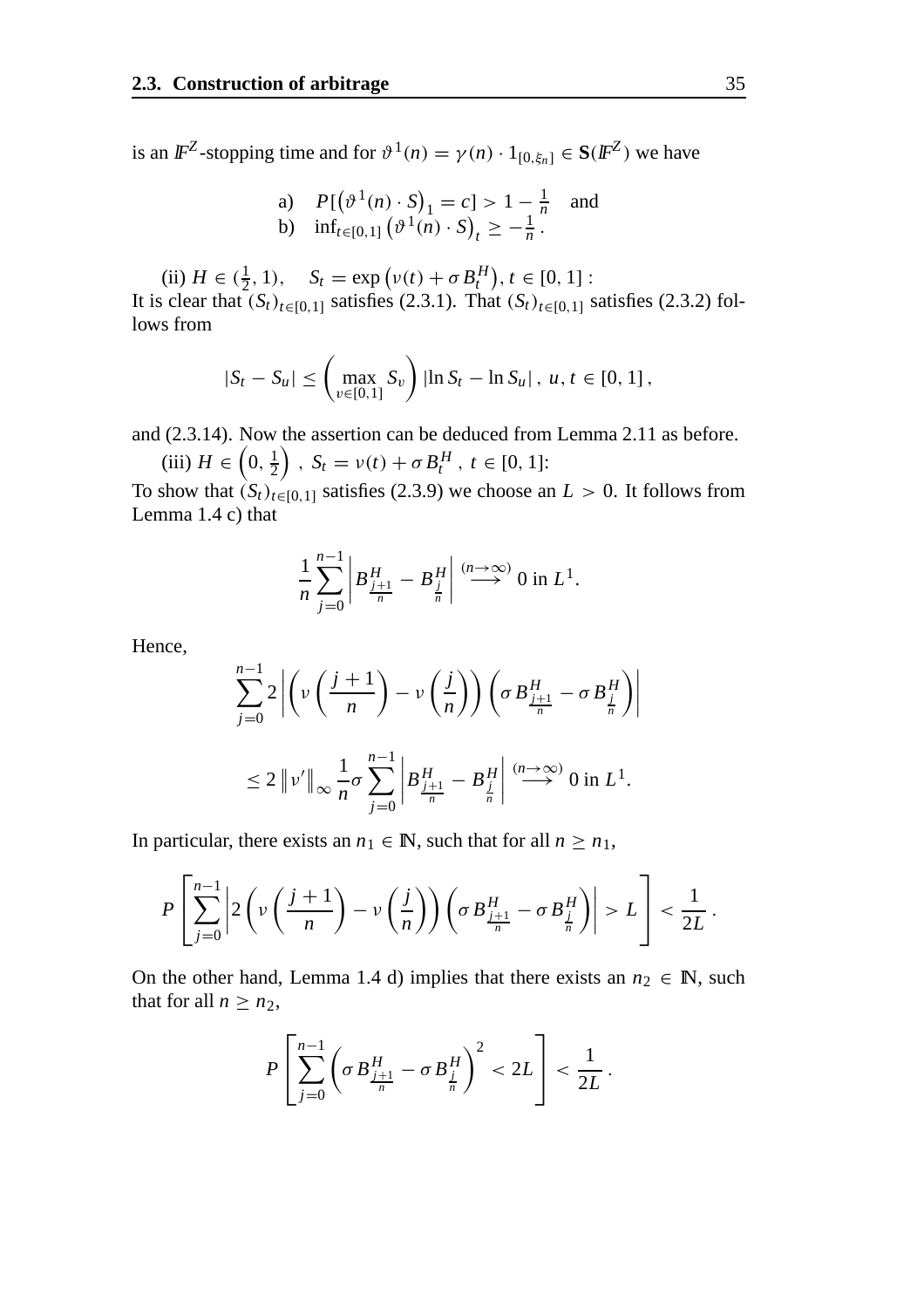is an  $\mathbb{F}^Z$ -stopping time and for  $\vartheta^1(n) = \gamma(n) \cdot 1_{[0,\xi_n]} \in \mathbf{S}(\mathbb{F}^Z)$  we have

a) 
$$
P[(\vartheta^1(n) \cdot S)_1 = c] > 1 - \frac{1}{n}
$$
 and  
b)  $\inf_{t \in [0,1]} (\vartheta^1(n) \cdot S)_t \ge -\frac{1}{n}$ .

(ii)  $H \in (\frac{1}{2}, 1), \quad S_t = \exp(v(t) + \sigma B_t^H), t \in [0, 1]:$ It is clear that  $(S_t)_{t \in [0,1]}$  satisfies (2.3.1). That  $(S_t)_{t \in [0,1]}$  satisfies (2.3.2) follows from

$$
|S_t - S_u| \leq \left(\max_{v \in [0,1]} S_v\right) |\ln S_t - \ln S_u|, \ u, t \in [0,1],
$$

and (2.3.14). Now the assertion can be deduced from Lemma 2.11 as before.

(iii)  $H \in \left(0, \frac{1}{2}\right)$  $\left( \int_{t}^{t} S_{t} = v(t) + \sigma B_{t}^{H}, t \in [0, 1]: \right)$ 

To show that  $(S_t)_{t \in [0,1]}$  satisfies (2.3.9) we choose an  $L > 0$ . It follows from Lemma 1.4 c) that

$$
\frac{1}{n}\sum_{j=0}^{n-1}\left|B_{\frac{j+1}{n}}^H-B_{\frac{j}{n}}^H\right| \stackrel{(n\to\infty)}{\longrightarrow} 0 \text{ in } L^1.
$$

Hence,

$$
\sum_{j=0}^{n-1} 2 \left| \left( v \left( \frac{j+1}{n} \right) - v \left( \frac{j}{n} \right) \right) \left( \sigma B_{\frac{j+1}{n}}^H - \sigma B_{\frac{j}{n}}^H \right) \right|
$$
  

$$
\leq 2 \left\| v' \right\|_{\infty} \frac{1}{n} \sigma \sum_{j=0}^{n-1} \left| B_{\frac{j+1}{n}}^H - B_{\frac{j}{n}}^H \right| \stackrel{(n \to \infty)}{\longrightarrow} 0 \text{ in } L^1.
$$

In particular, there exists an  $n_1 \in \mathbb{N}$ , such that for all  $n \geq n_1$ ,

$$
P\left[\sum_{j=0}^{n-1} \left|2\left(\nu\left(\frac{j+1}{n}\right)-\nu\left(\frac{j}{n}\right)\right)\left(\sigma B_{\frac{j+1}{n}}^H-\sigma B_{\frac{j}{n}}^H\right)\right|>L\right]<\frac{1}{2L}.
$$

On the other hand, Lemma 1.4 d) implies that there exists an  $n_2 \in \mathbb{N}$ , such that for all  $n \geq n_2$ ,

$$
P\left[\sum_{j=0}^{n-1}\left(\sigma B_{\frac{j+1}{n}}^H-\sigma B_{\frac{j}{n}}^H\right)^2 < 2L\right] < \frac{1}{2L}.
$$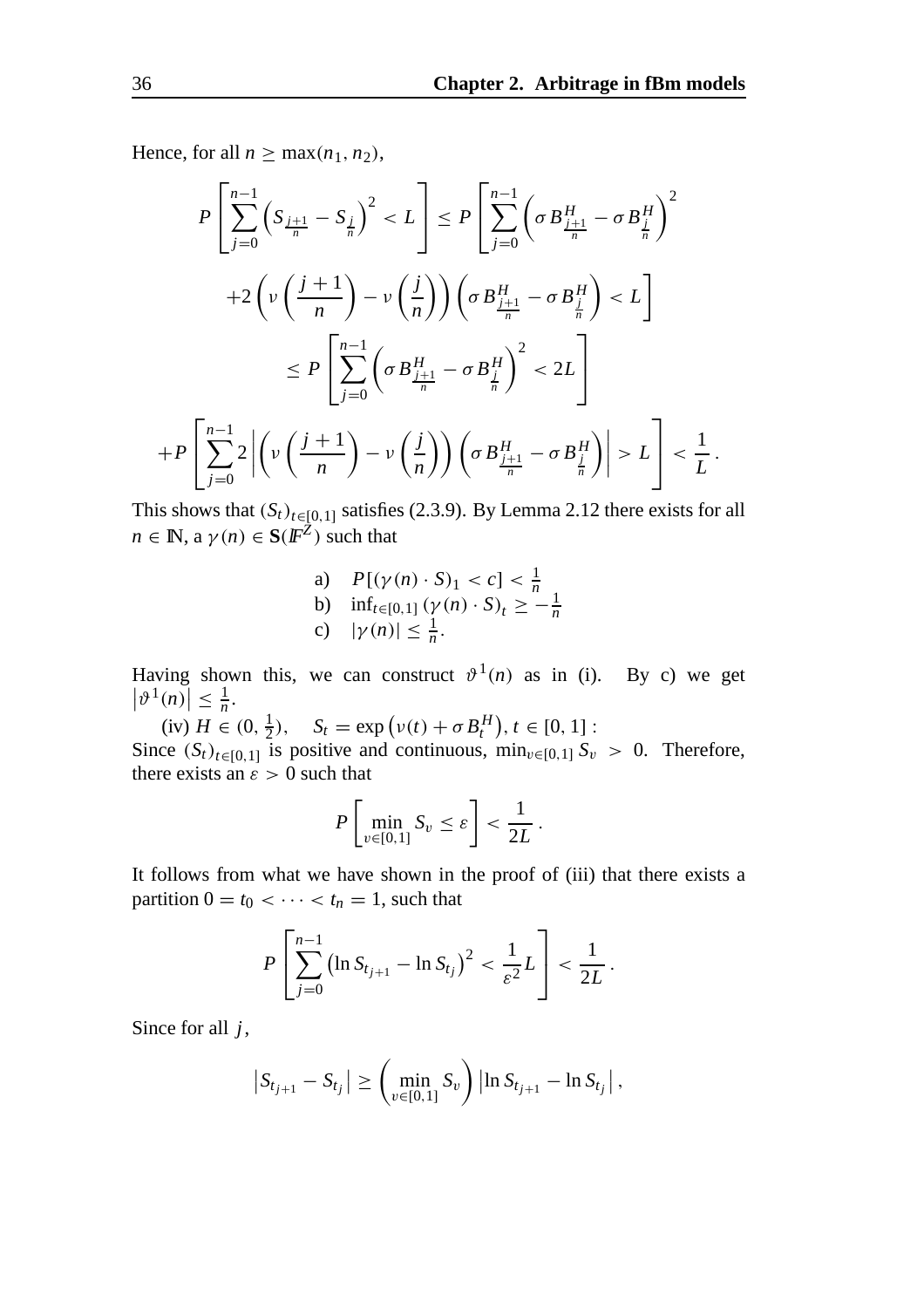Hence, for all  $n \geq \max(n_1, n_2)$ ,

$$
P\left[\sum_{j=0}^{n-1}\left(S_{\frac{j+1}{n}}-S_{\frac{j}{n}}\right)^{2} < L\right] \le P\left[\sum_{j=0}^{n-1}\left(\sigma B_{\frac{j+1}{n}}^{H}-\sigma B_{\frac{j}{n}}^{H}\right)^{2} + 2\left(\nu\left(\frac{j+1}{n}\right)-\nu\left(\frac{j}{n}\right)\right)\left(\sigma B_{\frac{j+1}{n}}^{H}-\sigma B_{\frac{j}{n}}^{H}\right) < L\right] \le P\left[\sum_{j=0}^{n-1}\left(\sigma B_{\frac{j+1}{n}}^{H}-\sigma B_{\frac{j}{n}}^{H}\right)^{2} < 2L\right] + P\left[\sum_{j=0}^{n-1}2\left|\left(\nu\left(\frac{j+1}{n}\right)-\nu\left(\frac{j}{n}\right)\right)\left(\sigma B_{\frac{j+1}{n}}^{H}-\sigma B_{\frac{j}{n}}^{H}\right)\right| > L\right] < \frac{1}{L}.
$$

This shows that  $(S_t)_{t \in [0,1]}$  satisfies (2.3.9). By Lemma 2.12 there exists for all  $n \in \mathbb{N}$ ,  $a \gamma(n) \in S(\mathbb{F}^{\mathbb{Z}})$  such that

a)  $P[(\gamma(n) \cdot S)_1 < c] < \frac{1}{n}$ <br>
b)  $\inf_{t \in [0,1]} (\gamma(n) \cdot S)_t \ge -\frac{1}{n}$ <br>
c)  $|\gamma(n)| \le \frac{1}{n}$ .

Having shown this, we can construct  $\vartheta^1(n)$  as in (i). By c) we get  $|\vartheta^1(n)| \leq \frac{1}{n}.$ 

(iv)  $H \in (0, \frac{1}{2}), \quad S_t = \exp(v(t) + \sigma B_t^H), t \in [0, 1]$ : Since  $(S_t)_{t \in [0,1]}$  is positive and continuous,  $\min_{v \in [0,1]} S_v > 0$ . Therefore, there exists an  $\varepsilon > 0$  such that

$$
P\left[\min_{v\in[0,1]} S_v \leq \varepsilon\right] < \frac{1}{2L}.
$$

It follows from what we have shown in the proof of (iii) that there exists a partition  $0 = t_0 < \cdots < t_n = 1$ , such that

$$
P\left[\sum_{j=0}^{n-1} (\ln S_{t_{j+1}} - \ln S_{t_j})^2 < \frac{1}{\varepsilon^2} L\right] < \frac{1}{2L}.
$$

Since for all *j*,

$$
|S_{t_{j+1}} - S_{t_j}| \geq \left(\min_{v \in [0,1]} S_v\right) |\ln S_{t_{j+1}} - \ln S_{t_j}|,
$$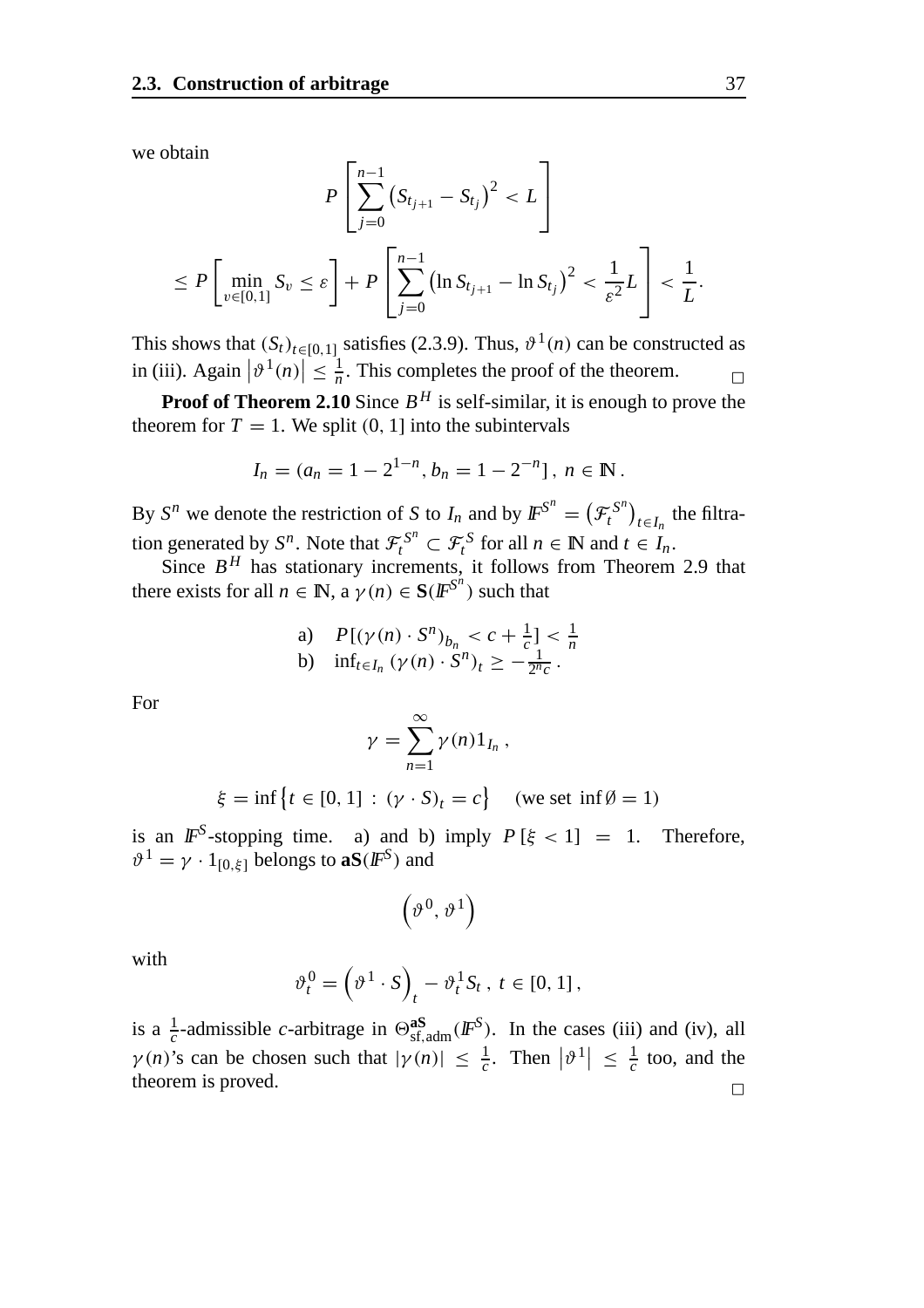we obtain

$$
P\left[\sum_{j=0}^{n-1} (S_{t_{j+1}} - S_{t_j})^2 < L\right]
$$
\n
$$
\leq P\left[\min_{v \in [0,1]} S_v \leq \varepsilon\right] + P\left[\sum_{j=0}^{n-1} (\ln S_{t_{j+1}} - \ln S_{t_j})^2 < \frac{1}{\varepsilon^2} L\right] < \frac{1}{L}.
$$

This shows that  $(S_t)_{t \in [0,1]}$  satisfies (2.3.9). Thus,  $\vartheta^1(n)$  can be constructed as in (iii). Again  $|\vartheta^1(n)| \leq \frac{1}{n}$ . This completes the proof of the theorem.

**Proof of Theorem 2.10** Since  $B<sup>H</sup>$  is self-similar, it is enough to prove the theorem for  $T = 1$ . We split  $(0, 1]$  into the subintervals

$$
I_n = (a_n = 1 - 2^{1-n}, b_n = 1 - 2^{-n}], n \in \mathbb{N}.
$$

By  $S^n$  we denote the restriction of *S* to *I<sub>n</sub>* and by  $\mathbb{F}^{S^n} = (\mathcal{F}^{S^n}_t)_{t \in I_n}$  the filtration generated by  $S^n$ . Note that  $\mathcal{F}^{S^n}_t \subset \mathcal{F}^S_t$  for all  $n \in \mathbb{N}$  and  $t \in I_n$ .

Since  $B<sup>H</sup>$  has stationary increments, it follows from Theorem 2.9 that there exists for all  $n \in \mathbb{N}$ , a  $\gamma(n) \in \mathbf{S}(F^{S^n})$  such that

a) 
$$
P[(\gamma(n) \cdot S^n)_{b_n} < c + \frac{1}{c}] < \frac{1}{n}
$$
  
b)  $\inf_{t \in I_n} (\gamma(n) \cdot S^n)_t \ge -\frac{1}{2^n c}$ .

For

$$
\gamma = \sum_{n=1}^{\infty} \gamma(n) 1_{I_n},
$$

$$
\xi = \inf \left\{ t \in [0, 1] : (\gamma \cdot S)_t = c \right\} \quad (\text{we set } \inf \emptyset = 1)
$$

is an  $IF^S$ -stopping time. a) and b) imply  $P[\xi < 1] = 1$ . Therefore,  $\vartheta^1 = \gamma \cdot 1_{[0,\xi]}$  belongs to **aS**( $\mathbb{F}^S$ ) and

$$
\left(\vartheta^0,\vartheta^1\right)
$$

with

$$
\vartheta_t^0 = \left(\vartheta^1 \cdot S\right)_t - \vartheta_t^1 S_t, \ t \in [0, 1],
$$

is a  $\frac{1}{c}$ -admissible *c*-arbitrage in  $\Theta_{\text{sf,adm}}^{\text{as}}(I\!F^S)$ . In the cases (iii) and (iv), all  $\gamma(n)$ 's can be chosen such that  $|\gamma(n)| \leq \frac{1}{c}$ . Then  $|\vartheta^1| \leq \frac{1}{c}$  too, and the theorem is proved.  $\Box$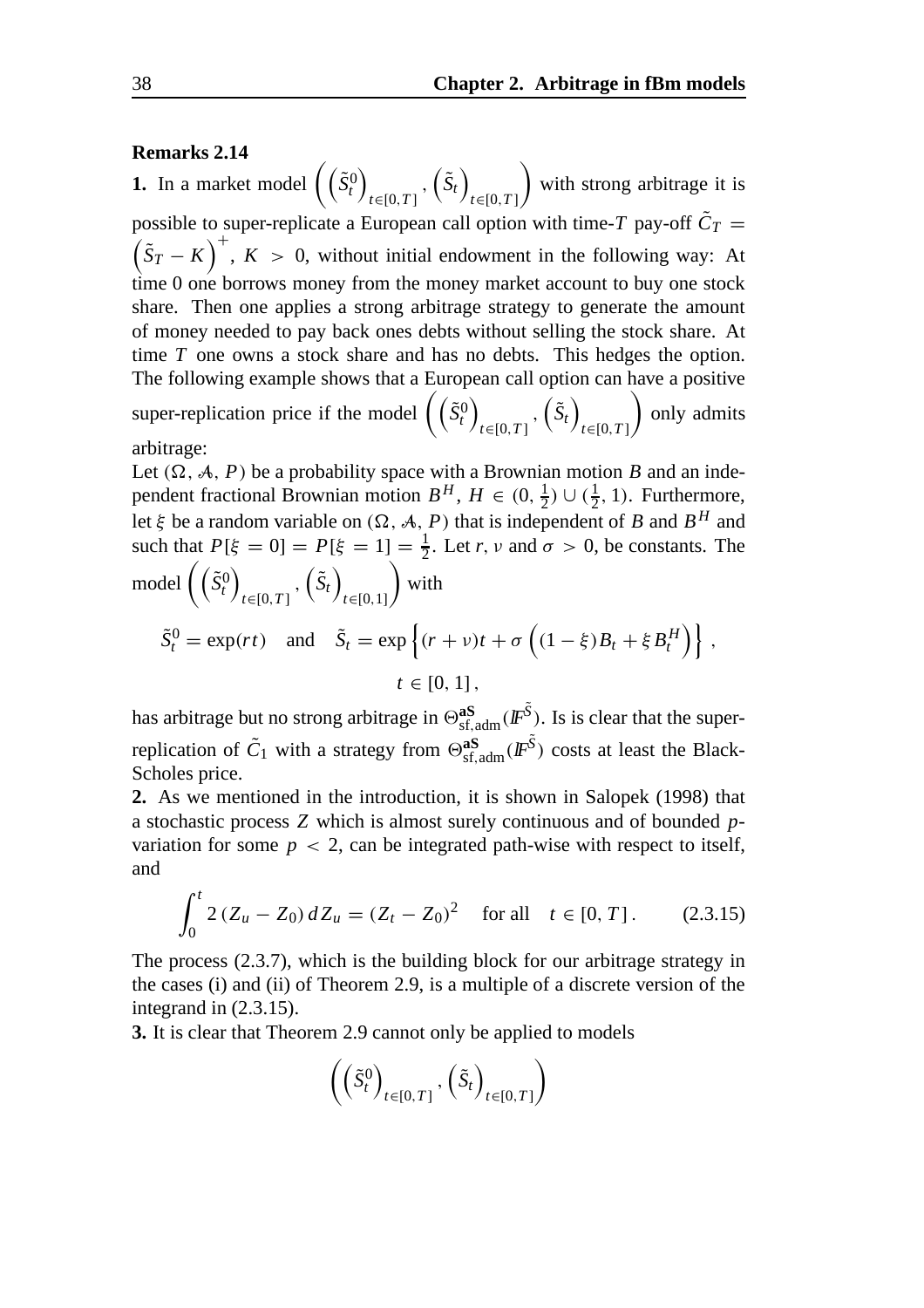#### **Remarks 2.14**

**1.** In a market model  $(\tilde{S}_t^0)$ *t*∈[0,*T* ]  $,\left(\tilde{S}_t\right)$ *t*∈[0,*T* ]  $\setminus$ with strong arbitrage it is possible to super-replicate a European call option with time-*T* pay-off  $\tilde{C}_T$  =  $(\tilde{S}_T - K)^+$ ,  $K > 0$ , without initial endowment in the following way: At time 0 one borrows money from the money market account to buy one stock share. Then one applies a strong arbitrage strategy to generate the amount of money needed to pay back ones debts without selling the stock share. At time *T* one owns a stock share and has no debts. This hedges the option. The following example shows that a European call option can have a positive super-replication price if the model  $(\tilde{S}_t^0)$ *t*∈[0,*T* ]  $,\left(\tilde{S}_t\right)$ *t*∈[0,*T* ]  $\setminus$ only admits arbitrage:

Let  $(\Omega, \mathcal{A}, P)$  be a probability space with a Brownian motion *B* and an independent fractional Brownian motion  $B^H$ ,  $H \in (0, \frac{1}{2}) \cup (\frac{1}{2}, 1)$ . Furthermore, let  $\xi$  be a random variable on  $(\Omega, \mathcal{A}, P)$  that is independent of *B* and *B*<sup>*H*</sup> and such that  $P[\xi = 0] = P[\xi = 1] = \frac{1}{2}$ . Let *r*, *v* and  $\sigma > 0$ , be constants. The  $\text{model}\left(\left(\tilde{S}_t^0\right)\right)$ *t*∈[0,*T* ]  $,\left(\tilde{S}_t\right)$ *t*∈[0,1]  $\setminus$ with

$$
\tilde{S}_t^0 = \exp(rt) \text{ and } \tilde{S}_t = \exp\left\{(r+v)t + \sigma\left((1-\xi)B_t + \xi B_t^H\right)\right\},
$$
  

$$
t \in [0,1],
$$

has arbitrage but no strong arbitrage in  $\Theta_{\text{sf,adm}}^{\text{aS}}(I\!\!F^{\tilde{S}})$ . Is is clear that the superreplication of  $\tilde{C}_1$  with a strategy from  $\Theta_{\text{sf,adm}}^{\text{as}}(F^{\tilde{S}})$  costs at least the Black-Scholes price.

**2.** As we mentioned in the introduction, it is shown in Salopek (1998) that a stochastic process *Z* which is almost surely continuous and of bounded *p*variation for some  $p < 2$ , can be integrated path-wise with respect to itself, and

$$
\int_0^t 2(Z_u - Z_0) dZ_u = (Z_t - Z_0)^2 \quad \text{for all} \quad t \in [0, T]. \tag{2.3.15}
$$

The process (2.3.7), which is the building block for our arbitrage strategy in the cases (i) and (ii) of Theorem 2.9, is a multiple of a discrete version of the integrand in (2.3.15).

**3.** It is clear that Theorem 2.9 cannot only be applied to models

$$
\left( \left( \tilde{S}_t^0 \right)_{t \in [0,T]}, \left( \tilde{S}_t \right)_{t \in [0,T]} \right)
$$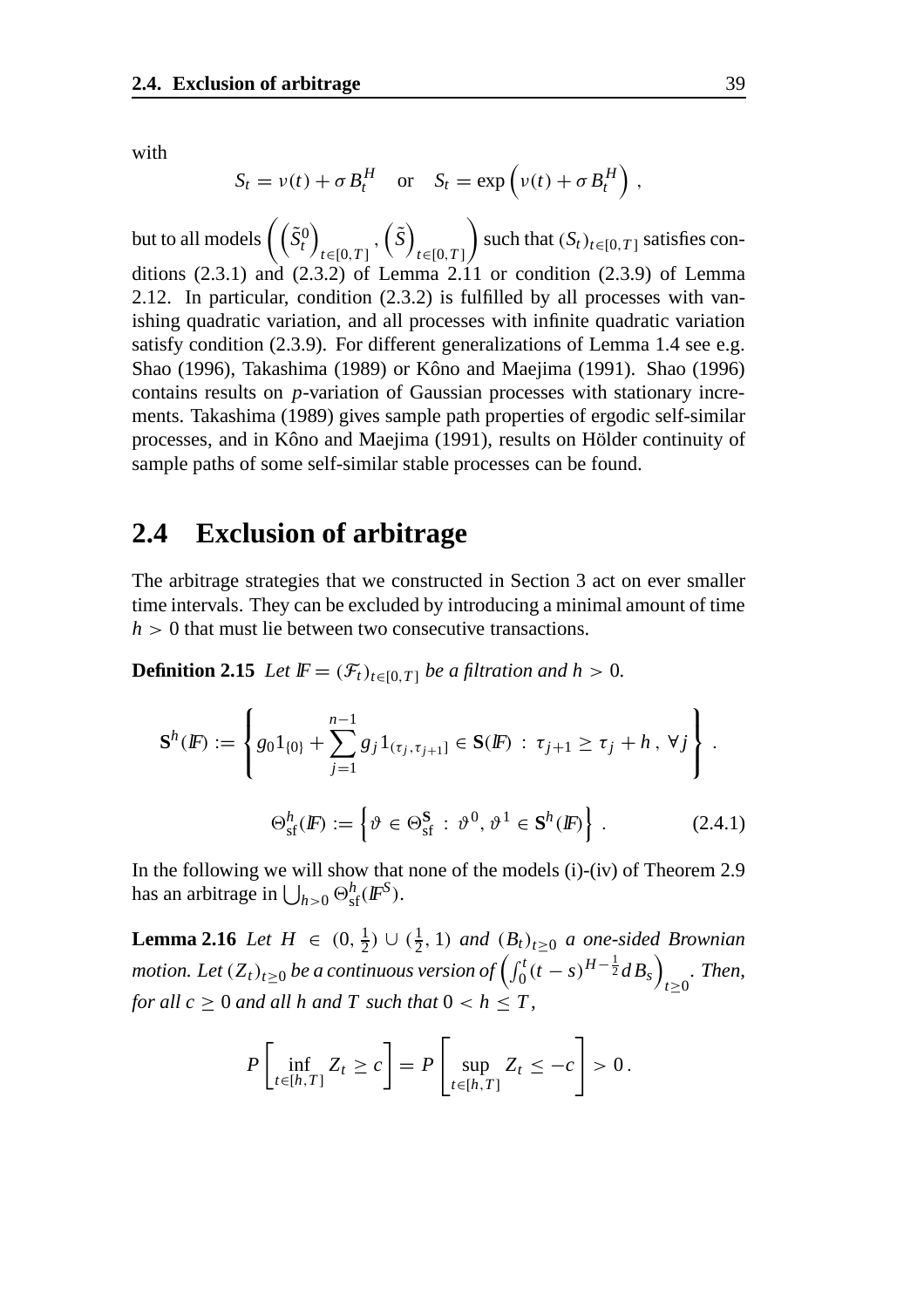with

$$
S_t = v(t) + \sigma B_t^H \quad \text{or} \quad S_t = \exp\left(v(t) + \sigma B_t^H\right),
$$

but to all models  $\Big(\big(\tilde{S}_t^0\big)$ *t*∈[0,*T* ]  $\left( \tilde{S}\right)$ *t*∈[0,*T* ]  $\setminus$ such that  $(S_t)_{t \in [0,T]}$  satisfies conditions  $(2.3.1)$  and  $(2.3.2)$  of Lemma 2.11 or condition  $(2.3.9)$  of Lemma 2.12. In particular, condition (2.3.2) is fulfilled by all processes with vanishing quadratic variation, and all processes with infinite quadratic variation satisfy condition (2.3.9). For different generalizations of Lemma 1.4 see e.g. Shao (1996), Takashima (1989) or Kôno and Maejima (1991). Shao (1996) contains results on *p*-variation of Gaussian processes with stationary increments. Takashima (1989) gives sample path properties of ergodic self-similar processes, and in Kôno and Maejima (1991), results on Hölder continuity of sample paths of some self-similar stable processes can be found.

#### **2.4 Exclusion of arbitrage**

The arbitrage strategies that we constructed in Section 3 act on ever smaller time intervals. They can be excluded by introducing a minimal amount of time  $h > 0$  that must lie between two consecutive transactions.

**Definition 2.15** *Let*  $\mathbb{F} = (\mathcal{F}_t)_{t \in [0,T]}$  *be a filtration and h* > 0*.* 

$$
\mathbf{S}^{h}(F) := \left\{ g_{0}1_{\{0\}} + \sum_{j=1}^{n-1} g_{j}1_{(\tau_{j}, \tau_{j+1}]} \in \mathbf{S}(F) : \tau_{j+1} \ge \tau_{j} + h, \forall j \right\}.
$$
  

$$
\Theta_{\text{sf}}^{h}(F) := \left\{ \vartheta \in \Theta_{\text{sf}}^{\mathbf{S}} : \vartheta^{0}, \vartheta^{1} \in \mathbf{S}^{h}(F) \right\}.
$$
 (2.4.1)

In the following we will show that none of the models (i)-(iv) of Theorem 2.9 has an arbitrage in  $\bigcup_{h>0} \Theta_{\text{sf}}^h(\text{I\!F}^S)$ .

**Lemma 2.16** *Let*  $H \in (0, \frac{1}{2}) \cup (\frac{1}{2}, 1)$  *and*  $(B_t)_{t \geq 0}$  *a one-sided Brownian motion. Let*  $(Z_t)_{t\geq 0}$  *be a continuous version of*  $\left(\int_0^t (t-s)^{H-\frac{1}{2}}dB_s\right)$ *t*≥0 *. Then, for all c*  $\geq 0$  *and all h and T such that*  $0 < h \leq T$ ,

$$
P\left[\inf_{t\in[h,T]} Z_t \ge c\right] = P\left[\sup_{t\in[h,T]} Z_t \le -c\right] > 0.
$$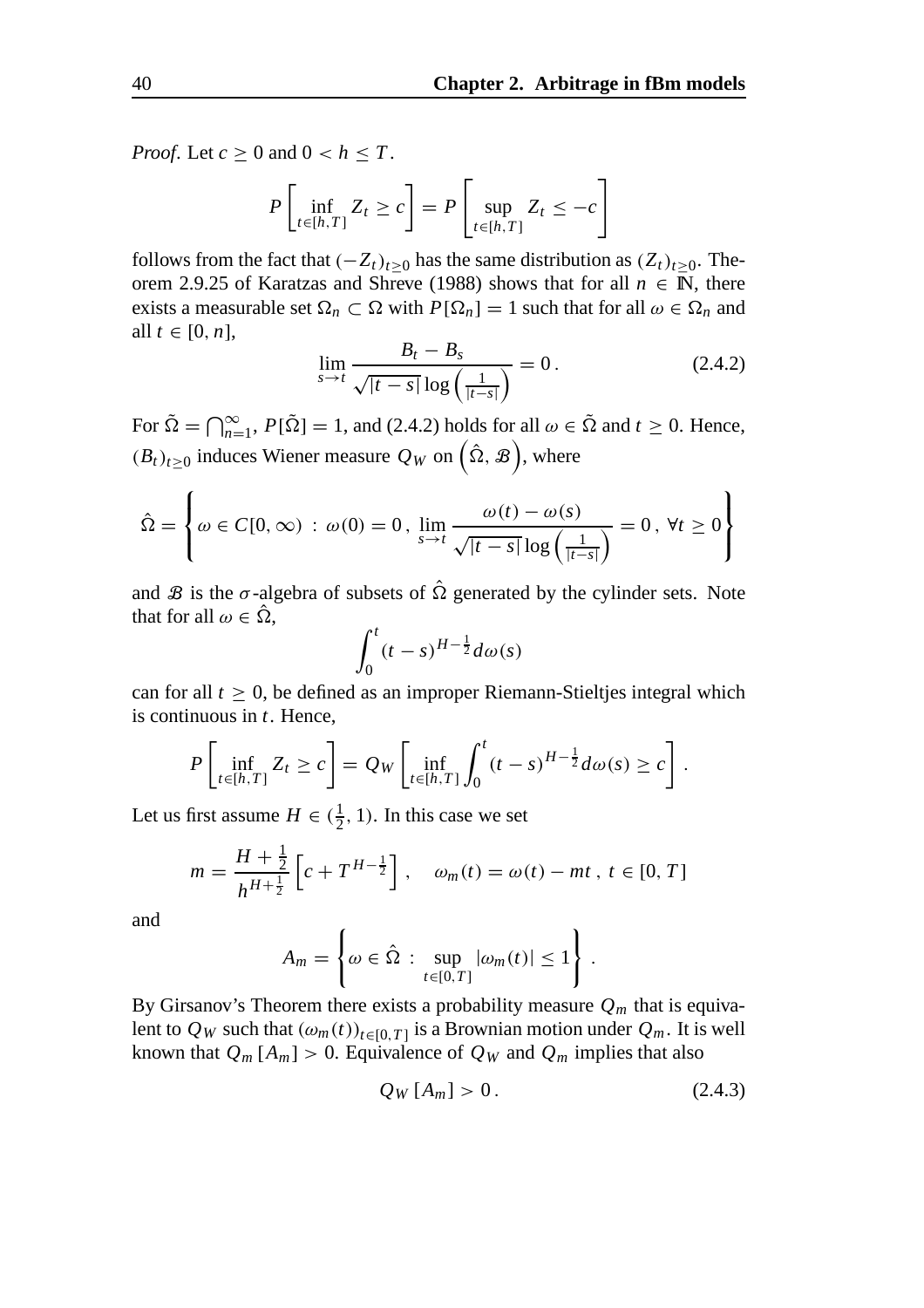*Proof.* Let  $c \geq 0$  and  $0 < h \leq T$ .

$$
P\left[\inf_{t\in[h,T]} Z_t \ge c\right] = P\left[\sup_{t\in[h,T]} Z_t \le -c\right]
$$

follows from the fact that  $(-Z_t)_{t>0}$  has the same distribution as  $(Z_t)_{t>0}$ . Theorem 2.9.25 of Karatzas and Shreve (1988) shows that for all  $n \in \mathbb{N}$ , there exists a measurable set  $\Omega_n \subset \Omega$  with  $P[\Omega_n] = 1$  such that for all  $\omega \in \Omega_n$  and all  $t \in [0, n]$ ,

$$
\lim_{s \to t} \frac{B_t - B_s}{\sqrt{|t - s|} \log \left(\frac{1}{|t - s|}\right)} = 0. \tag{2.4.2}
$$

For  $\tilde{\Omega} = \bigcap_{n=1}^{\infty}$ ,  $P[\tilde{\Omega}] = 1$ , and (2.4.2) holds for all  $\omega \in \tilde{\Omega}$  and  $t \ge 0$ . Hence,  $(B_t)_{t\geq0}$  induces Wiener measure  $Q_W$  on  $(\hat{\Omega}, \mathcal{B})$ , where

$$
\hat{\Omega} = \left\{ \omega \in C[0, \infty) : \omega(0) = 0, \lim_{s \to t} \frac{\omega(t) - \omega(s)}{\sqrt{|t - s|} \log \left( \frac{1}{|t - s|} \right)} = 0, \forall t \ge 0 \right\}
$$

and  $\mathcal B$  is the  $\sigma$ -algebra of subsets of  $\hat \Omega$  generated by the cylinder sets. Note that for all  $\omega \in \hat{\Omega}$ ,

$$
\int_0^t (t-s)^{H-\frac{1}{2}} d\omega(s)
$$

can for all  $t \geq 0$ , be defined as an improper Riemann-Stieltjes integral which is continuous in *t*. Hence,

$$
P\left[\inf_{t\in[h,T]} Z_t \ge c\right] = Q_W\left[\inf_{t\in[h,T]} \int_0^t (t-s)^{H-\frac{1}{2}} d\omega(s) \ge c\right].
$$

Let us first assume  $H \in (\frac{1}{2}, 1)$ . In this case we set

$$
m = \frac{H + \frac{1}{2}}{h^{H + \frac{1}{2}}} \left[ c + T^{H - \frac{1}{2}} \right], \quad \omega_m(t) = \omega(t) - mt, \ t \in [0, T]
$$

and

$$
A_m = \left\{ \omega \in \hat{\Omega} : \sup_{t \in [0,T]} |\omega_m(t)| \le 1 \right\}.
$$

By Girsanov's Theorem there exists a probability measure  $Q_m$  that is equivalent to  $Q_W$  such that  $(\omega_m(t))_{t \in [0,T]}$  is a Brownian motion under  $Q_m$ . It is well known that  $Q_m$  [ $A_m$ ] > 0. Equivalence of  $Q_W$  and  $Q_m$  implies that also

$$
Q_W[A_m] > 0. \tag{2.4.3}
$$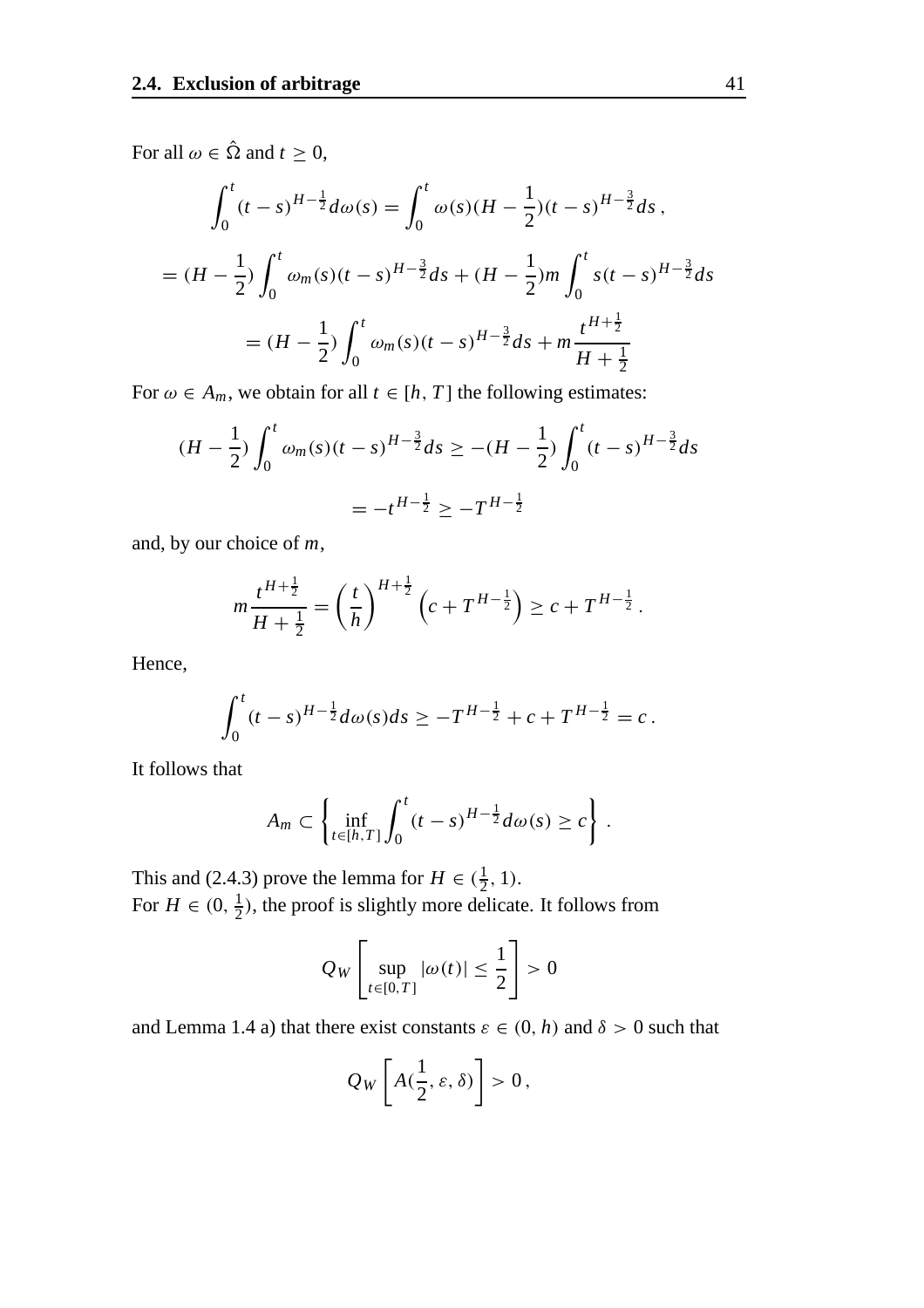For all  $\omega \in \hat{\Omega}$  and  $t \geq 0$ ,

$$
\int_0^t (t-s)^{H-\frac{1}{2}} d\omega(s) = \int_0^t \omega(s) (H - \frac{1}{2})(t-s)^{H-\frac{3}{2}} ds,
$$
  
=  $(H - \frac{1}{2}) \int_0^t \omega_m(s) (t-s)^{H-\frac{3}{2}} ds + (H - \frac{1}{2}) m \int_0^t s (t-s)^{H-\frac{3}{2}} ds$   
=  $(H - \frac{1}{2}) \int_0^t \omega_m(s) (t-s)^{H-\frac{3}{2}} ds + m \frac{t^{H+\frac{1}{2}}}{H+\frac{1}{2}}$ 

For  $\omega \in A_m$ , we obtain for all  $t \in [h, T]$  the following estimates:

$$
(H - \frac{1}{2}) \int_0^t \omega_m(s) (t - s)^{H - \frac{3}{2}} ds \ge -(H - \frac{1}{2}) \int_0^t (t - s)^{H - \frac{3}{2}} ds
$$
  
=  $-t^{H - \frac{1}{2}} \ge -T^{H - \frac{1}{2}}$ 

and, by our choice of *m*,

$$
m\frac{t^{H+\frac{1}{2}}}{H+\frac{1}{2}} = \left(\frac{t}{h}\right)^{H+\frac{1}{2}} \left(c + T^{H-\frac{1}{2}}\right) \ge c + T^{H-\frac{1}{2}}.
$$

Hence,

$$
\int_0^t (t-s)^{H-\frac{1}{2}} d\omega(s) ds \geq -T^{H-\frac{1}{2}} + c + T^{H-\frac{1}{2}} = c.
$$

It follows that

$$
A_m \subset \left\{\inf_{t \in [h,T]} \int_0^t (t-s)^{H-\frac{1}{2}} d\omega(s) \ge c\right\}.
$$

This and (2.4.3) prove the lemma for  $H \in (\frac{1}{2}, 1)$ . For  $H \in (0, \frac{1}{2})$ , the proof is slightly more delicate. It follows from

$$
Q_W\left[\sup_{t\in[0,T]}|\omega(t)|\leq\frac{1}{2}\right]>0
$$

and Lemma 1.4 a) that there exist constants  $\varepsilon \in (0, h)$  and  $\delta > 0$  such that

$$
Q_W\left[A(\frac{1}{2},\varepsilon,\delta)\right]>0,
$$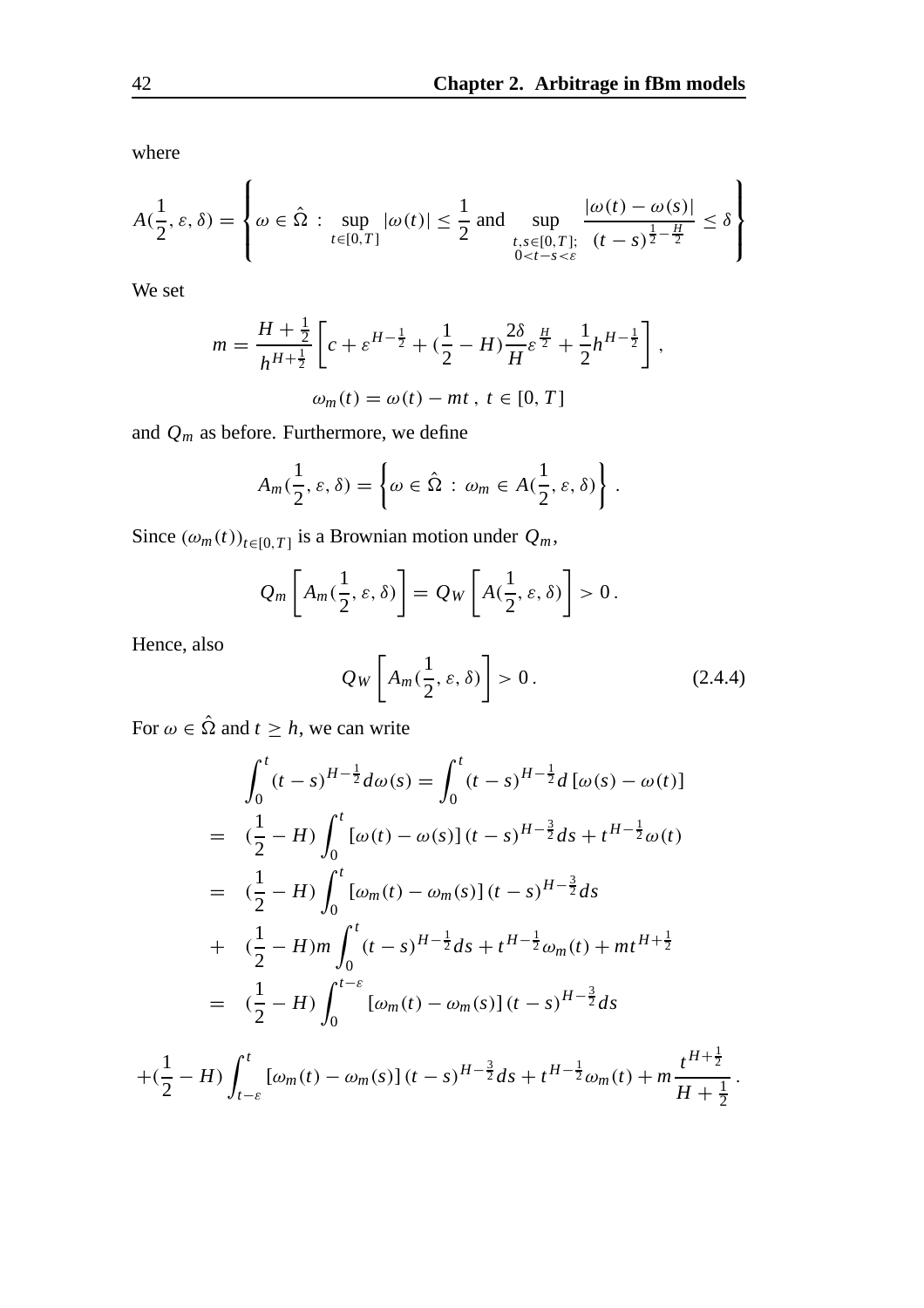where

$$
A(\frac{1}{2}, \varepsilon, \delta) = \left\{ \omega \in \hat{\Omega} : \sup_{t \in [0, T]} |\omega(t)| \le \frac{1}{2} \text{ and } \sup_{\substack{t, s \in [0, T]; \\0 < t - s < \varepsilon}} \frac{|\omega(t) - \omega(s)|}{(t - s)^{\frac{1}{2} - \frac{H}{2}}} \le \delta \right\}
$$

We set

$$
m = \frac{H + \frac{1}{2}}{h^{H + \frac{1}{2}}} \left[ c + \varepsilon^{H - \frac{1}{2}} + (\frac{1}{2} - H) \frac{2\delta}{H} \varepsilon^{\frac{H}{2}} + \frac{1}{2} h^{H - \frac{1}{2}} \right],
$$
  

$$
\omega_m(t) = \omega(t) - mt, t \in [0, T]
$$

and *Qm* as before. Furthermore, we define

$$
A_m(\frac{1}{2},\varepsilon,\delta)=\left\{\omega\in\hat{\Omega}:\,\omega_m\in A(\frac{1}{2},\varepsilon,\delta)\right\}.
$$

Since  $(\omega_m(t))_{t \in [0,T]}$  is a Brownian motion under  $Q_m$ ,

$$
Q_m\left[A_m(\frac{1}{2},\varepsilon,\delta)\right] = Q_W\left[A(\frac{1}{2},\varepsilon,\delta)\right] > 0.
$$

Hence, also

$$
Q_W\left[A_m(\frac{1}{2},\varepsilon,\delta)\right] > 0. \tag{2.4.4}
$$

For  $\omega \in \hat{\Omega}$  and  $t \geq h$ , we can write

$$
\int_0^t (t-s)^{H-\frac{1}{2}} d\omega(s) = \int_0^t (t-s)^{H-\frac{1}{2}} d[\omega(s) - \omega(t)]
$$
  
\n
$$
= (\frac{1}{2} - H) \int_0^t [\omega(t) - \omega(s)] (t-s)^{H-\frac{3}{2}} ds + t^{H-\frac{1}{2}} \omega(t)
$$
  
\n
$$
= (\frac{1}{2} - H) \int_0^t [\omega_m(t) - \omega_m(s)] (t-s)^{H-\frac{3}{2}} ds
$$
  
\n
$$
+ (\frac{1}{2} - H) m \int_0^t (t-s)^{H-\frac{1}{2}} ds + t^{H-\frac{1}{2}} \omega_m(t) + mt^{H+\frac{1}{2}}
$$
  
\n
$$
= (\frac{1}{2} - H) \int_0^{t-\varepsilon} [\omega_m(t) - \omega_m(s)] (t-s)^{H-\frac{3}{2}} ds
$$

$$
+(\frac{1}{2}-H)\int_{t-\varepsilon}^{t} [\omega_m(t)-\omega_m(s)] (t-s)^{H-\frac{3}{2}} ds+t^{H-\frac{1}{2}}\omega_m(t)+m\frac{t^{H+\frac{1}{2}}}{H+\frac{1}{2}}.
$$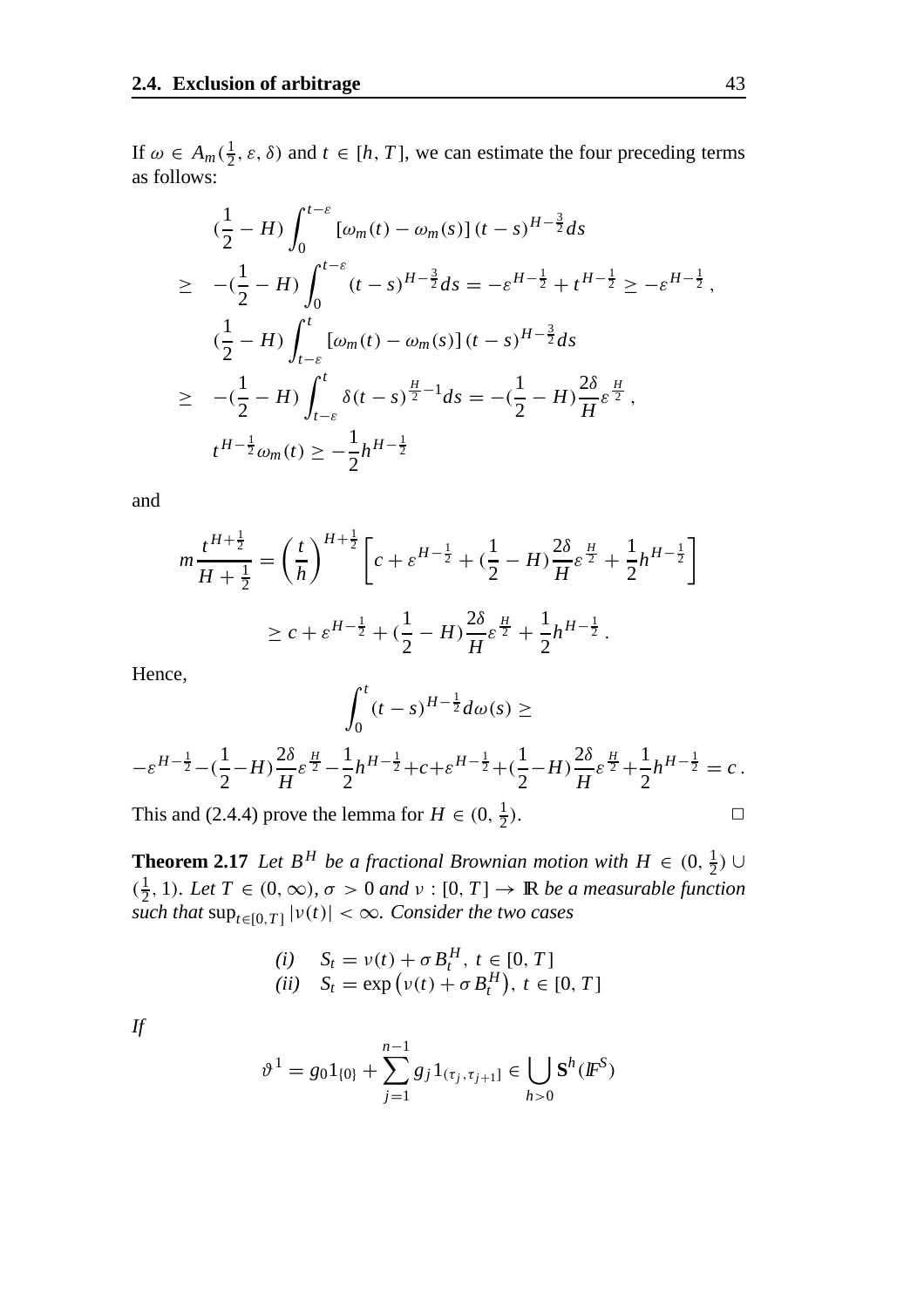If  $\omega \in A_m(\frac{1}{2}, \varepsilon, \delta)$  and  $t \in [h, T]$ , we can estimate the four preceding terms as follows:

$$
(\frac{1}{2} - H) \int_0^{t-\varepsilon} [\omega_m(t) - \omega_m(s)] (t-s)^{H-\frac{3}{2}} ds
$$
  
\n
$$
\geq -(\frac{1}{2} - H) \int_0^{t-\varepsilon} (t-s)^{H-\frac{3}{2}} ds = -\varepsilon^{H-\frac{1}{2}} + t^{H-\frac{1}{2}} \geq -\varepsilon^{H-\frac{1}{2}},
$$
  
\n
$$
(\frac{1}{2} - H) \int_{t-\varepsilon}^t [\omega_m(t) - \omega_m(s)] (t-s)^{H-\frac{3}{2}} ds
$$
  
\n
$$
\geq -(\frac{1}{2} - H) \int_{t-\varepsilon}^t \delta(t-s)^{\frac{H}{2}-1} ds = -(\frac{1}{2} - H) \frac{2\delta}{H} \varepsilon^{\frac{H}{2}},
$$
  
\n
$$
t^{H-\frac{1}{2}} \omega_m(t) \geq -\frac{1}{2} h^{H-\frac{1}{2}}
$$

and

$$
m\frac{t^{H+\frac{1}{2}}}{H+\frac{1}{2}} = \left(\frac{t}{h}\right)^{H+\frac{1}{2}} \left[c + \varepsilon^{H-\frac{1}{2}} + \left(\frac{1}{2} - H\right)\frac{2\delta}{H}\varepsilon^{\frac{H}{2}} + \frac{1}{2}h^{H-\frac{1}{2}}\right]
$$

$$
\geq c + \varepsilon^{H-\frac{1}{2}} + \left(\frac{1}{2} - H\right)\frac{2\delta}{H}\varepsilon^{\frac{H}{2}} + \frac{1}{2}h^{H-\frac{1}{2}}.
$$

Hence,

$$
\int_0^t (t-s)^{H-\frac{1}{2}} d\omega(s) \ge -\varepsilon^{H-\frac{1}{2}} - \left(\frac{1}{2} - H\right) \frac{2\delta}{H} \varepsilon^{\frac{H}{2}} - \frac{1}{2} h^{H-\frac{1}{2}} + c + \varepsilon^{H-\frac{1}{2}} + \left(\frac{1}{2} - H\right) \frac{2\delta}{H} \varepsilon^{\frac{H}{2}} + \frac{1}{2} h^{H-\frac{1}{2}} = c.
$$

This and (2.4.4) prove the lemma for  $H \in (0, \frac{1}{2})$ .  $\frac{1}{2}$ ).

**Theorem 2.17** *Let*  $B^H$  *be a fractional Brownian motion with*  $H \in (0, \frac{1}{2}) \cup$  $(\frac{1}{2}, 1)$ *. Let*  $T \in (0, \infty)$ *,*  $\sigma > 0$  *and*  $\nu : [0, T] \rightarrow \mathbb{R}$  *be a measurable function such that*  $\sup_{t \in [0,T]} |v(t)| < \infty$ *. Consider the two cases* 

(i) 
$$
S_t = v(t) + \sigma B_t^H, t \in [0, T]
$$
  
(ii) 
$$
S_t = \exp(v(t) + \sigma B_t^H), t \in [0, T]
$$

*If*

$$
\vartheta^{1} = g_{0} 1_{\{0\}} + \sum_{j=1}^{n-1} g_{j} 1_{(\tau_{j}, \tau_{j+1}]} \in \bigcup_{h>0} \mathbf{S}^{h}(\mathbf{F}^{S})
$$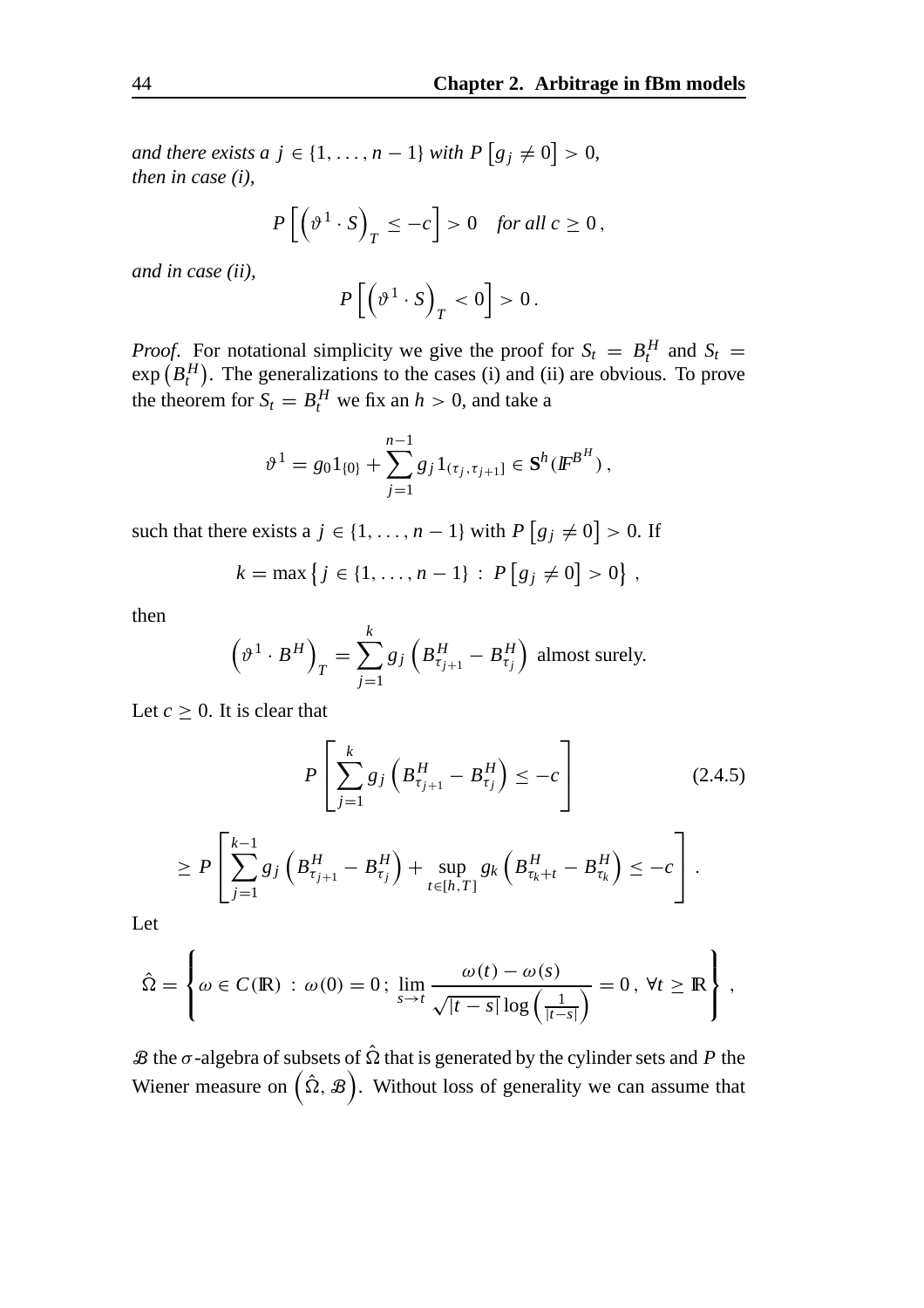*and there exists a j* ∈ {1, ..., *n* − 1} *with*  $P[g_j ≠ 0] > 0$ , *then in case (i),*

$$
P\left[\left(\vartheta^1\cdot S\right)_T \le -c\right] > 0 \quad \text{for all } c \ge 0,
$$

*and in case (ii),*

$$
P\left[\left(\vartheta^1\cdot S\right)_T<0\right]>0.
$$

*Proof.* For notational simplicity we give the proof for  $S_t = B_t^H$  and  $S_t =$  $\exp(B_t^H)$ . The generalizations to the cases (i) and (ii) are obvious. To prove the theorem for  $S_t = B_t^H$  we fix an  $h > 0$ , and take a

$$
\vartheta^{1} = g_0 1_{\{0\}} + \sum_{j=1}^{n-1} g_j 1_{(\tau_j, \tau_{j+1}]} \in \mathbf{S}^h(\mathbf{F}^{\mathbf{B}^H}),
$$

such that there exists a  $j \in \{1, ..., n-1\}$  with  $P[g_j \neq 0] > 0$ . If

$$
k = \max \left\{ j \in \{1, ..., n-1\} : P \left[ g_j \neq 0 \right] > 0 \right\},\,
$$

then

$$
\left(\vartheta^1 \cdot B^H\right)_T = \sum_{j=1}^k g_j \left(B^H_{\tau_{j+1}} - B^H_{\tau_j}\right)
$$
 almost surely.

Let  $c \geq 0$ . It is clear that

$$
P\left[\sum_{j=1}^{k} g_j \left(B_{\tau_{j+1}}^H - B_{\tau_j}^H\right) \le -c\right]
$$
\n
$$
\ge P\left[\sum_{j=1}^{k-1} g_j \left(B_{\tau_{j+1}}^H - B_{\tau_j}^H\right) + \sup_{t \in [h,T]} g_k \left(B_{\tau_k + t}^H - B_{\tau_k}^H\right) \le -c\right].
$$
\n(2.4.5)

Let

$$
\hat{\Omega} = \left\{ \omega \in C(\mathbb{R}) : \omega(0) = 0 ; \lim_{s \to t} \frac{\omega(t) - \omega(s)}{\sqrt{|t - s|} \log \left( \frac{1}{|t - s|} \right)} = 0, \forall t \geq \mathbb{R} \right\},\
$$

 $\mathcal B$  the  $\sigma$ -algebra of subsets of  $\hat \Omega$  that is generated by the cylinder sets and *P* the Wiener measure on  $(\hat{\Omega}, \mathcal{B})$ . Without loss of generality we can assume that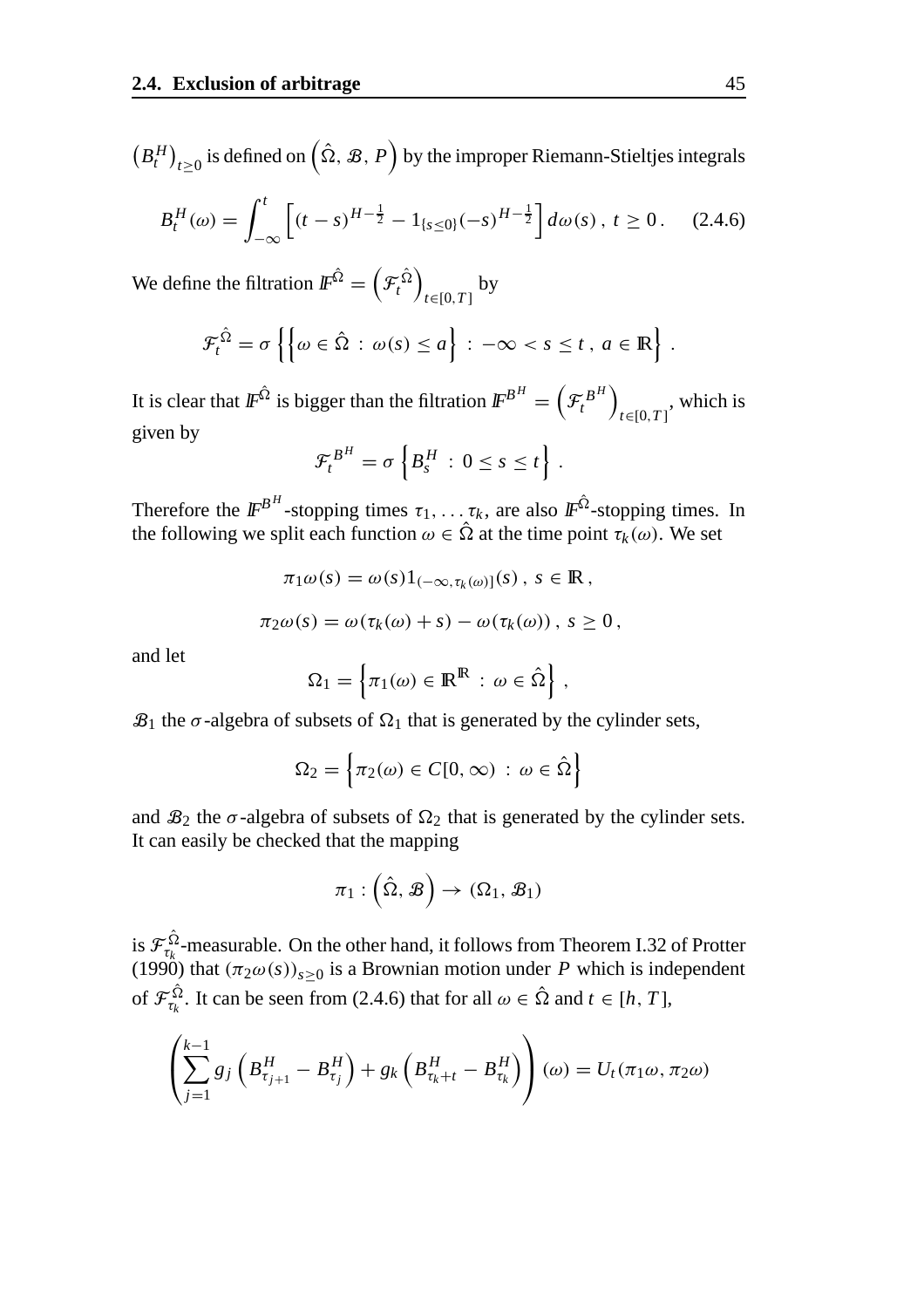$(B_t^H)_{t\geq0}$  is defined on  $(\hat{\Omega}, \mathcal{B}, P)$  by the improper Riemann-Stieltjes integrals

$$
B_t^H(\omega) = \int_{-\infty}^t \left[ (t-s)^{H-\frac{1}{2}} - 1_{\{s \le 0\}} (-s)^{H-\frac{1}{2}} \right] d\omega(s), \ t \ge 0. \tag{2.4.6}
$$

We define the filtration  $\mathit{I\!F}^{\hat{\Omega}}=\left(\mathcal{F}^{\hat{\Omega}}_t\right)$ *t*∈[0,*T* ] by

$$
\mathcal{F}_t^{\hat{\Omega}} = \sigma \left\{ \left\{ \omega \in \hat{\Omega} : \omega(s) \leq a \right\} : -\infty < s \leq t \, , \, a \in \mathbb{R} \right\} \, .
$$

It is clear that  $I\!\!F^{\hat{\Omega}}$  is bigger than the filtration  $I\!\!F^{B^H}=\left(\mathcal{F}^{B^H}_t\right)$ *t*∈[0,*T* ] , which is given by

$$
\mathcal{F}_t^{B^H} = \sigma \left\{ B_s^H \,:\, 0 \leq s \leq t \right\}.
$$

Therefore the  $\mathbb{F}^{B^H}$ -stopping times  $\tau_1, \ldots, \tau_k$ , are also  $\mathbb{F}^{\hat{\Omega}}$ -stopping times. In the following we split each function  $\omega \in \hat{\Omega}$  at the time point  $\tau_k(\omega)$ . We set

$$
\pi_1 \omega(s) = \omega(s) 1_{(-\infty, \tau_k(\omega)]}(s), \ s \in \mathbb{R},
$$
  

$$
\pi_2 \omega(s) = \omega(\tau_k(\omega) + s) - \omega(\tau_k(\omega)), \ s \ge 0,
$$

and let

$$
\Omega_1 = \left\{ \pi_1(\omega) \in \mathbb{R}^{\mathbb{R}} : \omega \in \hat{\Omega} \right\},\
$$

 $\mathcal{B}_1$  the  $\sigma$ -algebra of subsets of  $\Omega_1$  that is generated by the cylinder sets,

$$
\Omega_2 = \left\{ \pi_2(\omega) \in C[0, \infty) \, : \, \omega \in \hat{\Omega} \right\}
$$

and  $\mathcal{B}_2$  the  $\sigma$ -algebra of subsets of  $\Omega_2$  that is generated by the cylinder sets. It can easily be checked that the mapping

$$
\pi_1:\left(\hat{\Omega},\,\mathcal{B}\right)\rightarrow\,\left(\Omega_1,\,\mathcal{B}_1\right)
$$

is  $\mathcal{F}_{\tau_k}^{\hat{\Omega}}$ -measurable. On the other hand, it follows from Theorem I.32 of Protter (1990) that  $(\pi_2 \omega(s))_{s \geq 0}$  is a Brownian motion under *P* which is independent of  $\mathcal{F}_{\tau_k}^{\hat{\Omega}}$ . It can be seen from (2.4.6) that for all  $\omega \in \hat{\Omega}$  and  $t \in [h, T]$ ,

$$
\left(\sum_{j=1}^{k-1} g_j \left(B_{\tau_{j+1}}^H - B_{\tau_j}^H\right) + g_k \left(B_{\tau_k + t}^H - B_{\tau_k}^H\right)\right)(\omega) = U_t(\pi_1 \omega, \pi_2 \omega)
$$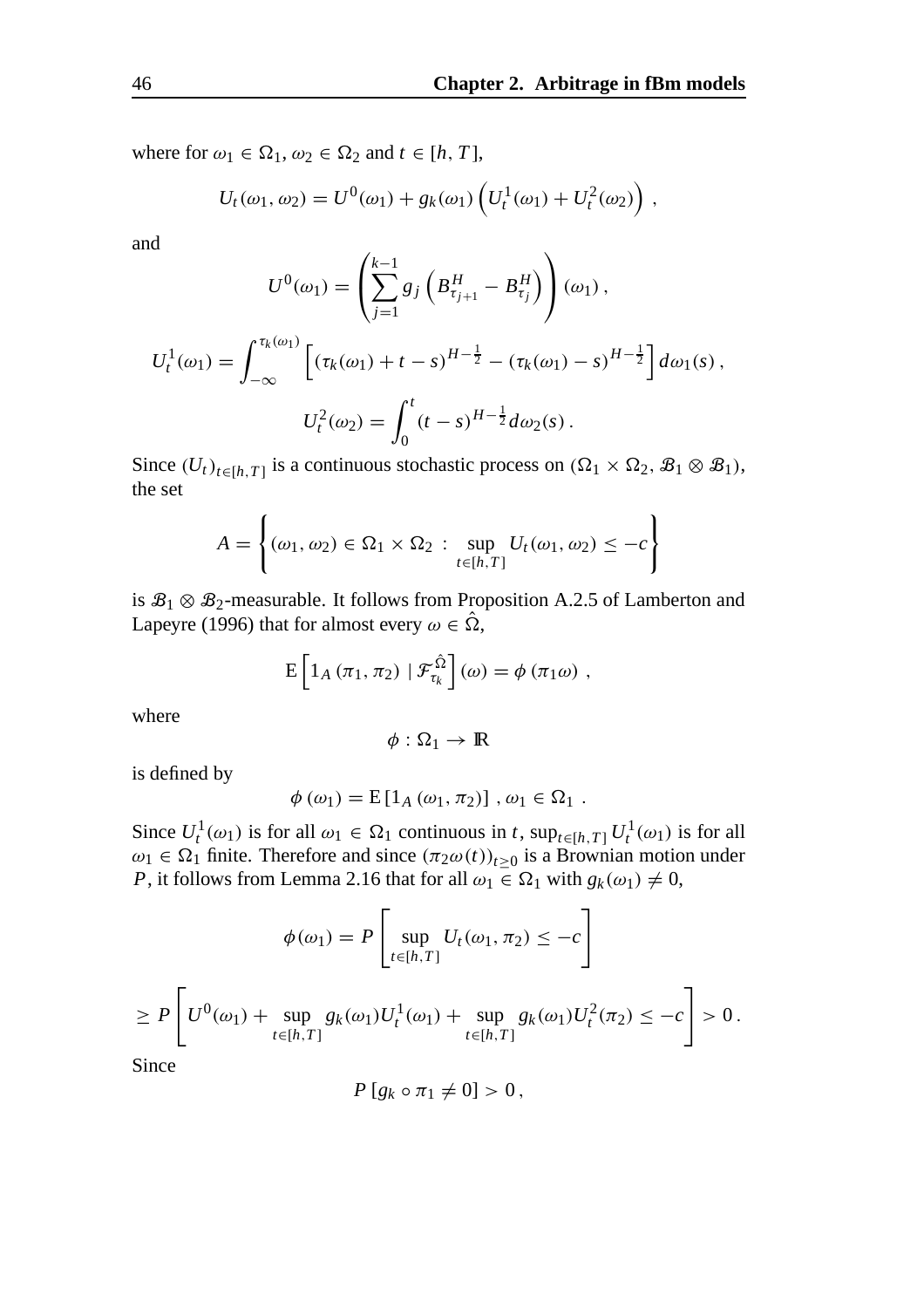$\Delta$ 

where for  $\omega_1 \in \Omega_1$ ,  $\omega_2 \in \Omega_2$  and  $t \in [h, T]$ ,

$$
U_t(\omega_1, \omega_2) = U^0(\omega_1) + g_k(\omega_1) \left( U_t^1(\omega_1) + U_t^2(\omega_2) \right),
$$

and

$$
U^{0}(\omega_{1}) = \left(\sum_{j=1}^{k-1} g_{j} \left(B_{\tau_{j+1}}^{H} - B_{\tau_{j}}^{H}\right)\right)(\omega_{1}),
$$
  

$$
U_{t}^{1}(\omega_{1}) = \int_{-\infty}^{\tau_{k}(\omega_{1})} \left[ \left(\tau_{k}(\omega_{1}) + t - s\right)^{H-\frac{1}{2}} - \left(\tau_{k}(\omega_{1}) - s\right)^{H-\frac{1}{2}} \right] d\omega_{1}(s),
$$
  

$$
U_{t}^{2}(\omega_{2}) = \int_{0}^{t} (t - s)^{H-\frac{1}{2}} d\omega_{2}(s).
$$

Since  $(U_t)_{t \in [h,T]}$  is a continuous stochastic process on  $(\Omega_1 \times \Omega_2, \mathcal{B}_1 \otimes \mathcal{B}_1)$ , the set

$$
A = \left\{ (\omega_1, \omega_2) \in \Omega_1 \times \Omega_2 : \sup_{t \in [h, T]} U_t(\omega_1, \omega_2) \leq -c \right\}
$$

is  $\mathcal{B}_1 \otimes \mathcal{B}_2$ -measurable. It follows from Proposition A.2.5 of Lamberton and Lapeyre (1996) that for almost every  $\omega \in \hat{\Omega}$ ,

$$
E\left[1_A\left(\pi_1,\pi_2\right)\mid \mathcal{F}_{\tau_k}^{\hat{\Omega}}\right](\omega)=\phi\left(\pi_1\omega\right),\,
$$

where

$$
\phi:\Omega_1\to\mathbb{R}
$$

is defined by

$$
\phi\left(\omega_{1}\right)=\mathrm{E}\left[1_{A}\left(\omega_{1},\pi_{2}\right)\right],\,\omega_{1}\in\Omega_{1}.
$$

Since  $U_t^1(\omega_1)$  is for all  $\omega_1 \in \Omega_1$  continuous in *t*,  $\sup_{t \in [h,T]} U_t^1(\omega_1)$  is for all  $\omega_1 \in \Omega_1$  finite. Therefore and since  $(\pi_2 \omega(t))_{t \geq 0}$  is a Brownian motion under *P*, it follows from Lemma 2.16 that for all  $\omega_1 \in \Omega_1$  with  $g_k(\omega_1) \neq 0$ ,

$$
\phi(\omega_1) = P \left[ \sup_{t \in [h,T]} U_t(\omega_1, \pi_2) \le -c \right]
$$
  
\n
$$
\ge P \left[ U^0(\omega_1) + \sup_{t \in [h,T]} g_k(\omega_1) U_t^1(\omega_1) + \sup_{t \in [h,T]} g_k(\omega_1) U_t^2(\pi_2) \le -c \right] > 0.
$$
  
\nSince

Since

$$
P[g_k\circ\pi_1\neq 0]>0,
$$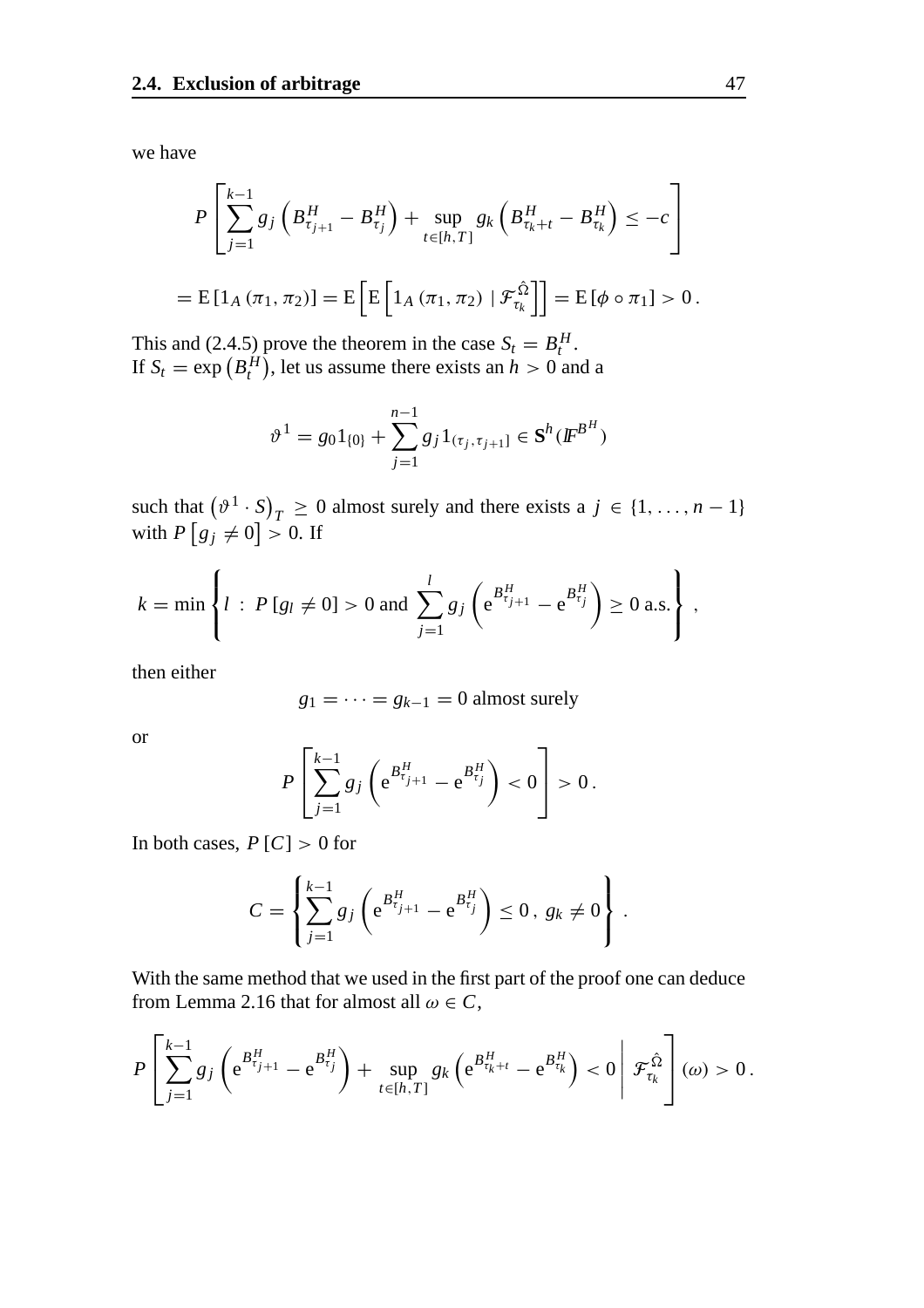we have

$$
P\left[\sum_{j=1}^{k-1}g_j\left(B_{\tau_{j+1}}^H - B_{\tau_j}^H\right) + \sup_{t \in [h,T]} g_k\left(B_{\tau_k + t}^H - B_{\tau_k}^H\right) \leq -c\right]
$$
  
=  $E\left[1_A(\pi_1, \pi_2)\right] = E\left[E\left[1_A(\pi_1, \pi_2) | \mathcal{F}_{\tau_k}^{\hat{\Omega}}\right]\right] = E\left[\phi \circ \pi_1\right] > 0.$ 

This and (2.4.5) prove the theorem in the case  $S_t = B_t^H$ . If  $S_t = \exp(B_t^H)$ , let us assume there exists an  $h > 0$  and a

$$
\vartheta^1 = g_0 1_{\{0\}} + \sum_{j=1}^{n-1} g_j 1_{(\tau_j, \tau_{j+1}]} \in \mathbf{S}^h(\mathbf{F}^{\mathbf{B}^H})
$$

such that  $(\vartheta^1 \cdot S)_T \ge 0$  almost surely and there exists a  $j \in \{1, ..., n-1\}$ with  $P[g_j \neq 0] > 0$ . If

$$
k = \min \left\{ l : P[g_l \neq 0] > 0 \text{ and } \sum_{j=1}^{l} g_j \left( e^{B_{\tau_{j+1}}^H} - e^{B_{\tau_j}^H} \right) \ge 0 \text{ a.s.} \right\},
$$

then either

$$
g_1 = \cdots = g_{k-1} = 0
$$
 almost surely

or

$$
P\left[\sum_{j=1}^{k-1}g_j\left(e^{B_{\tau_{j+1}}^H}-e^{B_{\tau_j}^H}\right)<0\right] > 0.
$$

In both cases,  $P[C] > 0$  for

$$
C = \left\{ \sum_{j=1}^{k-1} g_j \left( e^{B_{\tau_{j+1}}^H} - e^{B_{\tau_j}^H} \right) \leq 0, \ g_k \neq 0 \right\}.
$$

With the same method that we used in the first part of the proof one can deduce from Lemma 2.16 that for almost all  $\omega \in C$ ,

$$
P\left[\sum_{j=1}^{k-1}g_j\left(e^{B_{\tau_{j+1}}^H}-e^{B_{\tau_j}^H}\right)+\sup_{t\in[h,T]}g_k\left(e^{B_{\tau_k+t}^H}-e^{B_{\tau_k}^H}\right)<0\,\middle|\,\mathcal{F}_{\tau_k}^{\hat{\Omega}}\right](\omega)>0.
$$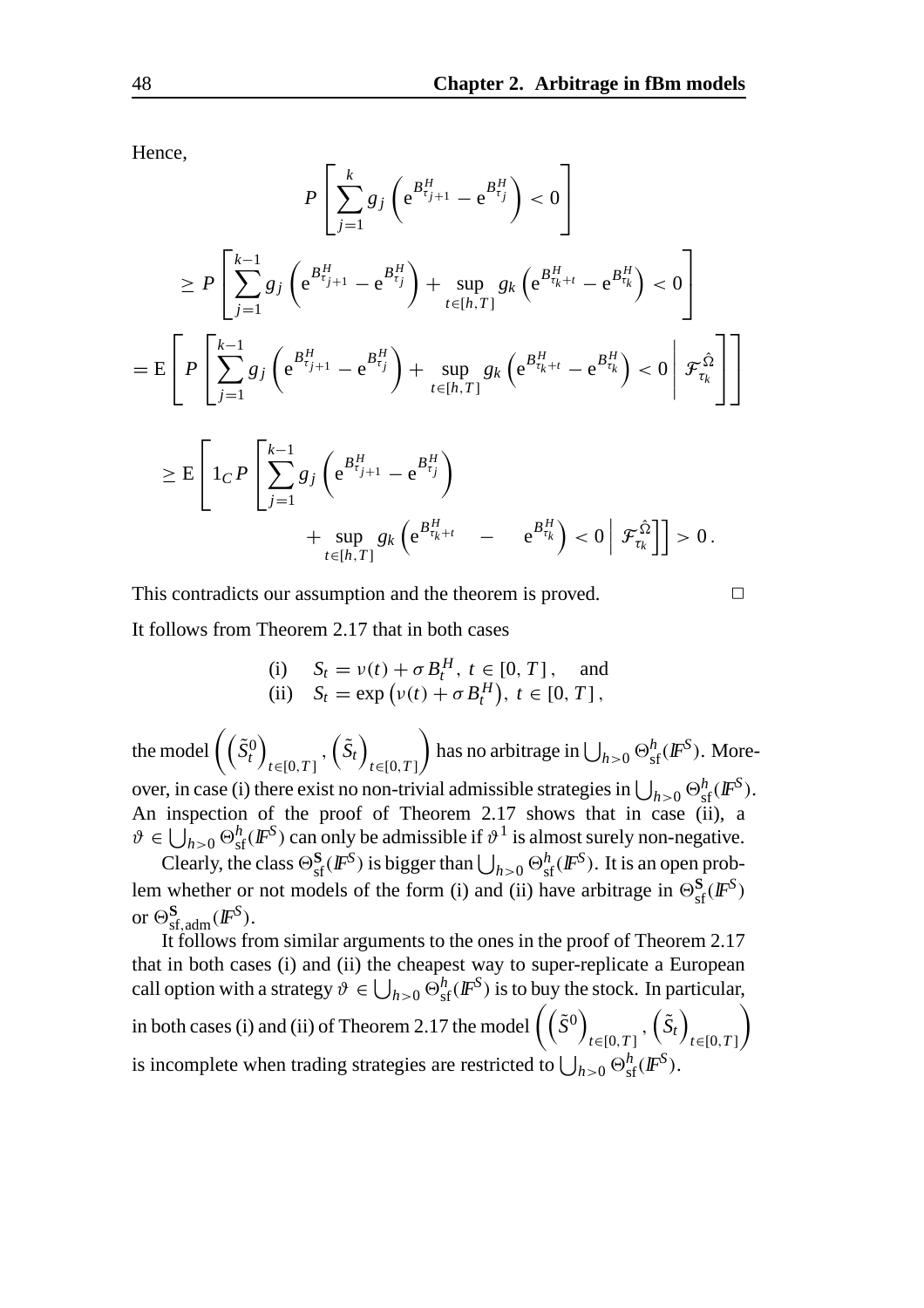Hence,

$$
P\left[\sum_{j=1}^{k} g_{j} \left(e^{B_{\tau_{j+1}}^{H}} - e^{B_{\tau_{j}}^{H}}\right) < 0\right]
$$
\n
$$
\geq P\left[\sum_{j=1}^{k-1} g_{j} \left(e^{B_{\tau_{j+1}}^{H}} - e^{B_{\tau_{j}}^{H}}\right) + \sup_{t \in [h,T]} g_{k} \left(e^{B_{\tau_{k+1}}^{H}} - e^{B_{\tau_{k}}^{H}}\right) < 0\right]
$$
\n
$$
= E\left[P\left[\sum_{j=1}^{k-1} g_{j} \left(e^{B_{\tau_{j+1}}^{H}} - e^{B_{\tau_{j}}^{H}}\right) + \sup_{t \in [h,T]} g_{k} \left(e^{B_{\tau_{k+1}}^{H}} - e^{B_{\tau_{k}}^{H}}\right) < 0\middle| \mathcal{F}_{\tau_{k}}^{\hat{\Omega}}\right]\right]
$$
\n
$$
\geq E\left[1_{C} P\left[\sum_{j=1}^{k-1} g_{j} \left(e^{B_{\tau_{j+1}}^{H}} - e^{B_{\tau_{j}}^{H}}\right) + \sup_{t \in [h,T]} g_{k} \left(e^{B_{\tau_{k+1}}^{H}} - e^{B_{\tau_{k}}^{H}}\right) < 0\middle| \mathcal{F}_{\tau_{k}}^{\hat{\Omega}}\right]\right] > 0.
$$

This contradicts our assumption and the theorem is proved.  $\Box$ It follows from Theorem 2.17 that in both cases

(i) 
$$
S_t = v(t) + \sigma B_t^H
$$
,  $t \in [0, T]$ , and  
\n(ii)  $S_t = \exp(v(t) + \sigma B_t^H)$ ,  $t \in [0, T]$ ,

the model  $(\tilde{S}_t^0)$ *t*∈[0,*T* ]  $,\left(\tilde{S}_t\right)$ *t*∈[0,*T* ]  $\setminus$ has no arbitrage in  $\bigcup_{h>0} \Theta_{\mathrm{sf}}^h(\bm{F}^S)$ . Moreover, in case (i) there exist no non-trivial admissible strategies in  $\bigcup_{h>0} \Theta_{\rm sf}^h(I\!\!F^S).$ An inspection of the proof of Theorem 2.17 shows that in case (ii), a  $\vartheta \in \bigcup_{h>0} \Theta_{\text{sf}}^h(F^S)$  can only be admissible if  $\vartheta^1$  is almost surely non-negative.

Clearly, the class  $\Theta_{\text{sf}}^{\mathbf{S}}(\mathbf{F}^{\text{S}})$  is bigger than  $\bigcup_{h>0} \Theta_{\text{sf}}^h(\mathbf{F}^{\text{S}})$ . It is an open problem whether or not models of the form (i) and (ii) have arbitrage in  $\Theta_{\text{sf}}^{\mathbf{S}}(\mathbf{F}^{\mathbf{S}})$ or  $\Theta_{\text{sf,adm}}^{\mathbf{S}}(\mathbf{F}^{\mathbf{S}}).$ 

It follows from similar arguments to the ones in the proof of Theorem 2.17 that in both cases (i) and (ii) the cheapest way to super-replicate a European call option with a strategy  $\vartheta \in \bigcup_{h>0} \Theta_{\text{sf}}^h(F^S)$  is to buy the stock. In particular, in both cases (i) and (ii) of Theorem 2.17 the model  $\left(\begin{pmatrix} \tilde{S}^0 \end{pmatrix}\right)$ *t*∈[0,*T* ]  $,\left(\tilde{S}_t\right)$ *t*∈[0,*T* ]  $\setminus$ is incomplete when trading strategies are restricted to  $\bigcup_{h>0} \Theta_{\text{sf}}^h(F^S)$ .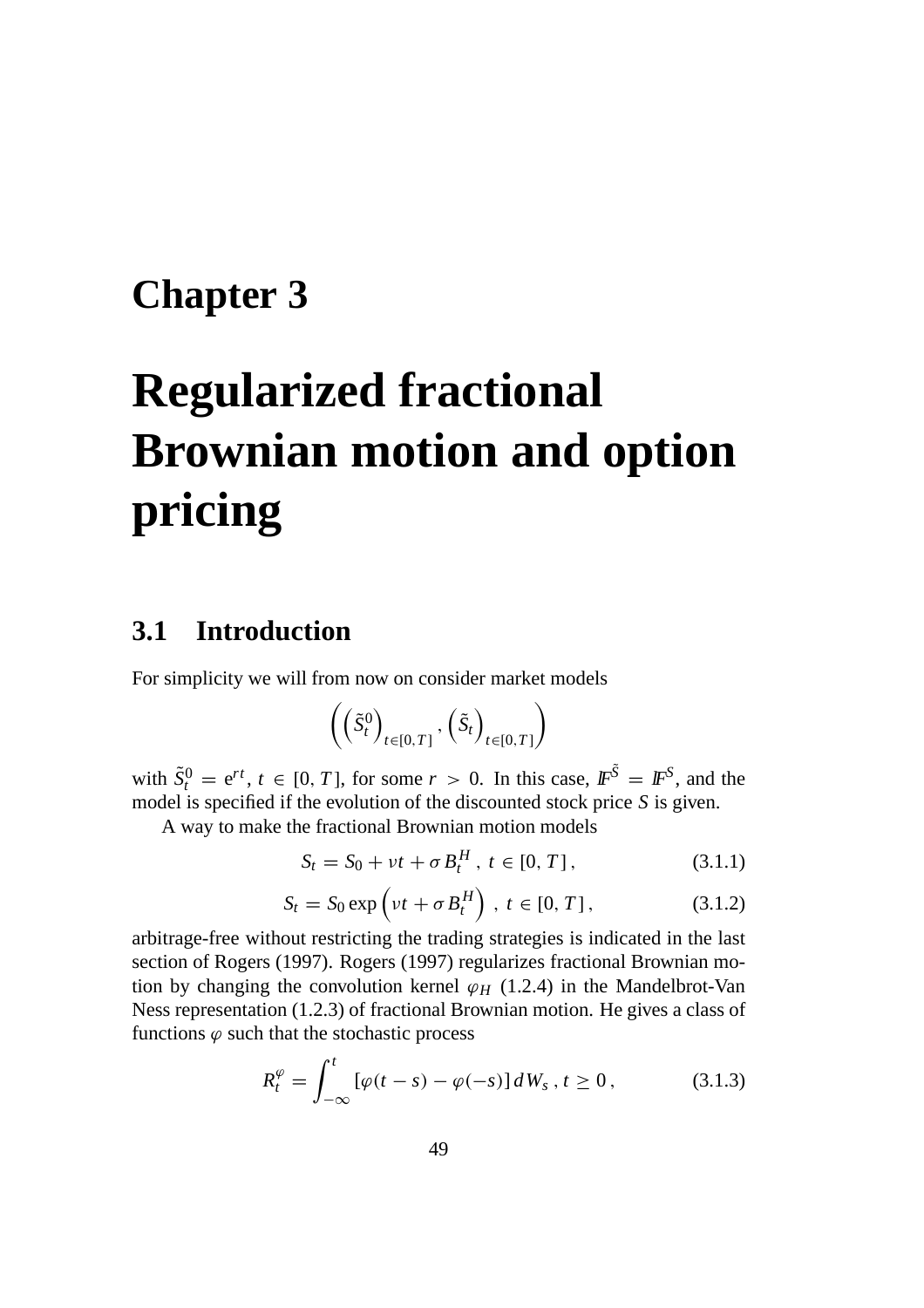# **Chapter 3**

# **Regularized fractional Brownian motion and option pricing**

## **3.1 Introduction**

For simplicity we will from now on consider market models

$$
\left( \left( \tilde{S}^0_t \right)_{t \in [0,T]}, \left( \tilde{S}_t \right)_{t \in [0,T]} \right)
$$

with  $\tilde{S}_t^0 = e^{rt}$ ,  $t \in [0, T]$ , for some  $r > 0$ . In this case,  $\mathbb{F}^{\tilde{S}} = \mathbb{F}^S$ , and the model is specified if the evolution of the discounted stock price *S* is given.

A way to make the fractional Brownian motion models

$$
S_t = S_0 + vt + \sigma B_t^H, \ t \in [0, T], \tag{3.1.1}
$$

$$
S_t = S_0 \exp\left(\nu t + \sigma B_t^H\right), \ t \in [0, T], \tag{3.1.2}
$$

arbitrage-free without restricting the trading strategies is indicated in the last section of Rogers (1997). Rogers (1997) regularizes fractional Brownian motion by changing the convolution kernel  $\varphi$ <sub>*H*</sub> (1.2.4) in the Mandelbrot-Van Ness representation (1.2.3) of fractional Brownian motion. He gives a class of functions  $\varphi$  such that the stochastic process

$$
R_t^{\varphi} = \int_{-\infty}^t \left[ \varphi(t - s) - \varphi(-s) \right] dW_s \, , \, t \ge 0 \, , \tag{3.1.3}
$$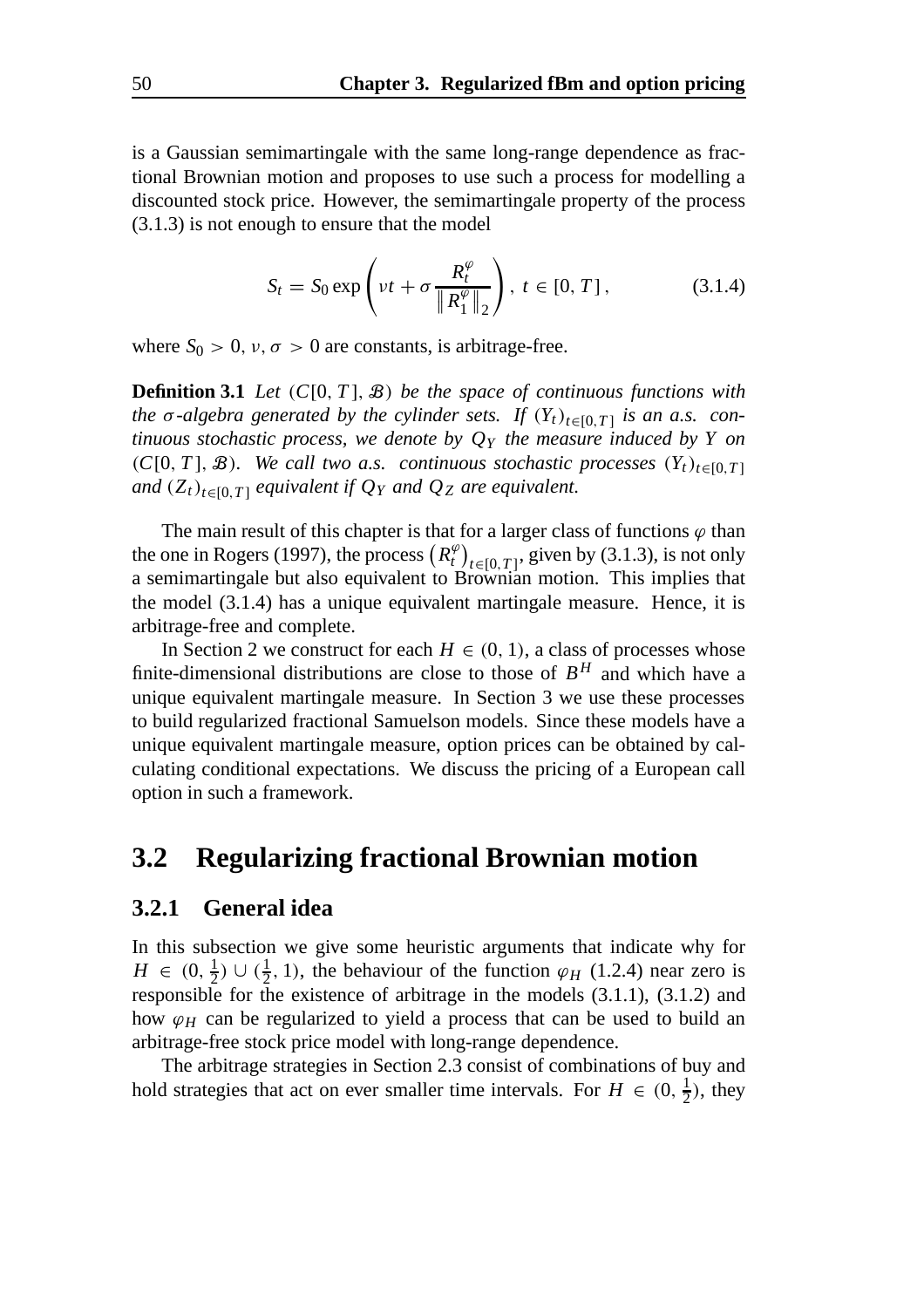is a Gaussian semimartingale with the same long-range dependence as fractional Brownian motion and proposes to use such a process for modelling a discounted stock price. However, the semimartingale property of the process (3.1.3) is not enough to ensure that the model

$$
S_t = S_0 \exp\left(\nu t + \sigma \frac{R_t^{\varphi}}{\|R_1^{\varphi}\|_2}\right), \ t \in [0, T], \tag{3.1.4}
$$

where  $S_0 > 0$ ,  $v, \sigma > 0$  are constants, is arbitrage-free.

**Definition 3.1** *Let* (*C*[0, *T* ], B) *be the space of continuous functions with the*  $\sigma$ -algebra generated by the cylinder sets. If  $(Y_t)_{t \in [0,T]}$  *is an a.s. continuous stochastic process, we denote by QY the measure induced by Y on* (*C*[0, *T*],  $\mathcal{B}$ ). We call two a.s. continuous stochastic processes  $(Y_t)_{t \in [0, T]}$ *and*  $(Z_t)_{t \in [0,T]}$  *equivalent if*  $Q_Y$  *and*  $Q_Z$  *are equivalent.* 

The main result of this chapter is that for a larger class of functions  $\varphi$  than the one in Rogers (1997), the process  $(R_t^{\varphi})_{t \in [0,T]}$ , given by (3.1.3), is not only a semimartingale but also equivalent to Brownian motion. This implies that the model (3.1.4) has a unique equivalent martingale measure. Hence, it is arbitrage-free and complete.

In Section 2 we construct for each  $H \in (0, 1)$ , a class of processes whose finite-dimensional distributions are close to those of  $B<sup>H</sup>$  and which have a unique equivalent martingale measure. In Section 3 we use these processes to build regularized fractional Samuelson models. Since these models have a unique equivalent martingale measure, option prices can be obtained by calculating conditional expectations. We discuss the pricing of a European call option in such a framework.

#### **3.2 Regularizing fractional Brownian motion**

#### **3.2.1 General idea**

In this subsection we give some heuristic arguments that indicate why for  $H \in (0, \frac{1}{2}) \cup (\frac{1}{2}, 1)$ , the behaviour of the function  $\varphi_H$  (1.2.4) near zero is responsible for the existence of arbitrage in the models (3.1.1), (3.1.2) and how  $\varphi$ <sub>*H*</sub> can be regularized to yield a process that can be used to build an arbitrage-free stock price model with long-range dependence.

The arbitrage strategies in Section 2.3 consist of combinations of buy and hold strategies that act on ever smaller time intervals. For  $H \in (0, \frac{1}{2})$ , they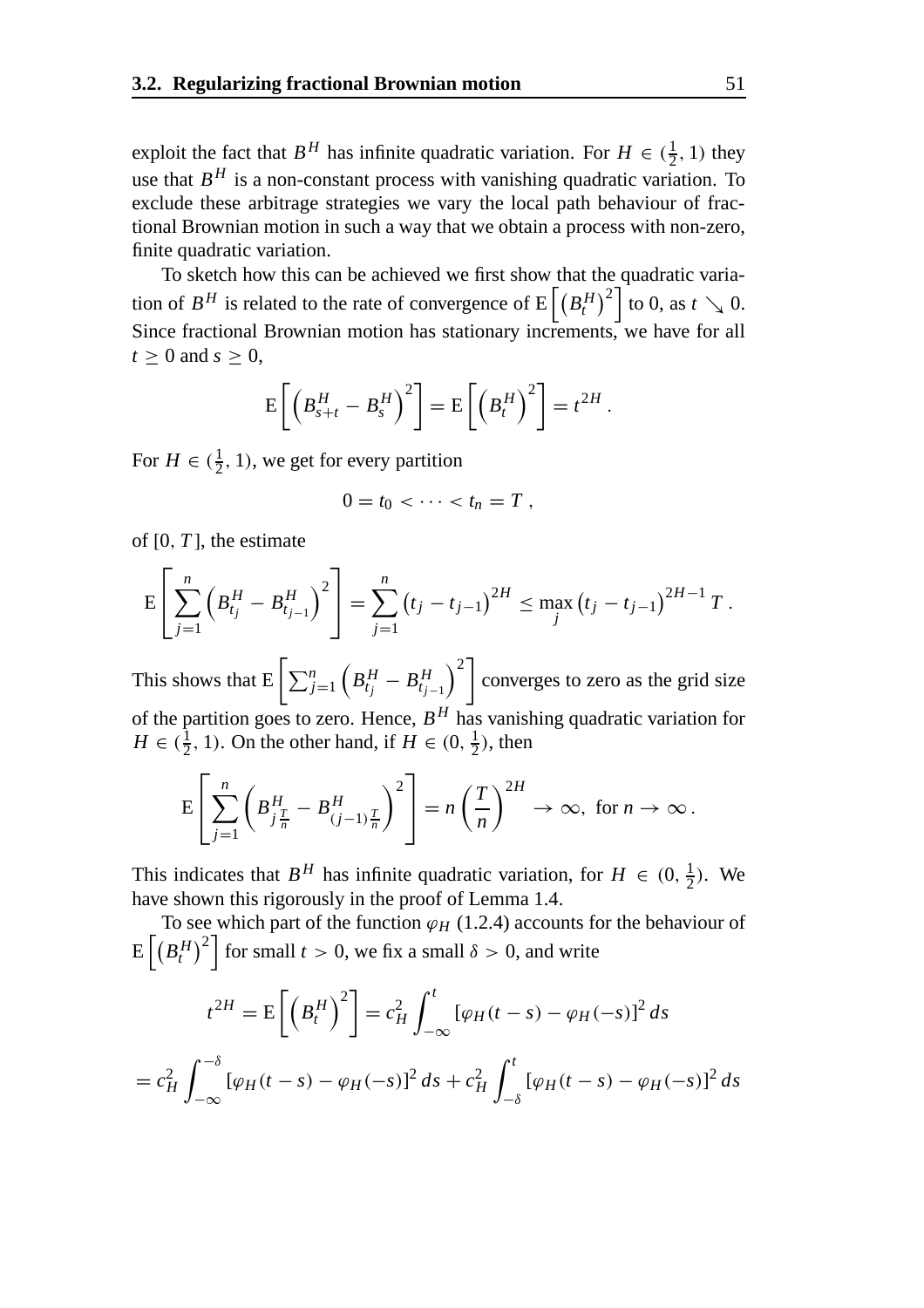exploit the fact that  $B^H$  has infinite quadratic variation. For  $H \in (\frac{1}{2}, 1)$  they use that  $B<sup>H</sup>$  is a non-constant process with vanishing quadratic variation. To exclude these arbitrage strategies we vary the local path behaviour of fractional Brownian motion in such a way that we obtain a process with non-zero, finite quadratic variation.

To sketch how this can be achieved we first show that the quadratic variation of  $B^H$  is related to the rate of convergence of  $E\left[\left(B^H_t\right)^2\right]$  to 0, as  $t \searrow 0$ . Since fractional Brownian motion has stationary increments, we have for all  $t > 0$  and  $s > 0$ ,

$$
\mathrm{E}\left[\left(B_{s+t}^H-B_s^H\right)^2\right]=\mathrm{E}\left[\left(B_t^H\right)^2\right]=t^{2H}.
$$

For  $H \in (\frac{1}{2}, 1)$ , we get for every partition

$$
0=t_0<\cdots
$$

of [0, *T* ], the estimate

$$
E\left[\sum_{j=1}^n \left(B_{t_j}^H-B_{t_{j-1}}^H\right)^2\right] = \sum_{j=1}^n \left(t_j-t_{j-1}\right)^{2H} \le \max_j \left(t_j-t_{j-1}\right)^{2H-1} T.
$$

This shows that  $E\left[\sum_{j=1}^{n} \left(B_{t_j}^H - B_{t_{j-1}}^H\right)\right]$  $\setminus^2$ converges to zero as the grid size of the partition goes to zero. Hence,  $B^H$  has vanishing quadratic variation for  $H \in (\frac{1}{2}, 1)$ . On the other hand, if  $H \in (0, \frac{1}{2})$ , then

$$
E\left[\sum_{j=1}^n \left(B_{\frac{j}{n}}^H - B_{(j-1)\frac{T}{n}}^H\right)^2\right] = n\left(\frac{T}{n}\right)^{2H} \to \infty, \text{ for } n \to \infty.
$$

This indicates that  $B^H$  has infinite quadratic variation, for  $H \in (0, \frac{1}{2})$ . We have shown this rigorously in the proof of Lemma 1.4.

To see which part of the function  $\varphi$ <sub>*H*</sub> (1.2.4) accounts for the behaviour of  $\mathbb{E}\left[\left(B_{t}^{H}\right)^{2}\right]$  for small  $t > 0$ , we fix a small  $\delta > 0$ , and write  $t^{2H} = E\left[ \left( B_t^H \right)^2 \right] = c_H^2$  $\int_0^t$  $-\infty$  $[\varphi_H(t-s) - \varphi_H(-s)]^2 ds$  $= c_H^2$  $\int_{-\delta}$  $-\infty$  $[\varphi_H(t-s) - \varphi_H(-s)]^2 ds + c_H^2$  $\int_0^t$  $-\delta$  $[\varphi_H(t-s) - \varphi_H(-s)]^2 ds$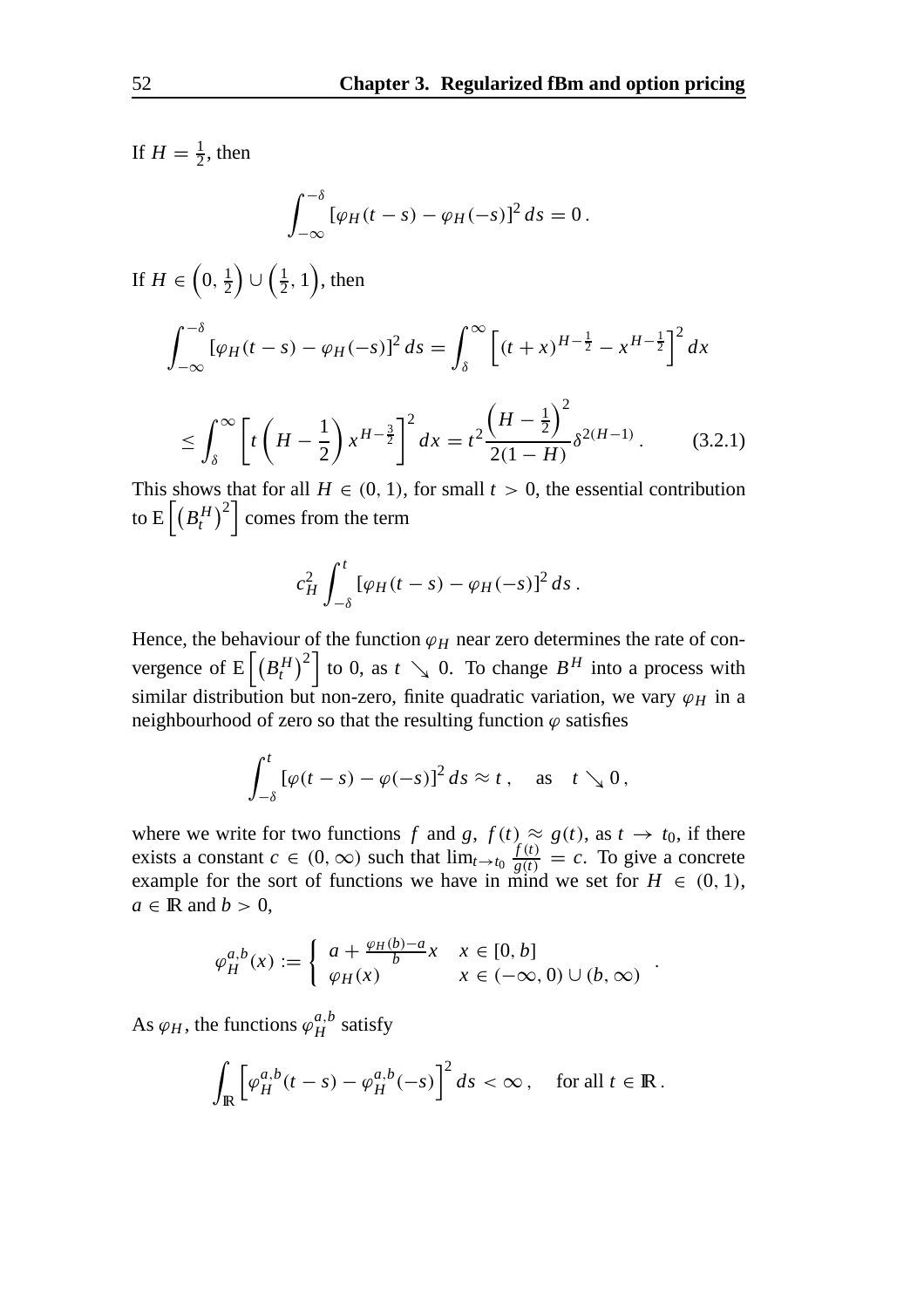If  $H = \frac{1}{2}$ , then

$$
\int_{-\infty}^{-\delta} \left[\varphi_H(t-s) - \varphi_H(-s)\right]^2 ds = 0.
$$

If  $H \in \left(0, \frac{1}{2}\right)$  $\Big) \cup \Big(\frac{1}{2}, 1\Big)$ , then

$$
\int_{-\infty}^{-\delta} [\varphi_H(t-s) - \varphi_H(-s)]^2 ds = \int_{\delta}^{\infty} \left[ (t+x)^{H-\frac{1}{2}} - x^{H-\frac{1}{2}} \right]^2 dx
$$

$$
\leq \int_{\delta}^{\infty} \left[ t \left( H - \frac{1}{2} \right) x^{H - \frac{3}{2}} \right]^2 dx = t^2 \frac{\left( H - \frac{1}{2} \right)^2}{2(1 - H)} \delta^{2(H - 1)}.
$$
 (3.2.1)

This shows that for all  $H \in (0, 1)$ , for small  $t > 0$ , the essential contribution to E $\left[ \left( B_{t}^{H}\right) ^{2}\right]$  comes from the term

$$
c_H^2 \int_{-\delta}^t \left[ \varphi_H(t-s) - \varphi_H(-s) \right]^2 ds.
$$

Hence, the behaviour of the function  $\varphi_H$  near zero determines the rate of convergence of  $E\left[\left(B_t^H\right)^2\right]$  to 0, as  $t \searrow 0$ . To change  $B^H$  into a process with similar distribution but non-zero, finite quadratic variation, we vary  $\varphi_H$  in a neighbourhood of zero so that the resulting function  $\varphi$  satisfies

$$
\int_{-\delta}^t \left[\varphi(t-s)-\varphi(-s)\right]^2 ds \approx t \,, \quad \text{as} \quad t \searrow 0 \,,
$$

where we write for two functions *f* and *g*,  $f(t) \approx g(t)$ , as  $t \to t_0$ , if there exists a constant  $c \in (0, \infty)$  such that  $\lim_{t \to t_0} \frac{f(t)}{g(t)} = c$ . To give a concrete example for the sort of functions we have in mind we set for  $H \in (0, 1)$ ,  $a \in \mathbb{R}$  and  $b > 0$ ,

$$
\varphi_H^{a,b}(x) := \begin{cases} a + \frac{\varphi_H(b)-a}{b}x & x \in [0,b] \\ \varphi_H(x) & x \in (-\infty,0) \cup (b,\infty) \end{cases}.
$$

As  $\varphi_H$ , the functions  $\varphi_H^{a,b}$  satisfy

$$
\int_{\mathbb{R}} \left[ \varphi_H^{a,b}(t-s) - \varphi_H^{a,b}(-s) \right]^2 ds < \infty, \quad \text{for all } t \in \mathbb{R} \, .
$$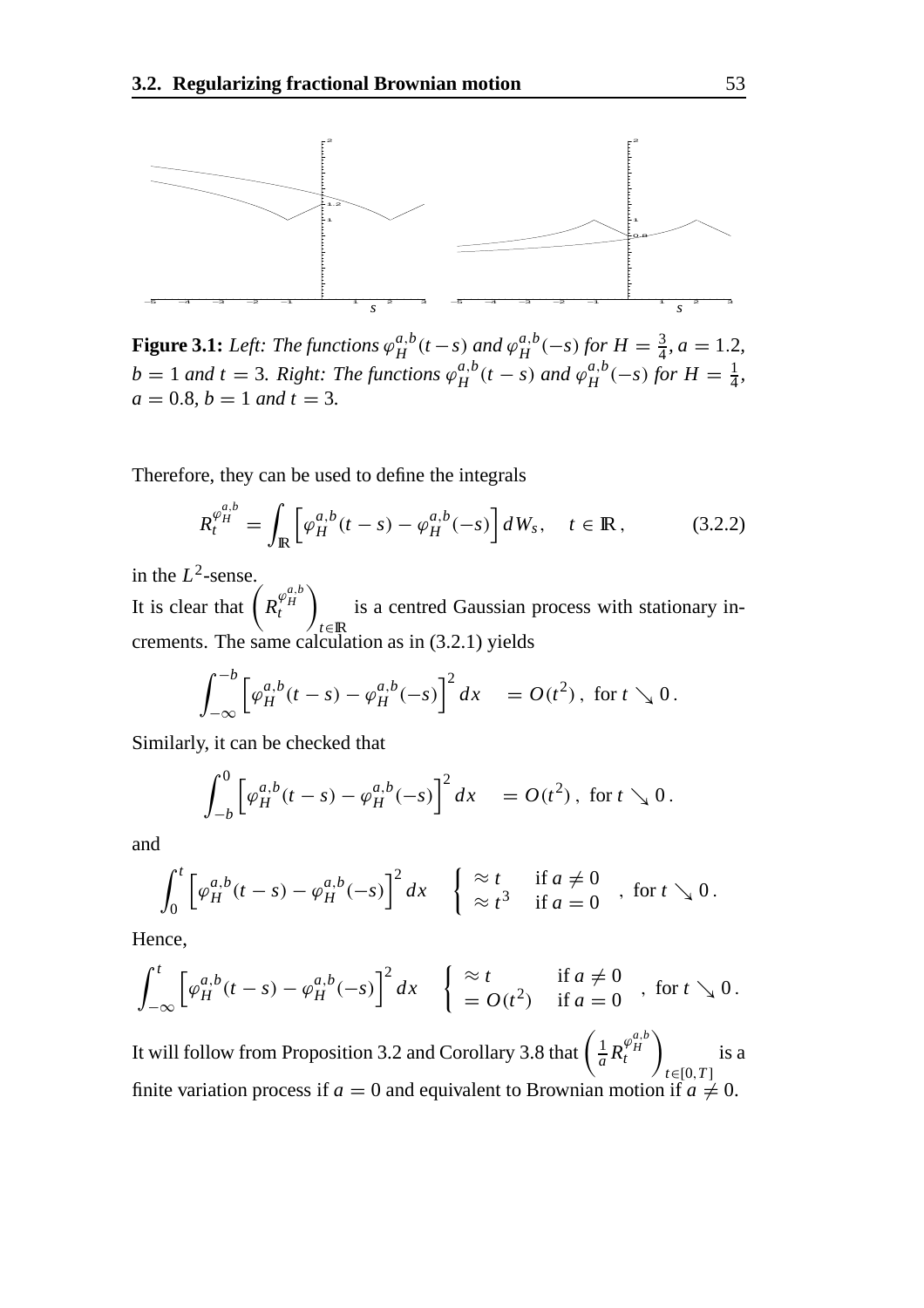

**Figure 3.1:** *Left: The functions*  $\varphi_H^{a,b}(t-s)$  *and*  $\varphi_H^{a,b}(-s)$  *for*  $H = \frac{3}{4}$ *, a* = 1.2*,*  $b = 1$  *and*  $t = 3$ *. Right: The functions*  $\varphi_H^{a,b}(t-s)$  *and*  $\varphi_H^{a,b}(-s)$  *for*  $H = \frac{1}{4}$ *,*  $a = 0.8, b = 1$  *and*  $t = 3$ .

Therefore, they can be used to define the integrals

$$
R_t^{\varphi_H^{a,b}} = \int_{\mathbb{R}} \left[ \varphi_H^{a,b}(t-s) - \varphi_H^{a,b}(-s) \right] dW_s, \quad t \in \mathbb{R}, \tag{3.2.2}
$$

in the  $L^2$ -sense.

It is clear that  $\left(R_t^{\varphi_H^{a,b}}\right)$  $\setminus$ *t*∈IR is a centred Gaussian process with stationary increments. The same calculation as in (3.2.1) yields

$$
\int_{-\infty}^{-b} \left[ \varphi_H^{a,b}(t-s) - \varphi_H^{a,b}(-s) \right]^2 dx = O(t^2), \text{ for } t \searrow 0.
$$

Similarly, it can be checked that

$$
\int_{-b}^{0} \left[ \varphi_{H}^{a,b}(t-s) - \varphi_{H}^{a,b}(-s) \right]^{2} dx = O(t^{2}), \text{ for } t \searrow 0.
$$

and

$$
\int_0^t \left[ \varphi_H^{a,b}(t-s) - \varphi_H^{a,b}(-s) \right]^2 dx \quad \left\{ \begin{array}{ll} \approx t & \text{if } a \neq 0 \\ \approx t^3 & \text{if } a = 0 \end{array} \right. \text{, for } t \searrow 0 \,.
$$

Hence,

$$
\int_{-\infty}^t \left[ \varphi_H^{a,b}(t-s) - \varphi_H^{a,b}(-s) \right]^2 dx \quad \left\{ \begin{array}{ll} \approx t & \text{if } a \neq 0 \\ = O(t^2) & \text{if } a = 0 \end{array} \right. \text{, for } t \searrow 0 \,.
$$

It will follow from Proposition 3.2 and Corollary 3.8 that  $\left(\frac{1}{a}R_f^{\varphi_H^{a,b}}\right)$ *H t*  $\setminus$ *t*∈[0,*T* ] is a finite variation process if  $a = 0$  and equivalent to Brownian motion if  $a \neq 0$ .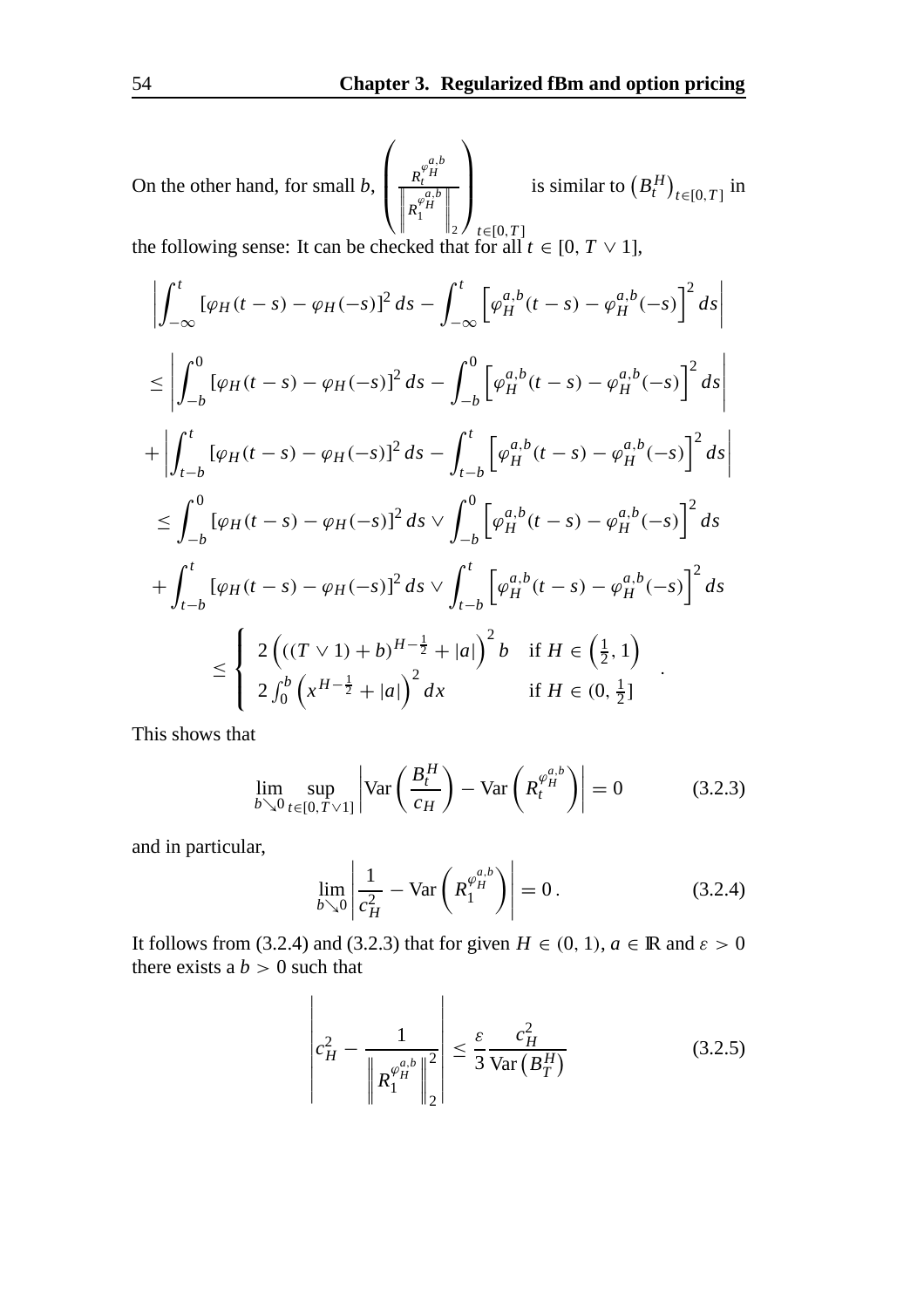On the other hand, for small *b*,  $\sqrt{ }$  $\mathbf{I}$  $\mathbf{I}$  $R_t^{\varphi_H^{a,b}}$ <br>  $R_1^{\varphi_H^{a,b}}$  $\parallel$   $\parallel$  2  $\ell$  *t*∈[0,*T*]  $\begin{array}{c} \hline \end{array}$  $\setminus$  $\mathbf{I}$  $\mathbf{I}$ is similar to  $(B_t^H)_{t \in [0,T]}$  in the following sense: It can be checked that for all  $t \in [0, T \vee 1]$ ,

$$
\left| \int_{-\infty}^{t} [\varphi_{H}(t-s) - \varphi_{H}(-s)]^{2} ds - \int_{-\infty}^{t} [\varphi_{H}^{a,b}(t-s) - \varphi_{H}^{a,b}(-s)]^{2} ds \right|
$$
  
\n
$$
\leq \left| \int_{-b}^{0} [\varphi_{H}(t-s) - \varphi_{H}(-s)]^{2} ds - \int_{-b}^{0} [\varphi_{H}^{a,b}(t-s) - \varphi_{H}^{a,b}(-s)]^{2} ds \right|
$$
  
\n
$$
+ \left| \int_{t-b}^{t} [\varphi_{H}(t-s) - \varphi_{H}(-s)]^{2} ds - \int_{t-b}^{t} [\varphi_{H}^{a,b}(t-s) - \varphi_{H}^{a,b}(-s)]^{2} ds \right|
$$
  
\n
$$
\leq \int_{-b}^{0} [\varphi_{H}(t-s) - \varphi_{H}(-s)]^{2} ds \vee \int_{-b}^{0} [\varphi_{H}^{a,b}(t-s) - \varphi_{H}^{a,b}(-s)]^{2} ds
$$
  
\n
$$
+ \int_{t-b}^{t} [\varphi_{H}(t-s) - \varphi_{H}(-s)]^{2} ds \vee \int_{t-b}^{t} [\varphi_{H}^{a,b}(t-s) - \varphi_{H}^{a,b}(-s)]^{2} ds
$$
  
\n
$$
\leq \begin{cases} 2 ((T \vee 1) + b)^{H-\frac{1}{2}} + |a|)^{2} b & \text{if } H \in (\frac{1}{2}, 1) \\ 2 \int_{0}^{b} (x^{H-\frac{1}{2}} + |a|)^{2} dx & \text{if } H \in (0, \frac{1}{2}] \end{cases}
$$

This shows that

$$
\lim_{b \searrow 0} \sup_{t \in [0, T \vee 1]} \left| \text{Var}\left(\frac{B_t^H}{c_H}\right) - \text{Var}\left(R_t^{\varphi_H^{a,b}}\right) \right| = 0 \tag{3.2.3}
$$

and in particular,

$$
\lim_{b \searrow 0} \left| \frac{1}{c_H^2} - \text{Var}\left(R_1^{\varphi_H^{a,b}}\right) \right| = 0. \tag{3.2.4}
$$

It follows from (3.2.4) and (3.2.3) that for given  $H \in (0, 1)$ ,  $a \in \mathbb{R}$  and  $\varepsilon > 0$ there exists a  $b > 0$  such that

$$
\left| c_H^2 - \frac{1}{\left\| R_1^{\varphi_H^{a,b}} \right\|_2^2} \right| \le \frac{\varepsilon}{3} \frac{c_H^2}{\text{Var}\left( B_T^H \right)} \tag{3.2.5}
$$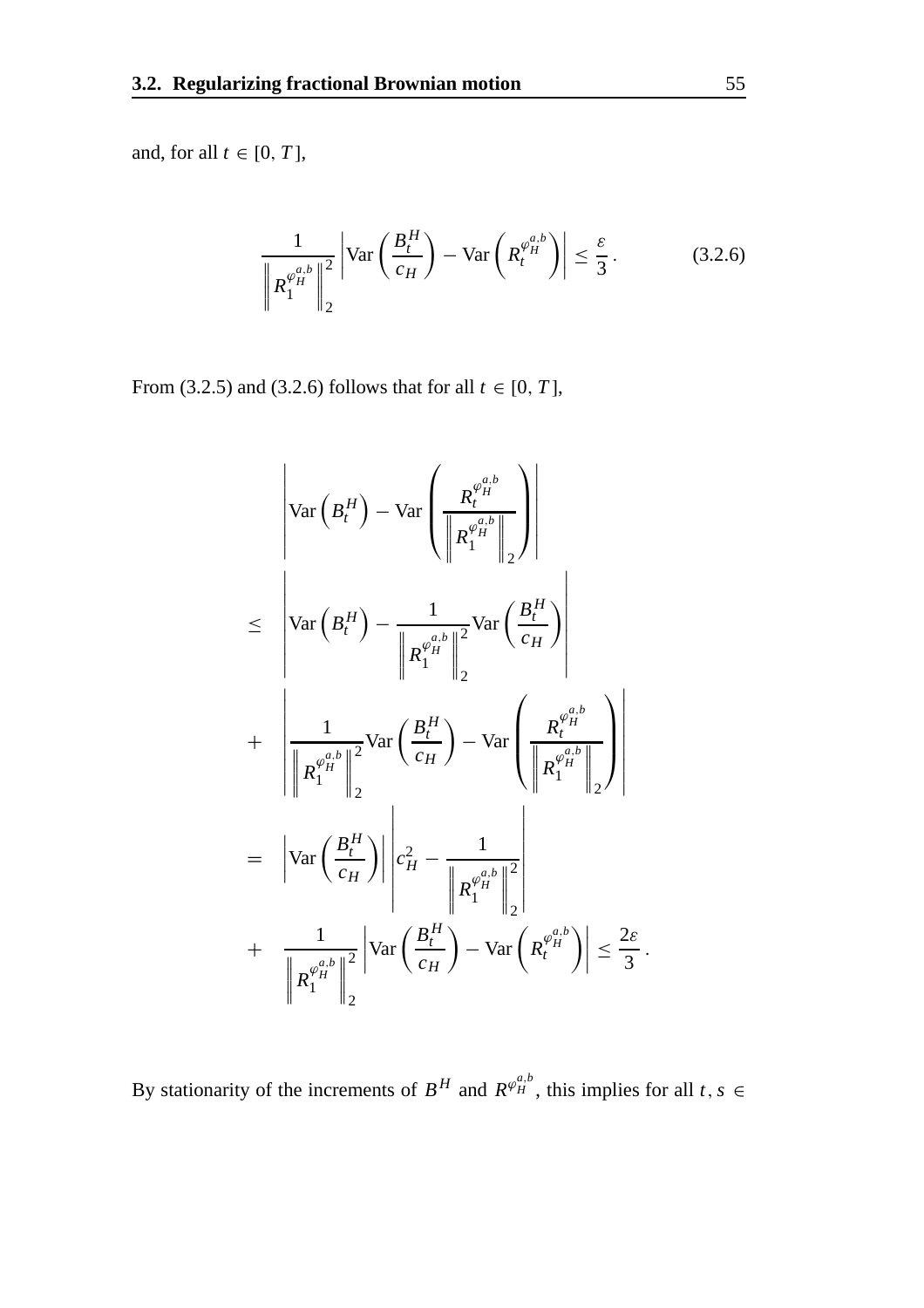and, for all  $t \in [0, T]$ ,

$$
\frac{1}{\left\|R_1^{\varphi_H^{a,b}}\right\|_2^2} \left| \text{Var}\left(\frac{B_t^H}{c_H}\right) - \text{Var}\left(R_t^{\varphi_H^{a,b}}\right) \right| \le \frac{\varepsilon}{3}. \tag{3.2.6}
$$

From (3.2.5) and (3.2.6) follows that for all  $t \in [0, T]$ ,

$$
\begin{aligned}\n&\left|\operatorname{Var}\left(B_{t}^{H}\right)-\operatorname{Var}\left(\frac{R_{t}^{\varphi_{H}^{a,b}}}{\left\|\mathcal{R}_{1}^{\varphi_{H}^{a,b}}\right\|_{2}}\right)\right| \\
&\leq\left|\operatorname{Var}\left(B_{t}^{H}\right)-\frac{1}{\left\|\mathcal{R}_{1}^{\varphi_{H}^{a,b}}\right\|_{2}^{2}}\operatorname{Var}\left(\frac{B_{t}^{H}}{c_{H}}\right)\right| \\
&+\left|\frac{1}{\left\|\mathcal{R}_{1}^{\varphi_{H}^{a,b}}\right\|_{2}^{2}}\operatorname{Var}\left(\frac{B_{t}^{H}}{c_{H}}\right)-\operatorname{Var}\left(\frac{R_{t}^{\varphi_{H}^{a,b}}}{\left\|\mathcal{R}_{1}^{\varphi_{H}^{a,b}}\right\|_{2}^{2}}\right)\right| \\
&=\left|\operatorname{Var}\left(\frac{B_{t}^{H}}{c_{H}}\right)\right|\left|c_{H}^{2}-\frac{1}{\left\|\mathcal{R}_{1}^{\varphi_{H}^{a,b}}\right\|_{2}^{2}}\right| \\
&+\left|\frac{1}{\left\|\mathcal{R}_{1}^{\varphi_{H}^{a,b}}\right\|_{2}^{2}}\left|\operatorname{Var}\left(\frac{B_{t}^{H}}{c_{H}}\right)-\operatorname{Var}\left(\mathcal{R}_{t}^{\varphi_{H}^{a,b}}\right)\right|\leq\frac{2\varepsilon}{3}.\n\end{aligned}
$$

By stationarity of the increments of  $B^H$  and  $R^{\varphi_H^{a,b}}$ , this implies for all  $t, s \in$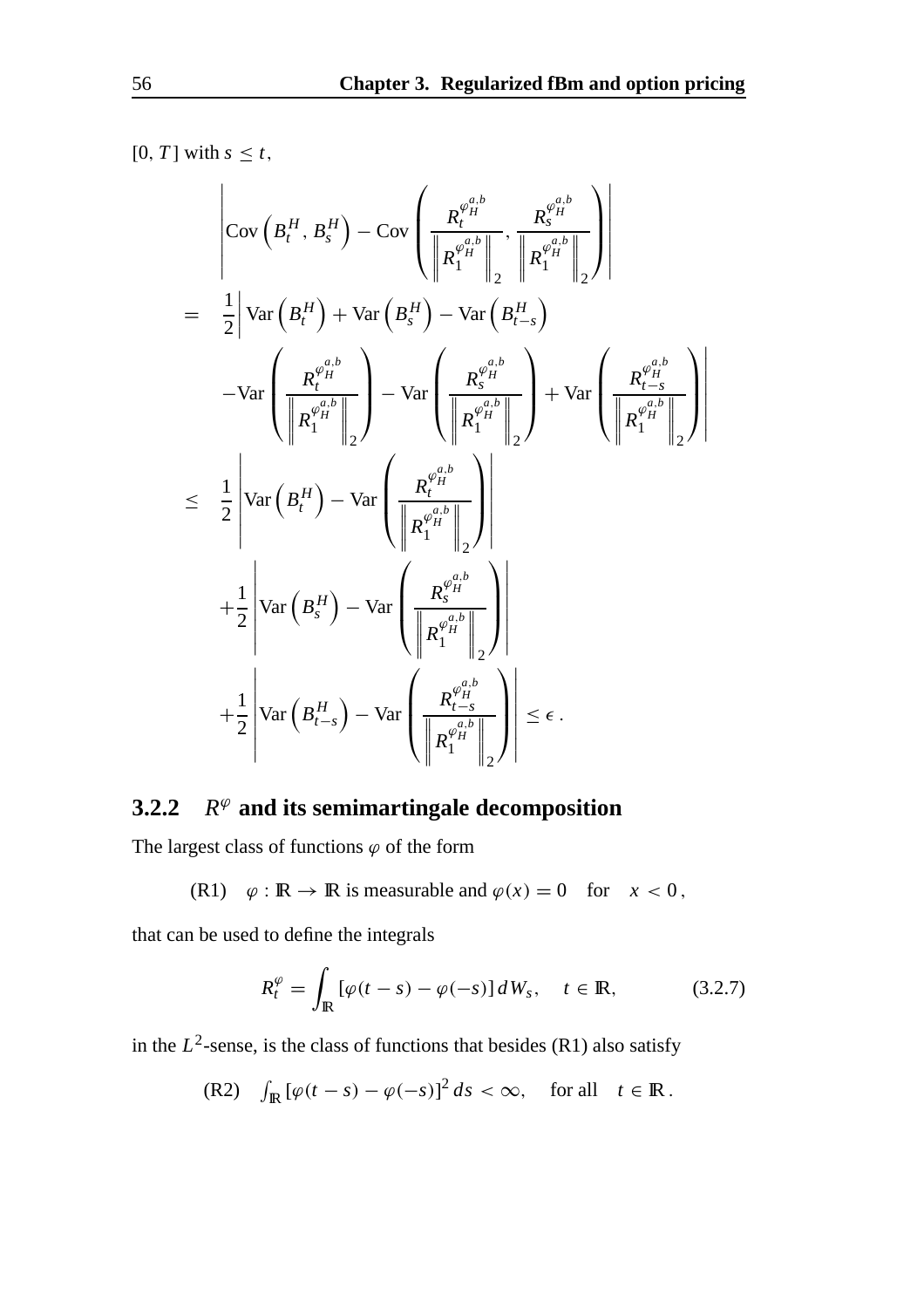$[0, T]$  with  $s \leq t$ ,

$$
\begin{aligned}\n&\left|\text{Cov}\left(B_{t}^{H}, B_{s}^{H}\right) - \text{Cov}\left(\frac{R_{t}^{\varphi_{H}^{a,b}}}{\left\|\mathcal{R}_{1}^{\varphi_{H}^{a,b}}\right\|}, \frac{R_{s}^{\varphi_{H}^{a,b}}}{\left\|\mathcal{R}_{1}^{\varphi_{H}^{a,b}}\right\|}\right)\right| \\
&= \frac{1}{2}\left|\text{Var}\left(B_{t}^{H}\right) + \text{Var}\left(B_{s}^{H}\right) - \text{Var}\left(B_{t-s}^{H}\right) - \text{Var}\left(B_{t-s}^{H}\right)\right| \\
&\left|\frac{R_{t}^{\varphi_{H}^{a,b}}}{\left\|\mathcal{R}_{1}^{\varphi_{H}^{a,b}}\right\|}\right| - \text{Var}\left(\frac{R_{s}^{\varphi_{H}^{a,b}}}{\left\|\mathcal{R}_{1}^{\varphi_{H}^{a,b}}\right\|}\right) + \text{Var}\left(\frac{R_{t-s}^{\varphi_{H}^{a,b}}}{\left\|\mathcal{R}_{1}^{\varphi_{H}^{a,b}}\right\|}\right)\right| \\
&\leq \frac{1}{2}\left|\text{Var}\left(B_{t}^{H}\right) - \text{Var}\left(\frac{R_{s}^{\varphi_{H}^{a,b}}}{\left\|\mathcal{R}_{1}^{\varphi_{H}^{a,b}}\right\|}\right)\right| \\
&+ \frac{1}{2}\left|\text{Var}\left(B_{s}^{H}\right) - \text{Var}\left(\frac{R_{s}^{\varphi_{H}^{a,b}}}{\left\|\mathcal{R}_{1}^{\varphi_{H}^{a,b}}\right\|}\right)\right| \\
&+ \frac{1}{2}\left|\text{Var}\left(B_{t-s}^{H}\right) - \text{Var}\left(\frac{R_{t-s}^{\varphi_{H}^{a,b}}}{\left\|\mathcal{R}_{1}^{\varphi_{H}^{a,b}}\right\|}\right)\right| \leq \epsilon.\n\end{aligned}
$$

#### **3.2.2**  $R^{\varphi}$  and its semimartingale decomposition

The largest class of functions  $\varphi$  of the form

(R1)  $\varphi : \mathbb{R} \to \mathbb{R}$  is measurable and  $\varphi(x) = 0$  for  $x < 0$ ,

that can be used to define the integrals

$$
R_t^{\varphi} = \int_{\mathbb{R}} \left[ \varphi(t - s) - \varphi(-s) \right] dW_s, \quad t \in \mathbb{R}, \tag{3.2.7}
$$

in the  $L^2$ -sense, is the class of functions that besides (R1) also satisfy

(R2) 
$$
\int_{\mathbb{R}} \left[ \varphi(t-s) - \varphi(-s) \right]^2 ds < \infty, \quad \text{for all} \quad t \in \mathbb{R}.
$$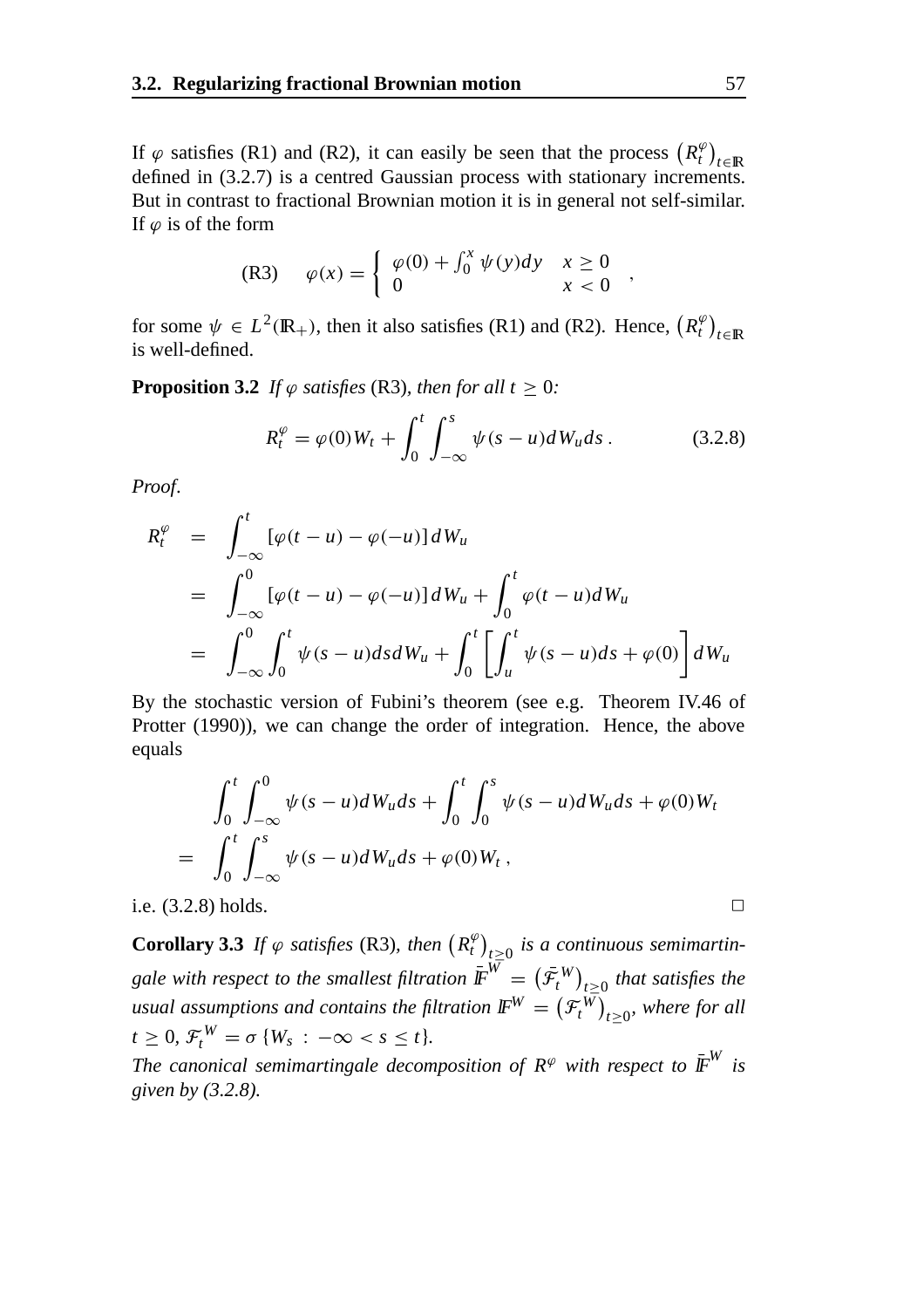If  $\varphi$  satisfies (R1) and (R2), it can easily be seen that the process  $(R_t^{\varphi})_{t \in \mathbb{R}}$ defined in (3.2.7) is a centred Gaussian process with stationary increments. But in contrast to fractional Brownian motion it is in general not self-similar. If  $\varphi$  is of the form

(R3) 
$$
\varphi(x) = \begin{cases} \varphi(0) + \int_0^x \psi(y) dy & x \ge 0 \\ 0 & x < 0 \end{cases}
$$

for some  $\psi \in L^2(\mathbb{R}_+)$ , then it also satisfies (R1) and (R2). Hence,  $(R_t^{\varphi})_{t \in \mathbb{R}}$ is well-defined.

**Proposition 3.2** *If*  $\varphi$  *satisfies* (R3)*, then for all t* > 0*:* 

$$
R_t^{\varphi} = \varphi(0)W_t + \int_0^t \int_{-\infty}^s \psi(s - u) dW_u ds. \qquad (3.2.8)
$$

*Proof*.

$$
R_t^{\varphi} = \int_{-\infty}^t [\varphi(t-u) - \varphi(-u)] dW_u
$$
  
= 
$$
\int_{-\infty}^0 [\varphi(t-u) - \varphi(-u)] dW_u + \int_0^t \varphi(t-u) dW_u
$$
  
= 
$$
\int_{-\infty}^0 \int_0^t \psi(s-u) ds dW_u + \int_0^t \left[ \int_u^t \psi(s-u) ds + \varphi(0) \right] dW_u
$$

By the stochastic version of Fubini's theorem (see e.g. Theorem IV.46 of Protter (1990)), we can change the order of integration. Hence, the above equals

$$
\int_0^t \int_{-\infty}^0 \psi(s-u) dW_u ds + \int_0^t \int_0^s \psi(s-u) dW_u ds + \varphi(0) W_t \n= \int_0^t \int_{-\infty}^s \psi(s-u) dW_u ds + \varphi(0) W_t,
$$

i.e.  $(3.2.8)$  holds.  $\Box$ 

**Corollary 3.3** If  $\varphi$  satisfies (R3), then  $(R_t^{\varphi})_{t\geq0}$  is a continuous semimartingale with respect to the smallest filtration  $\bar{\mathbb{F}}^{W} = \left(\bar{\mathcal{F}}_{t}^{W}\right)_{t \geq 0}$  that satisfies the usual assumptions and contains the filtration  $\mathbb{F}^W = \left(\mathcal{F}_t^W\right)_{t \geq 0}$ , where for all  $t \geq 0$ *,*  $\mathcal{F}_t^W = \sigma \{W_s : -\infty < s \leq t\}.$ 

*The canonical semimartingale decomposition of*  $R^\varphi$  *with respect to*  $\bar{I\!F}^W$  *is given by (3.2.8).*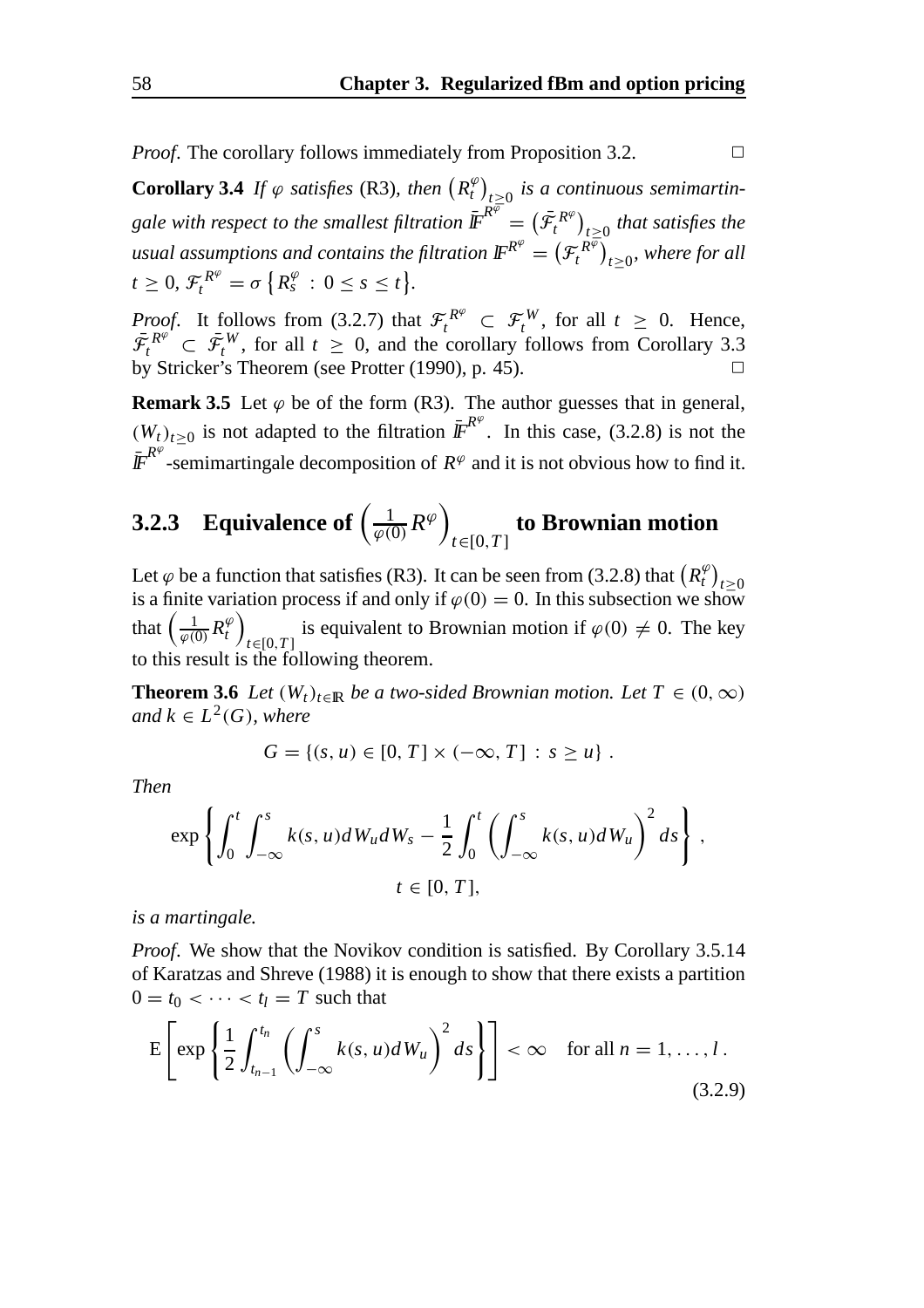*Proof.* The corollary follows immediately from Proposition 3.2. □

**Corollary 3.4** If  $\varphi$  satisfies (R3), then  $(R_t^{\varphi})_{t\geq0}$  is a continuous semimartingale with respect to the smallest filtration  $\bar{\mathbb{F}}^{R^{\overline{\varphi}}} = (\bar{\mathcal{F}}^{R^{\varphi}}_t)_{t \geq 0}$  that satisfies the usual assumptions and contains the filtration  $\mathbb{F}^{R^\varphi}=\big(\mathcal{F}_t^{R^{\overline{\varphi}}}\big)_{t\geq 0}$ , where for all  $t \geq 0$ ,  $\mathcal{F}^{R^{\varphi}}_t = \sigma \{ R^{\varphi}_s : 0 \leq s \leq t \}.$ 

*Proof.* It follows from (3.2.7) that  $\mathcal{F}^{R^{\varphi}}_t \subset \mathcal{F}^W_t$ , for all  $t \geq 0$ . Hence,  $\bar{\mathcal{F}}_t^{R^{\varphi}} \subset \bar{\mathcal{F}}_t^W$ , for all  $t \geq 0$ , and the corollary follows from Corollary 3.3 by Stricker's Theorem (see Protter  $(1990)$ , p. 45).

**Remark 3.5** Let  $\varphi$  be of the form (R3). The author guesses that in general,  $(W_t)_{t\geq 0}$  is not adapted to the filtration  $\overline{I\!F}^{R^\varphi}$ . In this case, (3.2.8) is not the  $\bar{I\!F}^{R^\varphi}$ -semimartingale decomposition of  $R^\varphi$  and it is not obvious how to find it.

#### **3.2.3** Equivalence of  $\left(\frac{1}{\varphi(0)}R^{\varphi}\right)$ *t*∈[0,*T* ] **to Brownian motion**

Let  $\varphi$  be a function that satisfies (R3). It can be seen from (3.2.8) that  $\left(R_t^{\varphi}\right)$  $\text{Let } \varphi$  oc a function that satisfies (K3). It can be seen from (3.2.6) that  $(K_t)_{t\geq0}$  is a finite variation process if and only if  $\varphi(0) = 0$ . In this subsection we show that  $\left(\frac{1}{\varphi(0)}R_t^{\varphi}\right)$ *t*∈[0,*T* ] is equivalent to Brownian motion if  $\varphi(0) \neq 0$ . The key to this result is the following theorem.

**Theorem 3.6** *Let*  $(W_t)_{t \in \mathbb{R}}$  *be a two-sided Brownian motion. Let*  $T \in (0, \infty)$ *and*  $k \in L^2(G)$ *, where* 

$$
G = \{(s, u) \in [0, T] \times (-\infty, T] : s \ge u\}.
$$

*Then*

$$
\exp\left\{\int_0^t \int_{-\infty}^s k(s, u) dW_u dW_s - \frac{1}{2} \int_0^t \left(\int_{-\infty}^s k(s, u) dW_u\right)^2 ds\right\},\
$$
  
 $t \in [0, T],$ 

*is a martingale.*

*Proof*. We show that the Novikov condition is satisfied. By Corollary 3.5.14 of Karatzas and Shreve (1988) it is enough to show that there exists a partition  $0 = t_0 < \cdots < t_l = T$  such that

$$
E\left[\exp\left\{\frac{1}{2}\int_{t_{n-1}}^{t_n}\left(\int_{-\infty}^s k(s,u)dW_u\right)^2 ds\right\}\right] < \infty \quad \text{for all } n = 1,\dots, l\,.
$$
\n(3.2.9)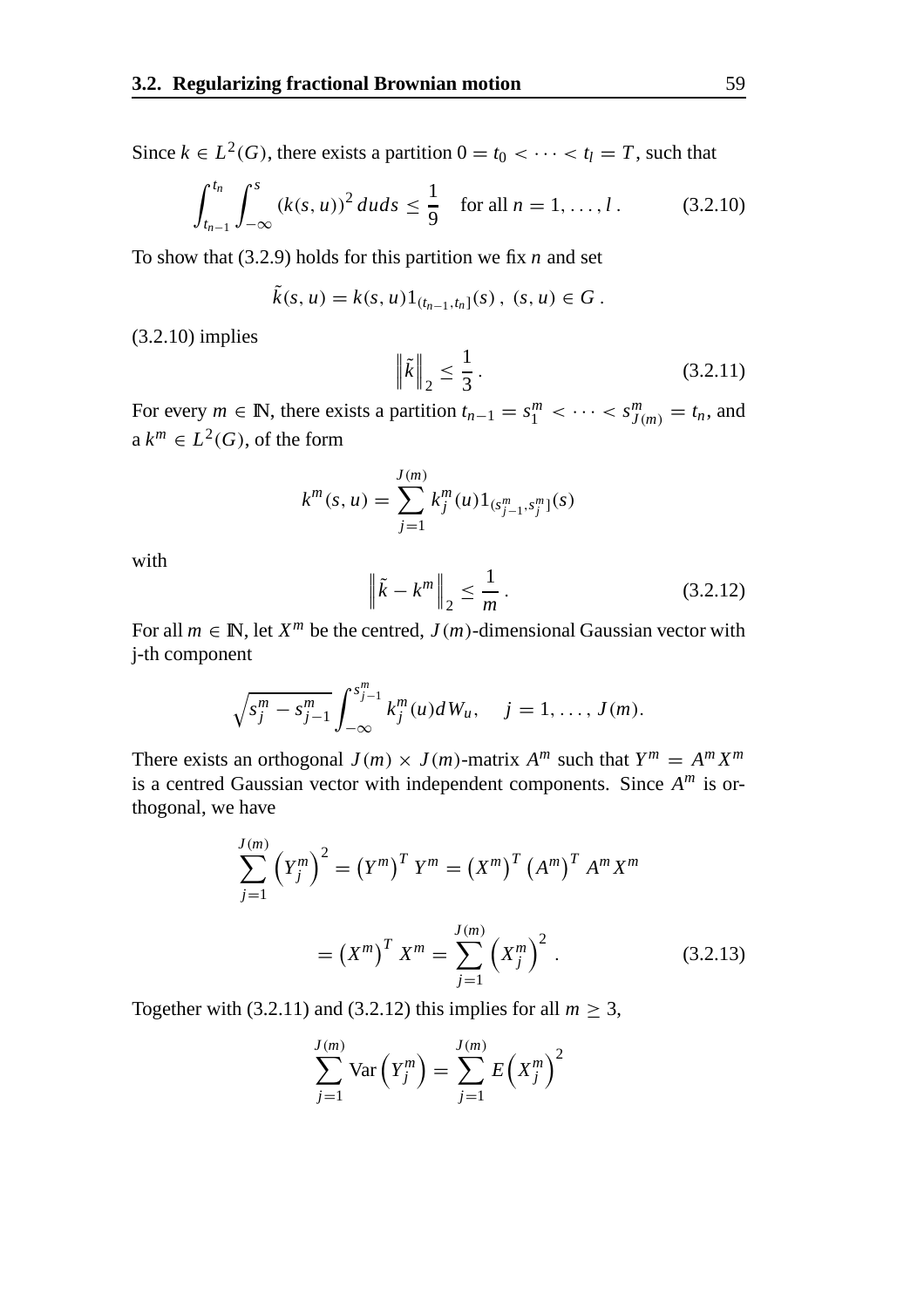Since  $k \in L^2(G)$ , there exists a partition  $0 = t_0 < \cdots < t_l = T$ , such that

$$
\int_{t_{n-1}}^{t_n} \int_{-\infty}^{s} (k(s, u))^2 du ds \le \frac{1}{9} \quad \text{for all } n = 1, ..., l. \tag{3.2.10}
$$

To show that (3.2.9) holds for this partition we fix *n* and set

$$
\tilde{k}(s, u) = k(s, u) 1_{(t_{n-1}, t_n]}(s), (s, u) \in G.
$$

(3.2.10) implies

$$
\|\tilde{k}\|_2 \le \frac{1}{3}
$$
. (3.2.11)

For every  $m \in \mathbb{N}$ , there exists a partition  $t_{n-1} = s_1^m < \cdots < s_{J(m)}^m = t_n$ , and  $a k^m \in L^2(G)$ , of the form

$$
k^{m}(s, u) = \sum_{j=1}^{J(m)} k_{j}^{m}(u) 1_{(s_{j-1}^{m}, s_{j}^{m})}(s)
$$

with

$$
\left\| \tilde{k} - k^m \right\|_2 \le \frac{1}{m} \,. \tag{3.2.12}
$$

For all  $m \in \mathbb{N}$ , let  $X^m$  be the centred,  $J(m)$ -dimensional Gaussian vector with j-th component

$$
\sqrt{s_j^m - s_{j-1}^m} \int_{-\infty}^{s_{j-1}^m} k_j^m(u) dW_u, \quad j = 1, ..., J(m).
$$

There exists an orthogonal  $J(m) \times J(m)$ -matrix  $A^m$  such that  $Y^m = A^m X^m$ is a centred Gaussian vector with independent components. Since *A<sup>m</sup>* is orthogonal, we have

$$
\sum_{j=1}^{J(m)} (Y_j^m)^2 = (Y^m)^T Y^m = (X^m)^T (A^m)^T A^m X^m
$$
  
=  $(X^m)^T X^m = \sum_{j=1}^{J(m)} (X_j^m)^2$ . (3.2.13)

Together with (3.2.11) and (3.2.12) this implies for all  $m \geq 3$ ,

$$
\sum_{j=1}^{J(m)} \text{Var}\left(Y_j^m\right) = \sum_{j=1}^{J(m)} E\left(X_j^m\right)^2
$$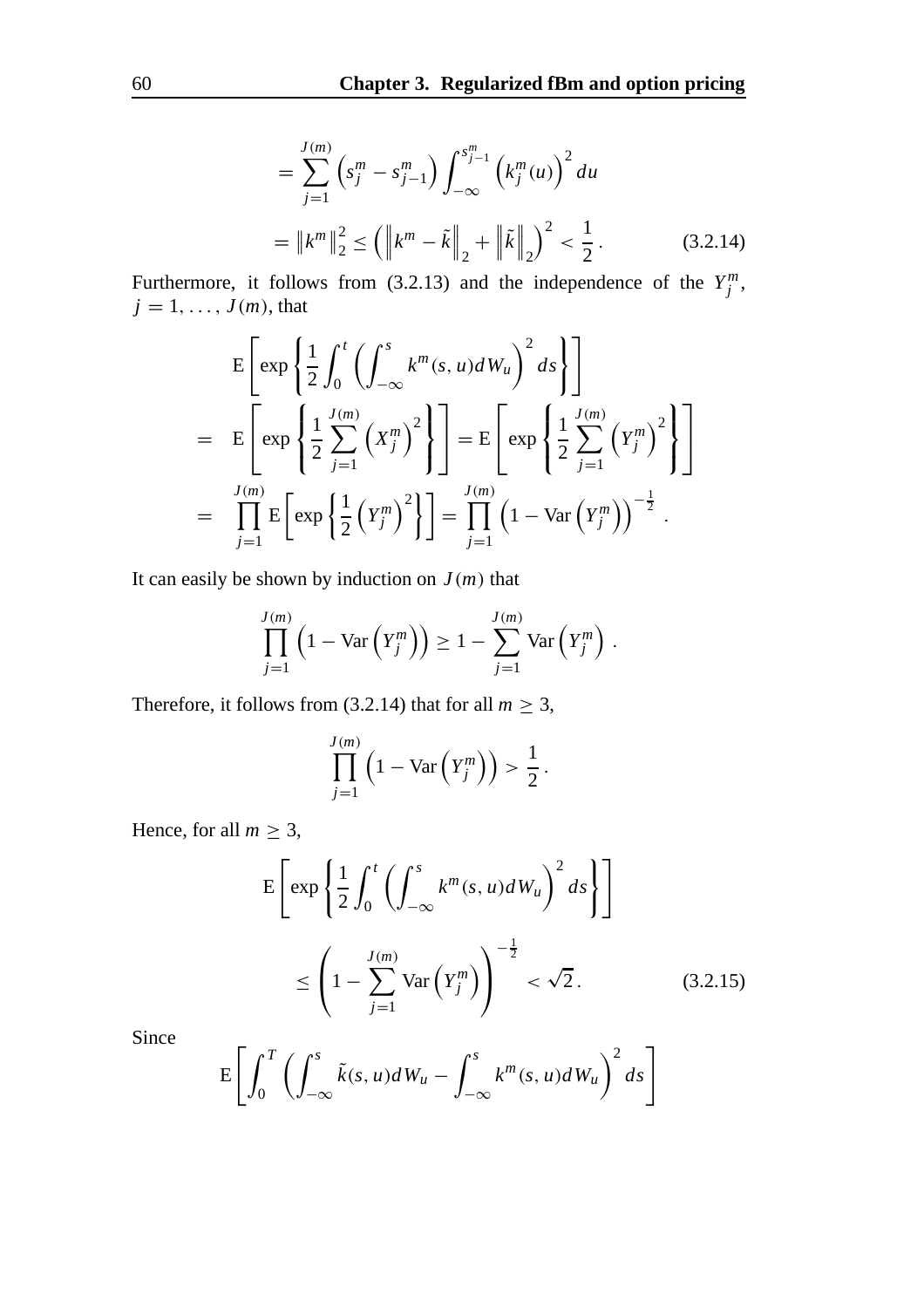$$
= \sum_{j=1}^{J(m)} \left( s_j^m - s_{j-1}^m \right) \int_{-\infty}^{s_{j-1}^m} \left( k_j^m(u) \right)^2 du
$$
  
=  $||k^m||_2^2 \le ||k^m - \tilde{k}||_2 + ||\tilde{k}||_2^2 < \frac{1}{2}.$  (3.2.14)

Furthermore, it follows from (3.2.13) and the independence of the  $Y_j^m$ ,  $j = 1, \ldots, J(m)$ , that

$$
E\left[\exp\left\{\frac{1}{2}\int_0^t \left(\int_{-\infty}^s k^m(s, u)dW_u\right)^2 ds\right\}\right]
$$
  
\n
$$
= E\left[\exp\left\{\frac{1}{2}\sum_{j=1}^{J(m)} \left(X_j^m\right)^2\right\}\right] = E\left[\exp\left\{\frac{1}{2}\sum_{j=1}^{J(m)} \left(Y_j^m\right)^2\right\}\right]
$$
  
\n
$$
= \prod_{j=1}^{J(m)} E\left[\exp\left\{\frac{1}{2} \left(Y_j^m\right)^2\right\}\right] = \prod_{j=1}^{J(m)} \left(1 - \text{Var}\left(Y_j^m\right)\right)^{-\frac{1}{2}}.
$$

It can easily be shown by induction on  $J(m)$  that

$$
\prod_{j=1}^{J(m)} \left(1 - \text{Var}\left(Y_j^m\right)\right) \geq 1 - \sum_{j=1}^{J(m)} \text{Var}\left(Y_j^m\right).
$$

Therefore, it follows from (3.2.14) that for all  $m \geq 3$ ,

$$
\prod_{j=1}^{J(m)}\left(1-\text{Var}\left(Y_j^m\right)\right) > \frac{1}{2} \, .
$$

Hence, for all  $m \geq 3$ ,

$$
E\left[\exp\left\{\frac{1}{2}\int_0^t \left(\int_{-\infty}^s k^m(s, u)dW_u\right)^2 ds\right\}\right]
$$
  

$$
\leq \left(1 - \sum_{j=1}^{J(m)} Var\left(Y_j^m\right)\right)^{-\frac{1}{2}} < \sqrt{2}.
$$
 (3.2.15)

Since

$$
E\left[\int_0^T \left(\int_{-\infty}^s \tilde{k}(s,u)dW_u - \int_{-\infty}^s k^m(s,u)dW_u\right)^2 ds\right]
$$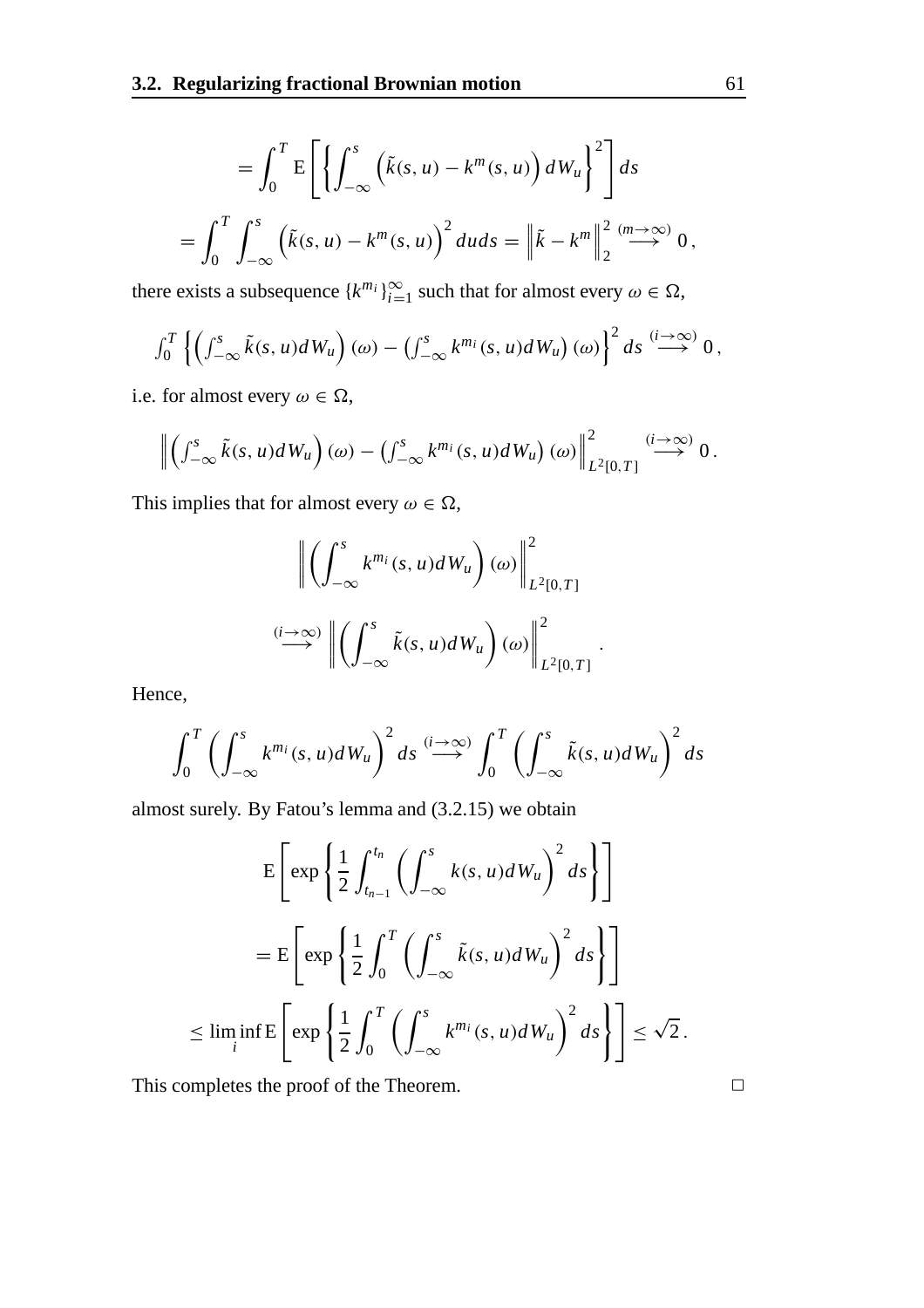$$
= \int_0^T E\left[\left\{\int_{-\infty}^s \left(\tilde{k}(s, u) - k^m(s, u)\right) dW_u\right\}^2\right] ds
$$
  

$$
= \int_0^T \int_{-\infty}^s \left(\tilde{k}(s, u) - k^m(s, u)\right)^2 du ds = \left\|\tilde{k} - k^m\right\|_2^2 \stackrel{(m \to \infty)}{\longrightarrow} 0,
$$

there exists a subsequence  $\{k^{m_i}\}_{i=1}^{\infty}$  such that for almost every  $\omega \in \Omega$ ,

$$
\int_0^T \left\{ \left( \int_{-\infty}^s \tilde{k}(s, u) dW_u \right) (\omega) - \left( \int_{-\infty}^s k^{m_i}(s, u) dW_u \right) (\omega) \right\}^2 ds \stackrel{(i \to \infty)}{\longrightarrow} 0,
$$

i.e. for almost every  $\omega \in \Omega$ ,

$$
\left\|\left(\int_{-\infty}^s \tilde{k}(s,u)dW_u\right)(\omega)-\left(\int_{-\infty}^s k^{m_i}(s,u)dW_u\right)(\omega)\right\|_{L^2[0,T]}^2 \stackrel{(i\to\infty)}{\longrightarrow} 0.
$$

This implies that for almost every  $\omega \in \Omega$ ,

$$
\left\| \left( \int_{-\infty}^{s} k^{m_i}(s, u) dW_u \right) (\omega) \right\|_{L^2[0, T]}^2
$$
  

$$
\xrightarrow{(i \to \infty)} \left\| \left( \int_{-\infty}^{s} \tilde{k}(s, u) dW_u \right) (\omega) \right\|_{L^2[0, T]}^2.
$$

Hence,

$$
\int_0^T \left( \int_{-\infty}^s k^{m_i}(s, u) dW_u \right)^2 ds \stackrel{(i \to \infty)}{\longrightarrow} \int_0^T \left( \int_{-\infty}^s \tilde{k}(s, u) dW_u \right)^2 ds
$$

almost surely. By Fatou's lemma and (3.2.15) we obtain

$$
E\left[\exp\left\{\frac{1}{2}\int_{t_{n-1}}^{t_n}\left(\int_{-\infty}^s k(s, u)dW_u\right)^2 ds\right\}\right]
$$
  

$$
= E\left[\exp\left\{\frac{1}{2}\int_0^T\left(\int_{-\infty}^s \tilde{k}(s, u)dW_u\right)^2 ds\right\}\right]
$$
  

$$
\leq \liminf_{i} E\left[\exp\left\{\frac{1}{2}\int_0^T\left(\int_{-\infty}^s k^{m_i}(s, u)dW_u\right)^2 ds\right\}\right] \leq \sqrt{2}.
$$

This completes the proof of the Theorem.  $\Box$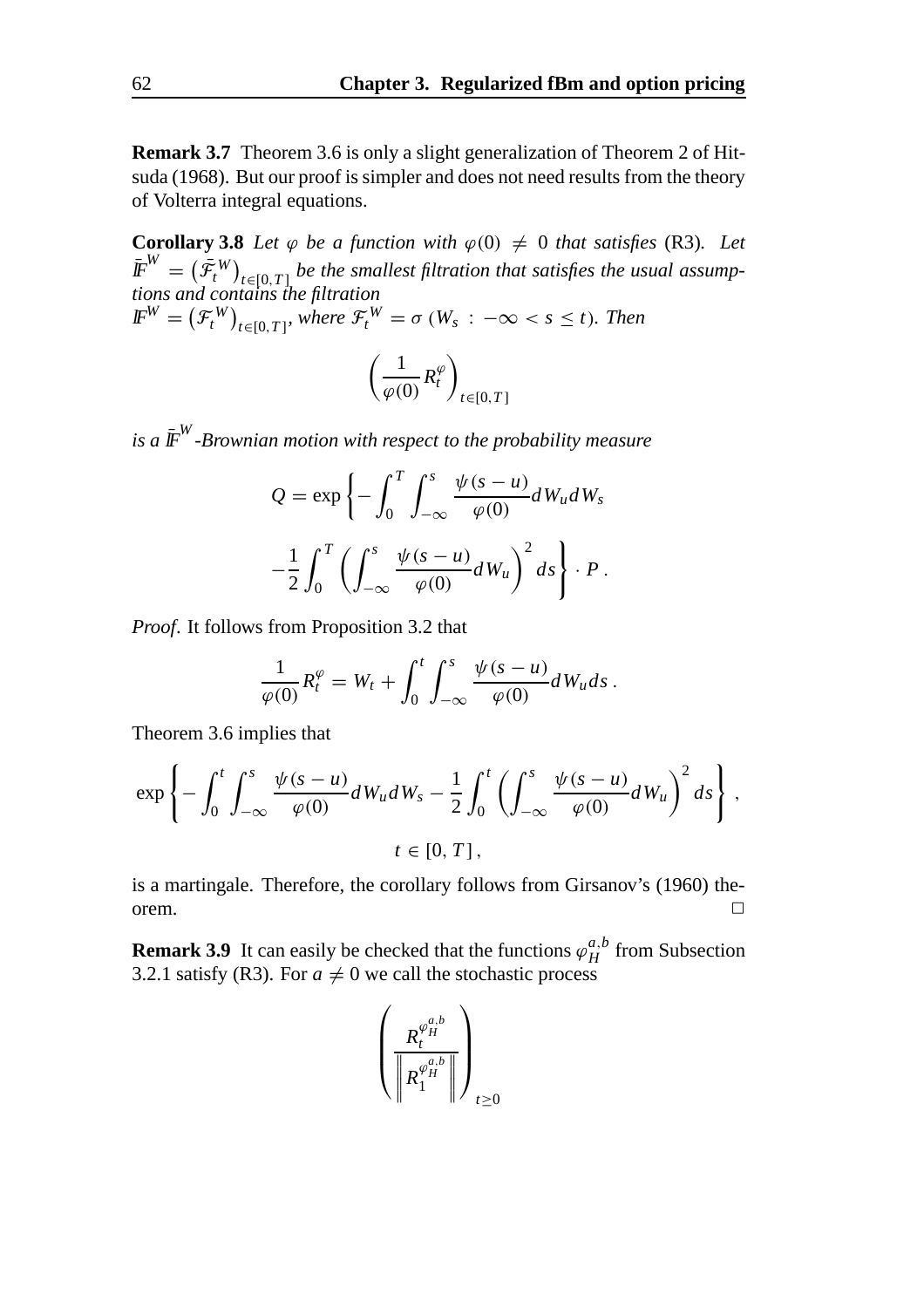**Remark 3.7** Theorem 3.6 is only a slight generalization of Theorem 2 of Hitsuda (1968). But our proof is simpler and does not need results from the theory of Volterra integral equations.

**Corollary 3.8** *Let*  $\varphi$  *be a function with*  $\varphi(0) \neq 0$  *that satisfies* (R3)*. Let*  $\bar{\mathbf{F}}^{W} = \left(\bar{\mathcal{F}}^{W}_{t}\right)_{t \in [0,T]}$  be the smallest filtration that satisfies the usual assump*tions and contains the filtration*  $\mathbf{F}^{W} = \left(\mathcal{F}^{W}_{t}\right)_{t \in [0,T]},$  where  $\mathcal{F}^{W}_{t} = \sigma(W_s : -\infty < s \leq t)$ . Then

$$
\left(\frac{1}{\varphi(0)}R_t^{\varphi}\right)_{t\in[0,T]}
$$

*is a*  $\bar{F}^{W}$ *-Brownian motion with respect to the probability measure* 

$$
Q = \exp\left\{-\int_0^T \int_{-\infty}^s \frac{\psi(s-u)}{\varphi(0)} dW_u dW_s\right.-\frac{1}{2} \int_0^T \left(\int_{-\infty}^s \frac{\psi(s-u)}{\varphi(0)} dW_u\right)^2 ds\right\} \cdot P.
$$

*Proof*. It follows from Proposition 3.2 that

$$
\frac{1}{\varphi(0)}R_t^{\varphi}=W_t+\int_0^t\int_{-\infty}^s\frac{\psi(s-u)}{\varphi(0)}dW_u ds.
$$

Theorem 3.6 implies that

$$
\exp\left\{-\int_0^t \int_{-\infty}^s \frac{\psi(s-u)}{\varphi(0)} dW_u dW_s - \frac{1}{2} \int_0^t \left(\int_{-\infty}^s \frac{\psi(s-u)}{\varphi(0)} dW_u\right)^2 ds\right\},\,
$$
  
 $t \in [0, T],$ 

is a martingale. Therefore, the corollary follows from Girsanov's (1960) theorem.  $\Box$ 

**Remark 3.9** It can easily be checked that the functions  $\varphi_H^{a,b}$  from Subsection 3.2.1 satisfy (R3). For  $a \neq 0$  we call the stochastic process

$$
\left(\frac{R^{\varphi_H^{a,b}}_I}{\left\|R^{\varphi_H^{a,b}}_1\right\|}\right)_{t\geq 0}
$$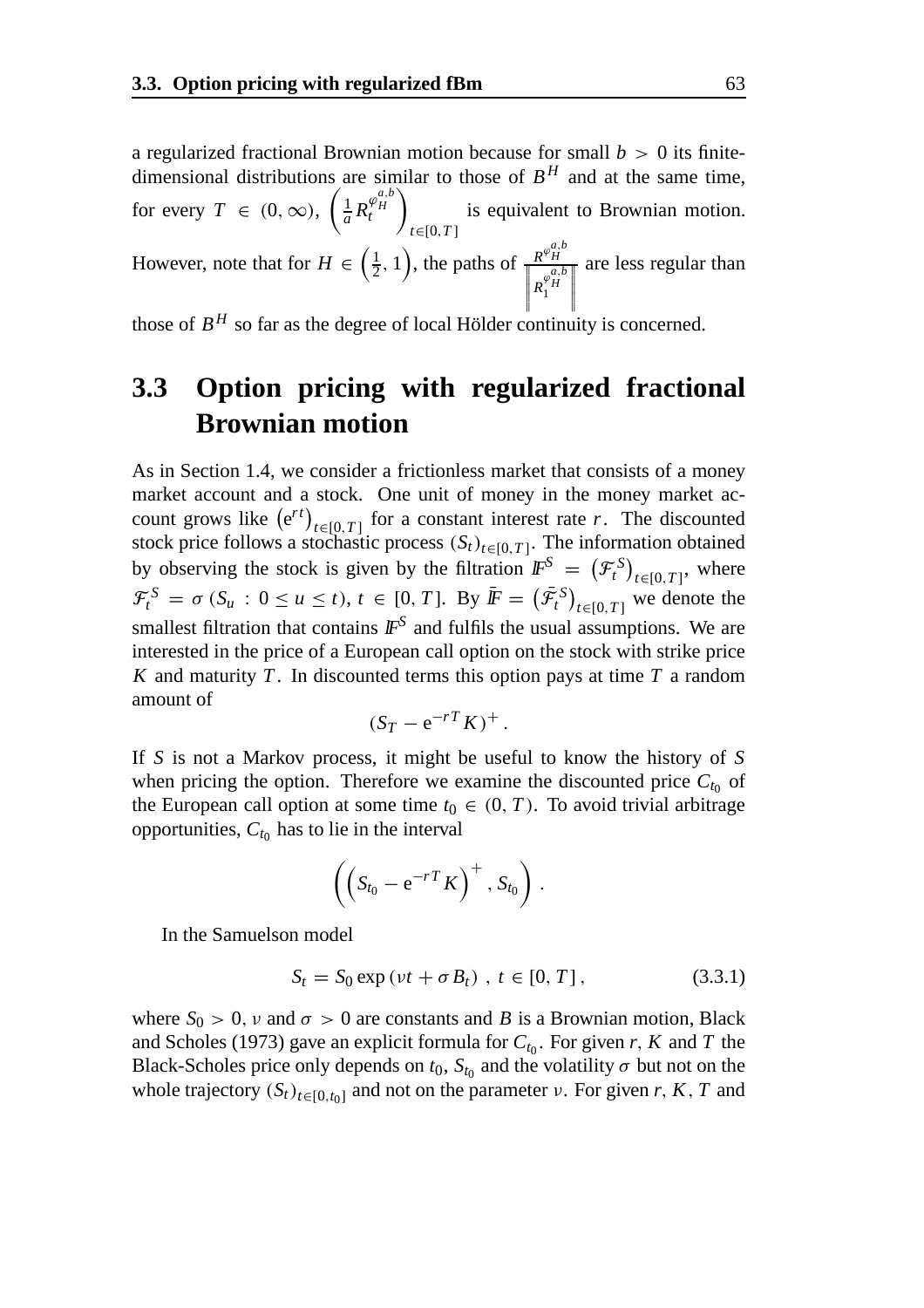a regularized fractional Brownian motion because for small  $b > 0$  its finitedimensional distributions are similar to those of  $B<sup>H</sup>$  and at the same time, for every  $T \in (0, \infty)$ ,  $\left(\frac{1}{a} R_t^{\varphi_H^{a,b}}\right)$ *H t*  $\setminus$ *t*∈[0,*T* ] is equivalent to Brownian motion. However, note that for  $H \in \left(\frac{1}{2}, 1\right)$ , the paths of  $\frac{R^{\varphi_H^{a,b}}}{\sqrt{R^{\varphi_H^{a,b}}}}$ are less regular than

 $R_1^{\varphi_H^{a,b}}$ 

 those of  $B^H$  so far as the degree of local Hölder continuity is concerned.

## **3.3 Option pricing with regularized fractional Brownian motion**

As in Section 1.4, we consider a frictionless market that consists of a money market account and a stock. One unit of money in the money market account grows like  $(e^{rt})_{t \in [0,T]}$  for a constant interest rate *r*. The discounted stock price follows a stochastic process  $(S_t)_{t \in [0,T]}$ . The information obtained by observing the stock is given by the filtration  $\mathbf{F}^S = (\mathcal{F}^S_t)_{t \in [0,T]}$ , where  $\mathcal{F}_t^S = \sigma(S_u : 0 \le u \le t), t \in [0, T].$  By  $\overline{F} = (\overline{\mathcal{F}}_t^S)_{t \in [0, T]}$  we denote the smallest filtration that contains  $\mathbb{F}^S$  and fulfils the usual assumptions. We are interested in the price of a European call option on the stock with strike price *K* and maturity *T* . In discounted terms this option pays at time *T* a random amount of

$$
(S_T - e^{-rT}K)^+.
$$

If *S* is not a Markov process, it might be useful to know the history of *S* when pricing the option. Therefore we examine the discounted price  $C_{t_0}$  of the European call option at some time  $t_0 \in (0, T)$ . To avoid trivial arbitrage opportunities,  $C_{t_0}$  has to lie in the interval

$$
\left(\left(S_{t_0}-e^{-rT}K\right)^+, S_{t_0}\right).
$$

In the Samuelson model

$$
S_t = S_0 \exp(vt + \sigma B_t), \ t \in [0, T], \tag{3.3.1}
$$

where  $S_0 > 0$ , v and  $\sigma > 0$  are constants and *B* is a Brownian motion, Black and Scholes (1973) gave an explicit formula for  $C_{t_0}$ . For given *r*, *K* and *T* the Black-Scholes price only depends on  $t_0$ ,  $S_{t_0}$  and the volatility  $\sigma$  but not on the whole trajectory  $(S_t)_{t \in [0,t_0]}$  and not on the parameter v. For given *r*, *K*, *T* and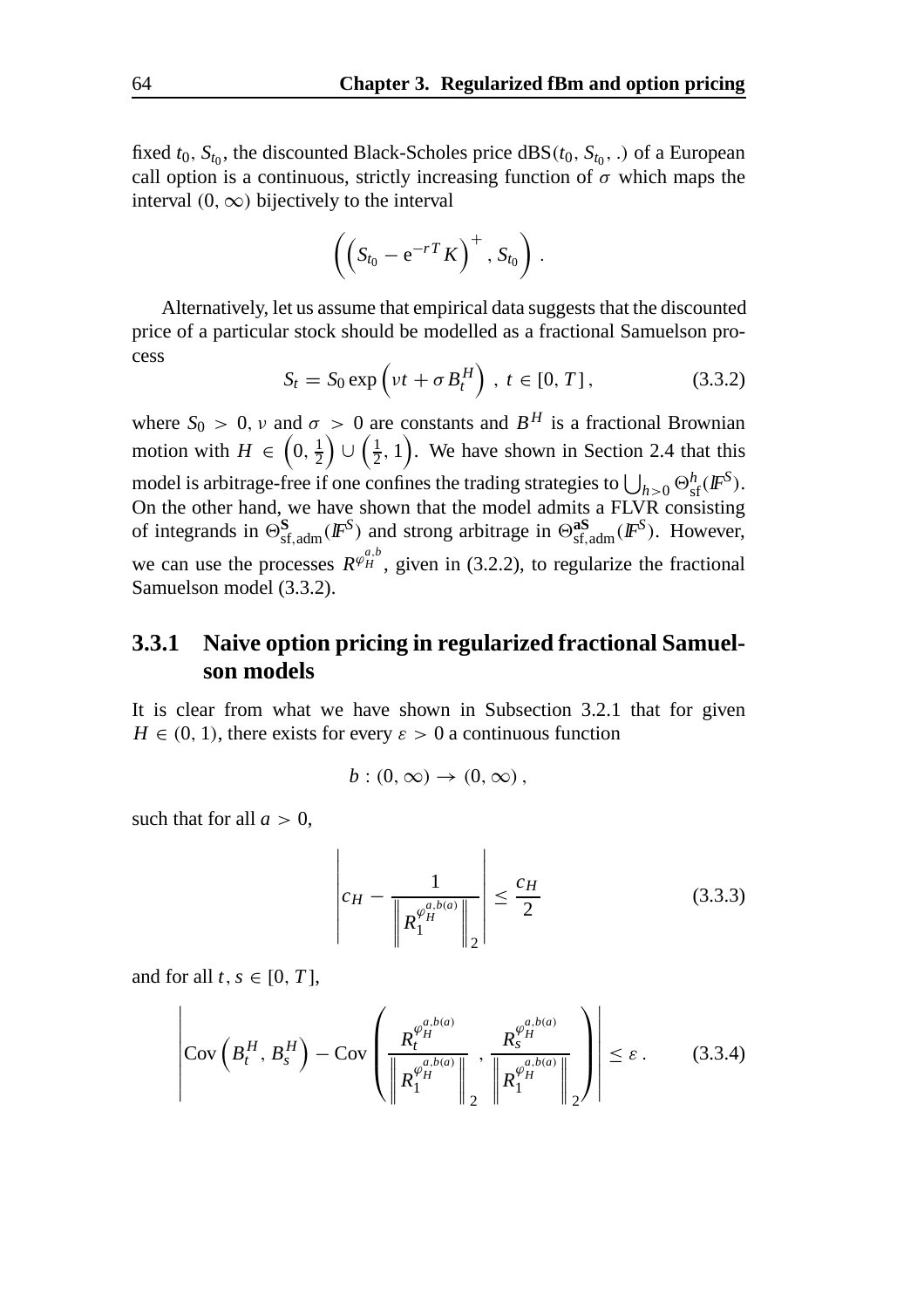fixed  $t_0$ ,  $S_{t_0}$ , the discounted Black-Scholes price  $\text{dBS}(t_0, S_{t_0},.)$  of a European call option is a continuous, strictly increasing function of  $\sigma$  which maps the interval  $(0, \infty)$  bijectively to the interval

$$
\left(\left(S_{t_0}-e^{-rT}K\right)^+, S_{t_0}\right).
$$

Alternatively, let us assume that empirical data suggests that the discounted price of a particular stock should be modelled as a fractional Samuelson process

$$
S_t = S_0 \exp\left(\nu t + \sigma B_t^H\right), \ t \in [0, T], \tag{3.3.2}
$$

where  $S_0 > 0$ , v and  $\sigma > 0$  are constants and  $B^H$  is a fractional Brownian motion with  $H \in \left(0, \frac{1}{2}\right)$  $\left( \frac{1}{2}, 1 \right)$ . We have shown in Section 2.4 that this model is arbitrage-free if one confines the trading strategies to  $\bigcup_{h>0} \Theta_{\text{sf}}^h(F^S)$ . On the other hand, we have shown that the model admits a FLVR consisting of integrands in  $\Theta_{sf,adm}^S(\mathbb{F}^S)$  and strong arbitrage in  $\Theta_{sf,adm}^{as}(\mathbb{F}^S)$ . However, we can use the processes  $R^{\varphi_{H}^{a,b}}$ , given in (3.2.2), to regularize the fractional Samuelson model (3.3.2).

#### **3.3.1 Naive option pricing in regularized fractional Samuelson models**

It is clear from what we have shown in Subsection 3.2.1 that for given  $H \in (0, 1)$ , there exists for every  $\varepsilon > 0$  a continuous function

$$
b:(0,\infty)\to(0,\infty),
$$

such that for all  $a > 0$ ,

$$
\left| c_H - \frac{1}{\left\| R_1^{\varphi_H^{a,b(a)}} \right\|_2} \right| \leq \frac{c_H}{2} \tag{3.3.3}
$$

and for all  $t, s \in [0, T]$ ,

$$
\left|\text{Cov}\left(B_t^H, B_s^H\right) - \text{Cov}\left(\frac{R_t^{\varphi_H^{a,b(a)}}}{\left\|R_1^{\varphi_H^{a,b(a)}}\right\|_2}, \frac{R_s^{\varphi_H^{a,b(a)}}}{\left\|R_1^{\varphi_H^{a,b(a)}}\right\|_2}\right)\right| \leq \varepsilon.
$$
 (3.3.4)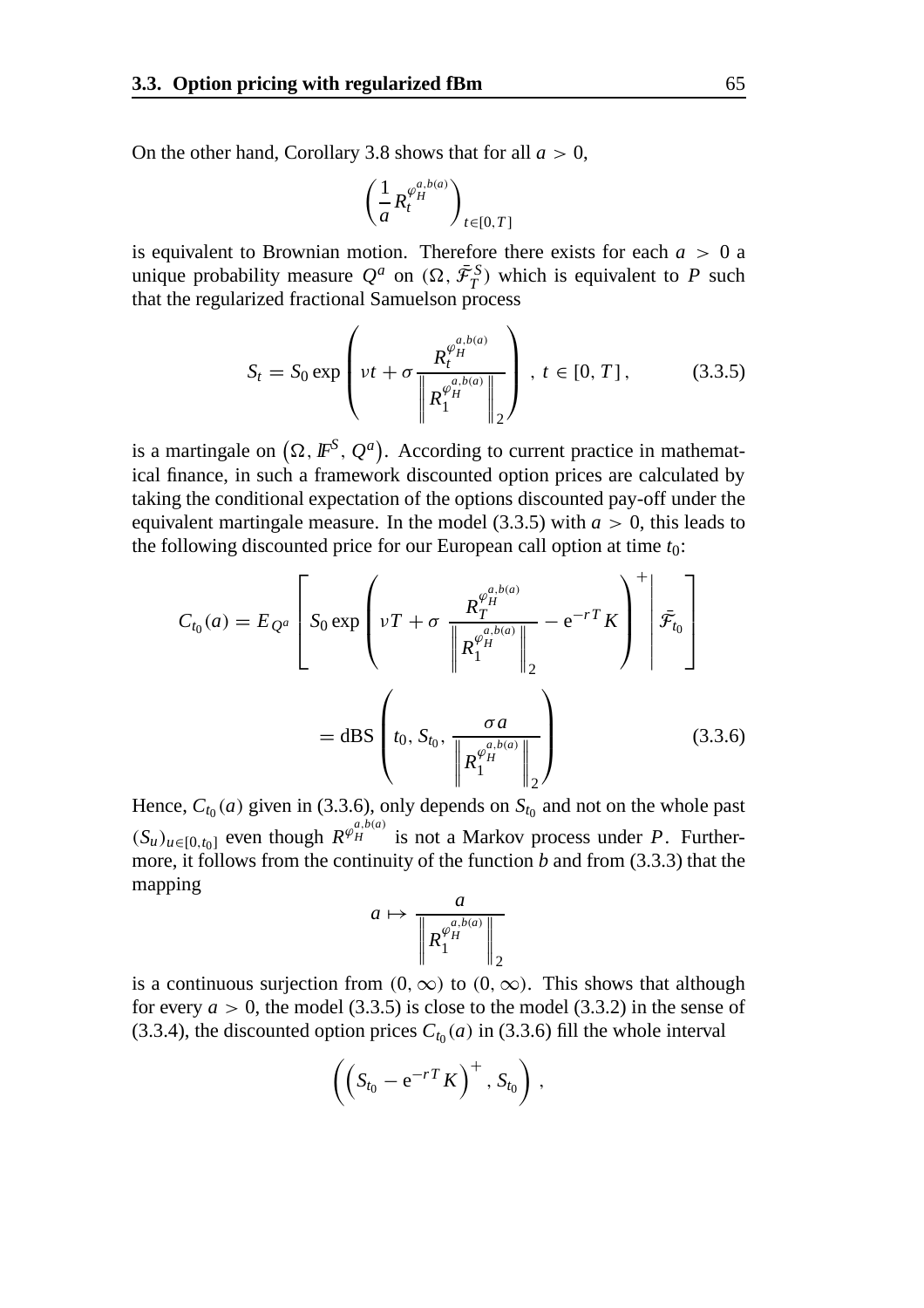On the other hand, Corollary 3.8 shows that for all  $a > 0$ ,

$$
\left(\frac{1}{a}R_t^{\varphi_H^{a,b(a)}}\right)_{t\in[0,T]}
$$

is equivalent to Brownian motion. Therefore there exists for each  $a > 0$  a unique probability measure  $Q^a$  on  $(\Omega, \bar{\mathcal{F}}_T^S)$  which is equivalent to P such that the regularized fractional Samuelson process

$$
S_{t} = S_{0} \exp \left( \nu t + \sigma \frac{R_{t}^{\varphi_{H}^{a,b(a)}}}{\left\| R_{1}^{\varphi_{H}^{a,b(a)}} \right\|_{2}} \right), \ t \in [0, T], \tag{3.3.5}
$$

is a martingale on  $(\Omega, I\!\!F^S, Q^a)$ . According to current practice in mathematical finance, in such a framework discounted option prices are calculated by taking the conditional expectation of the options discounted pay-off under the equivalent martingale measure. In the model  $(3.3.5)$  with  $a > 0$ , this leads to the following discounted price for our European call option at time *t*0:

$$
C_{t_0}(a) = E_{Q^a} \left[ S_0 \exp \left( vT + \sigma \frac{R_T^{\varphi_H^{a,b(a)}}}{\left\| R_1^{\varphi_H^{a,b(a)}} \right\|_2} - e^{-rT} K \right)^{+} \middle| \bar{\mathcal{F}}_{t_0} \right]
$$
  
= dBS  $\left( t_0, S_{t_0}, \frac{\sigma a}{\left\| R_1^{\varphi_H^{a,b(a)}} \right\|_2} \right)$  (3.3.6)

Hence,  $C_{t_0}(a)$  given in (3.3.6), only depends on  $S_{t_0}$  and not on the whole past  $(S_u)_{u \in [0, t_0]}$  even though  $R^{\varphi_H^{a, b(a)}}$  is not a Markov process under *P*. Furthermore, it follows from the continuity of the function *b* and from (3.3.3) that the mapping

$$
a \mapsto \frac{a}{\left\| R_1^{\varphi_H^{a,b(a)}} \right\|_2}
$$

is a continuous surjection from  $(0, \infty)$  to  $(0, \infty)$ . This shows that although for every  $a > 0$ , the model (3.3.5) is close to the model (3.3.2) in the sense of (3.3.4), the discounted option prices  $C_{t_0}(a)$  in (3.3.6) fill the whole interval

$$
\left(\left(S_{t_0}-e^{-rT}K\right)^+, S_{t_0}\right),\,
$$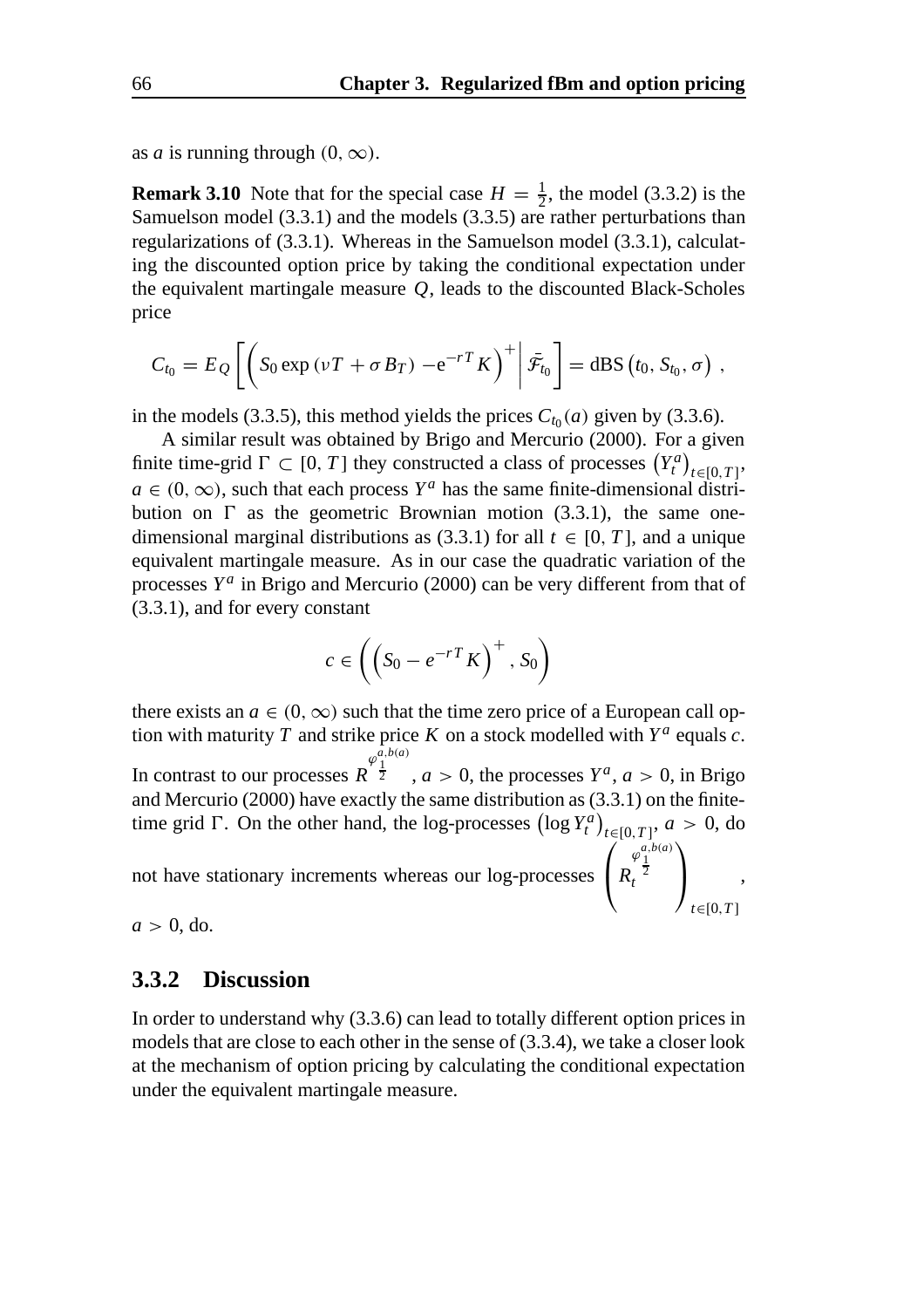as *a* is running through  $(0, \infty)$ .

**Remark 3.10** Note that for the special case  $H = \frac{1}{2}$ , the model (3.3.2) is the Samuelson model (3.3.1) and the models (3.3.5) are rather perturbations than regularizations of (3.3.1). Whereas in the Samuelson model (3.3.1), calculating the discounted option price by taking the conditional expectation under the equivalent martingale measure *Q*, leads to the discounted Black-Scholes price

$$
C_{t_0}=E_{\mathcal{Q}}\left[\left(S_0\exp\left(\nu T+\sigma B_T\right)-e^{-rT}K\right)^+\middle|\bar{\mathcal{F}}_{t_0}\right]=\mathrm{dBS}\left(t_0,S_{t_0},\sigma\right),\,
$$

in the models (3.3.5), this method yields the prices  $C_{t_0}(a)$  given by (3.3.6).

A similar result was obtained by Brigo and Mercurio (2000). For a given finite time-grid  $\Gamma \subset [0, T]$  they constructed a class of processes  $(Y_t^a)_{t \in [0, T]}$ ,  $a \in (0, \infty)$ , such that each process  $Y^a$  has the same finite-dimensional distribution on  $\Gamma$  as the geometric Brownian motion (3.3.1), the same onedimensional marginal distributions as (3.3.1) for all  $t \in [0, T]$ , and a unique equivalent martingale measure. As in our case the quadratic variation of the processes  $Y^a$  in Brigo and Mercurio (2000) can be very different from that of (3.3.1), and for every constant

$$
c \in \left( \left( S_0 - e^{-rT} K \right)^+, S_0 \right)
$$

there exists an  $a \in (0, \infty)$  such that the time zero price of a European call option with maturity *T* and strike price *K* on a stock modelled with  $Y^a$  equals *c*. In contrast to our processes  $R^{\frac{\varphi_1}{2}}$ ,  $a > 0$ , the processes  $Y^a$ ,  $a > 0$ , in Brigo  $\varphi^{a,b(a)}_1$ and Mercurio (2000) have exactly the same distribution as (3.3.1) on the finitetime grid  $\Gamma$ . On the other hand, the log-processes  $(\log Y_t^a)_{t \in [0,T]}, a > 0$ , do not have stationary increments whereas our log-processes  $\sqrt{ }$ *R*  $\varphi_1^{a,b(a)}$ <br> *t*  $\setminus$  $\mathbf{I}$ ,

*t*∈[0,*T* ]

 $a > 0$ , do.

#### **3.3.2 Discussion**

In order to understand why (3.3.6) can lead to totally different option prices in models that are close to each other in the sense of (3.3.4), we take a closer look at the mechanism of option pricing by calculating the conditional expectation under the equivalent martingale measure.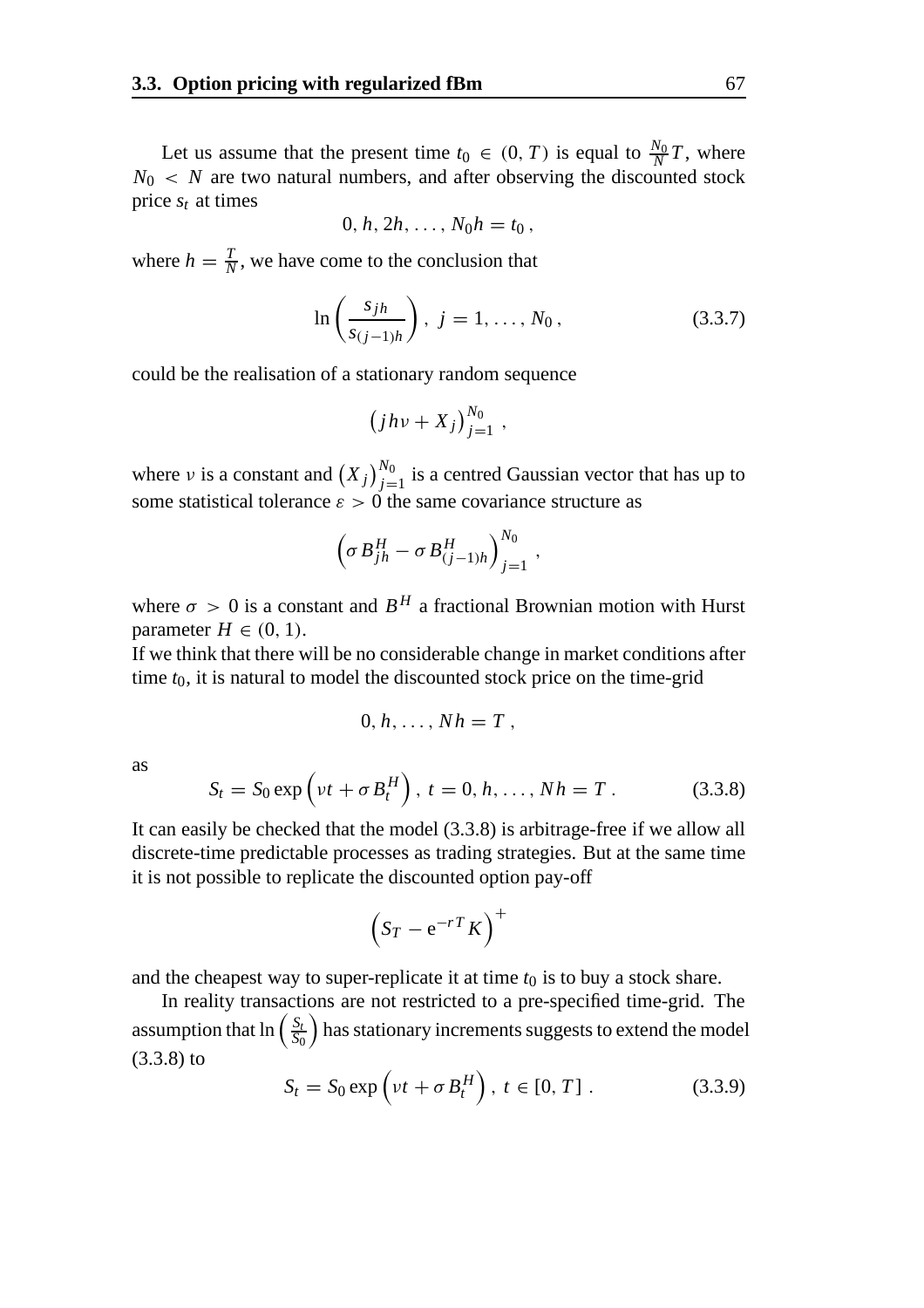Let us assume that the present time  $t_0 \in (0, T)$  is equal to  $\frac{N_0}{N}T$ , where  $N_0 \leq N$  are two natural numbers, and after observing the discounted stock price  $s_t$  at times

$$
0, h, 2h, \ldots, N_0 h = t_0,
$$

where  $h = \frac{T}{N}$ , we have come to the conclusion that

$$
\ln\left(\frac{s_{jh}}{s_{(j-1)h}}\right), \ j = 1, \dots, N_0, \tag{3.3.7}
$$

could be the realisation of a stationary random sequence

$$
(jhv+X_j)_{j=1}^{N_0},
$$

where v is a constant and  $(X_j)_{j=1}^{N_0}$  is a centred Gaussian vector that has up to some statistical tolerance  $\varepsilon > 0$  the same covariance structure as

$$
\left(\sigma B_{jh}^H - \sigma B_{(j-1)h}^H\right)_{j=1}^{N_0},
$$

where  $\sigma > 0$  is a constant and  $B^H$  a fractional Brownian motion with Hurst parameter  $H \in (0, 1)$ .

If we think that there will be no considerable change in market conditions after time *t*0, it is natural to model the discounted stock price on the time-grid

$$
0, h, \ldots, Nh = T,
$$

as

$$
S_t = S_0 \exp(v t + \sigma B_t^H), \ t = 0, h, ..., Nh = T. \tag{3.3.8}
$$

It can easily be checked that the model (3.3.8) is arbitrage-free if we allow all discrete-time predictable processes as trading strategies. But at the same time it is not possible to replicate the discounted option pay-off

$$
\left(S_T - e^{-rT} K\right)^+
$$

and the cheapest way to super-replicate it at time  $t_0$  is to buy a stock share.

In reality transactions are not restricted to a pre-specified time-grid. The assumption that  $\ln \left( \frac{S_t}{S_0} \right)$  has stationary increments suggests to extend the model (3.3.8) to

$$
S_t = S_0 \exp\left(\nu t + \sigma B_t^H\right), \ t \in [0, T] \ . \tag{3.3.9}
$$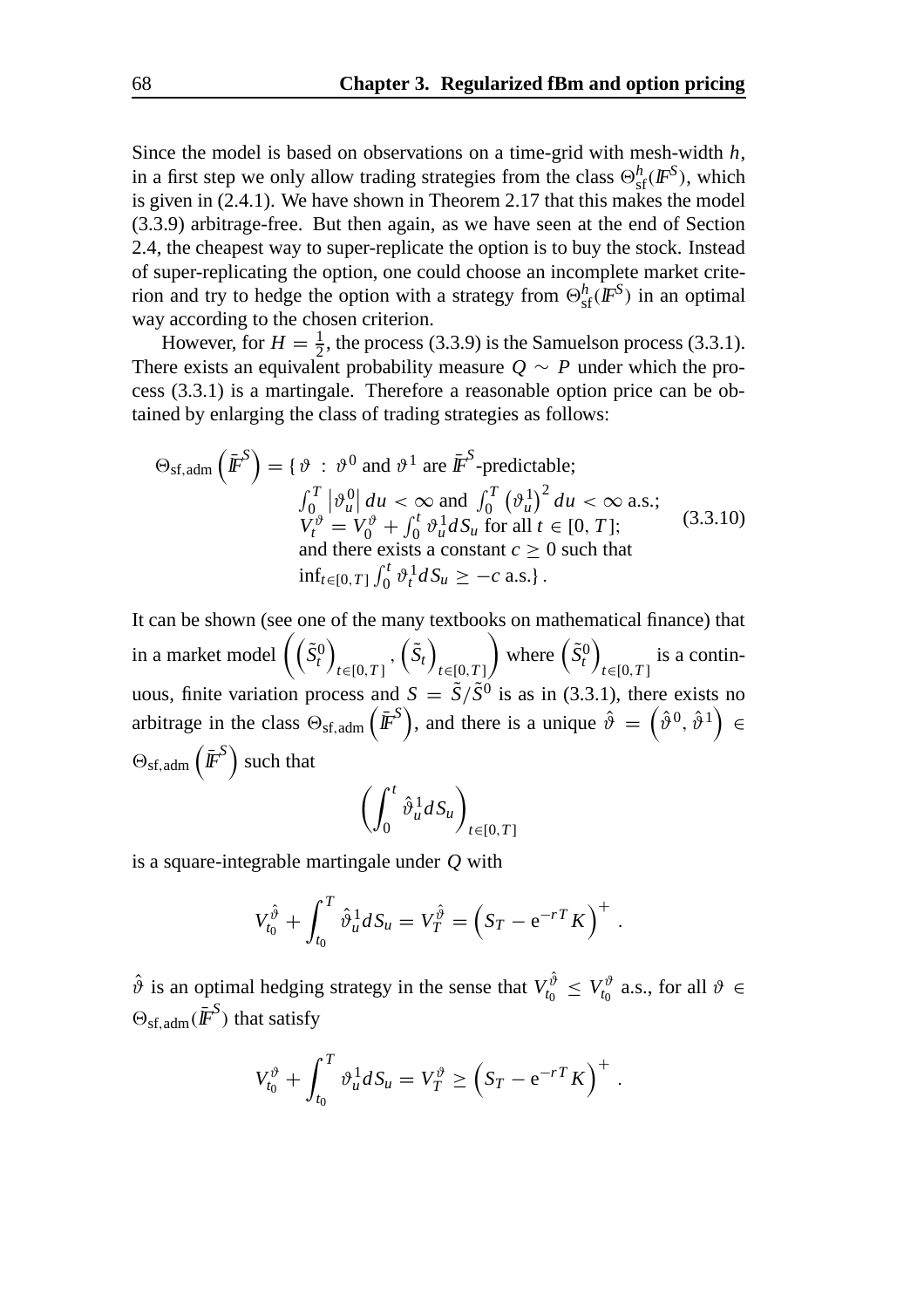Since the model is based on observations on a time-grid with mesh-width *h*, in a first step we only allow trading strategies from the class  $\Theta_{sf}^h(\textbf{IF}^S)$ , which is given in (2.4.1). We have shown in Theorem 2.17 that this makes the model (3.3.9) arbitrage-free. But then again, as we have seen at the end of Section 2.4, the cheapest way to super-replicate the option is to buy the stock. Instead of super-replicating the option, one could choose an incomplete market criterion and try to hedge the option with a strategy from  $\Theta_{sf}^h(\mathbf{F}^S)$  in an optimal way according to the chosen criterion.

However, for  $H = \frac{1}{2}$ , the process (3.3.9) is the Samuelson process (3.3.1). There exists an equivalent probability measure  $Q \sim P$  under which the process (3.3.1) is a martingale. Therefore a reasonable option price can be obtained by enlarging the class of trading strategies as follows:

$$
\Theta_{\text{sf,adm}}\left(\bar{\mathbf{F}}^S\right) = \{ \vartheta : \vartheta^0 \text{ and } \vartheta^1 \text{ are } \bar{\mathbf{F}}^S\text{-predictable};
$$
\n
$$
\int_0^T \left|\vartheta_u^0\right| du < \infty \text{ and } \int_0^T \left(\vartheta_u^1\right)^2 du < \infty \text{ a.s.};
$$
\n
$$
V_t^{\vartheta} = V_0^{\vartheta} + \int_0^t \vartheta_u^1 dS_u \text{ for all } t \in [0, T];
$$
\nand there exists a constant  $c \ge 0$  such that\n
$$
\inf_{t \in [0, T]} \int_0^t \vartheta_t^1 dS_u \ge -c \text{ a.s.}.
$$

It can be shown (see one of the many textbooks on mathematical finance) that in a market model  $(\tilde{S}_t^0)$ *t*∈[0,*T* ]  $,\left(\tilde{S}_t\right)$ *t*∈[0,*T* ] where  $(\tilde{S}_t^0)$ *t*∈[0,*T* ] is a continuous, finite variation process and  $S = \tilde{S}/\tilde{S}^{0}$  is as in (3.3.1), there exists no arbitrage in the class  $\Theta_{\rm sf,adm}(\bar{F}^S)$ , and there is a unique  $\hat{\vartheta} = (\hat{\vartheta}^0, \hat{\vartheta}^1) \in$  $\Theta_{\rm sf,adm}\left(\bar{\mathbf{\mathit{F}}}^{\mathcal{S}}\right)$  such that

$$
\left(\int_0^t \hat{\vartheta}_u^1 dS_u\right)_{t \in [0,T]}
$$

is a square-integrable martingale under *Q* with

$$
V_{t_0}^{\hat{\vartheta}} + \int_{t_0}^T \hat{\vartheta}_u^1 dS_u = V_T^{\hat{\vartheta}} = (S_T - e^{-rT} K)^+ .
$$

 $\hat{\vartheta}$  is an optimal hedging strategy in the sense that  $V_{t_0}^{\hat{\vartheta}} \leq V_{t_0}^{\vartheta}$  a.s., for all  $\vartheta \in$  $\Theta_{\rm sf,adm}(\bar{\mathbf{\mathit{F}}}^S)$  that satisfy

$$
V_{t_0}^{\vartheta} + \int_{t_0}^T \vartheta_u^1 dS_u = V_T^{\vartheta} \ge \left( S_T - e^{-rT} K \right)^+.
$$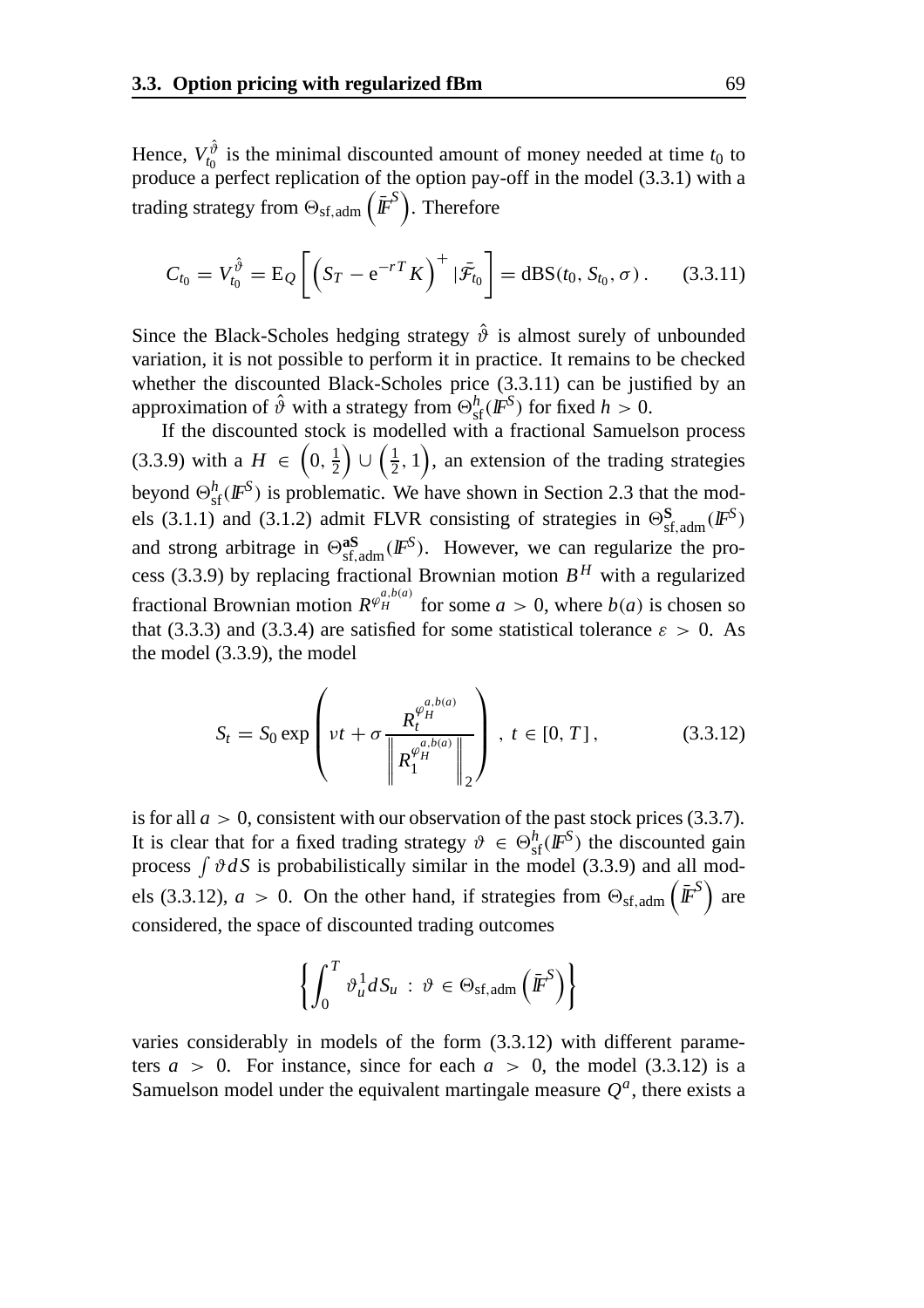Hence,  $V_{t_0}^{\hat{\vartheta}}$  is the minimal discounted amount of money needed at time  $t_0$  to produce a perfect replication of the option pay-off in the model (3.3.1) with a trading strategy from  $\Theta_\mathrm{sf,adm}\left(\bar{I\!\!F}^S\right)$ . Therefore

$$
C_{t_0} = V_{t_0}^{\hat{\vartheta}} = \mathrm{E}_{Q} \left[ \left( S_T - e^{-r} K \right)^{+} | \bar{\mathcal{F}}_{t_0} \right] = \mathrm{dBS}(t_0, S_{t_0}, \sigma). \quad (3.3.11)
$$

Since the Black-Scholes hedging strategy  $\hat{\vartheta}$  is almost surely of unbounded variation, it is not possible to perform it in practice. It remains to be checked whether the discounted Black-Scholes price  $(3.3.11)$  can be justified by an approximation of  $\hat{\vartheta}$  with a strategy from  $\Theta_{\text{sf}}^h(\mathbf{F}^S)$  for fixed  $h > 0$ .

If the discounted stock is modelled with a fractional Samuelson process (3.3.9) with a  $H \in (0, \frac{1}{2})$  $\left( \frac{1}{2}, 1 \right)$ , an extension of the trading strategies beyond  $\Theta_{\text{sf}}^h(\text{IF}^S)$  is problematic. We have shown in Section 2.3 that the models (3.1.1) and (3.1.2) admit FLVR consisting of strategies in  $\Theta_{\text{sf,adm}}^S(\mathbb{F}^S)$ and strong arbitrage in  $\Theta_{sf,adm}^{as}(I\!\!F^S)$ . However, we can regularize the process (3.3.9) by replacing fractional Brownian motion  $B^H$  with a regularized fractional Brownian motion  $R^{\varphi_H^{a,b(a)}}$  for some  $a > 0$ , where  $b(a)$  is chosen so that (3.3.3) and (3.3.4) are satisfied for some statistical tolerance  $\varepsilon > 0$ . As the model (3.3.9), the model

$$
S_{t} = S_{0} \exp\left(\nu t + \sigma \frac{R_{t}^{\varphi_{H}^{a,b(a)}}}{\left\|R_{1}^{\varphi_{H}^{a,b(a)}}\right\|_{2}}\right), \ t \in [0, T], \tag{3.3.12}
$$

is for all  $a > 0$ , consistent with our observation of the past stock prices (3.3.7). It is clear that for a fixed trading strategy  $\vartheta \in \Theta_{\text{sf}}^h(\mathbb{F}^S)$  the discounted gain process  $\int \vartheta dS$  is probabilistically similar in the model (3.3.9) and all models (3.3.12),  $a > 0$ . On the other hand, if strategies from  $\Theta_{\rm sf,adm}(\bar{F}^S)$  are considered, the space of discounted trading outcomes

$$
\left\{ \int_0^T \vartheta_u^1 dS_u \, : \, \vartheta \in \Theta_{\mathrm{sf}, \mathrm{adm}} \left( \bar{\mathbf{F}}^S \right) \right\}
$$

varies considerably in models of the form (3.3.12) with different parameters  $a > 0$ . For instance, since for each  $a > 0$ , the model (3.3.12) is a Samuelson model under the equivalent martingale measure  $Q<sup>a</sup>$ , there exists a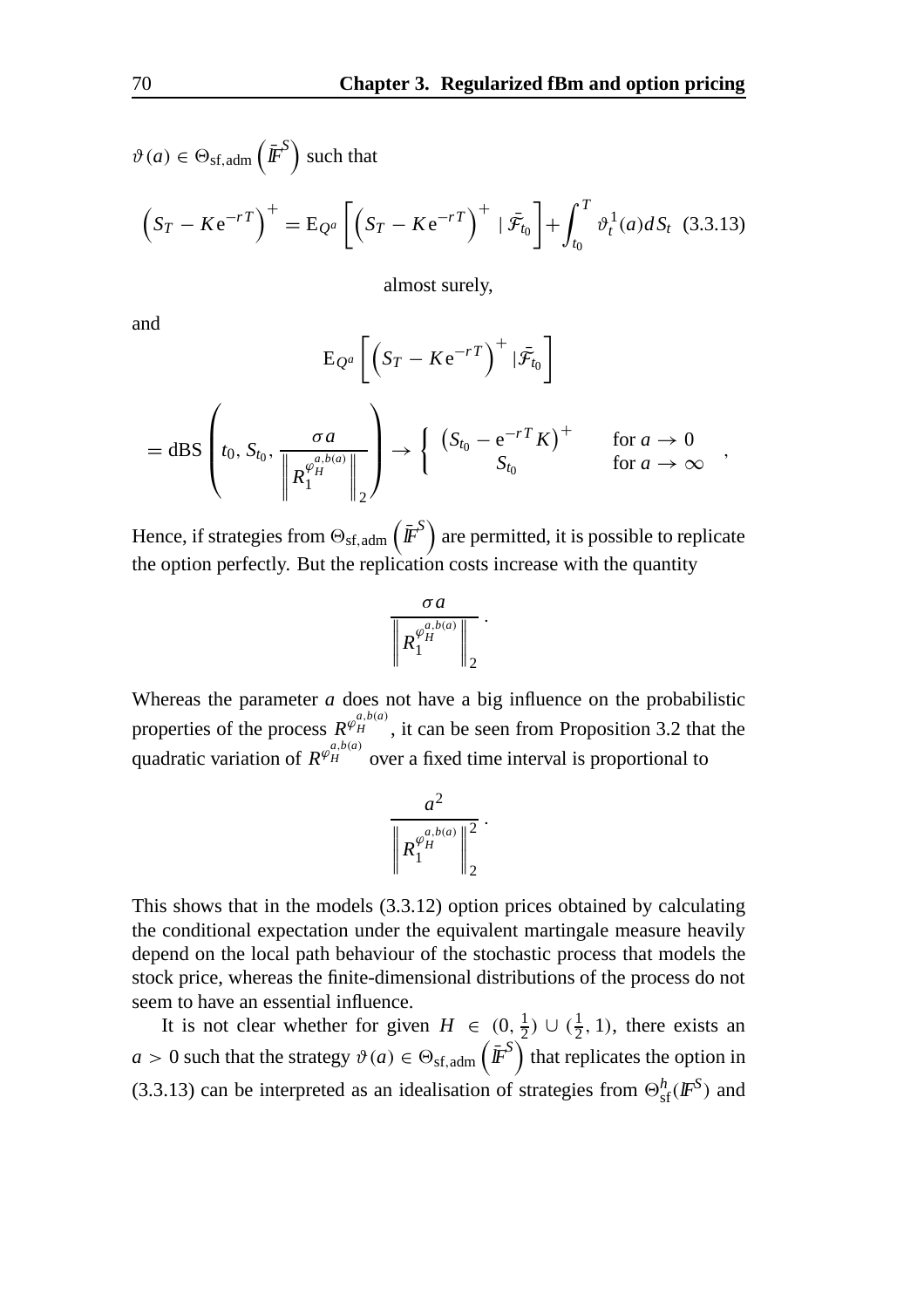$$
\vartheta(a) \in \Theta_{\text{sf,adm}}\left(\bar{\mathbf{F}}^S\right) \text{ such that}
$$

$$
\left(S_T - Ke^{-rT}\right)^+ = \mathbf{E}_{Q^a} \left[ \left(S_T - Ke^{-rT}\right)^+ \mid \bar{\mathcal{F}}_{t_0} \right] + \int_{t_0}^T \vartheta_t^1(a) dS_t \tag{3.3.13}
$$

almost surely,

and

$$
E_{Q^a} \left[ \left( S_T - Ke^{-rT} \right)^+ | \bar{\mathcal{F}}_{t_0} \right]
$$
  
= dBS 
$$
\left( t_0, S_{t_0}, \frac{\sigma a}{\left\| R_1^{\varphi_H^{a,b(a)}} \right\|_2} \right) \rightarrow \left\{ \begin{array}{cc} \left( S_{t_0} - e^{-rT} K \right)^+ & \text{for } a \rightarrow 0 \\ S_{t_0} & \text{for } a \rightarrow \infty \end{array} \right.,
$$

Hence, if strategies from  $\Theta_\mathrm{sf,adm}\left(\bar{I\!\!F}^S\right)$  are permitted, it is possible to replicate the option perfectly. But the replication costs increase with the quantity

$$
\frac{\sigma a}{\left\|R_1^{\varphi_H^{a,b(a)}}\right\|_2}.
$$

Whereas the parameter *a* does not have a big influence on the probabilistic properties of the process  $R^{\varphi_H^{a,b(a)}}$ , it can be seen from Proposition 3.2 that the quadratic variation of  $R^{\varphi_H^{a,b(a)}}$  over a fixed time interval is proportional to

$$
\frac{a^2}{\left\| R_1^{\varphi_H^{a,b(a)}} \right\|_2^2}.
$$

This shows that in the models (3.3.12) option prices obtained by calculating the conditional expectation under the equivalent martingale measure heavily depend on the local path behaviour of the stochastic process that models the stock price, whereas the finite-dimensional distributions of the process do not seem to have an essential influence.

It is not clear whether for given  $H \in (0, \frac{1}{2}) \cup (\frac{1}{2}, 1)$ , there exists an  $a > 0$  such that the strategy  $\vartheta(a) \in \Theta_{\text{sf,adm}}\left(\bar{\pmb{F}}^S\right)$  that replicates the option in (3.3.13) can be interpreted as an idealisation of strategies from  $\Theta_{\rm sf}^h(I\!\!F^S)$  and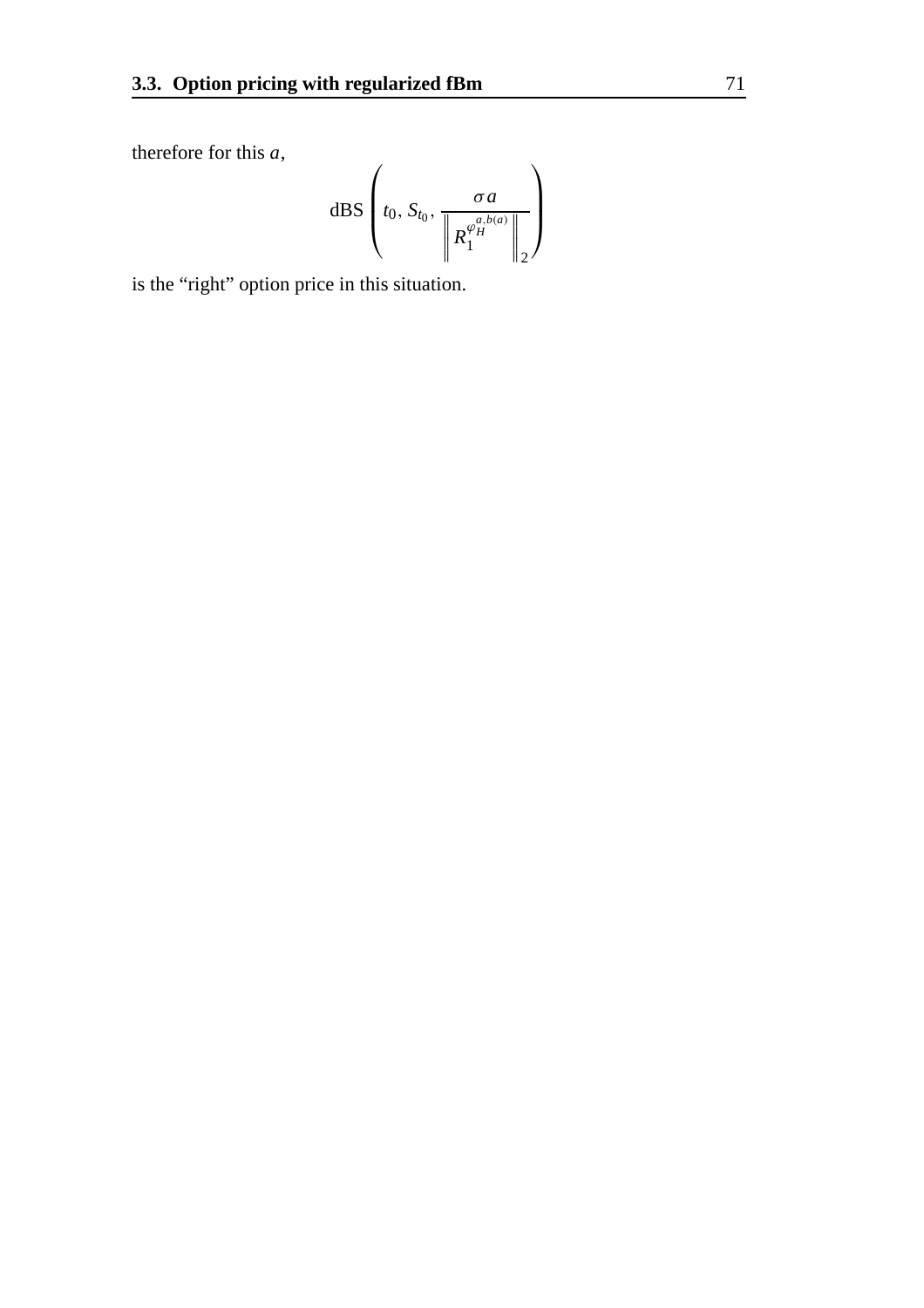therefore for this *a* ,

$$
\mathrm{dBS}\left(t_0, S_{t_0}, \frac{\sigma a}{\left\|R_1^{\varphi_H^{a,b(a)}}\right\|_2}\right)
$$

is the "right" option price in this situation.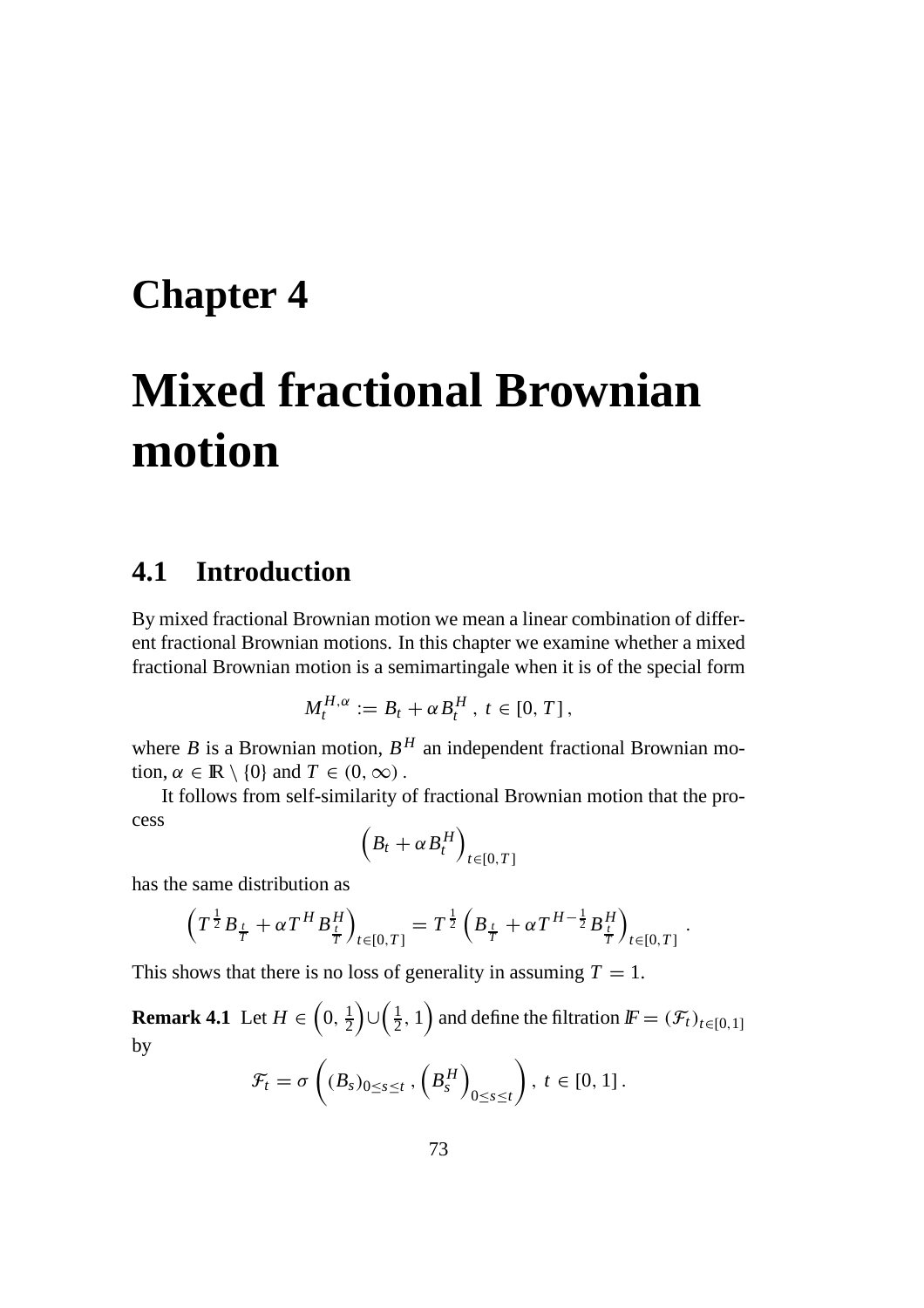## **Chapter 4**

# **Mixed fractional Brownian motion**

### **4.1 Introduction**

By mixed fractional Brownian motion we mean a linear combination of different fractional Brownian motions. In this chapter we examine whether a mixed fractional Brownian motion is a semimartingale when it is of the special form

$$
M_t^{H,\alpha} := B_t + \alpha B_t^H, t \in [0, T],
$$

where *B* is a Brownian motion,  $B<sup>H</sup>$  an independent fractional Brownian motion,  $\alpha \in \mathbb{R} \setminus \{0\}$  and  $T \in (0, \infty)$ .

It follows from self-similarity of fractional Brownian motion that the process

$$
\left(B_t + \alpha B_t^H\right)_{t \in [0,T]}
$$

has the same distribution as

$$
\left(T^{\frac{1}{2}}B_{\frac{t}{T}} + \alpha T^{H}B_{\frac{t}{T}}^{H}\right)_{t \in [0,T]} = T^{\frac{1}{2}}\left(B_{\frac{t}{T}} + \alpha T^{H-\frac{1}{2}}B_{\frac{t}{T}}^{H}\right)_{t \in [0,T]}.
$$

This shows that there is no loss of generality in assuming  $T = 1$ .

**Remark 4.1** Let  $H \in \left(0, \frac{1}{2}\right)$  $\Big)$ ∪ $\Big(\frac{1}{2},1\Big)$  and define the filtration  $\textit{IF} = (\mathcal{F}_t)_{t \in [0,1]}$ by

$$
\mathcal{F}_t = \sigma\left((B_s)_{0 \leq s \leq t}, \left(B_s^H\right)_{0 \leq s \leq t}\right), \ t \in [0, 1].
$$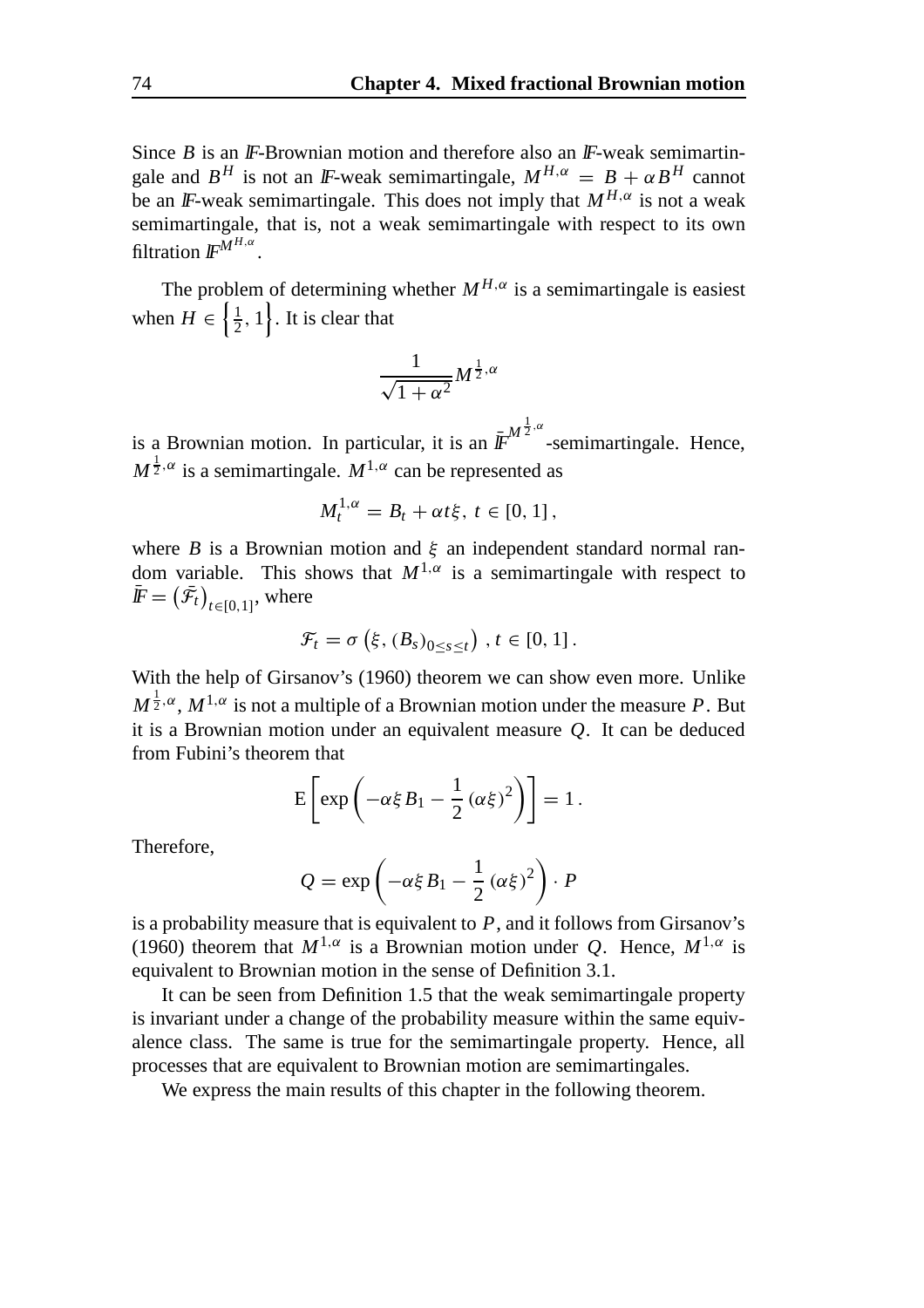Since  $B$  is an  $\mathbb F$ -Brownian motion and therefore also an  $\mathbb F$ -weak semimartingale and  $B^H$  is not an *IF*-weak semimartingale,  $M^{H,\alpha} = B + \alpha B^H$  cannot be an *IF*-weak semimartingale. This does not imply that  $M^{H,\alpha}$  is not a weak semimartingale, that is, not a weak semimartingale with respect to its own filtration lF*MH*,α .

The problem of determining whether  $M^{H,\alpha}$  is a semimartingale is easiest when  $H \in \left\{\frac{1}{2}, 1\right\}$ . It is clear that

$$
\frac{1}{\sqrt{1+\alpha^2}}M^{\frac{1}{2},\alpha}
$$

is a Brownian motion. In particular, it is an  $\bar{\textit{IF}}^{M^{\frac{1}{2},\alpha}}$ -semimartingale. Hence,  $M^{\frac{1}{2},\alpha}$  is a semimartingale.  $M^{1,\alpha}$  can be represented as

$$
M_t^{1,\alpha}=B_t+\alpha t\xi,\ t\in[0,1]\,,
$$

where *B* is a Brownian motion and  $\xi$  an independent standard normal random variable. This shows that  $M^{1,\alpha}$  is a semimartingale with respect to  $\left(\bar{\mathcal{F}}_t\right)_{t\in[0,1]},$  where

$$
\mathcal{F}_t = \sigma\left(\xi, (B_s)_{0 \leq s \leq t}\right), t \in [0, 1].
$$

With the help of Girsanov's (1960) theorem we can show even more. Unlike  $M^{\frac{1}{2},\alpha}$ ,  $M^{1,\alpha}$  is not a multiple of a Brownian motion under the measure P. But it is a Brownian motion under an equivalent measure *Q*. It can be deduced from Fubini's theorem that

$$
E\left[\exp\left(-\alpha\xi B_1 - \frac{1}{2}(\alpha\xi)^2\right)\right] = 1.
$$

Therefore,

$$
Q = \exp\left(-\alpha \xi B_1 - \frac{1}{2} (\alpha \xi)^2\right) \cdot P
$$

is a probability measure that is equivalent to *P*, and it follows from Girsanov's (1960) theorem that  $M^{1,\alpha}$  is a Brownian motion under *Q*. Hence,  $M^{1,\alpha}$  is equivalent to Brownian motion in the sense of Definition 3.1.

It can be seen from Definition 1.5 that the weak semimartingale property is invariant under a change of the probability measure within the same equivalence class. The same is true for the semimartingale property. Hence, all processes that are equivalent to Brownian motion are semimartingales.

We express the main results of this chapter in the following theorem.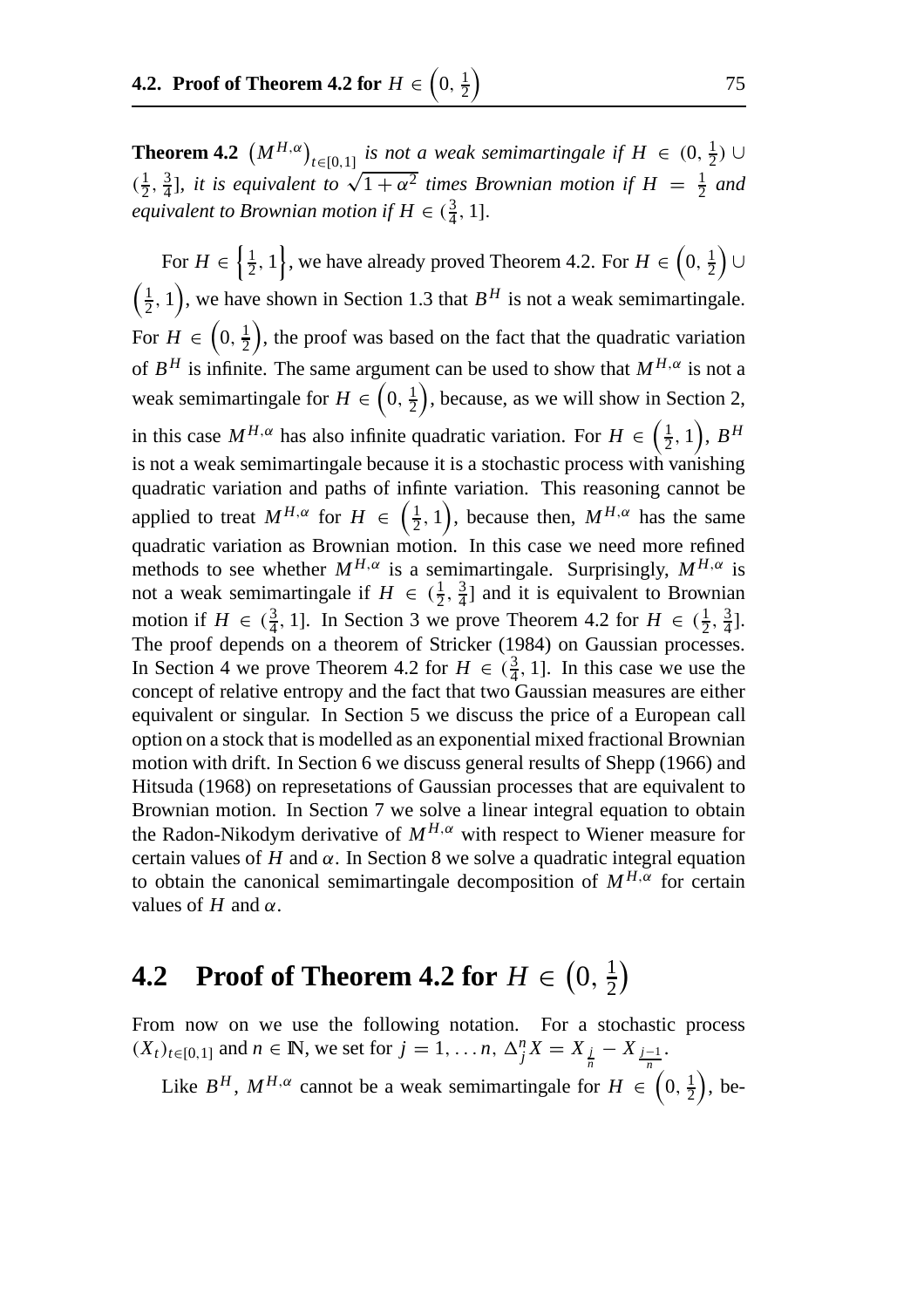**Theorem 4.2**  $(M^{H,\alpha})_{t\in[0,1]}$  *is not a weak semimartingale if*  $H \in (0, \frac{1}{2}) \cup$  $\left( \frac{1}{2}, \frac{3}{4} \right]$ , it is equivalent to  $\sqrt{1 + \alpha^2}$  times Brownian motion if  $H = \frac{1}{2}$  and *equivalent to Brownian motion if*  $H \in (\frac{3}{4}, 1]$ .

For  $H \in \left\{\frac{1}{2}, 1\right\}$ , we have already proved Theorem 4.2. For  $H \in \left(0, \frac{1}{2}\right)$  ∪  $\left(\frac{1}{2}, 1\right)$ , we have shown in Section 1.3 that  $B<sup>H</sup>$  is not a weak semimartingale. For  $H \in \left(0, \frac{1}{2}\right)$  , the proof was based on the fact that the quadratic variation of  $B^H$  is infinite. The same argument can be used to show that  $M^{H,\alpha}$  is not a weak semimartingale for  $H \in \left(0, \frac{1}{2}\right)$  , because, as we will show in Section 2, in this case  $M^{H,\alpha}$  has also infinite quadratic variation. For  $H \in \left(\frac{1}{2}, 1\right)$ ,  $B^H$ is not a weak semimartingale because it is a stochastic process with vanishing quadratic variation and paths of infinte variation. This reasoning cannot be applied to treat  $M^{H,\alpha}$  for  $H \in \left(\frac{1}{2},1\right)$ , because then,  $M^{H,\alpha}$  has the same quadratic variation as Brownian motion. In this case we need more refined methods to see whether  $M^{H,\alpha}$  is a semimartingale. Surprisingly,  $M^{H,\alpha}$  is not a weak semimartingale if  $H \in (\frac{1}{2}, \frac{3}{4}]$  and it is equivalent to Brownian motion if  $H \in (\frac{3}{4}, 1]$ . In Section 3 we prove Theorem 4.2 for  $H \in (\frac{1}{2}, \frac{3}{4}]$ . The proof depends on a theorem of Stricker (1984) on Gaussian processes. In Section 4 we prove Theorem 4.2 for  $H \in (\frac{3}{4}, 1]$ . In this case we use the concept of relative entropy and the fact that two Gaussian measures are either equivalent or singular. In Section 5 we discuss the price of a European call option on a stock that is modelled as an exponential mixed fractional Brownian motion with drift. In Section 6 we discuss general results of Shepp (1966) and Hitsuda (1968) on represetations of Gaussian processes that are equivalent to Brownian motion. In Section 7 we solve a linear integral equation to obtain the Radon-Nikodym derivative of  $M^{H,\alpha}$  with respect to Wiener measure for certain values of  $H$  and  $\alpha$ . In Section 8 we solve a quadratic integral equation to obtain the canonical semimartingale decomposition of  $M^{H,\alpha}$  for certain values of  $H$  and  $\alpha$ .

## **4.2** Proof of Theorem **4.2** for  $H \in \left(0, \frac{1}{2}\right)$

From now on we use the following notation. For a stochastic process  $(X_t)_{t \in [0,1]}$  and  $n \in \mathbb{N}$ , we set for  $j = 1, ..., n$ ,  $\Delta_j^n X = X_{\frac{j}{n}} - X_{\frac{j-1}{n}}$ .

Like  $B^H$ ,  $M^{H,\alpha}$  cannot be a weak semimartingale for  $H \in \left(0, \frac{1}{2}\right)$  $\big)$ , be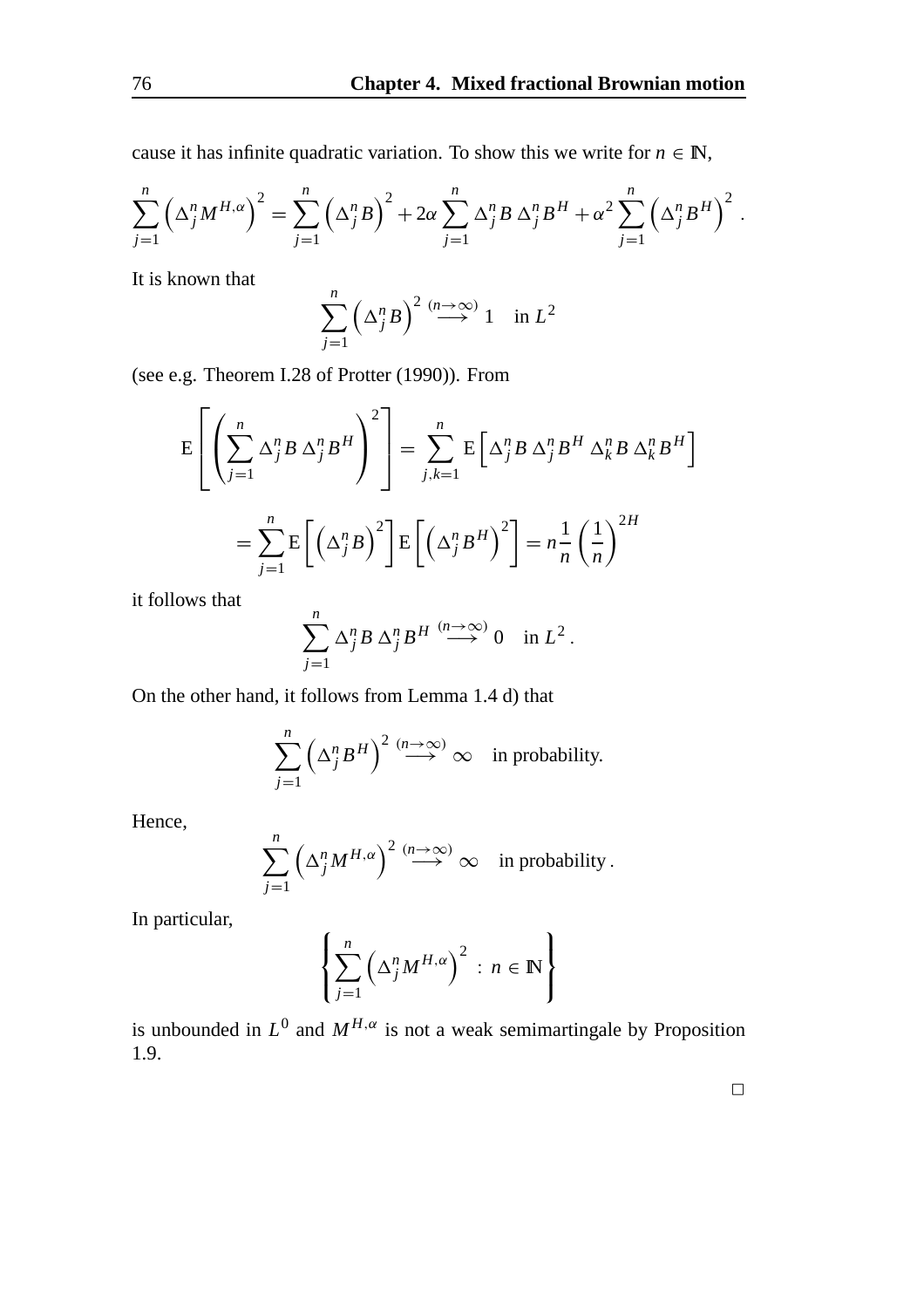cause it has infinite quadratic variation. To show this we write for  $n \in \mathbb{N}$ ,

$$
\sum_{j=1}^{n} \left(\Delta_j^{n} M^{H,\alpha}\right)^2 = \sum_{j=1}^{n} \left(\Delta_j^{n} B\right)^2 + 2\alpha \sum_{j=1}^{n} \Delta_j^{n} B \Delta_j^{n} B^H + \alpha^2 \sum_{j=1}^{n} \left(\Delta_j^{n} B^H\right)^2
$$

It is known that

$$
\sum_{j=1}^{n} \left(\Delta_j^n B\right)^2 \stackrel{(n \to \infty)}{\longrightarrow} 1 \quad \text{in } L^2
$$

(see e.g. Theorem I.28 of Protter (1990)). From

$$
E\left[\left(\sum_{j=1}^{n} \Delta_{j}^{n} B \Delta_{j}^{n} B^{H}\right)^{2}\right] = \sum_{j,k=1}^{n} E\left[\Delta_{j}^{n} B \Delta_{j}^{n} B^{H} \Delta_{k}^{n} B \Delta_{k}^{n} B^{H}\right]
$$

$$
= \sum_{j=1}^{n} E\left[\left(\Delta_{j}^{n} B\right)^{2}\right] E\left[\left(\Delta_{j}^{n} B^{H}\right)^{2}\right] = n \frac{1}{n} \left(\frac{1}{n}\right)^{2H}
$$

it follows that

$$
\sum_{j=1}^n \Delta_j^n B \, \Delta_j^n B^H \stackrel{(n \to \infty)}{\longrightarrow} 0 \quad \text{in } L^2.
$$

On the other hand, it follows from Lemma 1.4 d) that

$$
\sum_{j=1}^{n} \left(\Delta_j^n B^H\right)^2 \stackrel{(n \to \infty)}{\longrightarrow} \infty \quad \text{in probability.}
$$

Hence,

$$
\sum_{j=1}^n \left(\Delta_j^n M^{H,\alpha}\right)^2 \stackrel{(n\to\infty)}{\longrightarrow} \infty \quad \text{in probability}.
$$

In particular,

$$
\left\{\sum_{j=1}^n \left(\Delta_j^n M^{H,\alpha}\right)^2 : n \in \mathbb{N}\right\}
$$

is unbounded in  $L^0$  and  $M^{H,\alpha}$  is not a weak semimartingale by Proposition 1.9.

 $\Box$ 

.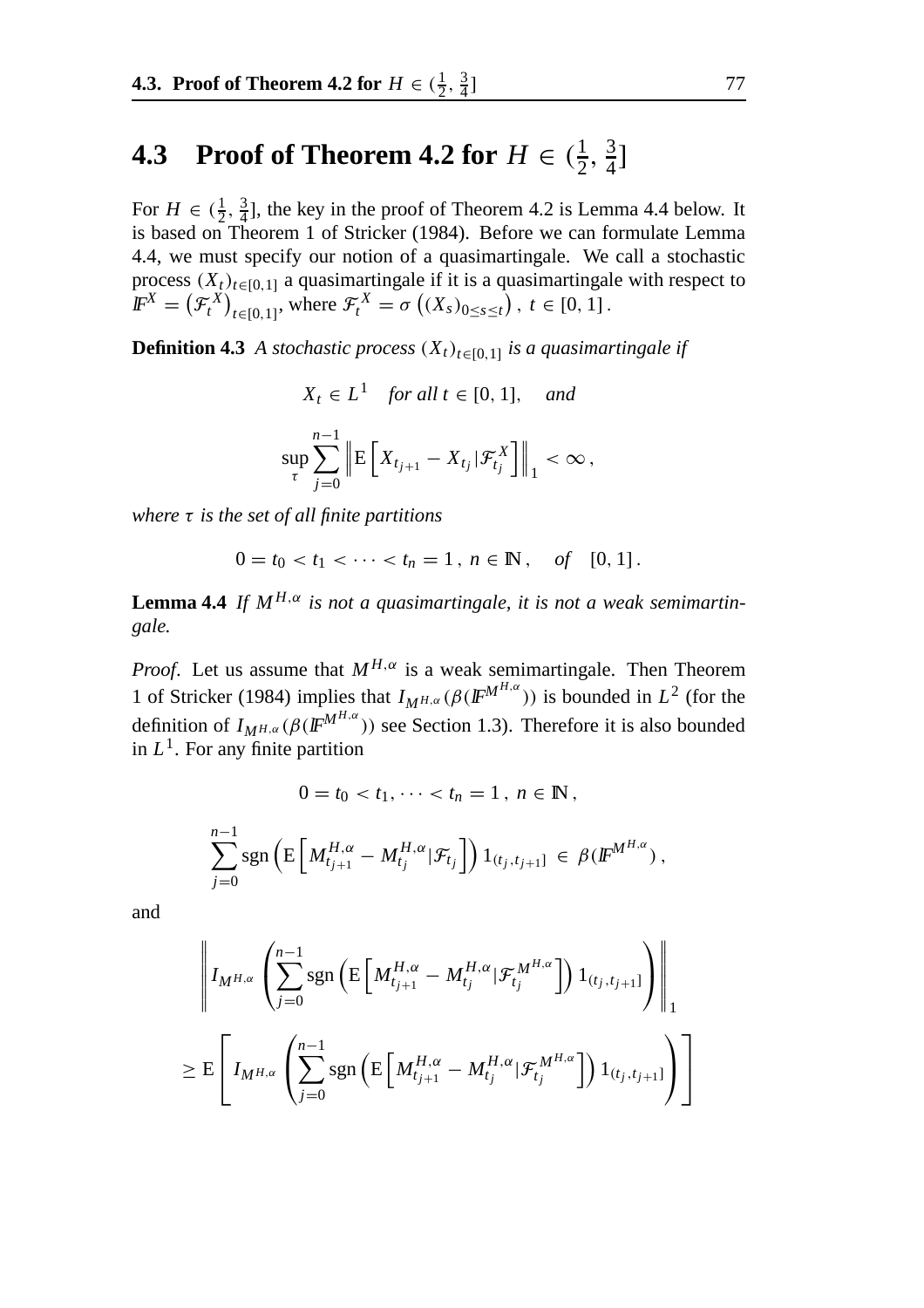## **4.3** Proof of Theorem **4.2** for  $H \in (\frac{1}{2}, \frac{3}{4}]$

For  $H \in (\frac{1}{2}, \frac{3}{4}]$ , the key in the proof of Theorem 4.2 is Lemma 4.4 below. It is based on Theorem 1 of Stricker (1984). Before we can formulate Lemma 4.4, we must specify our notion of a quasimartingale. We call a stochastic process  $(X_t)_{t \in [0,1]}$  a quasimartingale if it is a quasimartingale with respect to  $I\!\!F^X = (\mathcal{F}^X_t)_{t \in [0,1]},$  where  $\mathcal{F}^X_t = \sigma((X_s)_{0 \le s \le t}), t \in [0,1].$ 

**Definition 4.3** *A stochastic process*  $(X_t)_{t \in [0,1]}$  *is a quasimartingale if* 

$$
X_t \in L^1 \quad \text{for all } t \in [0, 1], \quad \text{and}
$$
\n
$$
\sup_{\tau} \sum_{j=0}^{n-1} \left\| \mathbf{E} \left[ X_{t_{j+1}} - X_{t_j} | \mathcal{F}_{t_j}^X \right] \right\|_1 < \infty \,,
$$

*where* τ *is the set of all finite partitions*

$$
0 = t_0 < t_1 < \cdots < t_n = 1 \,, \, n \in \mathbb{N} \,, \quad \text{of} \quad [0, 1] \,.
$$

**Lemma 4.4** *If*  $M^{H,\alpha}$  *is not a quasimartingale, it is not a weak semimartingale.*

*Proof.* Let us assume that  $M^{H,\alpha}$  is a weak semimartingale. Then Theorem 1 of Stricker (1984) implies that  $I_{M^{H,\alpha}}(\beta(\mathbb{F}^{M^{H,\alpha}}))$  is bounded in  $L^2$  (for the definition of  $I_{M^{H,\alpha}}(\beta(\mathbf{F}^{M^{H,\alpha}}))$  see Section 1.3). Therefore it is also bounded in  $L<sup>1</sup>$ . For any finite partition

$$
0 = t_0 < t_1, \dots < t_n = 1, \ n \in \mathbb{N},
$$

$$
\sum_{j=0}^{n-1} \text{sgn}\left(\mathrm{E}\left[M_{t_{j+1}}^{H,\alpha} - M_{t_j}^{H,\alpha}|\mathcal{F}_{t_j}\right]\right)1_{(t_j,t_{j+1}]}\,\in\,\beta(\mathbb{F}^{M^{H,\alpha}})\,,
$$

and

$$
\left\| I_{M^{H,\alpha}} \left( \sum_{j=0}^{n-1} \text{sgn} \left( \mathbb{E} \left[ M_{t_{j+1}}^{H,\alpha} - M_{t_j}^{H,\alpha} | \mathcal{F}_{t_j}^{M^{H,\alpha}} \right] \right) 1_{(t_j,t_{j+1}]} \right) \right\|_1
$$
  

$$
\geq \mathbb{E} \left[ I_{M^{H,\alpha}} \left( \sum_{j=0}^{n-1} \text{sgn} \left( \mathbb{E} \left[ M_{t_{j+1}}^{H,\alpha} - M_{t_j}^{H,\alpha} | \mathcal{F}_{t_j}^{M^{H,\alpha}} \right] \right) 1_{(t_j,t_{j+1}]} \right) \right]
$$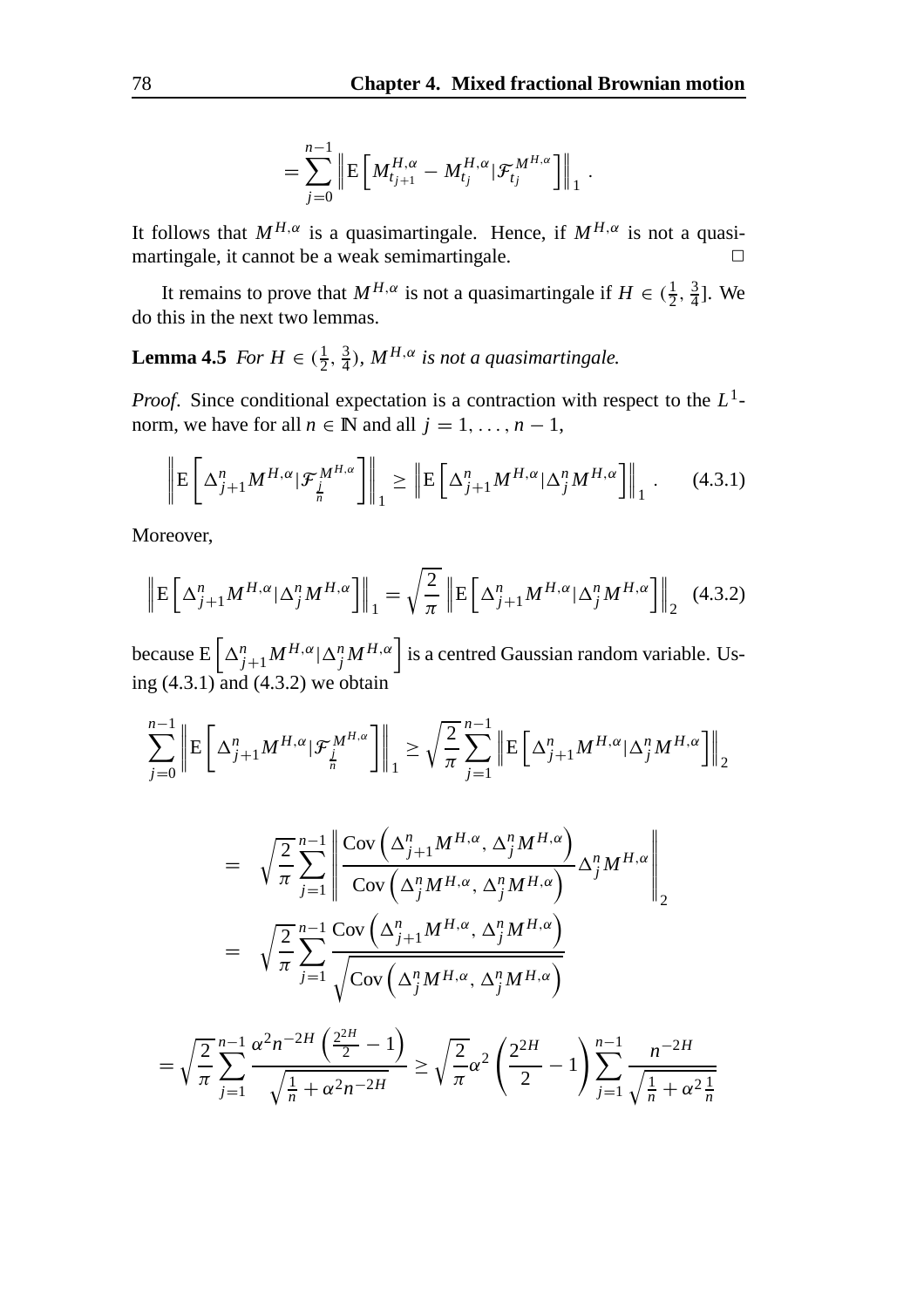$$
= \sum_{j=0}^{n-1} \left\| \mathrm{E} \left[ M_{t_{j+1}}^{H,\alpha} - M_{t_j}^{H,\alpha} | \mathcal{F}_{t_j}^{M^{H,\alpha}} \right] \right\|_1.
$$

It follows that  $M^{H,\alpha}$  is a quasimartingale. Hence, if  $M^{H,\alpha}$  is not a quasimartingale, it cannot be a weak semimartingale.  $\Box$ 

It remains to prove that  $M^{H,\alpha}$  is not a quasimartingale if  $H \in (\frac{1}{2}, \frac{3}{4}]$ . We do this in the next two lemmas.

**Lemma 4.5** *For*  $H \in (\frac{1}{2}, \frac{3}{4})$ *,*  $M^{H,\alpha}$  *is not a quasimartingale.* 

*Proof*. Since conditional expectation is a contraction with respect to the *L*1 norm, we have for all  $n \in \mathbb{N}$  and all  $j = 1, \ldots, n - 1$ ,

$$
\left\| \mathbf{E} \left[ \Delta_{j+1}^n M^{H,\alpha} | \mathcal{F}_{\underline{j}}^{M^{H,\alpha}} \right] \right\|_1 \ge \left\| \mathbf{E} \left[ \Delta_{j+1}^n M^{H,\alpha} | \Delta_j^n M^{H,\alpha} \right] \right\|_1. \tag{4.3.1}
$$

Moreover,

$$
\left\| \mathbf{E} \left[ \Delta_{j+1}^n M^{H,\alpha} | \Delta_j^n M^{H,\alpha} \right] \right\|_1 = \sqrt{\frac{2}{\pi}} \left\| \mathbf{E} \left[ \Delta_{j+1}^n M^{H,\alpha} | \Delta_j^n M^{H,\alpha} \right] \right\|_2 \tag{4.3.2}
$$

because  $E\left[\Delta_{j+1}^n M^{H,\alpha}|\Delta_j^n M^{H,\alpha}\right]$  is a centred Gaussian random variable. Using (4.3.1) and (4.3.2) we obtain

$$
\sum_{j=0}^{n-1} \left\| \mathbf{E} \left[ \Delta_{j+1}^n M^{H,\alpha} | \mathcal{F}_{\frac{j}{n}}^{M^{H,\alpha}} \right] \right\|_1 \ge \sqrt{\frac{2}{\pi}} \sum_{j=1}^{n-1} \left\| \mathbf{E} \left[ \Delta_{j+1}^n M^{H,\alpha} | \Delta_j^n M^{H,\alpha} \right] \right\|_2
$$

$$
= \sqrt{\frac{2}{\pi}} \sum_{j=1}^{n-1} \left\| \frac{\text{Cov}\left(\Delta_{j+1}^{n} M^{H,\alpha}, \Delta_{j}^{n} M^{H,\alpha}\right)}{\text{Cov}\left(\Delta_{j}^{n} M^{H,\alpha}, \Delta_{j}^{n} M^{H,\alpha}\right)} \Delta_{j}^{n} M^{H,\alpha} \right\|_{2}
$$

$$
= \sqrt{\frac{2}{\pi}} \sum_{j=1}^{n-1} \frac{\text{Cov}\left(\Delta_{j+1}^{n} M^{H,\alpha}, \Delta_{j}^{n} M^{H,\alpha}\right)}{\sqrt{\text{Cov}\left(\Delta_{j}^{n} M^{H,\alpha}, \Delta_{j}^{n} M^{H,\alpha}\right)}}
$$

$$
\sqrt{\frac{2}{\pi}} \sum_{j=1}^{n-1} \alpha^{2} n^{-2H} \left(\frac{2^{2H}}{2} - 1\right) \qquad \sqrt{\frac{2}{\pi}} \cdot \sqrt{\frac{2^{2H}}{2}} \qquad \sqrt{\frac{n-1}{N}} \qquad n^{-2H}
$$

$$
= \sqrt{\frac{2}{\pi}} \sum_{j=1}^{n-1} \frac{\alpha^2 n^{-2H} \left(\frac{2^{2H}}{2} - 1\right)}{\sqrt{\frac{1}{n} + \alpha^2 n^{-2H}}} \ge \sqrt{\frac{2}{\pi}} \alpha^2 \left(\frac{2^{2H}}{2} - 1\right) \sum_{j=1}^{n-1} \frac{n^{-2H}}{\sqrt{\frac{1}{n} + \alpha^2 \frac{1}{n}}}
$$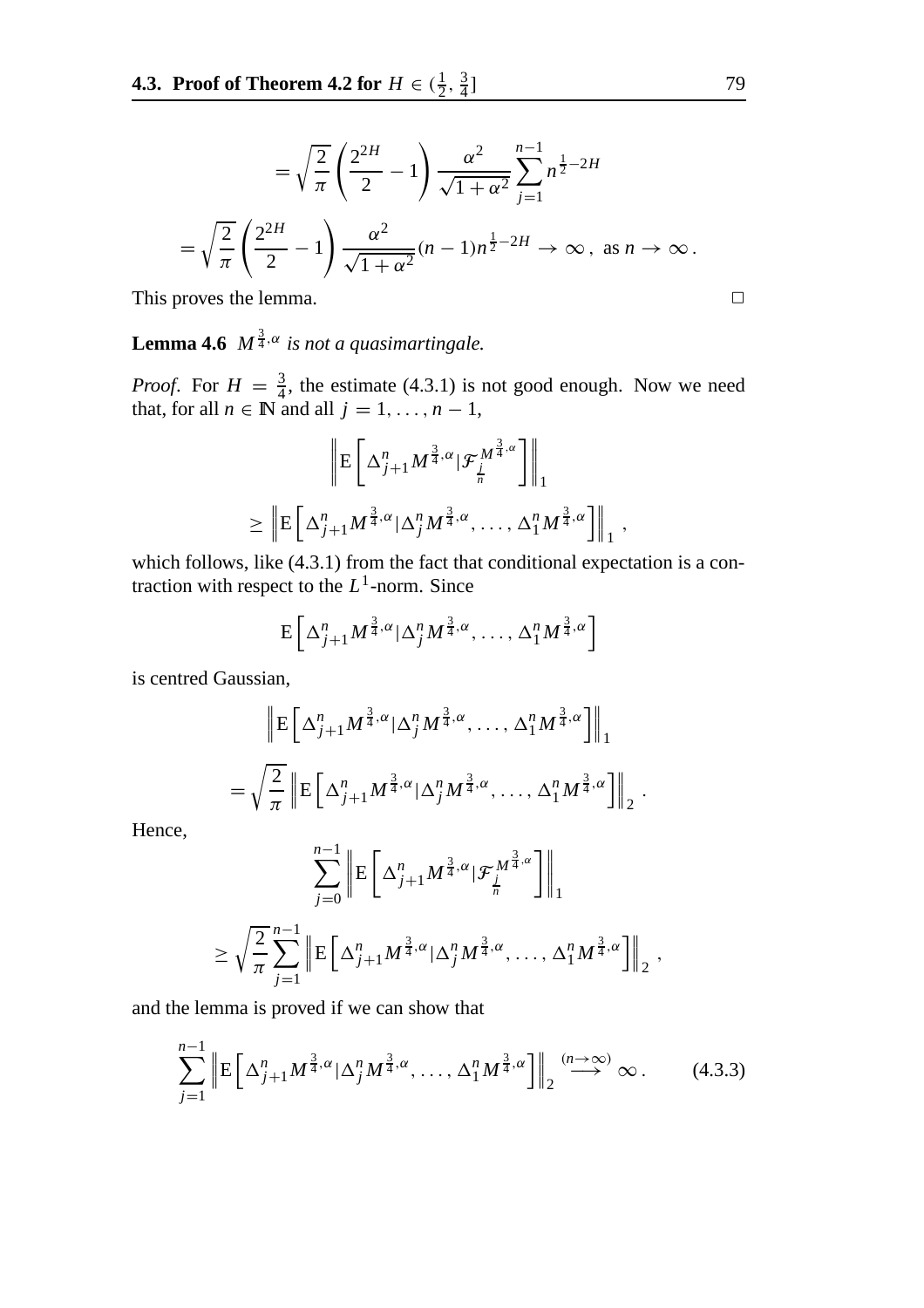$$
= \sqrt{\frac{2}{\pi}} \left( \frac{2^{2H}}{2} - 1 \right) \frac{\alpha^2}{\sqrt{1 + \alpha^2}} \sum_{j=1}^{n-1} n^{\frac{1}{2} - 2H}
$$
  
=  $\sqrt{\frac{2}{\pi}} \left( \frac{2^{2H}}{2} - 1 \right) \frac{\alpha^2}{\sqrt{1 + \alpha^2}} (n - 1) n^{\frac{1}{2} - 2H} \to \infty$ , as  $n \to \infty$ .  
This proves the lemma.

**Lemma 4.6**  $M^{\frac{3}{4},\alpha}$  is not a quasimartingale.

*Proof.* For  $H = \frac{3}{4}$ , the estimate (4.3.1) is not good enough. Now we need that, for all  $n \in \mathbb{N}$  and all  $j = 1, \ldots, n - 1$ ,

$$
\left\| \mathbf{E} \left[ \Delta_{j+1}^n M^{\frac{3}{4},\alpha} | \mathcal{F}_{\frac{j}{n}}^{M^{\frac{3}{4},\alpha}} \right] \right\|_1
$$
  

$$
\geq \left\| \mathbf{E} \left[ \Delta_{j+1}^n M^{\frac{3}{4},\alpha} | \Delta_j^n M^{\frac{3}{4},\alpha}, \dots, \Delta_1^n M^{\frac{3}{4},\alpha} \right] \right\|_1,
$$

which follows, like (4.3.1) from the fact that conditional expectation is a contraction with respect to the *L*1-norm. Since

$$
E\left[\Delta_{j+1}^n M^{\frac{3}{4},\alpha}|\Delta_j^n M^{\frac{3}{4},\alpha},\ldots,\Delta_1^n M^{\frac{3}{4},\alpha}\right]
$$

is centred Gaussian,

$$
\left\| \mathbf{E} \left[ \Delta_{j+1}^n M^{\frac{3}{4}, \alpha} | \Delta_j^n M^{\frac{3}{4}, \alpha}, \dots, \Delta_1^n M^{\frac{3}{4}, \alpha} \right] \right\|_1
$$
  
=  $\sqrt{\frac{2}{\pi}} \left\| \mathbf{E} \left[ \Delta_{j+1}^n M^{\frac{3}{4}, \alpha} | \Delta_j^n M^{\frac{3}{4}, \alpha}, \dots, \Delta_1^n M^{\frac{3}{4}, \alpha} \right] \right\|_2$ .

Hence,

$$
\sum_{j=0}^{n-1} \left\| \mathbf{E} \left[ \Delta_{j+1}^n M^{\frac{3}{4}, \alpha} | \mathcal{F}_{\frac{j}{n}}^{M^{\frac{3}{4}, \alpha}} \right] \right\|_1
$$
  

$$
\geq \sqrt{\frac{2}{\pi}} \sum_{j=1}^{n-1} \left\| \mathbf{E} \left[ \Delta_{j+1}^n M^{\frac{3}{4}, \alpha} | \Delta_j^n M^{\frac{3}{4}, \alpha}, \dots, \Delta_1^n M^{\frac{3}{4}, \alpha} \right] \right\|_2,
$$

and the lemma is proved if we can show that

$$
\sum_{j=1}^{n-1} \left\| \mathbf{E} \left[ \Delta_{j+1}^n M^{\frac{3}{4}, \alpha} |\Delta_j^n M^{\frac{3}{4}, \alpha}, \dots, \Delta_1^n M^{\frac{3}{4}, \alpha} \right] \right\|_2 \stackrel{(n \to \infty)}{\longrightarrow} \infty. \tag{4.3.3}
$$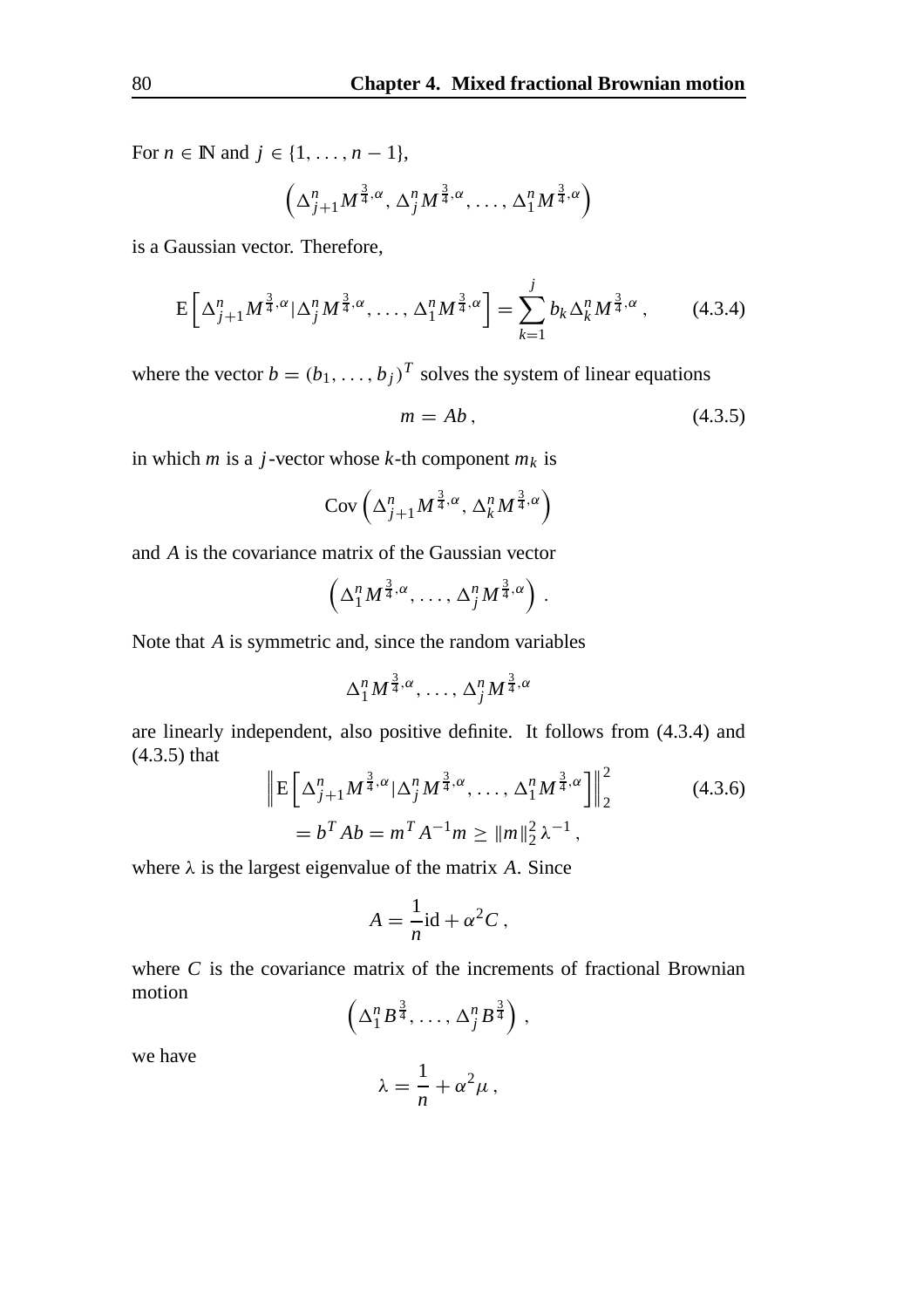For *n* ∈ **N** and *j* ∈ {1, ..., *n* − 1},

$$
\left(\Delta_{j+1}^n M^{\frac{3}{4},\alpha}, \Delta_j^n M^{\frac{3}{4},\alpha}, \ldots, \Delta_1^n M^{\frac{3}{4},\alpha}\right)
$$

is a Gaussian vector. Therefore,

$$
E\left[\Delta_{j+1}^n M^{\frac{3}{4},\alpha} |\Delta_j^n M^{\frac{3}{4},\alpha}, \dots, \Delta_1^n M^{\frac{3}{4},\alpha}\right] = \sum_{k=1}^j b_k \Delta_k^n M^{\frac{3}{4},\alpha},\qquad(4.3.4)
$$

where the vector  $b = (b_1, \ldots, b_j)^T$  solves the system of linear equations

$$
m = Ab, \tag{4.3.5}
$$

in which *m* is a *j*-vector whose *k*-th component  $m_k$  is

$$
Cov\left(\Delta_{j+1}^n M^{\frac{3}{4},\alpha}, \Delta_k^n M^{\frac{3}{4},\alpha}\right)
$$

and *A* is the covariance matrix of the Gaussian vector

$$
\left(\Delta_1^n M^{\frac{3}{4},\alpha}, \ldots, \Delta_j^n M^{\frac{3}{4},\alpha}\right).
$$

Note that *A* is symmetric and, since the random variables

$$
\Delta_1^n M^{\frac{3}{4}, \alpha}, \ldots, \Delta_j^n M^{\frac{3}{4}, \alpha}
$$

are linearly independent, also positive definite. It follows from (4.3.4) and (4.3.5) that

$$
\left\| \mathbf{E} \left[ \Delta_{j+1}^n M^{\frac{3}{4}, \alpha} | \Delta_j^n M^{\frac{3}{4}, \alpha}, \dots, \Delta_1^n M^{\frac{3}{4}, \alpha} \right] \right\|_2^2
$$
\n
$$
= b^T A b = m^T A^{-1} m \ge ||m||_2^2 \lambda^{-1},
$$
\n(4.3.6)

where  $\lambda$  is the largest eigenvalue of the matrix *A*. Since

$$
A = \frac{1}{n} \mathrm{id} + \alpha^2 C \,,
$$

where *C* is the covariance matrix of the increments of fractional Brownian motion

$$
\left(\Delta_1^n B^{\frac{3}{4}}, \ldots, \Delta_j^n B^{\frac{3}{4}}\right),
$$

we have

$$
\lambda = \frac{1}{n} + \alpha^2 \mu \,,
$$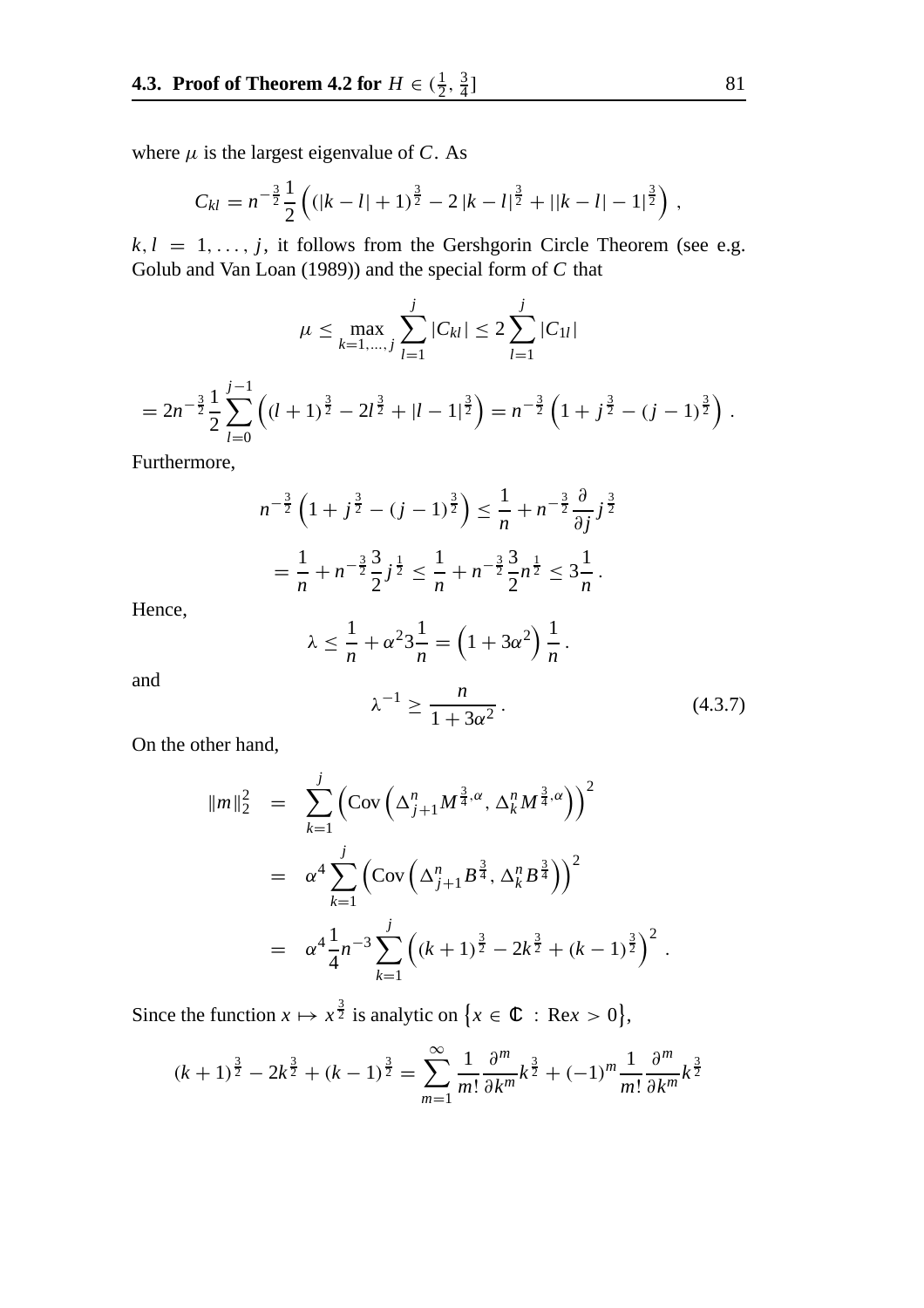where  $\mu$  is the largest eigenvalue of *C*. As

$$
C_{kl} = n^{-\frac{3}{2}} \frac{1}{2} \left( (|k-l|+1)^{\frac{3}{2}} - 2 |k-l|^{\frac{3}{2}} + ||k-l| - 1|^{\frac{3}{2}} \right),
$$

 $k, l = 1, \ldots, j$ , it follows from the Gershgorin Circle Theorem (see e.g. Golub and Van Loan (1989)) and the special form of *C* that

$$
\mu \le \max_{k=1,\dots,j} \sum_{l=1}^{j} |C_{kl}| \le 2 \sum_{l=1}^{j} |C_{1l}|
$$
  
=  $2n^{-\frac{3}{2}} \frac{1}{2} \sum_{l=0}^{j-1} ((l+1)^{\frac{3}{2}} - 2l^{\frac{3}{2}} + |l-1|^{\frac{3}{2}}) = n^{-\frac{3}{2}} (1 + j^{\frac{3}{2}} - (j-1)^{\frac{3}{2}}).$ 

Furthermore,

$$
n^{-\frac{3}{2}}\left(1+j^{\frac{3}{2}}-(j-1)^{\frac{3}{2}}\right) \leq \frac{1}{n} + n^{-\frac{3}{2}}\frac{\partial}{\partial j}j^{\frac{3}{2}}
$$

$$
= \frac{1}{n} + n^{-\frac{3}{2}}\frac{3}{2}j^{\frac{1}{2}} \leq \frac{1}{n} + n^{-\frac{3}{2}}\frac{3}{2}n^{\frac{1}{2}} \leq 3\frac{1}{n}.
$$

Hence,

$$
\lambda \leq \frac{1}{n} + \alpha^2 3 \frac{1}{n} = \left(1 + 3\alpha^2\right) \frac{1}{n}.
$$

and

$$
\lambda^{-1} \ge \frac{n}{1 + 3\alpha^2} \,. \tag{4.3.7}
$$

On the other hand,

$$
\|m\|_2^2 = \sum_{k=1}^j \left( \text{Cov}\left(\Delta_{j+1}^n M^{\frac{3}{4}, \alpha}, \Delta_k^n M^{\frac{3}{4}, \alpha} \right) \right)^2
$$
  

$$
= \alpha^4 \sum_{k=1}^j \left( \text{Cov}\left(\Delta_{j+1}^n B^{\frac{3}{4}}, \Delta_k^n B^{\frac{3}{4}} \right) \right)^2
$$
  

$$
= \alpha^4 \frac{1}{4} n^{-3} \sum_{k=1}^j \left( (k+1)^{\frac{3}{2}} - 2k^{\frac{3}{2}} + (k-1)^{\frac{3}{2}} \right)^2.
$$

Since the function  $x \mapsto x^{\frac{3}{2}}$  is analytic on  $\{x \in \mathbb{C} : \text{Re} x > 0\},\$ 

$$
(k+1)^{\frac{3}{2}} - 2k^{\frac{3}{2}} + (k-1)^{\frac{3}{2}} = \sum_{m=1}^{\infty} \frac{1}{m!} \frac{\partial^m}{\partial k^m} k^{\frac{3}{2}} + (-1)^m \frac{1}{m!} \frac{\partial^m}{\partial k^m} k^{\frac{3}{2}}
$$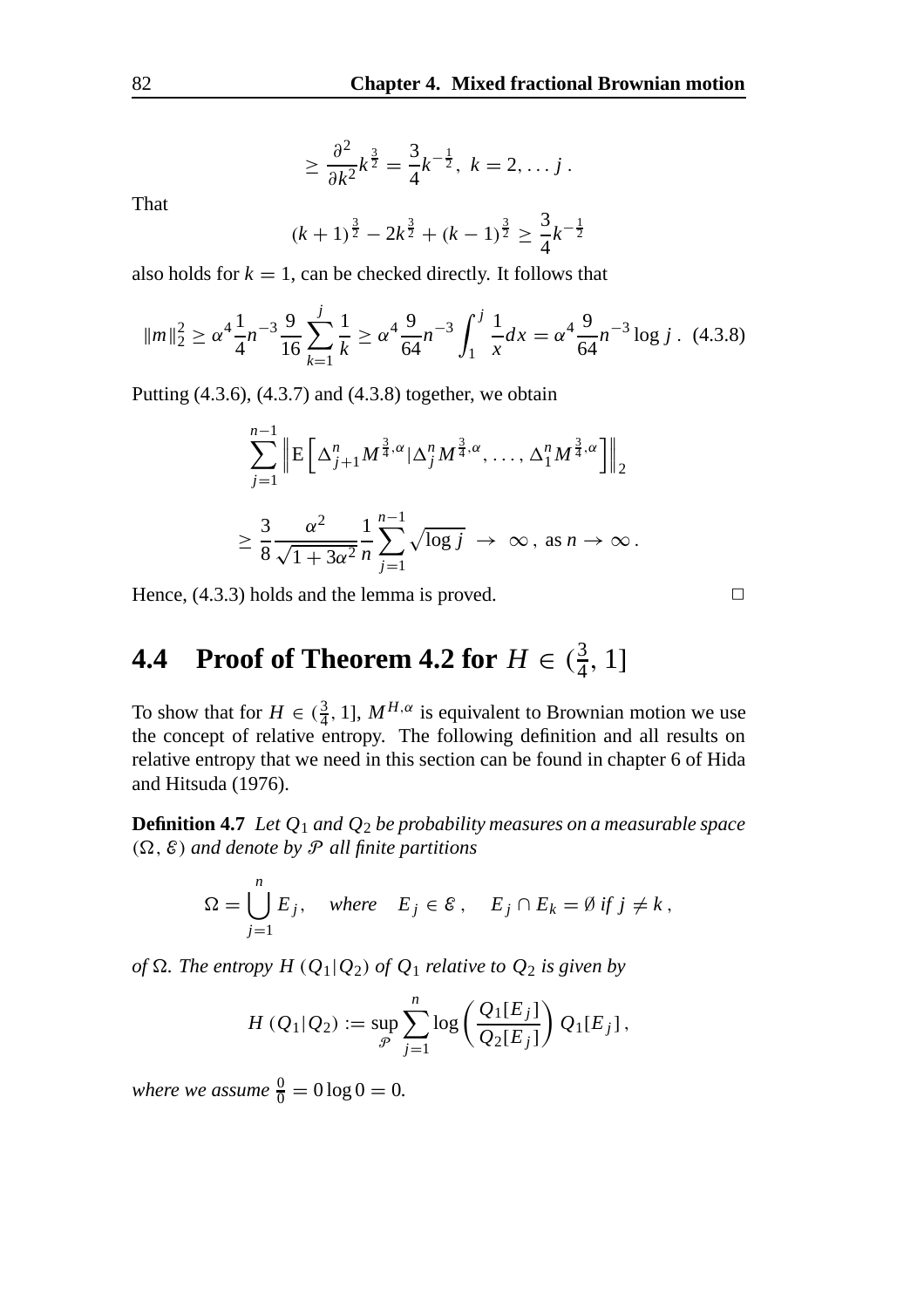$$
\geq \frac{\partial^2}{\partial k^2} k^{\frac{3}{2}} = \frac{3}{4} k^{-\frac{1}{2}}, \ k = 2, \ldots j.
$$

That

$$
(k+1)^{\frac{3}{2}} - 2k^{\frac{3}{2}} + (k-1)^{\frac{3}{2}} \ge \frac{3}{4}k^{-\frac{1}{2}}
$$

also holds for  $k = 1$ , can be checked directly. It follows that

$$
\|m\|_2^2 \ge \alpha^4 \frac{1}{4} n^{-3} \frac{9}{16} \sum_{k=1}^j \frac{1}{k} \ge \alpha^4 \frac{9}{64} n^{-3} \int_1^j \frac{1}{x} dx = \alpha^4 \frac{9}{64} n^{-3} \log j \quad (4.3.8)
$$

Putting (4.3.6), (4.3.7) and (4.3.8) together, we obtain

$$
\sum_{j=1}^{n-1} \left\| \mathbf{E} \left[ \Delta_{j+1}^n M^{\frac{3}{4}, \alpha} |\Delta_j^n M^{\frac{3}{4}, \alpha}, \dots, \Delta_1^n M^{\frac{3}{4}, \alpha} \right] \right\|_2
$$
  

$$
\geq \frac{3}{8} \frac{\alpha^2}{\sqrt{1 + 3\alpha^2}} \frac{1}{n} \sum_{j=1}^{n-1} \sqrt{\log j} \rightarrow \infty, \text{ as } n \rightarrow \infty.
$$

Hence,  $(4.3.3)$  holds and the lemma is proved.  $\Box$ 

## **4.4** Proof of Theorem **4.2** for  $H \in (\frac{3}{4}, 1]$

To show that for  $H \in (\frac{3}{4}, 1]$ ,  $M^{H,\alpha}$  is equivalent to Brownian motion we use the concept of relative entropy. The following definition and all results on relative entropy that we need in this section can be found in chapter 6 of Hida and Hitsuda (1976).

**Definition 4.7** *Let Q*<sup>1</sup> *and Q*<sup>2</sup> *be probability measures on a measurable space*  $(\Omega, \mathcal{E})$  *and denote by P all finite partitions* 

$$
\Omega = \bigcup_{j=1}^{n} E_j, \quad \text{where} \quad E_j \in \mathcal{E}, \quad E_j \cap E_k = \emptyset \text{ if } j \neq k,
$$

*of*  $\Omega$ *. The entropy H* ( $Q_1|Q_2$ ) *of*  $Q_1$  *relative to*  $Q_2$  *is given by* 

$$
H(Q_1|Q_2) := \sup_{\mathcal{P}} \sum_{j=1}^n \log \left( \frac{Q_1[E_j]}{Q_2[E_j]} \right) Q_1[E_j],
$$

*where we assume*  $\frac{0}{0} = 0 \log 0 = 0$ .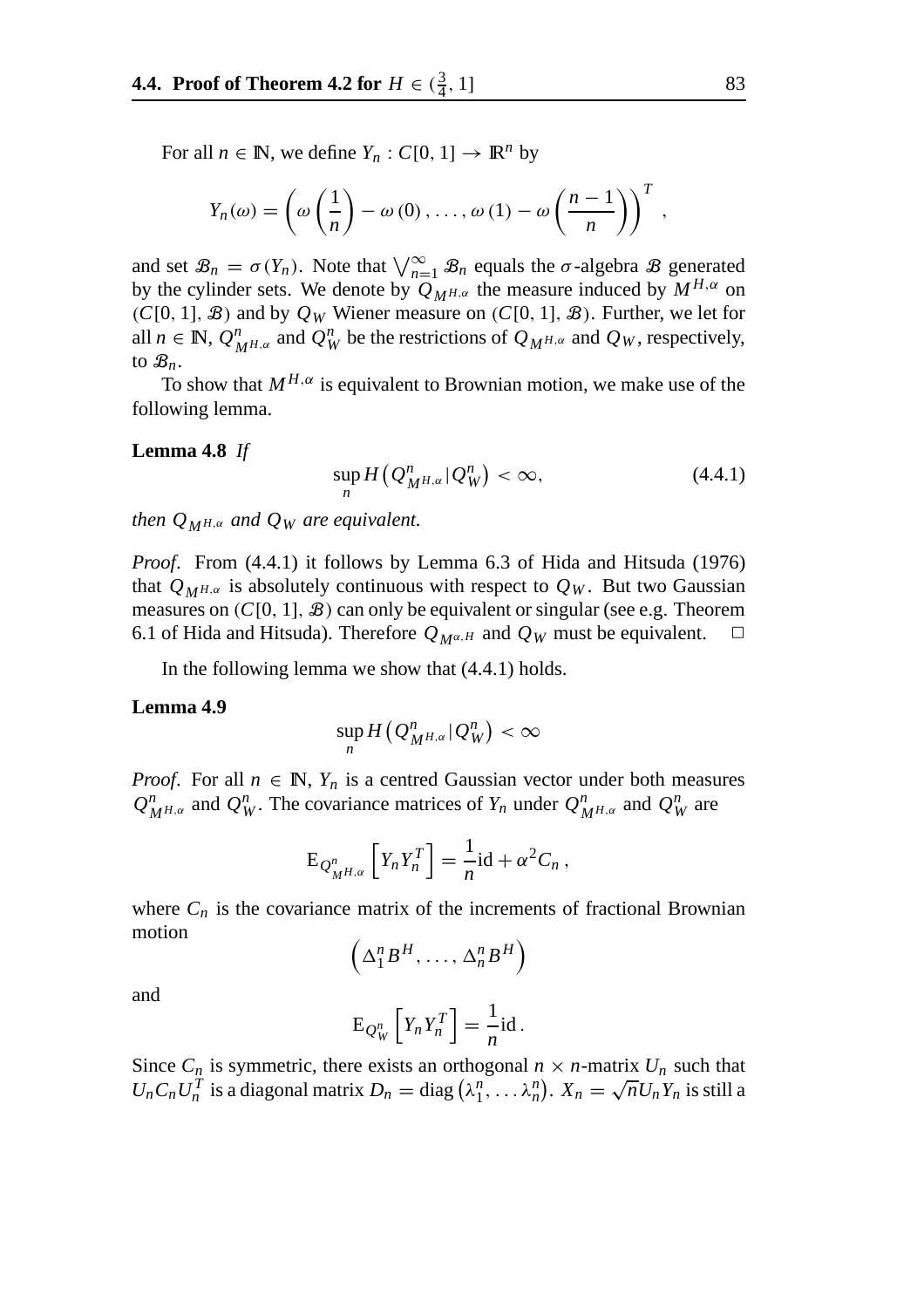For all  $n \in \mathbb{N}$ , we define  $Y_n : C[0, 1] \to \mathbb{R}^n$  by

$$
Y_n(\omega) = \left(\omega\left(\frac{1}{n}\right) - \omega(0), \ldots, \omega(1) - \omega\left(\frac{n-1}{n}\right)\right)^T,
$$

and set  $\mathcal{B}_n = \sigma(Y_n)$ . Note that  $\bigvee_{n=1}^{\infty} \mathcal{B}_n$  equals the  $\sigma$ -algebra  $\mathcal{B}$  generated by the cylinder sets. We denote by  $Q_{MH,\alpha}$  the measure induced by  $M^{H,\alpha}$  on  $(C[0, 1], \mathcal{B})$  and by  $Q_W$  Wiener measure on  $(C[0, 1], \mathcal{B})$ . Further, we let for all  $n \in \mathbb{N}$ ,  $Q^n_{M^{H,\alpha}}$  and  $Q^n_W$  be the restrictions of  $Q_{M^{H,\alpha}}$  and  $Q_W$ , respectively, to  $\mathcal{B}_n$ .

To show that  $M^{H,\alpha}$  is equivalent to Brownian motion, we make use of the following lemma.

#### **Lemma 4.8** *If*

$$
\sup_{n} H\left(Q_{M^{H,\alpha}}^n | Q_W^n\right) < \infty,\tag{4.4.1}
$$

*then*  $Q_{MH,\alpha}$  *and*  $Q_W$  *are equivalent.* 

*Proof*. From (4.4.1) it follows by Lemma 6.3 of Hida and Hitsuda (1976) that  $Q_{M^{H,\alpha}}$  is absolutely continuous with respect to  $Q_W$ . But two Gaussian measures on  $(C[0, 1], \mathcal{B})$  can only be equivalent or singular (see e.g. Theorem 6.1 of Hida and Hitsuda). Therefore  $Q_{M^{\alpha,H}}$  and  $Q_W$  must be equivalent.  $\Box$ 

In the following lemma we show that (4.4.1) holds.

#### **Lemma 4.9**

$$
\sup_n H(Q^n_{M^{H,\alpha}}|Q^n_W) < \infty
$$

*Proof.* For all  $n \in \mathbb{N}$ ,  $Y_n$  is a centred Gaussian vector under both measures  $Q_{M^{H,\alpha}}^n$  and  $Q_W^n$ . The covariance matrices of  $Y_n$  under  $Q_{M^{H,\alpha}}^n$  and  $Q_W^n$  are

$$
E_{Q_{M^{H,\alpha}}^n} \left[ Y_n Y_n^T \right] = \frac{1}{n} id + \alpha^2 C_n ,
$$

where  $C_n$  is the covariance matrix of the increments of fractional Brownian motion

$$
\left(\Delta_1^n B^H,\ldots,\Delta_n^n B^H\right)
$$

and

$$
E_{Q_W^n}\left[Y_nY_n^T\right] = \frac{1}{n}id.
$$

Since  $C_n$  is symmetric, there exists an orthogonal  $n \times n$ -matrix  $U_n$  such that Since  $C_n$  is symmetric, there exists an orthogonal  $n \times n$ -matrix  $U_n$  such that  $U_n C_n U_n^T$  is a diagonal matrix  $D_n = \text{diag}(\lambda_1^n, \dots, \lambda_n^n)$ .  $X_n = \sqrt{n} U_n Y_n$  is still a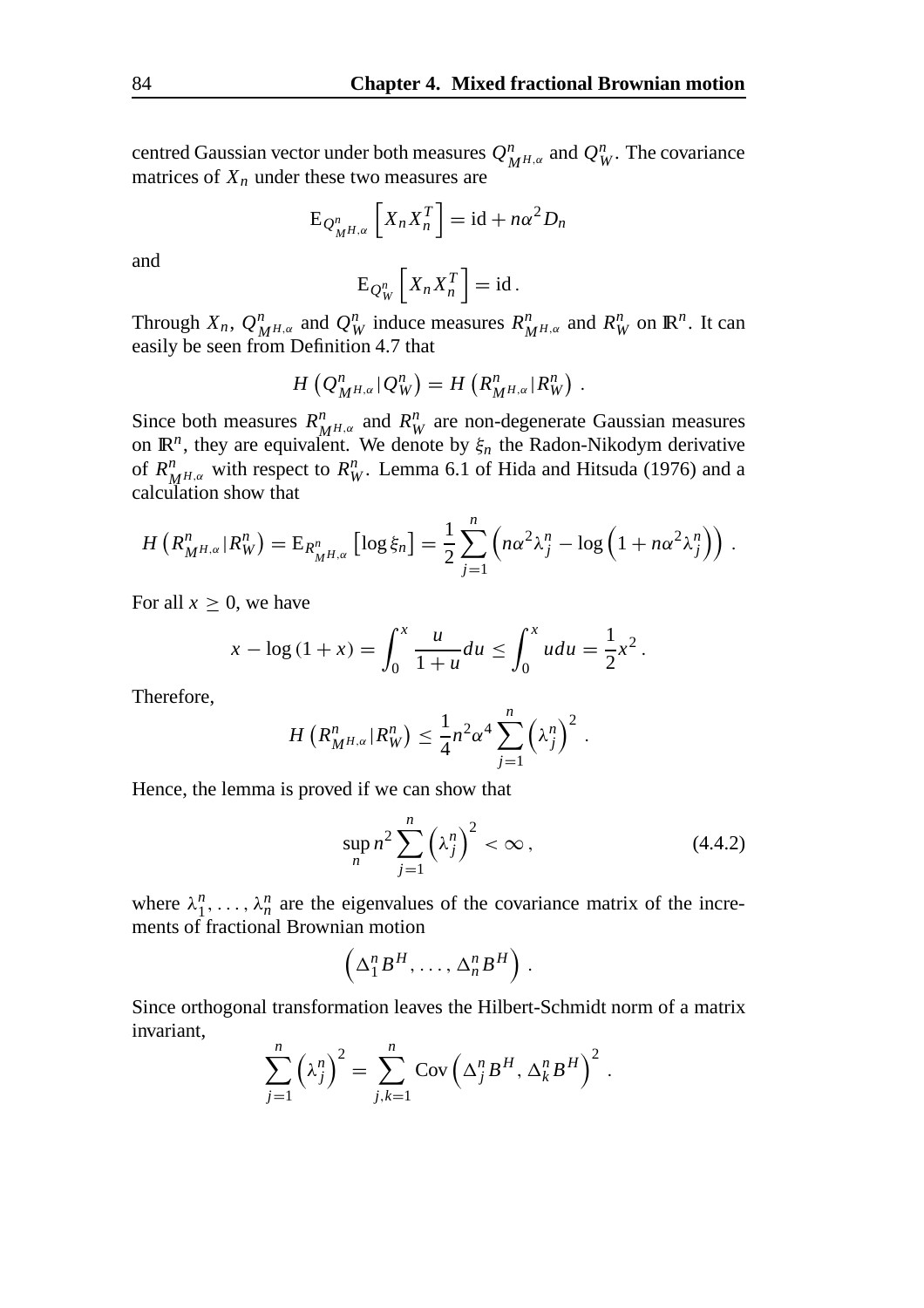centred Gaussian vector under both measures  $Q^n_{M^{H,\alpha}}$  and  $Q^n_W$ . The covariance matrices of  $X_n$  under these two measures are

$$
E_{Q_M^nH,\alpha} \left[ X_n X_n^T \right] = id + n\alpha^2 D_n
$$

and

$$
E_{Q_W^n}\left[X_n X_n^T\right] = id.
$$

Through  $X_n$ ,  $Q_{MH,\alpha}^n$  and  $Q_W^n$  induce measures  $R_{MH,\alpha}^n$  and  $R_W^n$  on  $\mathbb{R}^n$ . It can easily be seen from Definition 4.7 that

$$
H(Q_{M^{H,\alpha}}^n|Q_W^n) = H(R_{M^{H,\alpha}}^n|R_W^n).
$$

Since both measures  $R^n_{M^{H,\alpha}}$  and  $R^n_W$  are non-degenerate Gaussian measures on  $\mathbb{R}^n$ , they are equivalent. We denote by  $\xi_n$  the Radon-Nikodym derivative of  $R^n_{M^{H,\alpha}}$  with respect to  $R^n_W$ . Lemma 6.1 of Hida and Hitsuda (1976) and a calculation show that

$$
H\left(R_{M^{H,\alpha}}^n|R_W^n\right) = \mathrm{E}_{R_{M^{H,\alpha}}^n}\left[\log \xi_n\right] = \frac{1}{2}\sum_{j=1}^n \left(n\alpha^2\lambda_j^n - \log\left(1 + n\alpha^2\lambda_j^n\right)\right).
$$

For all  $x \geq 0$ , we have

$$
x - \log(1 + x) = \int_0^x \frac{u}{1 + u} du \le \int_0^x u du = \frac{1}{2}x^2.
$$

Therefore,

$$
H\left(R_{M^{H,\alpha}}^n|R_W^n\right) \leq \frac{1}{4}n^2\alpha^4\sum_{j=1}^n\left(\lambda_j^n\right)^2.
$$

Hence, the lemma is proved if we can show that

$$
\sup_{n} n^{2} \sum_{j=1}^{n} \left(\lambda_{j}^{n}\right)^{2} < \infty \,, \tag{4.4.2}
$$

where  $\lambda_1^n$ , ...,  $\lambda_n^n$  are the eigenvalues of the covariance matrix of the increments of fractional Brownian motion

$$
\left(\Delta_1^n B^H,\ldots,\Delta_n^n B^H\right).
$$

Since orthogonal transformation leaves the Hilbert-Schmidt norm of a matrix invariant,

$$
\sum_{j=1}^n \left(\lambda_j^n\right)^2 = \sum_{j,k=1}^n \mathrm{Cov}\left(\Delta_j^n B^H, \Delta_k^n B^H\right)^2.
$$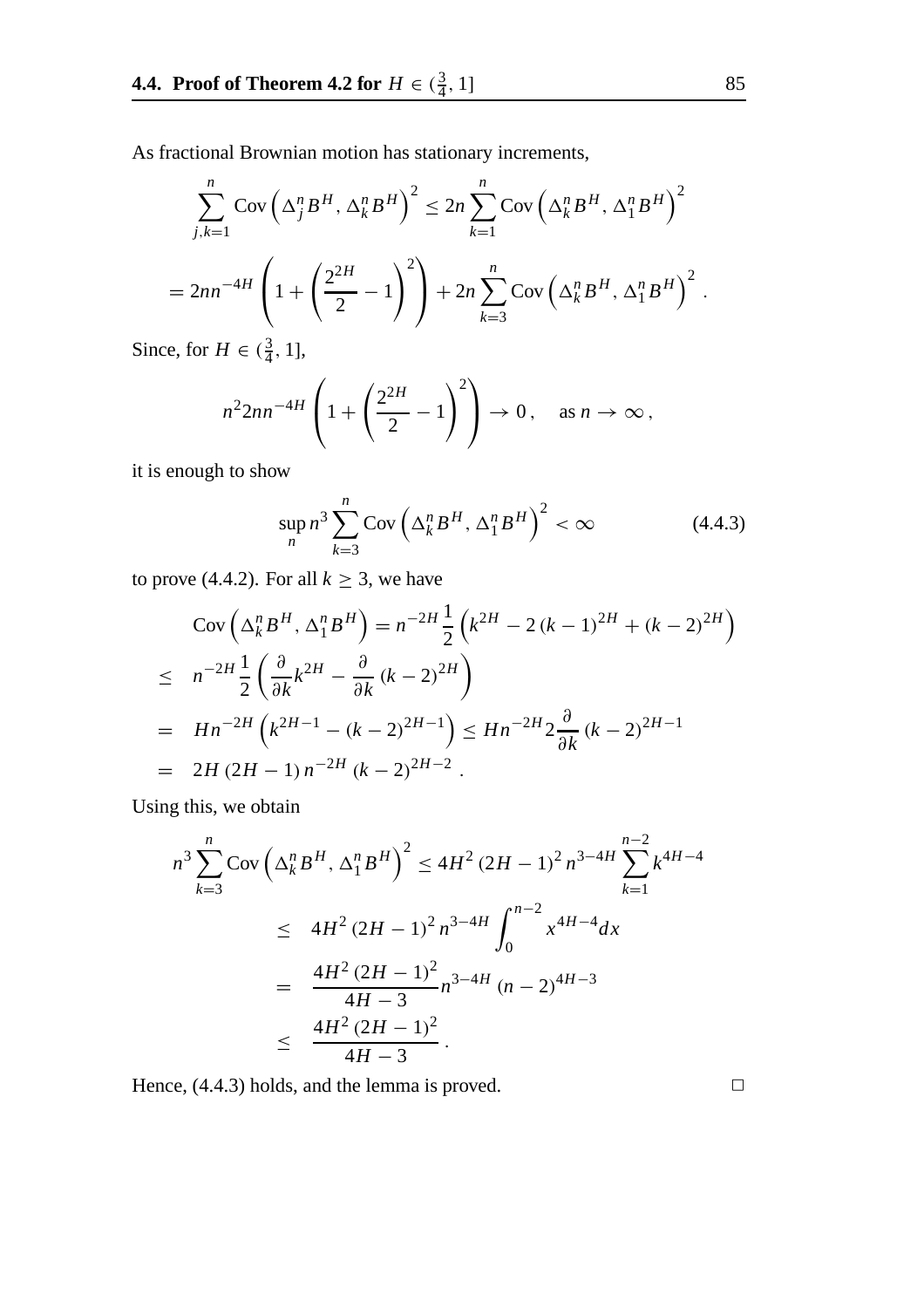As fractional Brownian motion has stationary increments,

$$
\sum_{j,k=1}^{n} \operatorname{Cov}\left(\Delta_{j}^{n} B^{H}, \Delta_{k}^{n} B^{H}\right)^{2} \le 2n \sum_{k=1}^{n} \operatorname{Cov}\left(\Delta_{k}^{n} B^{H}, \Delta_{1}^{n} B^{H}\right)^{2}
$$

$$
= 2n n^{-4H} \left(1 + \left(\frac{2^{2H}}{2} - 1\right)^{2}\right) + 2n \sum_{k=3}^{n} \operatorname{Cov}\left(\Delta_{k}^{n} B^{H}, \Delta_{1}^{n} B^{H}\right)^{2}.
$$

Since, for  $H \in (\frac{3}{4}, 1]$ ,

$$
n^2 2nn^{-4H} \left( 1 + \left( \frac{2^{2H}}{2} - 1 \right)^2 \right) \to 0, \quad \text{as } n \to \infty,
$$

it is enough to show

$$
\sup_{n} n^{3} \sum_{k=3}^{n} \text{Cov}\left(\Delta_{k}^{n} B^{H}, \Delta_{1}^{n} B^{H}\right)^{2} < \infty \tag{4.4.3}
$$

to prove (4.4.2). For all  $k \geq 3$ , we have

$$
\begin{split} &\text{Cov}\left(\Delta_k^n B^H, \Delta_1^n B^H\right) = n^{-2H} \frac{1}{2} \left(k^{2H} - 2\left(k - 1\right)^{2H} + \left(k - 2\right)^{2H}\right) \\ &\leq n^{-2H} \frac{1}{2} \left(\frac{\partial}{\partial k} k^{2H} - \frac{\partial}{\partial k} \left(k - 2\right)^{2H}\right) \\ &= H n^{-2H} \left(k^{2H-1} - \left(k - 2\right)^{2H-1}\right) \leq H n^{-2H} 2 \frac{\partial}{\partial k} \left(k - 2\right)^{2H-1} \\ &= 2H \left(2H - 1\right) n^{-2H} \left(k - 2\right)^{2H-2} . \end{split}
$$

Using this, we obtain

$$
n^3 \sum_{k=3}^n \text{Cov} \left( \Delta_k^n B^H, \Delta_1^n B^H \right)^2 \le 4H^2 (2H - 1)^2 n^{3-4H} \sum_{k=1}^{n-2} k^{4H-4}
$$
  

$$
\le 4H^2 (2H - 1)^2 n^{3-4H} \int_0^{n-2} x^{4H-4} dx
$$
  

$$
= \frac{4H^2 (2H - 1)^2}{4H - 3} n^{3-4H} (n - 2)^{4H-3}
$$
  

$$
\le \frac{4H^2 (2H - 1)^2}{4H - 3}.
$$

Hence,  $(4.4.3)$  holds, and the lemma is proved.  $\Box$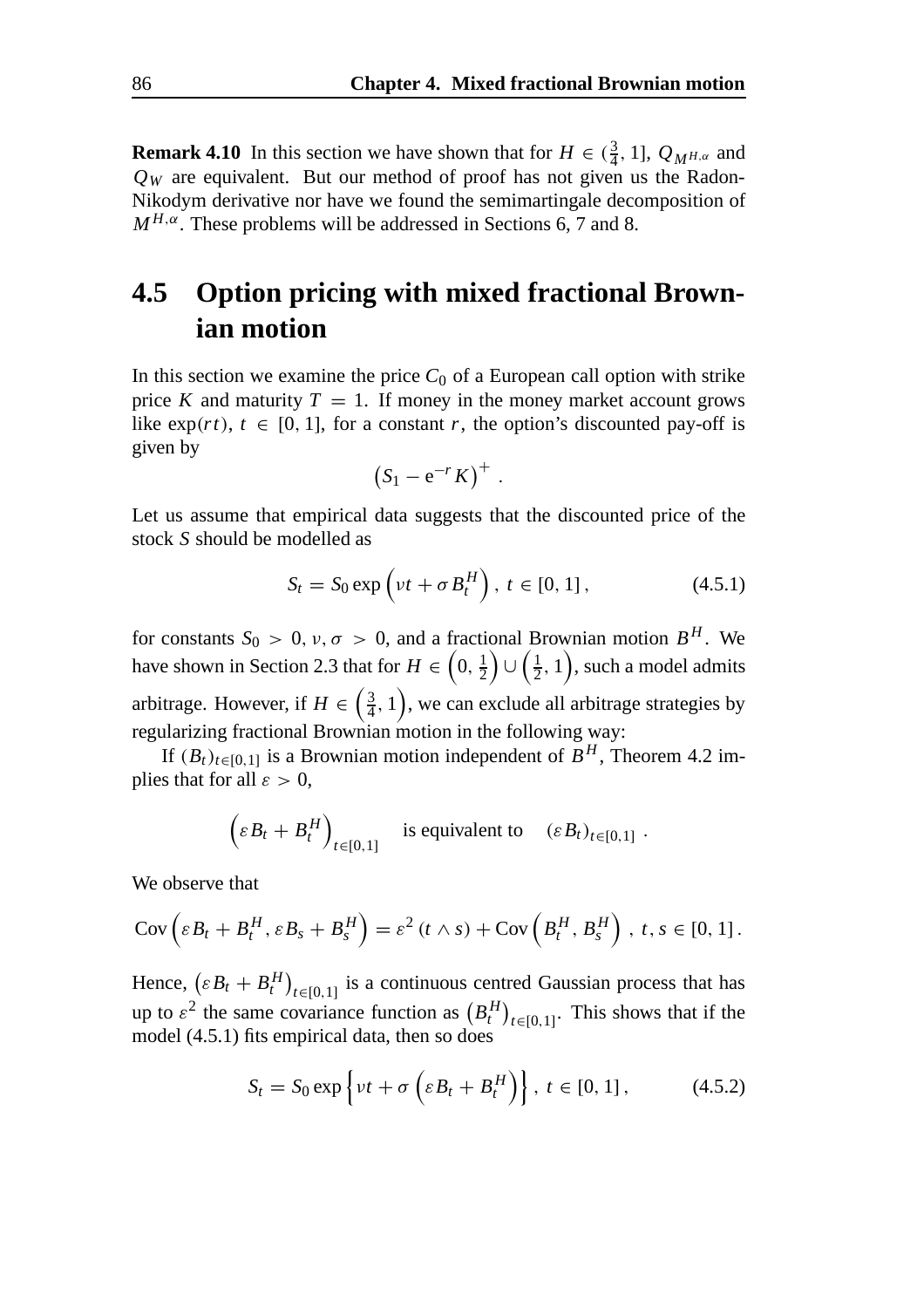**Remark 4.10** In this section we have shown that for  $H \in (\frac{3}{4}, 1]$ ,  $Q_{M^{H,\alpha}}$  and  $Q_W$  are equivalent. But our method of proof has not given us the Radon-Nikodym derivative nor have we found the semimartingale decomposition of  $M^{H,\alpha}$ . These problems will be addressed in Sections 6, 7 and 8.

### **4.5 Option pricing with mixed fractional Brownian motion**

In this section we examine the price  $C_0$  of a European call option with strike price *K* and maturity  $T = 1$ . If money in the money market account grows like  $exp(rt)$ ,  $t \in [0, 1]$ , for a constant *r*, the option's discounted pay-off is given by

$$
(S_1-e^{-r}K)^+.
$$

Let us assume that empirical data suggests that the discounted price of the stock *S* should be modelled as

$$
S_t = S_0 \exp\left(\nu t + \sigma B_t^H\right), \ t \in [0, 1], \tag{4.5.1}
$$

for constants  $S_0 > 0$ ,  $\nu, \sigma > 0$ , and a fractional Brownian motion  $B^H$ . We have shown in Section 2.3 that for  $H \in \left(0, \frac{1}{2}\right)$  $\left(\frac{1}{2}, 1\right)$ , such a model admits arbitrage. However, if  $H \in \left(\frac{3}{4}, 1\right)$ , we can exclude all arbitrage strategies by regularizing fractional Brownian motion in the following way:

If  $(B_t)_{t \in [0,1]}$  is a Brownian motion independent of  $\overline{B}^H$ , Theorem 4.2 implies that for all  $\varepsilon > 0$ ,

$$
\left(\varepsilon B_t + B_t^H\right)_{t \in [0,1]}
$$
 is equivalent to 
$$
\left(\varepsilon B_t\right)_{t \in [0,1]}.
$$

We observe that

$$
Cov\left(\varepsilon B_t + B_t^H, \varepsilon B_s + B_s^H\right) = \varepsilon^2 \left(t \wedge s\right) + Cov\left(B_t^H, B_s^H\right), \ t, s \in [0, 1].
$$

Hence,  $(\varepsilon B_t + B_t^H)_{t \in [0,1]}$  is a continuous centred Gaussian process that has up to  $\varepsilon^2$  the same covariance function as  $(B_t^H)_{t \in [0,1]}$ . This shows that if the model (4.5.1) fits empirical data, then so does

$$
S_t = S_0 \exp\left\{\nu t + \sigma\left(\varepsilon B_t + B_t^H\right)\right\}, \ t \in [0, 1], \tag{4.5.2}
$$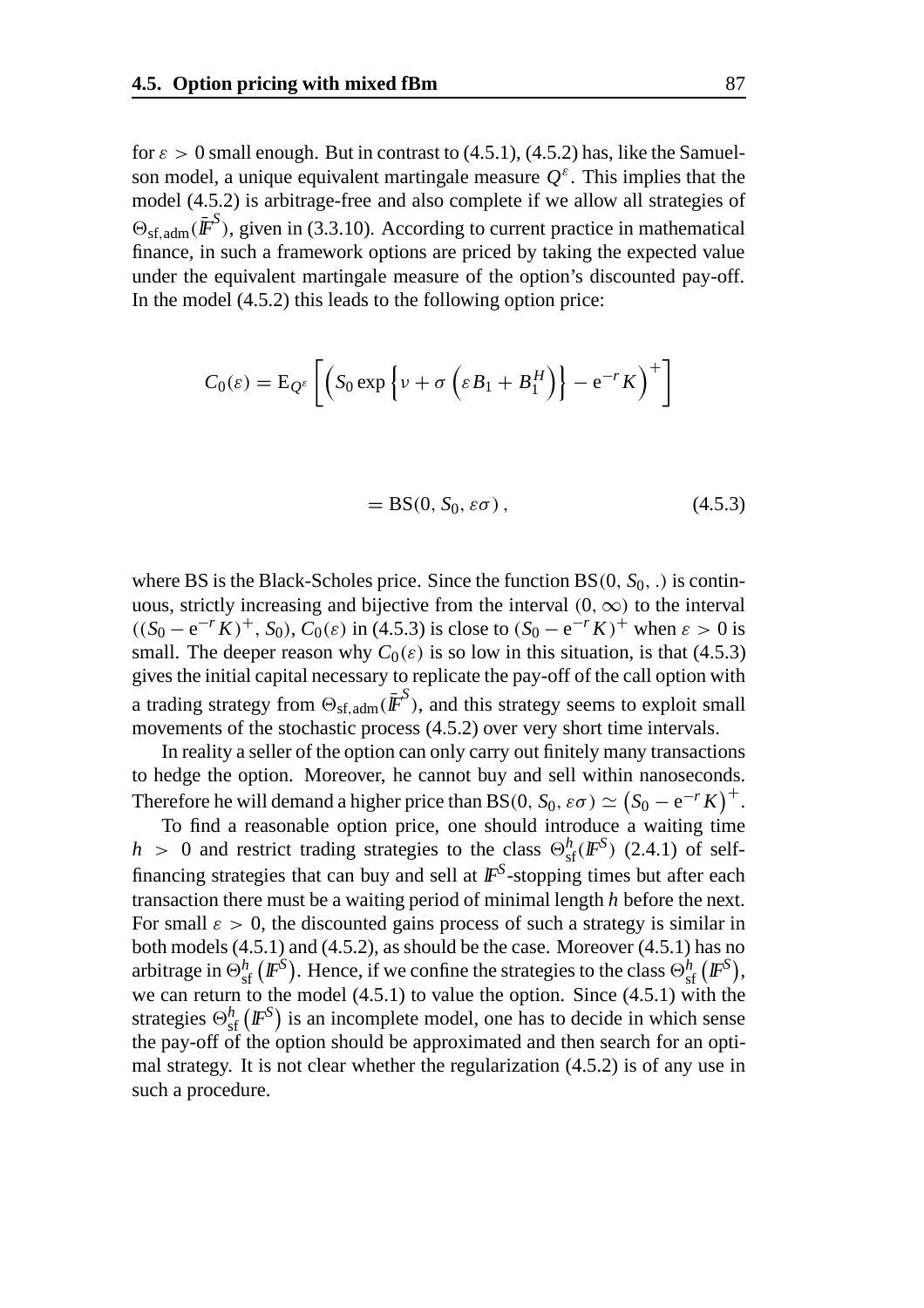for  $\varepsilon > 0$  small enough. But in contrast to (4.5.1), (4.5.2) has, like the Samuelson model, a unique equivalent martingale measure  $Q^{\varepsilon}$ . This implies that the model (4.5.2) is arbitrage-free and also complete if we allow all strategies of  $\Theta_{\rm sf,adm}(\bar{\mathbf{\textit{F}}}^S)$ , given in (3.3.10). According to current practice in mathematical finance, in such a framework options are priced by taking the expected value under the equivalent martingale measure of the option's discounted pay-off. In the model (4.5.2) this leads to the following option price:

$$
C_0(\varepsilon) = \mathcal{E}_{Q^{\varepsilon}} \left[ \left( S_0 \exp \left\{ \nu + \sigma \left( \varepsilon B_1 + B_1^H \right) \right\} - e^{-r} K \right)^+ \right]
$$

$$
= BS(0, S_0, \varepsilon \sigma), \qquad (4.5.3)
$$

where BS is the Black-Scholes price. Since the function  $BS(0, S_0, .)$  is continuous, strictly increasing and bijective from the interval  $(0, \infty)$  to the interval  $((S_0 - e^{-r} K)^+, S_0), C_0(\varepsilon)$  in (4.5.3) is close to  $(S_0 - e^{-r} K)^+$  when  $\varepsilon > 0$  is small. The deeper reason why  $C_0(\varepsilon)$  is so low in this situation, is that (4.5.3) gives the initial capital necessary to replicate the pay-off of the call option with a trading strategy from  $\Theta_{\text{sf,adm}}({\bar{\bm{I\! F}^S}})$ , and this strategy seems to exploit small movements of the stochastic process (4.5.2) over very short time intervals.

In reality a seller of the option can only carry out finitely many transactions to hedge the option. Moreover, he cannot buy and sell within nanoseconds. Therefore he will demand a higher price than BS(0,  $S_0$ ,  $\varepsilon \sigma$ )  $\simeq (S_0 - e^{-r} K)^+$ .

To find a reasonable option price, one should introduce a waiting time  $h > 0$  and restrict trading strategies to the class  $\Theta_{\rm sf}^h$  (*F<sub>S</sub>*) (2.4.1) of selffinancing strategies that can buy and sell at  $\mathbb{F}^S$ -stopping times but after each transaction there must be a waiting period of minimal length *h* before the next. For small  $\varepsilon > 0$ , the discounted gains process of such a strategy is similar in both models (4.5.1) and (4.5.2), as should be the case. Moreover (4.5.1) has no arbitrage in  $\Theta_{\rm sf}^h\left(\rm I\!F^S\right)$ . Hence, if we confine the strategies to the class  $\Theta_{\rm sf}^h\left(\rm I\!F^S\right)$ , we can return to the model (4.5.1) to value the option. Since (4.5.1) with the strategies  $\Theta_{\text{sf}}^h$  ( $\mathbb{F}^S$ ) is an incomplete model, one has to decide in which sense the pay-off of the option should be approximated and then search for an optimal strategy. It is not clear whether the regularization (4.5.2) is of any use in such a procedure.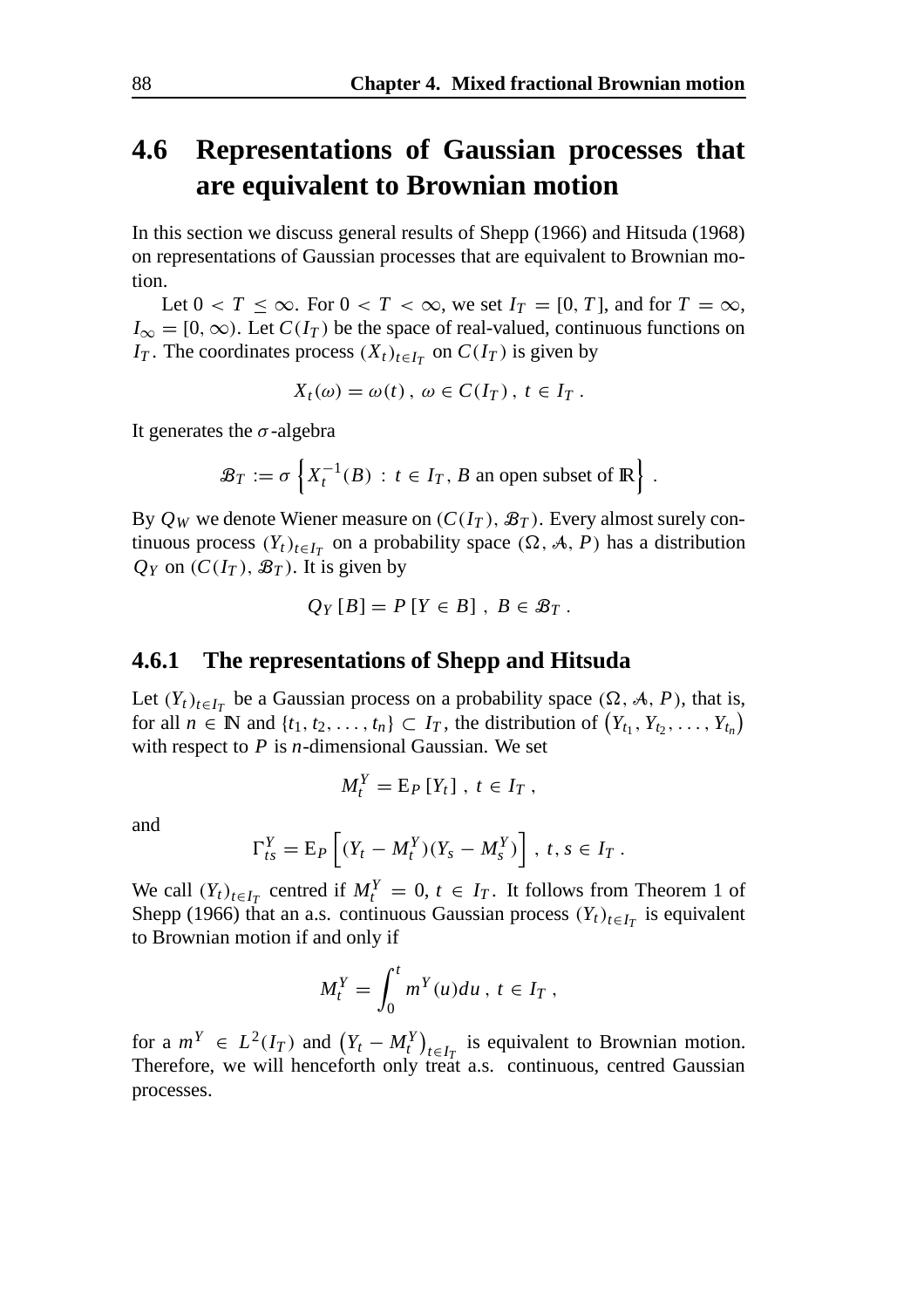### **4.6 Representations of Gaussian processes that are equivalent to Brownian motion**

In this section we discuss general results of Shepp (1966) and Hitsuda (1968) on representations of Gaussian processes that are equivalent to Brownian motion.

Let  $0 < T \le \infty$ . For  $0 < T < \infty$ , we set  $I_T = [0, T]$ , and for  $T = \infty$ ,  $I_{\infty} = [0, \infty)$ . Let  $C(I_T)$  be the space of real-valued, continuous functions on *IT*. The coordinates process  $(X_t)_{t \in I_T}$  on  $C(I_T)$  is given by

$$
X_t(\omega) = \omega(t), \ \omega \in C(I_T), \ t \in I_T.
$$

It generates the  $\sigma$ -algebra

$$
\mathcal{B}_T := \sigma \left\{ X_t^{-1}(B) : t \in I_T, B \text{ an open subset of } \mathbb{R} \right\}.
$$

By  $Q_W$  we denote Wiener measure on  $(C(I_T), \mathcal{B}_T)$ . Every almost surely continuous process  $(Y_t)_{t \in I_T}$  on a probability space  $(\Omega, \mathcal{A}, P)$  has a distribution  $Q_Y$  on  $(C(I_T), \mathcal{B}_T)$ . It is given by

$$
Q_Y[B] = P[Y \in B], B \in \mathcal{B}_T.
$$

#### **4.6.1 The representations of Shepp and Hitsuda**

Let  $(Y_t)_{t \in I_T}$  be a Gaussian process on a probability space  $(\Omega, \mathcal{A}, P)$ , that is, for all  $n \in \mathbb{N}$  and  $\{t_1, t_2, \ldots, t_n\} \subset I_T$ , the distribution of  $(Y_{t_1}, Y_{t_2}, \ldots, Y_{t_n})$ with respect to *P* is *n*-dimensional Gaussian. We set

$$
M_t^Y = \mathrm{E}_P \left[ Y_t \right], \ t \in I_T \;,
$$

and

$$
\Gamma_{ts}^Y = \mathrm{E}_P \left[ (Y_t - M_t^Y)(Y_s - M_s^Y) \right], \ t, s \in I_T.
$$

We call  $(Y_t)_{t \in I_T}$  centred if  $M_t^Y = 0$ ,  $t \in I_T$ . It follows from Theorem 1 of Shepp (1966) that an a.s. continuous Gaussian process  $(Y_t)_{t \in I_T}$  is equivalent to Brownian motion if and only if

$$
M_t^Y = \int_0^t m^Y(u) du, t \in I_T,
$$

for a  $m^Y \in L^2(I_T)$  and  $(Y_t - M_t^Y)_{t \in I_T}$  is equivalent to Brownian motion. Therefore, we will henceforth only treat a.s. continuous, centred Gaussian processes.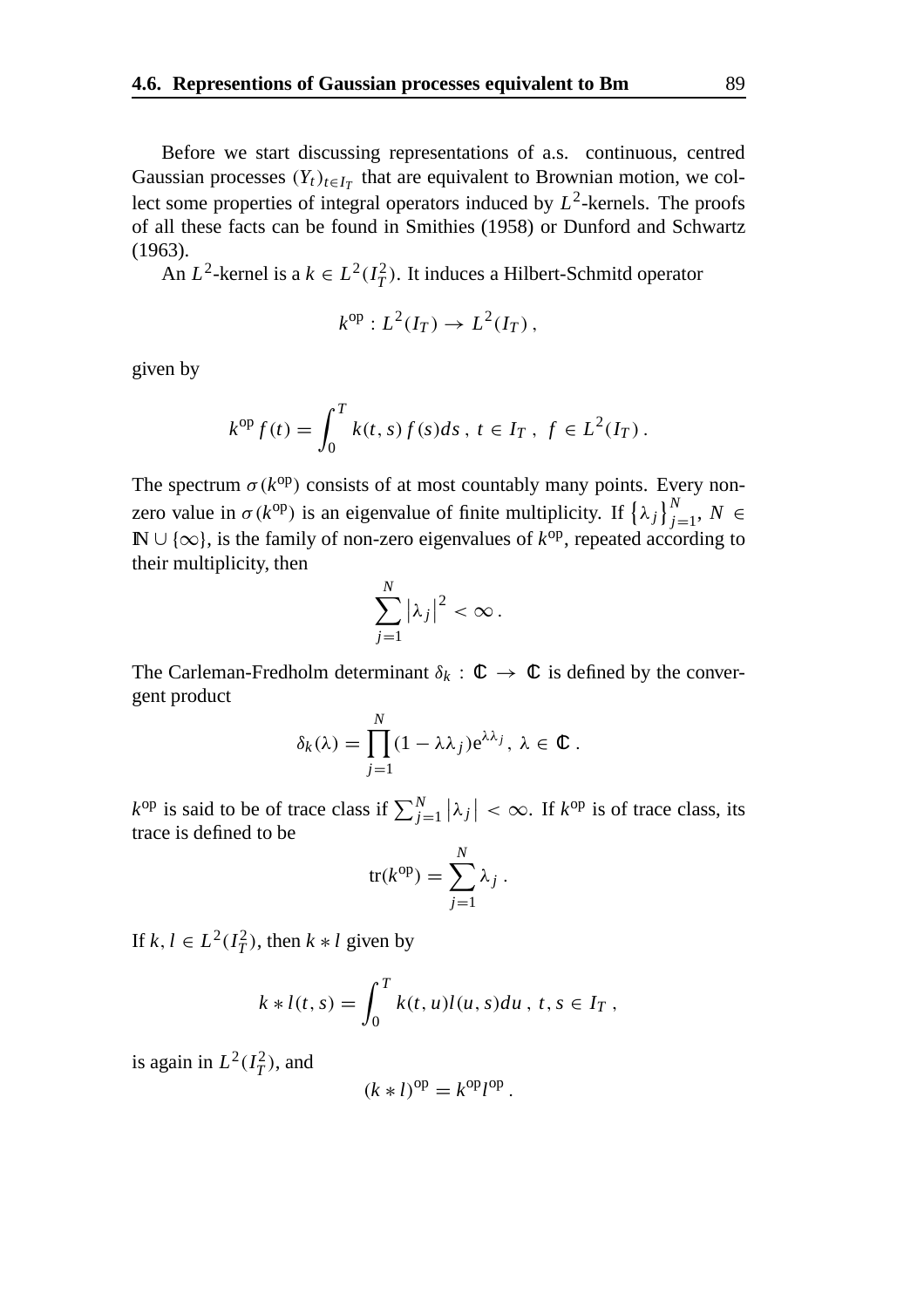Before we start discussing representations of a.s. continuous, centred Gaussian processes  $(Y_t)_{t \in I_T}$  that are equivalent to Brownian motion, we collect some properties of integral operators induced by  $L^2$ -kernels. The proofs of all these facts can be found in Smithies (1958) or Dunford and Schwartz (1963).

An  $L^2$ -kernel is a  $k \in L^2(I_T^2)$ . It induces a Hilbert-Schmitd operator

$$
k^{\rm op}: L^2(I_T) \to L^2(I_T)\,,
$$

given by

$$
k^{op} f(t) = \int_0^T k(t,s) f(s) ds, \ t \in I_T, \ f \in L^2(I_T).
$$

The spectrum  $\sigma(k^{\text{op}})$  consists of at most countably many points. Every nonzero value in  $\sigma(k^{op})$  is an eigenvalue of finite multiplicity. If  $\{\lambda_j\}_{j=1}^N$ ,  $N \in$ IN ∪ {∞}, is the family of non-zero eigenvalues of *k*op, repeated according to their multiplicity, then

$$
\sum_{j=1}^N |\lambda_j|^2 < \infty.
$$

The Carleman-Fredholm determinant  $\delta_k : \mathbb{C} \to \mathbb{C}$  is defined by the convergent product

$$
\delta_k(\lambda) = \prod_{j=1}^N (1 - \lambda \lambda_j) e^{\lambda \lambda_j}, \lambda \in \mathbb{C}.
$$

 $k^{\text{op}}$  is said to be of trace class if  $\sum_{j=1}^{N} |\lambda_j| < \infty$ . If  $k^{\text{op}}$  is of trace class, its trace is defined to be

$$
\text{tr}(k^{\text{op}}) = \sum_{j=1}^{N} \lambda_j.
$$

If  $k, l \in L^2(I_T^2)$ , then  $k * l$  given by

$$
k * l(t, s) = \int_0^T k(t, u)l(u, s)du, t, s \in I_T,
$$

is again in  $L^2(I_T^2)$ , and

$$
(k * l)^{op} = k^{op} l^{op}.
$$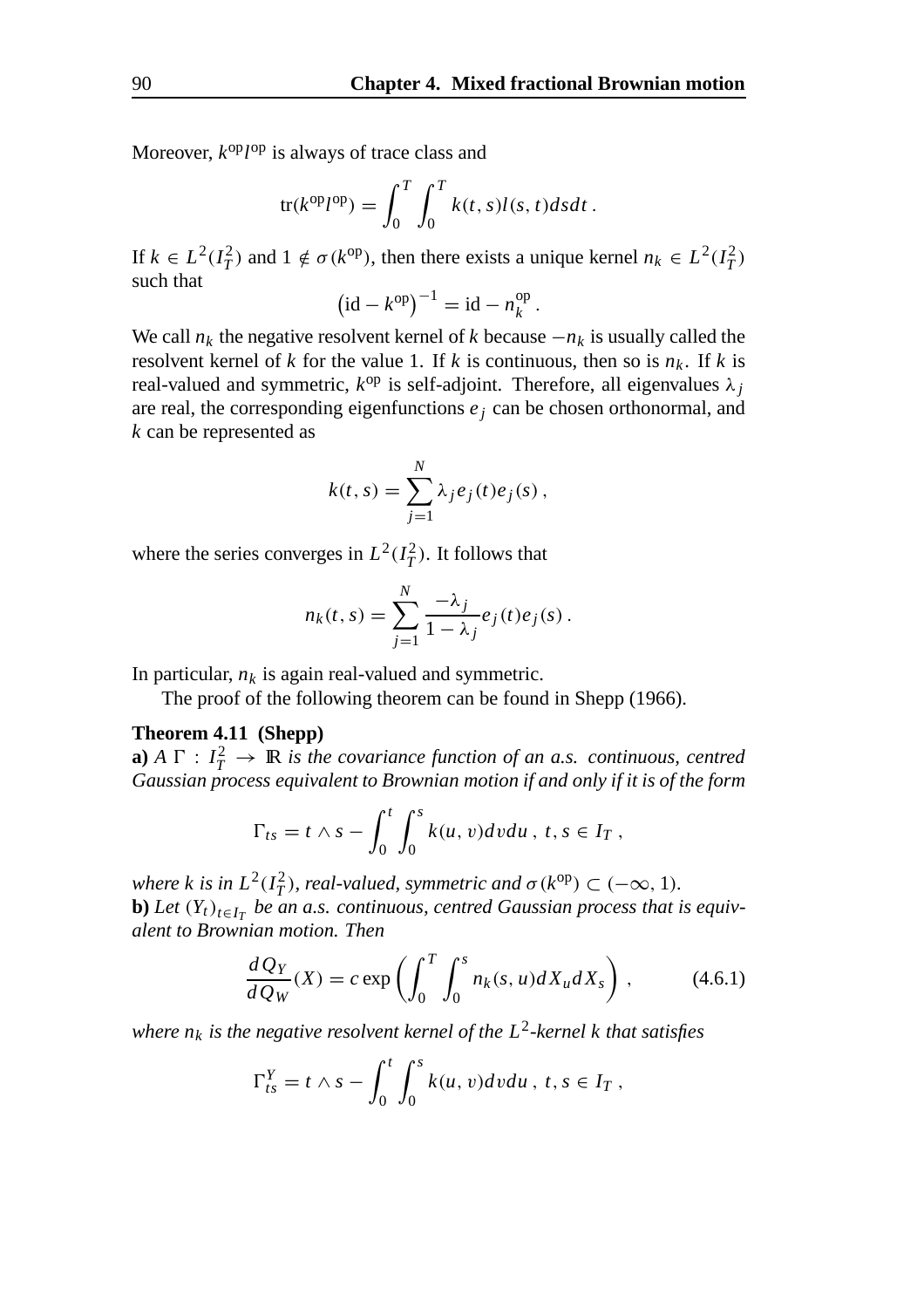Moreover,  $k^{\text{op}} l^{\text{op}}$  is always of trace class and

$$
\text{tr}(k^{\text{op}}l^{\text{op}}) = \int_0^T \int_0^T k(t,s)l(s,t)dsdt.
$$

If  $k \in L^2(I_T^2)$  and  $1 \notin \sigma(k^{\text{op}})$ , then there exists a unique kernel  $n_k \in L^2(I_T^2)$ such that

$$
(id - k^{op})^{-1} = id - n_k^{op}.
$$

We call  $n_k$  the negative resolvent kernel of *k* because  $-n_k$  is usually called the resolvent kernel of *k* for the value 1. If *k* is continuous, then so is  $n_k$ . If *k* is real-valued and symmetric,  $k^{op}$  is self-adjoint. Therefore, all eigenvalues  $\lambda_i$ are real, the corresponding eigenfunctions  $e_i$  can be chosen orthonormal, and *k* can be represented as

$$
k(t,s) = \sum_{j=1}^{N} \lambda_j e_j(t) e_j(s) ,
$$

where the series converges in  $L^2(I_T^2)$ . It follows that

$$
n_k(t,s) = \sum_{j=1}^N \frac{-\lambda_j}{1-\lambda_j} e_j(t) e_j(s).
$$

In particular,  $n_k$  is again real-valued and symmetric.

The proof of the following theorem can be found in Shepp (1966).

#### **Theorem 4.11 (Shepp)**

**a**)  $A \Gamma : I_T^2 \to \mathbb{R}$  *is the covariance function of an a.s. continuous, centred Gaussian process equivalent to Brownian motion if and only if it is of the form*

$$
\Gamma_{ts}=t\wedge s-\int_0^t\int_0^sk(u,v)dvdu, \ t,s\in I_T,
$$

*where k is in*  $L^2(I_T^2)$ , *real-valued, symmetric and*  $\sigma(k^{\text{op}}) \subset (-\infty, 1)$ *.* **b**) Let  $(Y_t)_{t \in I_T}$  be an a.s. continuous, centred Gaussian process that is equiv*alent to Brownian motion. Then*

$$
\frac{dQ_Y}{dQ_W}(X) = c \exp\left(\int_0^T \int_0^s n_k(s, u) dX_u dX_s\right),\tag{4.6.1}
$$

*where*  $n_k$  *is the negative resolvent kernel of the L*<sup>2</sup>-kernel *k that satisfies* 

$$
\Gamma_{ts}^Y = t \wedge s - \int_0^t \int_0^s k(u, v) dv du, \ t, s \in I_T,
$$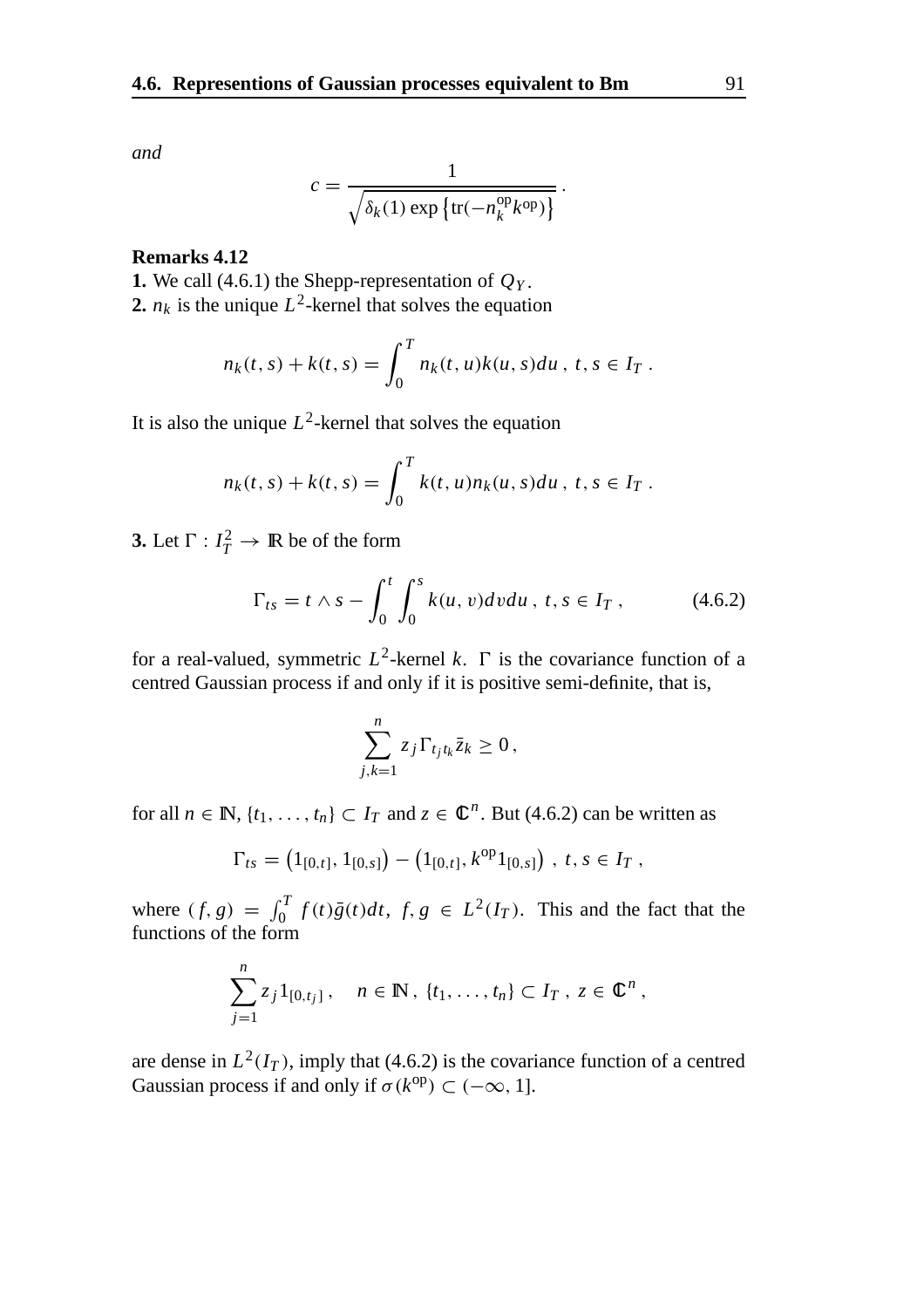$$
c = \frac{1}{\sqrt{\delta_k(1) \exp\left\{\text{tr}(-n_k^{\text{op}}k^{\text{op}})\right\}}}.
$$

#### **Remarks 4.12**

**1.** We call (4.6.1) the Shepp-representation of  $Q_Y$ . **2.**  $n_k$  is the unique  $L^2$ -kernel that solves the equation

$$
n_k(t,s) + k(t,s) = \int_0^T n_k(t,u)k(u,s)du, \ t, s \in I_T.
$$

It is also the unique  $L^2$ -kernel that solves the equation

$$
n_k(t,s) + k(t,s) = \int_0^T k(t,u)n_k(u,s)du, \ t,s \in I_T.
$$

**3.** Let  $\Gamma: I_T^2 \to \mathbb{R}$  be of the form

$$
\Gamma_{ts} = t \wedge s - \int_0^t \int_0^s k(u, v) dv du, \ t, s \in I_T , \qquad (4.6.2)
$$

for a real-valued, symmetric  $L^2$ -kernel k.  $\Gamma$  is the covariance function of a centred Gaussian process if and only if it is positive semi-definite, that is,

$$
\sum_{j,k=1}^n z_j \Gamma_{t_j t_k} \bar{z}_k \ge 0,
$$

for all  $n \in \mathbb{N}$ ,  $\{t_1, \ldots, t_n\} \subset I_T$  and  $z \in \mathbb{C}^n$ . But (4.6.2) can be written as

$$
\Gamma_{ts} = (1_{[0,t]}, 1_{[0,s]}) - (1_{[0,t]}, k^{op}1_{[0,s]}) , t, s \in I_T ,
$$

where  $(f, g) = \int_0^T f(t)\bar{g}(t)dt$ ,  $f, g \in L^2(I_T)$ . This and the fact that the functions of the form

$$
\sum_{j=1}^n z_j 1_{[0,t_j]}, \quad n \in \mathbb{N}, \ \{t_1, \ldots, t_n\} \subset I_T, \ z \in \mathbb{C}^n,
$$

are dense in  $L^2(I_T)$ , imply that (4.6.2) is the covariance function of a centred Gaussian process if and only if  $\sigma(k^{op}) \subset (-\infty, 1]$ .

*and*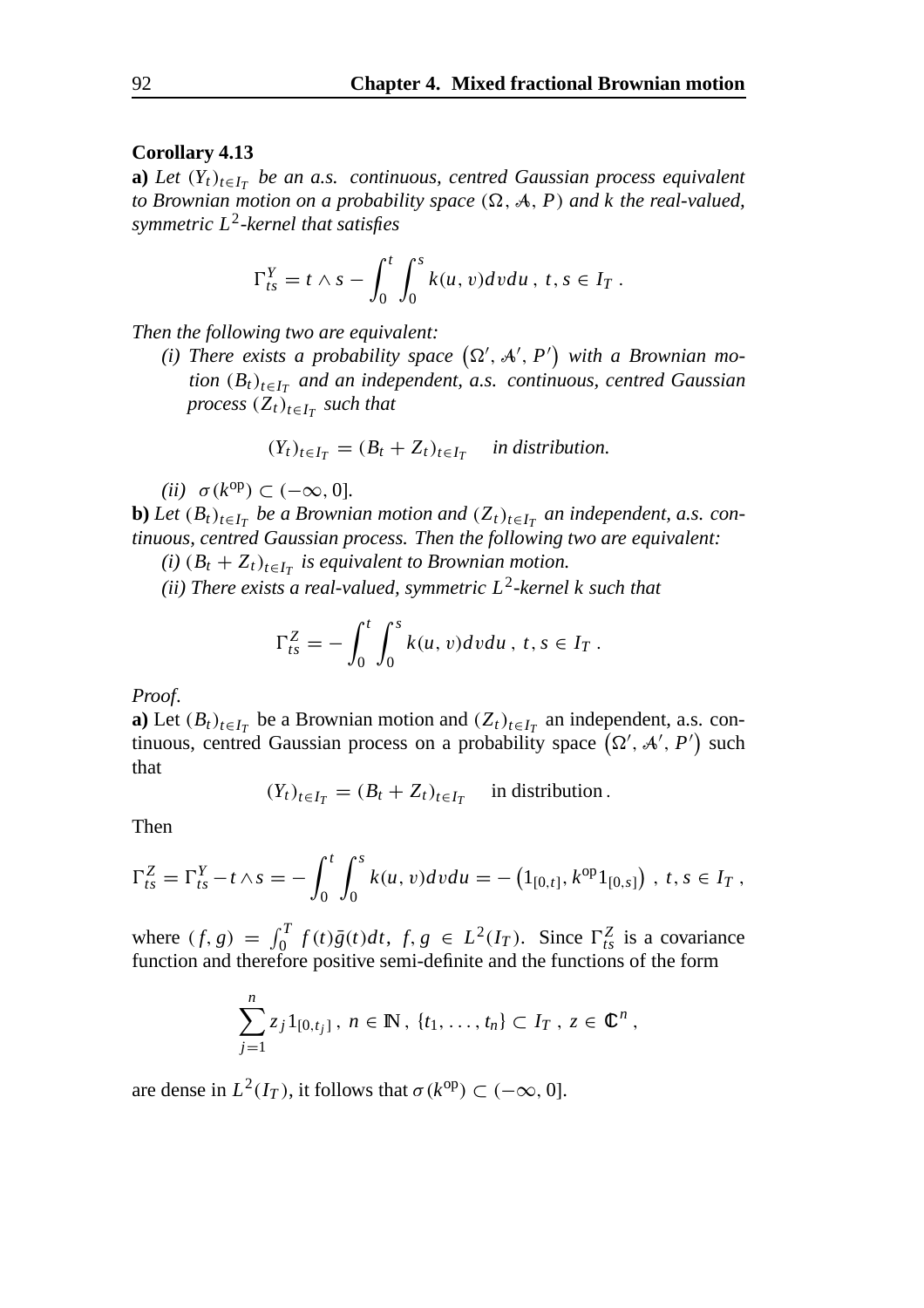#### **Corollary 4.13**

**a)** *Let*  $(Y_t)_{t \in I_T}$  *be an a.s. continuous, centred Gaussian process equivalent* to Brownian motion on a probability space  $(\Omega, \mathcal{A}, P)$  and k the real-valued, *symmetric L*2*-kernel that satisfies*

$$
\Gamma_{ts}^Y = t \wedge s - \int_0^t \int_0^s k(u, v) dv du, \ t, s \in I_T.
$$

*Then the following two are equivalent:*

(*i*) There exists a probability space  $(\Omega', \mathcal{A}', P')$  with a Brownian mo*tion*  $(B_t)_{t \in I_T}$  *and an independent, a.s. continuous, centred Gaussian process*  $(Z_t)_{t \in I_T}$  *such that* 

$$
(Y_t)_{t \in I_T} = (B_t + Z_t)_{t \in I_T}
$$
 in distribution.

*(ii)*  $\sigma(k^{\text{op}}) \subset (-\infty, 0]$ .

**b**) *Let*  $(B_t)_{t \in I_T}$  *be a Brownian motion and*  $(Z_t)_{t \in I_T}$  *an independent, a.s. continuous, centred Gaussian process. Then the following two are equivalent:*

*(i)*  $(B_t + Z_t)_{t \in I_T}$  *is equivalent to Brownian motion.* 

*(ii) There exists a real-valued, symmetric L*2*-kernel k such that*

$$
\Gamma_{ts}^Z = -\int_0^t \int_0^s k(u, v) dv du, t, s \in I_T.
$$

*Proof*.

**a**) Let  $(B_t)_{t \in I_T}$  be a Brownian motion and  $(Z_t)_{t \in I_T}$  an independent, a.s. continuous, centred Gaussian process on a probability space  $(\Omega', \mathcal{A}', P')$  such that

$$
(Y_t)_{t \in I_T} = (B_t + Z_t)_{t \in I_T}
$$
 in distribution.

Then

$$
\Gamma_{ts}^Z = \Gamma_{ts}^Y - t \wedge s = -\int_0^t \int_0^s k(u, v) dv du = -\left(1_{[0,t]}, k^{op} 1_{[0,s]}\right), \ t, s \in I_T,
$$

where  $(f, g) = \int_0^T f(t)\bar{g}(t)dt$ ,  $f, g \in L^2(I_T)$ . Since  $\Gamma_{ts}^Z$  is a covariance function and therefore positive semi-definite and the functions of the form

$$
\sum_{j=1}^n z_j 1_{[0,t_j]}, n \in \mathbb{N}, \{t_1, \ldots, t_n\} \subset I_T, z \in \mathbb{C}^n,
$$

are dense in  $L^2(I_T)$ , it follows that  $\sigma(k^{op}) \subset (-\infty, 0]$ .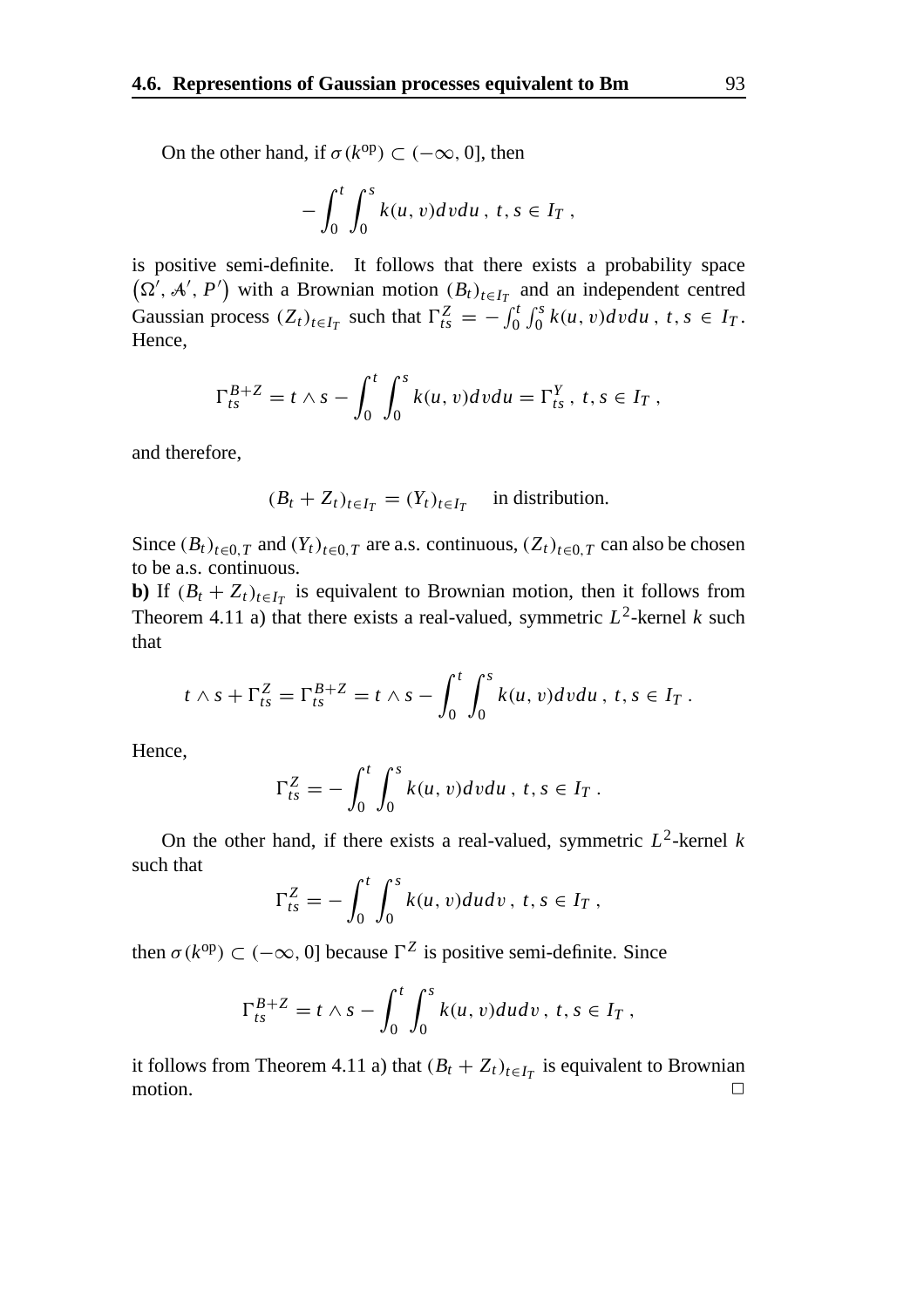On the other hand, if  $\sigma(k^{op}) \subset (-\infty, 0]$ , then

$$
-\int_0^t \int_0^s k(u,v)dvdu, t, s \in I_T,
$$

is positive semi-definite. It follows that there exists a probability space  $(\Omega^7, \mathcal{A}', P')$  with a Brownian motion  $(B_t)_{t \in I_T}$  and an independent centred Gaussian process  $(Z_t)_{t \in I_T}$  such that  $\Gamma_{ts}^Z = -\int_0^t \int_0^s k(u, v) dv du$ ,  $t, s \in I_T$ . Hence,

$$
\Gamma_{ts}^{B+Z} = t \wedge s - \int_0^t \int_0^s k(u, v) dv du = \Gamma_{ts}^Y, t, s \in I_T,
$$

and therefore,

$$
(B_t + Z_t)_{t \in I_T} = (Y_t)_{t \in I_T}
$$
 in distribution.

Since  $(B_t)_{t\in{0,T}}$  and  $(Y_t)_{t\in{0,T}}$  are a.s. continuous,  $(Z_t)_{t\in{0,T}}$  can also be chosen to be a.s. continuous.

**b**) If  $(B_t + Z_t)_{t \in I_T}$  is equivalent to Brownian motion, then it follows from Theorem 4.11 a) that there exists a real-valued, symmetric  $L^2$ -kernel *k* such that

$$
t \wedge s + \Gamma_{ts}^Z = \Gamma_{ts}^{B+Z} = t \wedge s - \int_0^t \int_0^s k(u, v) dv du, t, s \in I_T.
$$

Hence,

$$
\Gamma_{ts}^Z = -\int_0^t \int_0^s k(u, v)dv du, \ t, s \in I_T.
$$

On the other hand, if there exists a real-valued, symmetric  $L^2$ -kernel *k* such that

$$
\Gamma_{ts}^Z = -\int_0^t \int_0^s k(u, v) du dv, \ t, s \in I_T,
$$

then  $\sigma(k^{\text{op}}) \subset (-\infty, 0]$  because  $\Gamma^Z$  is positive semi-definite. Since

$$
\Gamma_{ts}^{B+Z} = t \wedge s - \int_0^t \int_0^s k(u, v) du dv, t, s \in I_T,
$$

it follows from Theorem 4.11 a) that  $(B_t + Z_t)_{t \in I_T}$  is equivalent to Brownian motion. □ motion.  $\Box$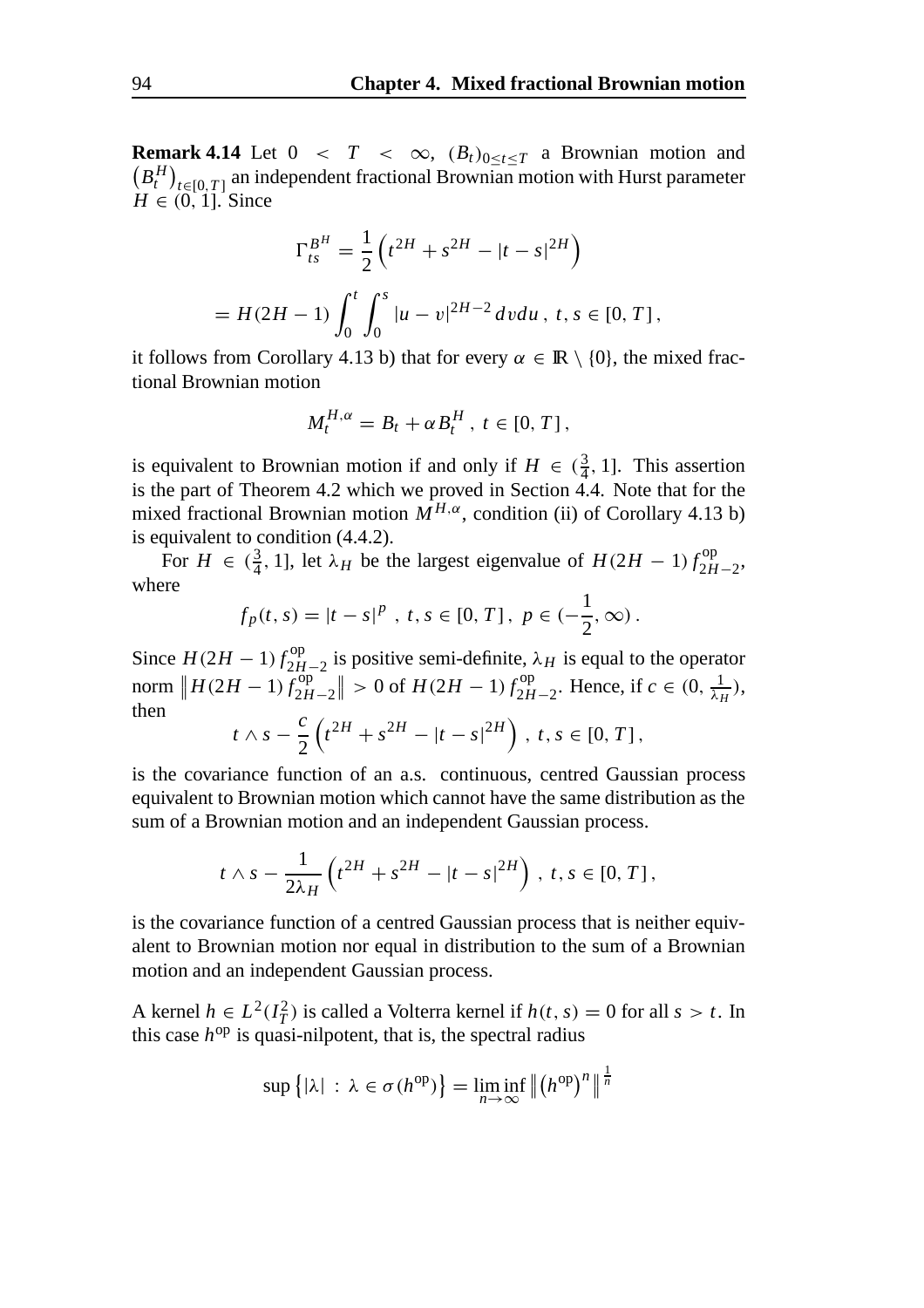**Remark 4.14** Let  $0 < T < \infty$ ,  $(B_t)_{0 \le t \le T}$  a Brownian motion and  $(B_t^H)_{t \in [0,T]}$  an independent fractional Brownian motion with Hurst parameter  $H \in (0, 1]$ . Since

$$
\Gamma_{ts}^{B^H} = \frac{1}{2} \left( t^{2H} + s^{2H} - |t - s|^{2H} \right)
$$
  
=  $H(2H - 1) \int_0^t \int_0^s |u - v|^{2H - 2} dv du$ ,  $t, s \in [0, T]$ ,

it follows from Corollary 4.13 b) that for every  $\alpha \in \mathbb{R} \setminus \{0\}$ , the mixed fractional Brownian motion

$$
M_t^{H,\alpha} = B_t + \alpha B_t^H, \ t \in [0, T],
$$

is equivalent to Brownian motion if and only if  $H \in (\frac{3}{4}, 1]$ . This assertion is the part of Theorem 4.2 which we proved in Section 4.4. Note that for the mixed fractional Brownian motion  $M^{H,\alpha}$ , condition (ii) of Corollary 4.13 b) is equivalent to condition (4.4.2).

For  $H \in (\frac{3}{4}, 1]$ , let  $\lambda_H$  be the largest eigenvalue of  $H(2H - 1) f_{2H-2}^{op}$ , where

$$
f_p(t,s) = |t - s|^p, \ t, s \in [0, T], \ p \in (-\frac{1}{2}, \infty).
$$

Since  $H(2H - 1) f_{2H-2}^{op}$  is positive semi-definite,  $\lambda_H$  is equal to the operator norm  $\left\| H(2H - 1) f_{2H}^{op} \right\|_2^2$  $\frac{1}{2H-2}$  > 0 of *H*(2*H* − 1)  $f_{2H-2}^{op}$ . Hence, if *c* ∈ (0,  $\frac{1}{\lambda_H}$ ), then

$$
t \wedge s - \frac{c}{2} \left( t^{2H} + s^{2H} - |t - s|^{2H} \right), t, s \in [0, T],
$$

is the covariance function of an a.s. continuous, centred Gaussian process equivalent to Brownian motion which cannot have the same distribution as the sum of a Brownian motion and an independent Gaussian process.

$$
t \wedge s - \frac{1}{2\lambda_H} \left( t^{2H} + s^{2H} - |t - s|^{2H} \right), \ t, s \in [0, T],
$$

is the covariance function of a centred Gaussian process that is neither equivalent to Brownian motion nor equal in distribution to the sum of a Brownian motion and an independent Gaussian process.

A kernel  $h \in L^2(I_T^2)$  is called a Volterra kernel if  $h(t, s) = 0$  for all  $s > t$ . In this case  $h^{op}$  is quasi-nilpotent, that is, the spectral radius

$$
\sup\left\{|\lambda| \,:\, \lambda \in \sigma(h^{\text{op}})\right\} = \liminf_{n \to \infty} \left\| \left(h^{\text{op}}\right)^n \right\|^{\frac{1}{n}}
$$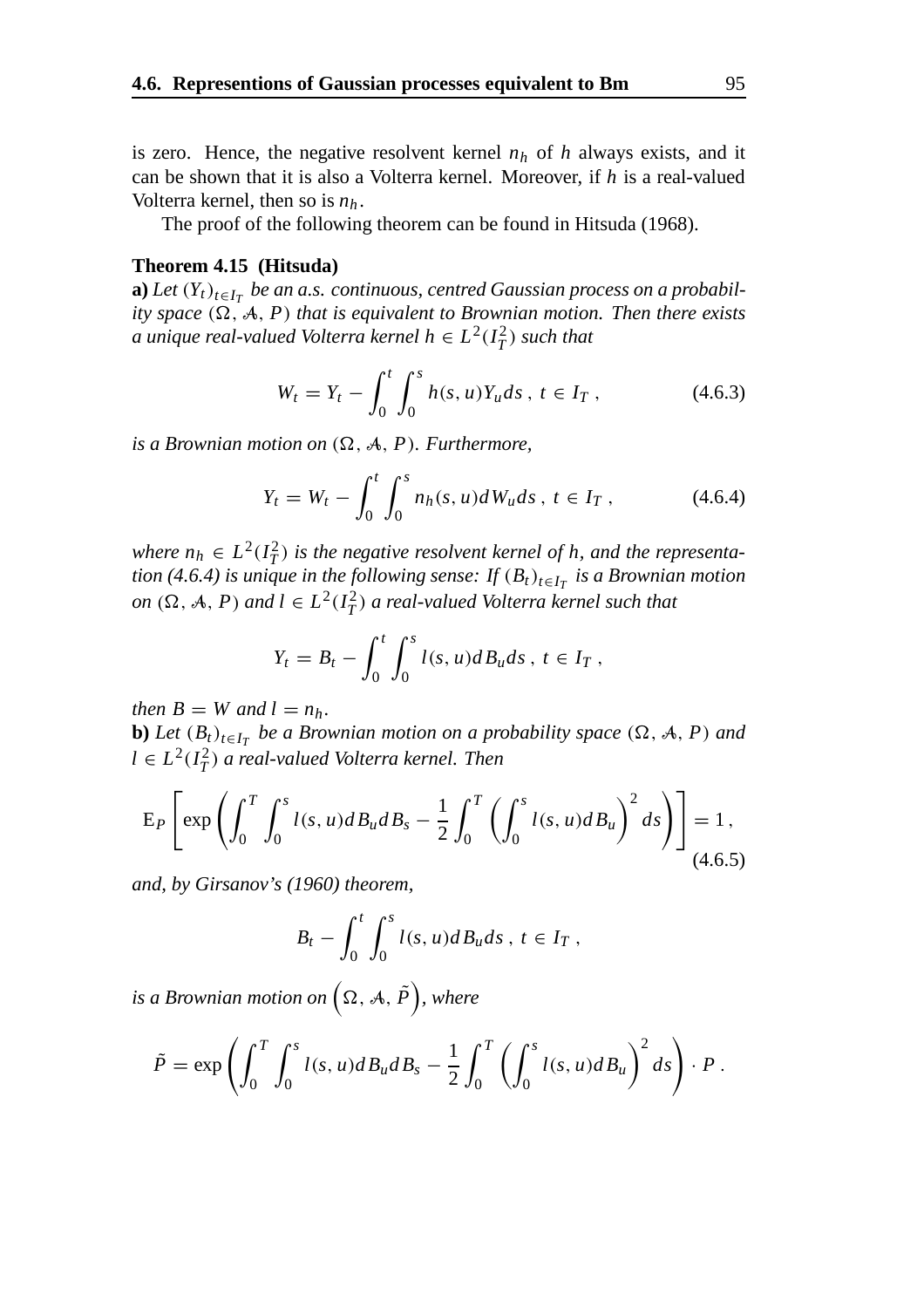is zero. Hence, the negative resolvent kernel  $n_h$  of  $h$  always exists, and it can be shown that it is also a Volterra kernel. Moreover, if *h* is a real-valued Volterra kernel, then so is *nh* .

The proof of the following theorem can be found in Hitsuda (1968).

#### **Theorem 4.15 (Hitsuda)**

**a**) *Let*  $(Y_t)_{t \in I_T}$  *be an a.s. continuous, centred Gaussian process on a probability space*  $(\Omega, \mathcal{A}, P)$  *that is equivalent to Brownian motion. Then there exists a unique real-valued Volterra kernel h*  $\in L^2(I_T^2)$  *such that* 

$$
W_t = Y_t - \int_0^t \int_0^s h(s, u) Y_u ds, \ t \in I_T , \qquad (4.6.3)
$$

*is a Brownian motion on*  $(\Omega, \mathcal{A}, P)$ *. Furthermore,* 

$$
Y_t = W_t - \int_0^t \int_0^s n_h(s, u) dW_u ds, \ t \in I_T , \qquad (4.6.4)
$$

*where*  $n_h \in L^2(I_T^2)$  *is the negative resolvent kernel of h, and the representation (4.6.4) is unique in the following sense: If*  $(B_t)_{t \in I_T}$  *is a Brownian motion*  $on$  ( $\Omega$ ,  $\mathcal{A}$ ,  $P$ ) and  $l \in L^2(I_T^2)$  a real-valued Volterra kernel such that

$$
Y_t = B_t - \int_0^t \int_0^s l(s, u) dB_u ds, t \in I_T,
$$

*then*  $B = W$  *and*  $l = n_h$ .

**b**) *Let*  $(B_t)_{t \in I_T}$  *be a Brownian motion on a probability space*  $(\Omega, \mathcal{A}, P)$  *and*  $l ∈ L<sup>2</sup>(I<sub>T</sub><sup>2</sup>)$  *a real-valued Volterra kernel. Then* 

$$
E_P \left[ exp \left( \int_0^T \int_0^s l(s, u) dB_u dB_s - \frac{1}{2} \int_0^T \left( \int_0^s l(s, u) dB_u \right)^2 ds \right) \right] = 1,
$$
\n(4.6.5)

*and, by Girsanov's (1960) theorem,*

$$
B_t - \int_0^t \int_0^s l(s, u) dB_u ds, t \in I_T,
$$

is a Brownian motion on  $\left( \Omega,\,\mathcal{A},\, \tilde{P} \right)$ , where

$$
\tilde{P} = \exp\left(\int_0^T \int_0^s l(s, u) dB_u dB_s - \frac{1}{2} \int_0^T \left(\int_0^s l(s, u) dB_u\right)^2 ds\right) \cdot P.
$$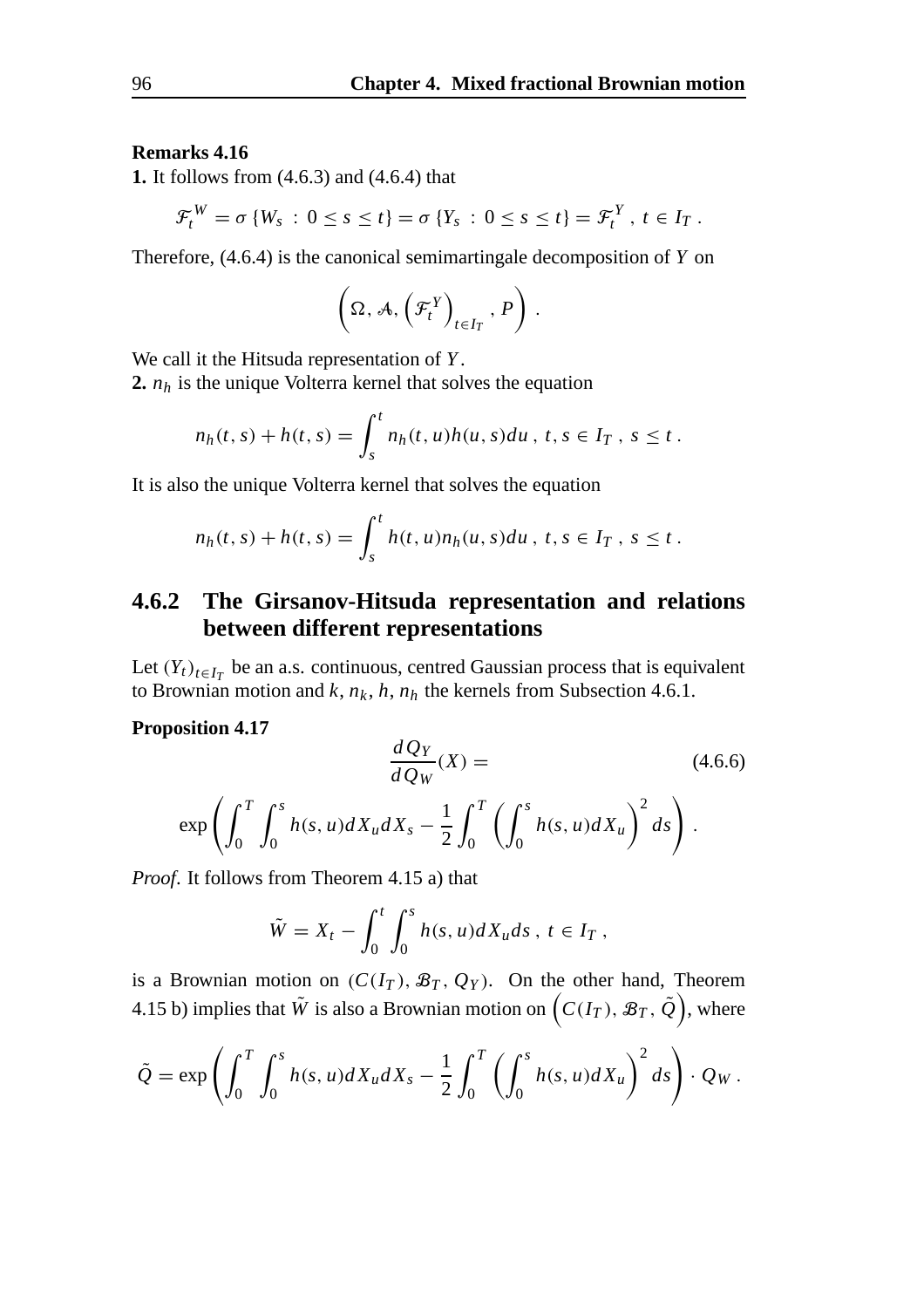#### **Remarks 4.16**

**1.** It follows from (4.6.3) and (4.6.4) that

$$
\mathcal{F}_t^W = \sigma \left\{ W_s \,:\, 0 \leq s \leq t \right\} = \sigma \left\{ Y_s \,:\, 0 \leq s \leq t \right\} = \mathcal{F}_t^Y, \ t \in I_T \,.
$$

Therefore, (4.6.4) is the canonical semimartingale decomposition of *Y* on

$$
\left(\Omega,\mathcal{A},\left(\mathcal{F}_{t}^{Y}\right)_{t\in I_{T}},P\right).
$$

We call it the Hitsuda representation of *Y* .

**2.**  $n_h$  is the unique Volterra kernel that solves the equation

$$
n_h(t,s) + h(t,s) = \int_s^t n_h(t,u)h(u,s)du, \ t,s \in I_T, \ s \leq t.
$$

It is also the unique Volterra kernel that solves the equation

$$
n_h(t,s) + h(t,s) = \int_s^t h(t,u)n_h(u,s)du, \ t,s \in I_T, \ s \leq t.
$$

#### **4.6.2 The Girsanov-Hitsuda representation and relations between different representations**

Let  $(Y_t)_{t \in I_T}$  be an a.s. continuous, centred Gaussian process that is equivalent to Brownian motion and  $k$ ,  $n_k$ ,  $h$ ,  $n_h$  the kernels from Subsection 4.6.1.

#### **Proposition 4.17**

$$
\frac{dQ_Y}{dQ_W}(X) =
$$
\n
$$
\exp\left(\int_0^T \int_0^s h(s, u) dX_u dX_s - \frac{1}{2} \int_0^T \left(\int_0^s h(s, u) dX_u\right)^2 ds\right).
$$
\n(4.6.6)

*Proof*. It follows from Theorem 4.15 a) that

$$
\tilde{W} = X_t - \int_0^t \int_0^s h(s, u) dX_u ds, t \in I_T,
$$

is a Brownian motion on  $(C(I_T), \mathcal{B}_T, Q_Y)$ . On the other hand, Theorem 4.15 b) implies that  $\tilde{W}$  is also a Brownian motion on  $\left(C(I_T),\,\mathcal{B}_T,\,\tilde{\mathcal{Q}}\right)$ , where

$$
\tilde{Q} = \exp\left(\int_0^T \int_0^s h(s, u) dX_u dX_s - \frac{1}{2} \int_0^T \left(\int_0^s h(s, u) dX_u\right)^2 ds\right) \cdot Q_W.
$$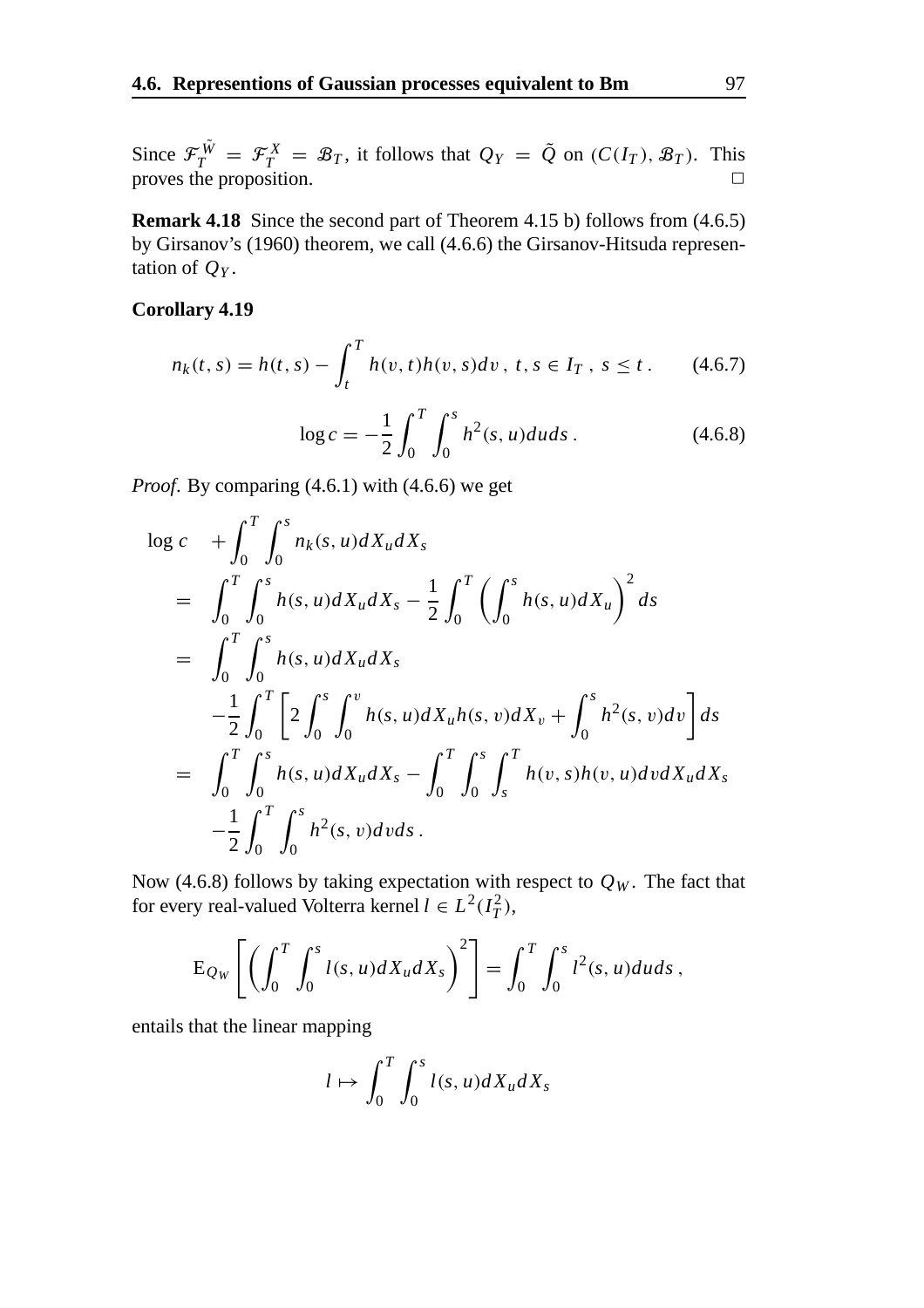Since  $\mathcal{F}_T^{\tilde{W}} = \mathcal{F}_T^X = \mathcal{B}_T$ , it follows that  $Q_Y = \tilde{Q}$  on  $(C(I_T), \mathcal{B}_T)$ . This proves the proposition.  $\Box$ 

**Remark 4.18** Since the second part of Theorem 4.15 b) follows from (4.6.5) by Girsanov's (1960) theorem, we call (4.6.6) the Girsanov-Hitsuda representation of *QY* .

#### **Corollary 4.19**

$$
n_k(t,s) = h(t,s) - \int_t^T h(v,t)h(v,s)dv, \ t, s \in I_T, \ s \le t. \tag{4.6.7}
$$

$$
\log c = -\frac{1}{2} \int_0^T \int_0^s h^2(s, u) du ds. \tag{4.6.8}
$$

*Proof.* By comparing (4.6.1) with (4.6.6) we get

$$
\begin{split}\n\log c &+ \int_{0}^{T} \int_{0}^{s} n_{k}(s, u) dX_{u} dX_{s} \\
&= \int_{0}^{T} \int_{0}^{s} h(s, u) dX_{u} dX_{s} - \frac{1}{2} \int_{0}^{T} \left( \int_{0}^{s} h(s, u) dX_{u} \right)^{2} ds \\
&= \int_{0}^{T} \int_{0}^{s} h(s, u) dX_{u} dX_{s} \\
&- \frac{1}{2} \int_{0}^{T} \left[ 2 \int_{0}^{s} \int_{0}^{v} h(s, u) dX_{u} h(s, v) dX_{v} + \int_{0}^{s} h^{2}(s, v) dv \right] ds \\
&= \int_{0}^{T} \int_{0}^{s} h(s, u) dX_{u} dX_{s} - \int_{0}^{T} \int_{0}^{s} \int_{s}^{T} h(v, s) h(v, u) dv dX_{u} dX_{s} \\
&- \frac{1}{2} \int_{0}^{T} \int_{0}^{s} h^{2}(s, v) dv ds \,.\n\end{split}
$$

Now (4.6.8) follows by taking expectation with respect to  $Q_W$ . The fact that for every real-valued Volterra kernel  $l \in L^2(I_T^2)$ ,

$$
\mathrm{E}_{Q_W}\left[\left(\int_0^T\int_0^s l(s,u)dX_udX_s\right)^2\right]=\int_0^T\int_0^s l^2(s,u)duds,
$$

entails that the linear mapping

$$
l \mapsto \int_0^T \int_0^s l(s, u) dX_u dX_s
$$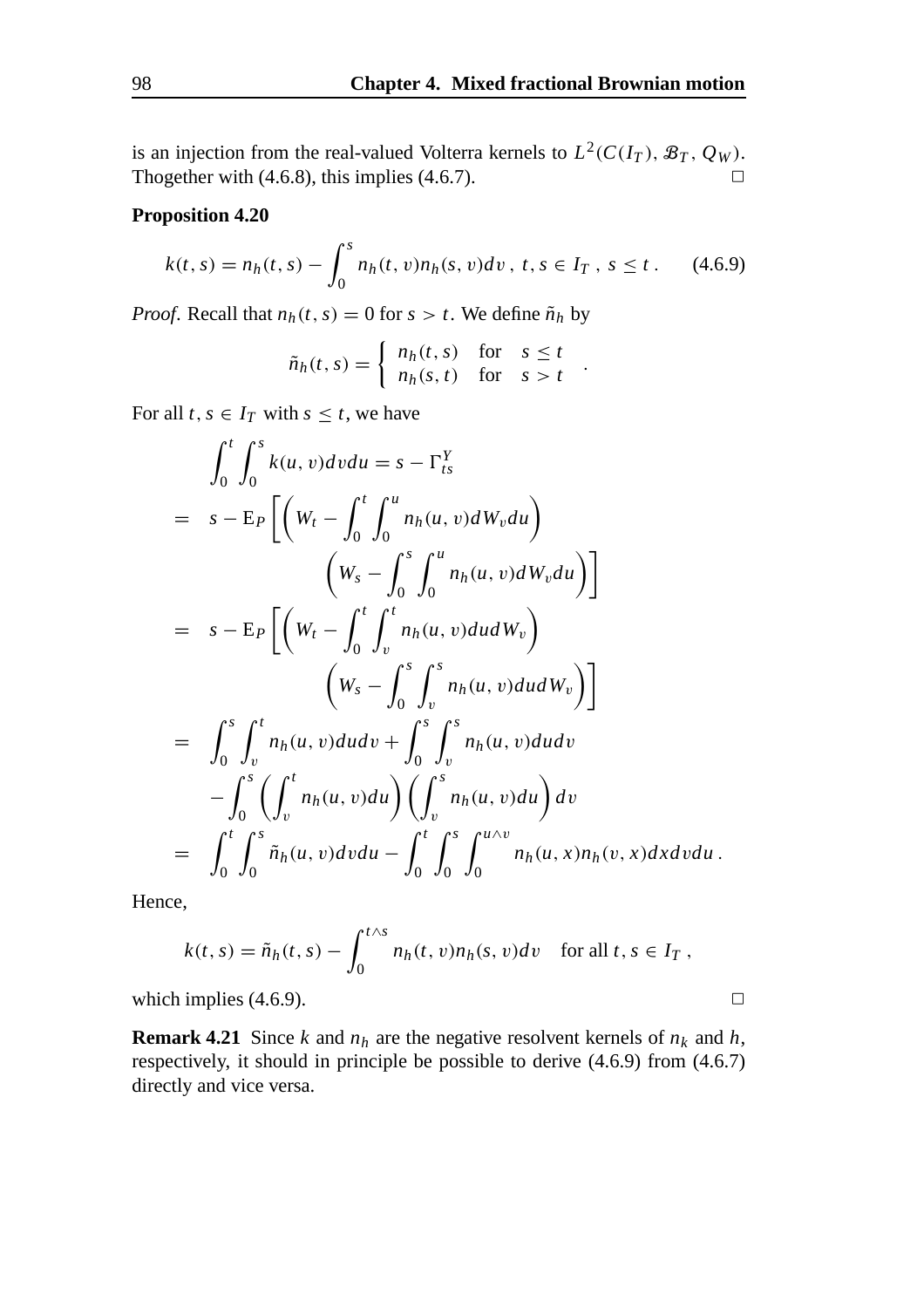is an injection from the real-valued Volterra kernels to  $L^2(C(I_T), \mathcal{B}_T, Q_W)$ . Thogether with  $(4.6.8)$ , this implies  $(4.6.7)$ .

#### **Proposition 4.20**

$$
k(t,s) = n_h(t,s) - \int_0^s n_h(t,v)n_h(s,v)dv, \ t, s \in I_T, \ s \leq t. \tag{4.6.9}
$$

*Proof.* Recall that  $n_h(t, s) = 0$  for  $s > t$ . We define  $\tilde{n}_h$  by

$$
\tilde{n}_h(t,s) = \begin{cases} n_h(t,s) & \text{for} \quad s \leq t \\ n_h(s,t) & \text{for} \quad s > t \end{cases}.
$$

For all  $t, s \in I_T$  with  $s \leq t$ , we have

$$
\int_{0}^{t} \int_{0}^{s} k(u, v) dv du = s - \Gamma_{ts}^{Y}
$$
\n
$$
= s - E_{P} \left[ \left( W_{t} - \int_{0}^{t} \int_{0}^{u} n_{h}(u, v) dW_{v} du \right) \left( W_{s} - \int_{0}^{s} \int_{0}^{u} n_{h}(u, v) dW_{v} du \right) \right]
$$
\n
$$
= s - E_{P} \left[ \left( W_{t} - \int_{0}^{t} \int_{v}^{t} n_{h}(u, v) du dW_{v} \right) \left( W_{s} - \int_{0}^{s} \int_{v}^{s} n_{h}(u, v) du dW_{v} \right) \right]
$$
\n
$$
= \int_{0}^{s} \int_{v}^{t} n_{h}(u, v) du dv + \int_{0}^{s} \int_{v}^{s} n_{h}(u, v) du dv
$$
\n
$$
- \int_{0}^{s} \left( \int_{v}^{t} n_{h}(u, v) du \right) \left( \int_{v}^{s} n_{h}(u, v) du \right) dv
$$
\n
$$
= \int_{0}^{t} \int_{0}^{s} \tilde{n}_{h}(u, v) dv du - \int_{0}^{t} \int_{0}^{s} \int_{0}^{u \wedge v} n_{h}(u, x) n_{h}(v, x) dx dv du.
$$

Hence,

$$
k(t,s) = \tilde{n}_h(t,s) - \int_0^{t \wedge s} n_h(t,v) n_h(s,v) dv \quad \text{for all } t,s \in I_T,
$$

which implies (4.6.9).  $\Box$ 

**Remark 4.21** Since *k* and  $n_h$  are the negative resolvent kernels of  $n_k$  and  $h$ , respectively, it should in principle be possible to derive (4.6.9) from (4.6.7) directly and vice versa.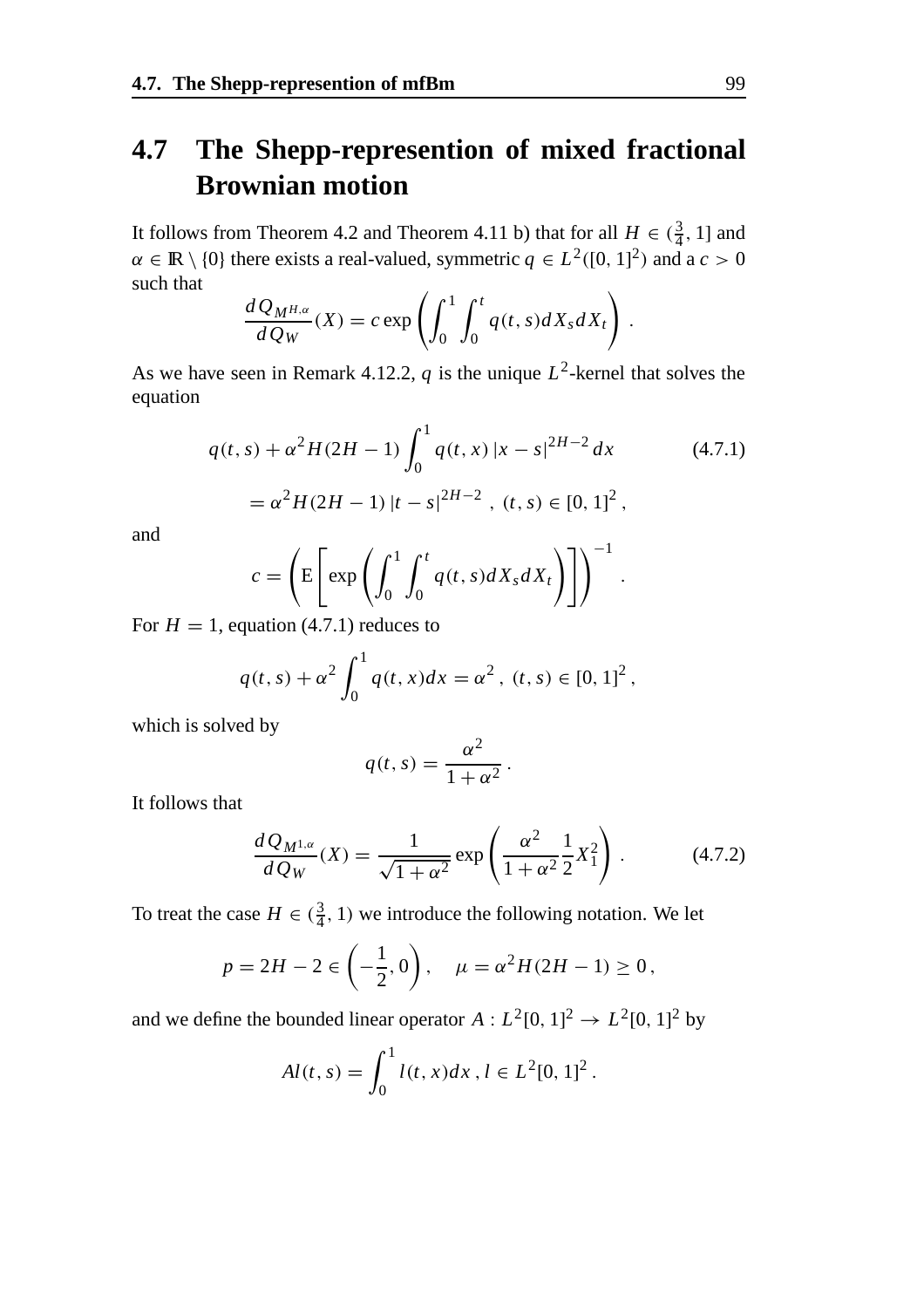### **4.7 The Shepp-represention of mixed fractional Brownian motion**

It follows from Theorem 4.2 and Theorem 4.11 b) that for all  $H \in (\frac{3}{4}, 1]$  and  $\alpha \in \mathbb{R} \setminus \{0\}$  there exists a real-valued, symmetric  $q \in L^2([0, 1]^2)$  and a  $c > 0$ such that

$$
\frac{dQ_{M^{H,\alpha}}}{dQ_W}(X) = c \exp\left(\int_0^1 \int_0^t q(t,s)dX_s dX_t\right)
$$

As we have seen in Remark 4.12.2,  $q$  is the unique  $L^2$ -kernel that solves the equation

$$
q(t,s) + \alpha^2 H(2H - 1) \int_0^1 q(t,x) |x - s|^{2H - 2} dx
$$
 (4.7.1)  
=  $\alpha^2 H(2H - 1) |t - s|^{2H - 2}$ ,  $(t, s) \in [0, 1]^2$ ,

and

$$
c = \left( \mathbb{E} \left[ \exp \left( \int_0^1 \int_0^t q(t, s) dX_s dX_t \right) \right] \right)^{-1}.
$$

For  $H = 1$ , equation (4.7.1) reduces to

$$
q(t,s) + \alpha^2 \int_0^1 q(t,x)dx = \alpha^2, \ (t,s) \in [0,1]^2,
$$

which is solved by

$$
q(t,s) = \frac{\alpha^2}{1 + \alpha^2}.
$$

It follows that

$$
\frac{dQ_{M^{1,\alpha}}}{dQ_W}(X) = \frac{1}{\sqrt{1+\alpha^2}} \exp\left(\frac{\alpha^2}{1+\alpha^2} \frac{1}{2} X_1^2\right).
$$
 (4.7.2)

To treat the case  $H \in (\frac{3}{4}, 1)$  we introduce the following notation. We let

$$
p = 2H - 2 \in \left(-\frac{1}{2}, 0\right), \quad \mu = \alpha^2 H (2H - 1) \ge 0,
$$

and we define the bounded linear operator  $A: L^2[0, 1]^2 \rightarrow L^2[0, 1]^2$  by

$$
Al(t,s) = \int_0^1 l(t,x)dx, l \in L^2[0,1]^2.
$$

.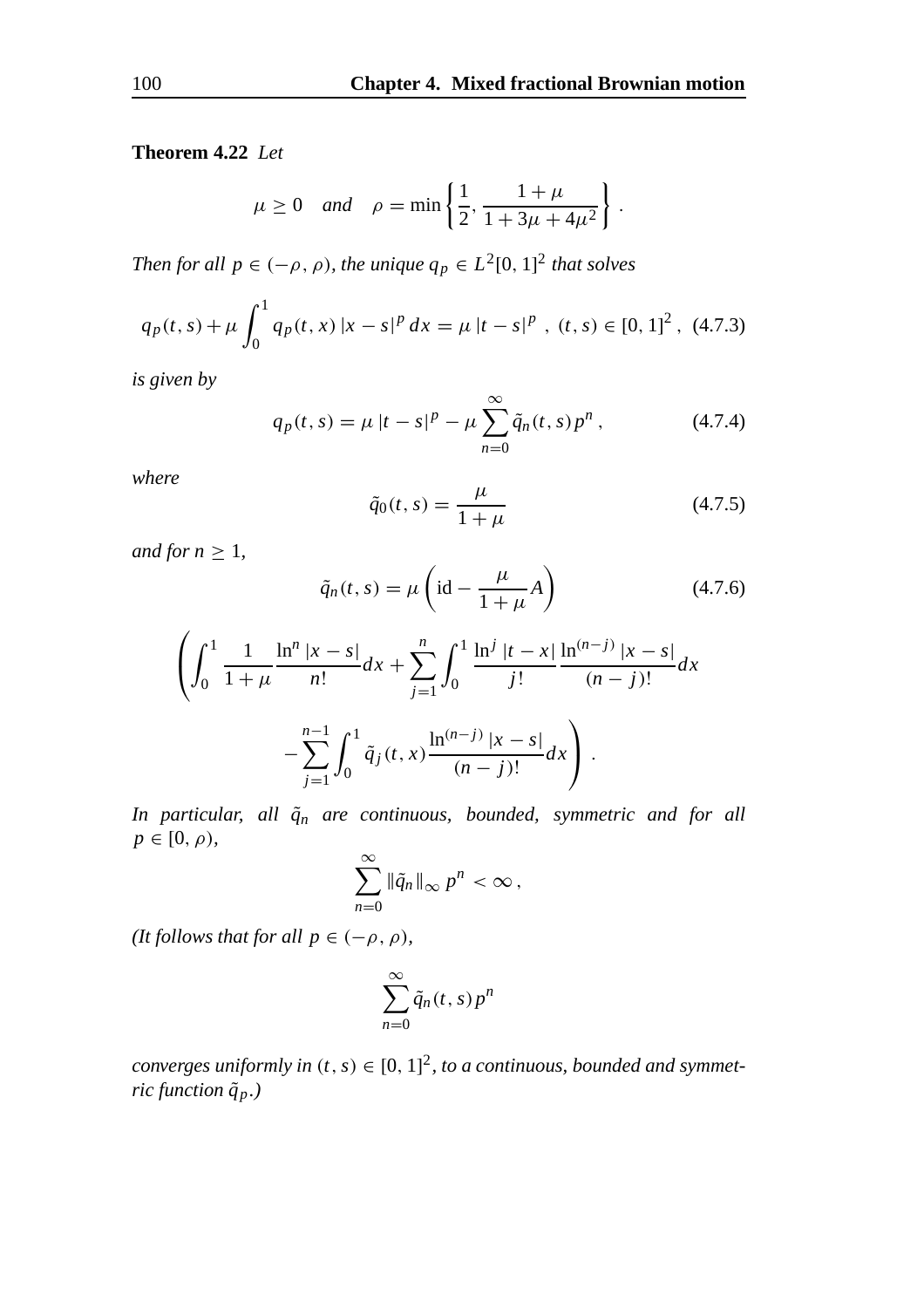#### **Theorem 4.22** *Let*

$$
\mu \ge 0
$$
 and  $\rho = \min \left\{ \frac{1}{2}, \frac{1 + \mu}{1 + 3\mu + 4\mu^2} \right\}.$ 

*Then for all*  $p \in (-\rho, \rho)$ *, the unique*  $q_p \in L^2[0, 1]^2$  *that solves* 

$$
q_p(t,s) + \mu \int_0^1 q_p(t,x) |x-s|^p dx = \mu |t-s|^p, (t,s) \in [0,1]^2, (4.7.3)
$$

*is given by*

$$
q_p(t,s) = \mu |t - s|^p - \mu \sum_{n=0}^{\infty} \tilde{q}_n(t,s) p^n , \qquad (4.7.4)
$$

*where*

$$
\tilde{q}_0(t,s) = \frac{\mu}{1+\mu} \tag{4.7.5}
$$

*and for*  $n \geq 1$ *,* 

$$
\tilde{q}_n(t,s) = \mu \left(\text{id} - \frac{\mu}{1+\mu}A\right) \tag{4.7.6}
$$

$$
\left(\int_0^1 \frac{1}{1+\mu} \frac{\ln^n |x-s|}{n!} dx + \sum_{j=1}^n \int_0^1 \frac{\ln^j |t-x|}{j!} \frac{\ln^{(n-j)} |x-s|}{(n-j)!} dx - \sum_{j=1}^{n-1} \int_0^1 \tilde{q}_j(t,x) \frac{\ln^{(n-j)} |x-s|}{(n-j)!} dx\right).
$$

*In particular, all*  $\tilde{q}_n$  *are continuous, bounded, symmetric and for all*  $p \in [0, \rho)$ ,

$$
\sum_{n=0}^{\infty} \|\tilde{q}_n\|_{\infty} p^n < \infty,
$$

*(It follows that for all*  $p \in (-\rho, \rho)$ *),* 

$$
\sum_{n=0}^{\infty} \tilde{q}_n(t,s) p^n
$$

*converges uniformly in*  $(t, s) \in [0, 1]^2$ , to a continuous, bounded and symmet*ric function q*˜*p.)*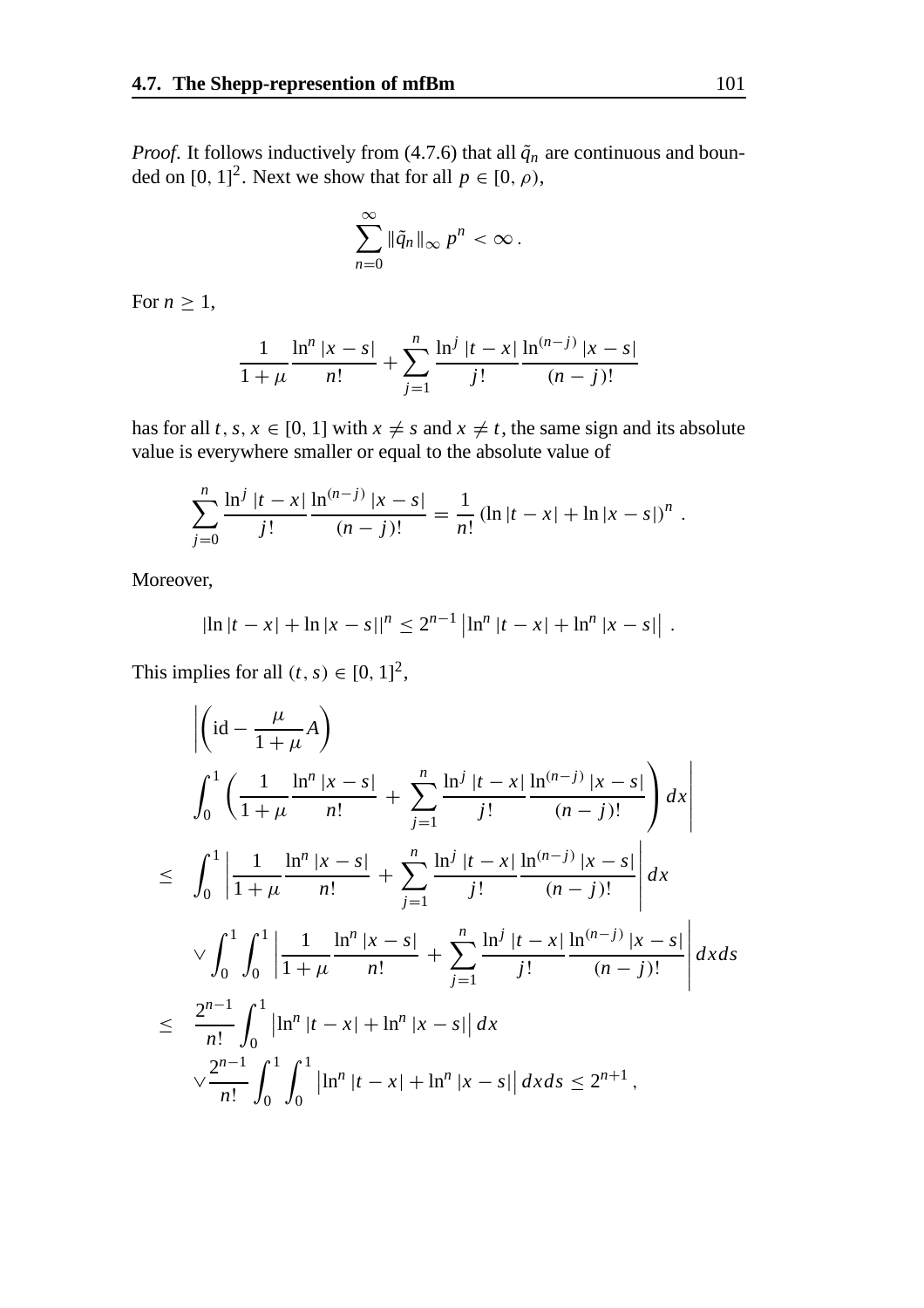*Proof.* It follows inductively from (4.7.6) that all  $\tilde{q}_n$  are continuous and bounded on [0, 1]<sup>2</sup>. Next we show that for all  $p \in [0, \rho)$ ,

$$
\sum_{n=0}^{\infty} \|\tilde{q}_n\|_{\infty} p^n < \infty.
$$

For  $n \geq 1$ ,

$$
\frac{1}{1+\mu} \frac{\ln^n |x-s|}{n!} + \sum_{j=1}^n \frac{\ln^j |t-x|}{j!} \frac{\ln^{(n-j)} |x-s|}{(n-j)!}
$$

has for all *t*, *s*,  $x \in [0, 1]$  with  $x \neq s$  and  $x \neq t$ , the same sign and its absolute value is everywhere smaller or equal to the absolute value of

$$
\sum_{j=0}^{n} \frac{\ln^j |t - x|}{j!} \frac{\ln^{(n-j)} |x - s|}{(n-j)!} = \frac{1}{n!} (\ln |t - x| + \ln |x - s|)^n.
$$

Moreover,

$$
|\ln |t - x| + \ln |x - s||^{n} \leq 2^{n-1} |\ln^{n} |t - x| + \ln^{n} |x - s|.
$$

This implies for all  $(t, s) \in [0, 1]^2$ ,

$$
\begin{split}\n&\left|\left(\mathrm{id}-\frac{\mu}{1+\mu}A\right)\right. \\
&\int_{0}^{1}\left(\frac{1}{1+\mu}\frac{\ln^{n}|x-s|}{n!}+\sum_{j=1}^{n}\frac{\ln^{j}|t-x|}{j!}\frac{\ln^{(n-j)}|x-s|}{(n-j)!}\right)dx\right| \\
&\leq \int_{0}^{1}\left|\frac{1}{1+\mu}\frac{\ln^{n}|x-s|}{n!}+\sum_{j=1}^{n}\frac{\ln^{j}|t-x|}{j!}\frac{\ln^{(n-j)}|x-s|}{(n-j)!}\right|dx \\
&\quad\sqrt{\int_{0}^{1}\int_{0}^{1}\left|\frac{1}{1+\mu}\frac{\ln^{n}|x-s|}{n!}+\sum_{j=1}^{n}\frac{\ln^{j}|t-x|}{j!}\frac{\ln^{(n-j)}|x-s|}{(n-j)!}\right|dxds} \\
&\leq \frac{2^{n-1}}{n!}\int_{0}^{1}\left|\ln^{n}|t-x|+\ln^{n}|x-s|\right|dx \\
&\quad\sqrt{\frac{2^{n-1}}{n!}}\int_{0}^{1}\int_{0}^{1}\left|\ln^{n}|t-x|+\ln^{n}|x-s|\right|dxds \leq 2^{n+1},\n\end{split}
$$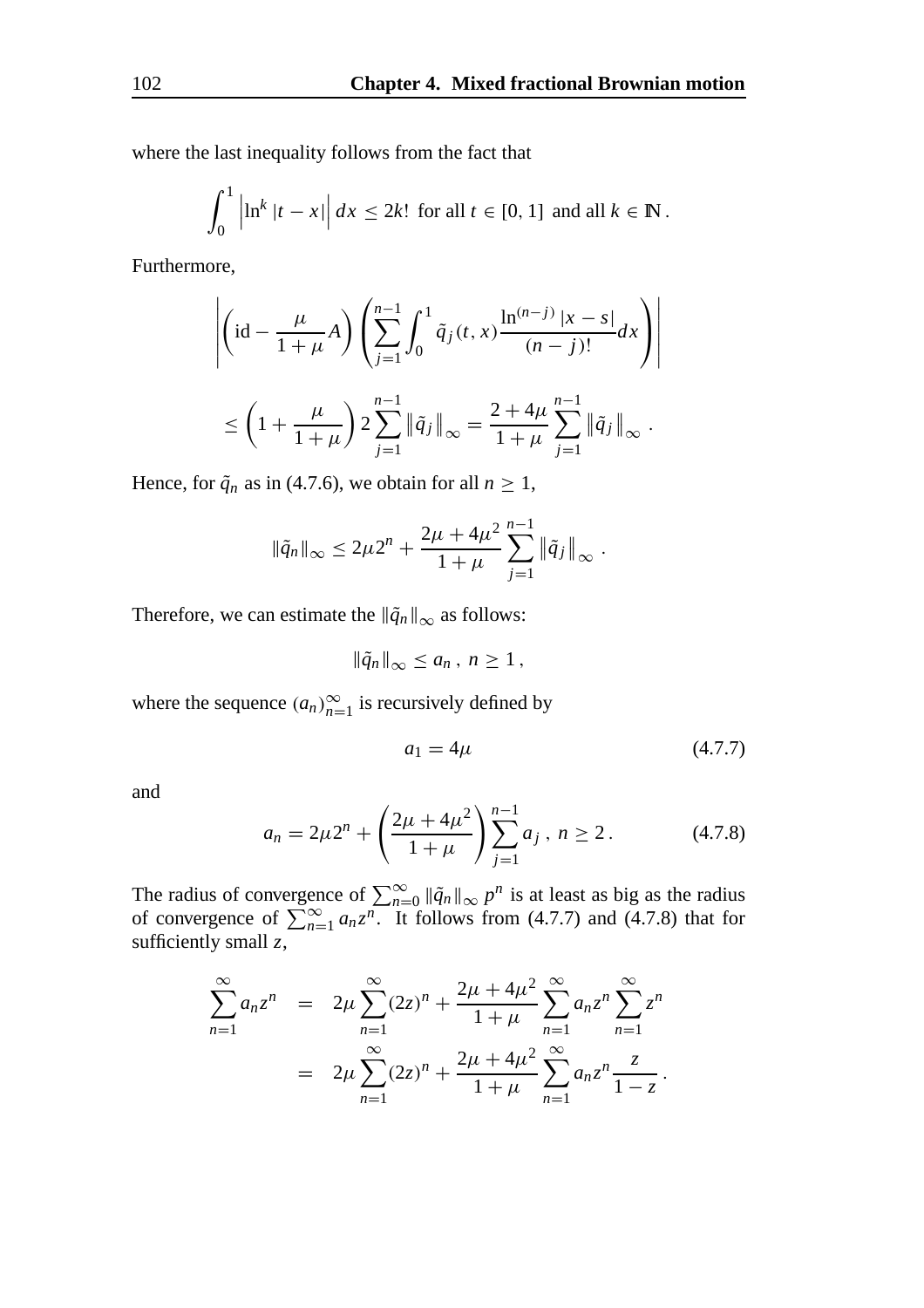where the last inequality follows from the fact that

$$
\int_0^1 \left| \ln^k |t - x| \right| dx \le 2k! \text{ for all } t \in [0, 1] \text{ and all } k \in \mathbb{N}.
$$

Furthermore,

$$
\left| \left( id - \frac{\mu}{1+\mu} A \right) \left( \sum_{j=1}^{n-1} \int_0^1 \tilde{q}_j(t, x) \frac{\ln^{(n-j)} |x-s|}{(n-j)!} dx \right) \right|
$$
  

$$
\leq \left( 1 + \frac{\mu}{1+\mu} \right) 2 \sum_{j=1}^{n-1} \|\tilde{q}_j\|_{\infty} = \frac{2 + 4\mu}{1+\mu} \sum_{j=1}^{n-1} \|\tilde{q}_j\|_{\infty} .
$$

Hence, for  $\tilde{q}_n$  as in (4.7.6), we obtain for all  $n \geq 1$ ,

$$
\|\tilde{q}_n\|_{\infty} \leq 2\mu 2^n + \frac{2\mu + 4\mu^2}{1+\mu} \sum_{j=1}^{n-1} \|\tilde{q}_j\|_{\infty}.
$$

Therefore, we can estimate the  $\|\tilde{q}_n\|_{\infty}$  as follows:

$$
\|\tilde{q}_n\|_{\infty}\leq a_n\,,\,n\geq 1\,,
$$

where the sequence  $(a_n)_{n=1}^{\infty}$  is recursively defined by

$$
a_1 = 4\mu \tag{4.7.7}
$$

and

$$
a_n = 2\mu 2^n + \left(\frac{2\mu + 4\mu^2}{1 + \mu}\right) \sum_{j=1}^{n-1} a_j, \ n \ge 2. \tag{4.7.8}
$$

The radius of convergence of  $\sum_{n=0}^{\infty} ||\tilde{q}_n||_{\infty} p^n$  is at least as big as the radius of convergence of  $\sum_{n=1}^{\infty} a_n z^n$ . It follows from (4.7.7) and (4.7.8) that for sufficiently small *z*,

$$
\sum_{n=1}^{\infty} a_n z^n = 2\mu \sum_{n=1}^{\infty} (2z)^n + \frac{2\mu + 4\mu^2}{1 + \mu} \sum_{n=1}^{\infty} a_n z^n \sum_{n=1}^{\infty} z^n
$$
  
=  $2\mu \sum_{n=1}^{\infty} (2z)^n + \frac{2\mu + 4\mu^2}{1 + \mu} \sum_{n=1}^{\infty} a_n z^n \frac{z}{1 - z}.$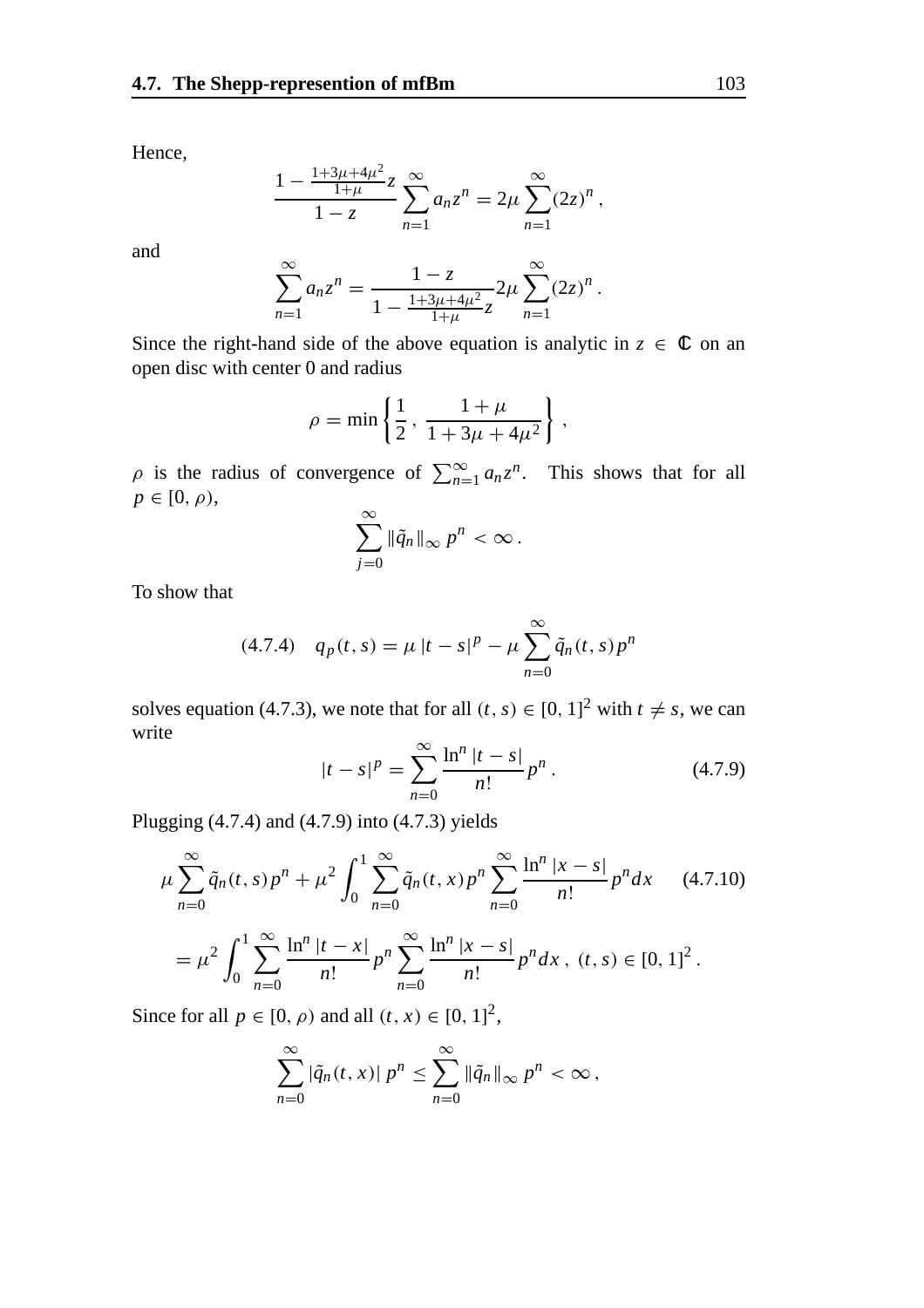Hence,

$$
\frac{1 - \frac{1 + 3\mu + 4\mu^2}{1 + \mu} z}{1 - z} \sum_{n=1}^{\infty} a_n z^n = 2\mu \sum_{n=1}^{\infty} (2z)^n,
$$

and

$$
\sum_{n=1}^{\infty} a_n z^n = \frac{1-z}{1 - \frac{1+3\mu+4\mu^2}{1+\mu}z} 2\mu \sum_{n=1}^{\infty} (2z)^n.
$$

Since the right-hand side of the above equation is analytic in  $z \in \mathbb{C}$  on an open disc with center 0 and radius

$$
\rho = \min \left\{ \frac{1}{2}, \, \frac{1 + \mu}{1 + 3\mu + 4\mu^2} \right\},\,
$$

 $\rho$  is the radius of convergence of  $\sum_{n=1}^{\infty} a_n z^n$ . This shows that for all  $p \in [0, \rho)$ , ∞

$$
\sum_{j=0}^{\infty} \|\tilde{q}_n\|_{\infty} p^n < \infty.
$$

To show that

(4.7.4) 
$$
q_p(t,s) = \mu |t - s|^p - \mu \sum_{n=0}^{\infty} \tilde{q}_n(t,s) p^n
$$

solves equation (4.7.3), we note that for all  $(t, s) \in [0, 1]^2$  with  $t \neq s$ , we can write

$$
|t - s|^p = \sum_{n=0}^{\infty} \frac{\ln^n |t - s|}{n!} p^n.
$$
 (4.7.9)

Plugging (4.7.4) and (4.7.9) into (4.7.3) yields

$$
\mu \sum_{n=0}^{\infty} \tilde{q}_n(t,s) p^n + \mu^2 \int_0^1 \sum_{n=0}^{\infty} \tilde{q}_n(t,x) p^n \sum_{n=0}^{\infty} \frac{\ln^n |x-s|}{n!} p^n dx \qquad (4.7.10)
$$

$$
= \mu^2 \int_0^1 \sum_{n=0}^{\infty} \frac{\ln^n |t-x|}{n!} p^n \sum_{n=0}^{\infty} \frac{\ln^n |x-s|}{n!} p^n dx, \ (t,s) \in [0,1]^2.
$$

Since for all  $p \in [0, \rho)$  and all  $(t, x) \in [0, 1]^2$ ,

$$
\sum_{n=0}^{\infty} |\tilde{q}_n(t,x)| p^n \leq \sum_{n=0}^{\infty} ||\tilde{q}_n||_{\infty} p^n < \infty,
$$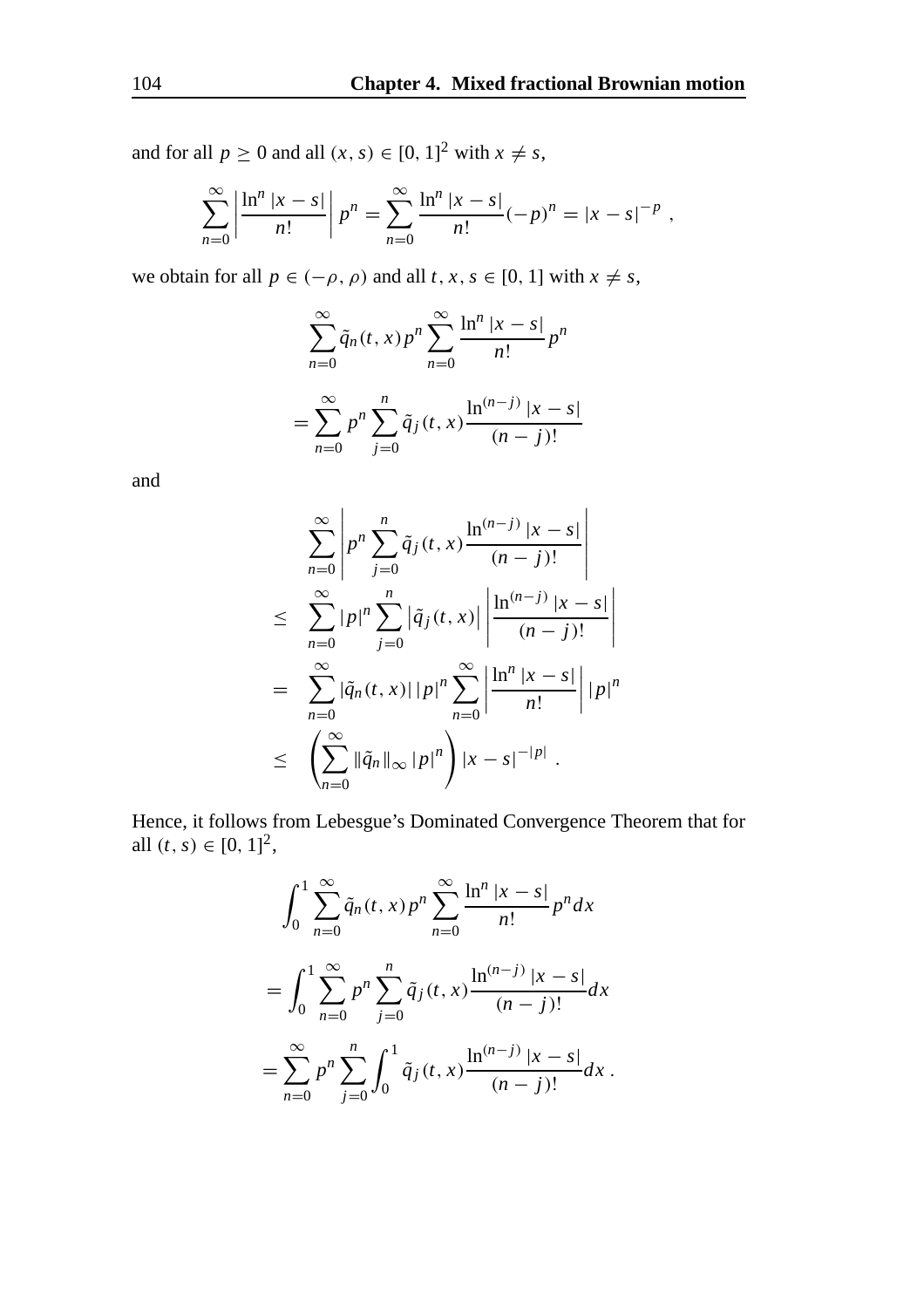and for all  $p \ge 0$  and all  $(x, s) \in [0, 1]^2$  with  $x \ne s$ ,

$$
\sum_{n=0}^{\infty} \left| \frac{\ln^n |x - s|}{n!} \right| p^n = \sum_{n=0}^{\infty} \frac{\ln^n |x - s|}{n!} (-p)^n = |x - s|^{-p} ,
$$

we obtain for all  $p \in (-\rho, \rho)$  and all  $t, x, s \in [0, 1]$  with  $x \neq s$ ,

$$
\sum_{n=0}^{\infty} \tilde{q}_n(t, x) p^n \sum_{n=0}^{\infty} \frac{\ln^n |x - s|}{n!} p^n
$$
  
= 
$$
\sum_{n=0}^{\infty} p^n \sum_{j=0}^n \tilde{q}_j(t, x) \frac{\ln^{(n-j)} |x - s|}{(n-j)!}
$$

and

$$
\sum_{n=0}^{\infty} \left| p^n \sum_{j=0}^n \tilde{q}_j(t, x) \frac{\ln^{(n-j)} |x - s|}{(n-j)!} \right|
$$
  
\n
$$
\leq \sum_{n=0}^{\infty} |p|^n \sum_{j=0}^n \left| \tilde{q}_j(t, x) \right| \left| \frac{\ln^{(n-j)} |x - s|}{(n-j)!} \right|
$$
  
\n
$$
= \sum_{n=0}^{\infty} \left| \tilde{q}_n(t, x) \right| |p|^n \sum_{n=0}^{\infty} \left| \frac{\ln^n |x - s|}{n!} \right| |p|^n
$$
  
\n
$$
\leq \left( \sum_{n=0}^{\infty} \left| \tilde{q}_n \right| \right|_{\infty} |p|^n \right) |x - s|^{-|p|} .
$$

Hence, it follows from Lebesgue's Dominated Convergence Theorem that for all  $(t, s) \in [0, 1]^2$ ,

$$
\int_0^1 \sum_{n=0}^\infty \tilde{q}_n(t, x) p^n \sum_{n=0}^\infty \frac{\ln^n |x - s|}{n!} p^n dx
$$
  
= 
$$
\int_0^1 \sum_{n=0}^\infty p^n \sum_{j=0}^n \tilde{q}_j(t, x) \frac{\ln^{(n-j)} |x - s|}{(n - j)!} dx
$$
  
= 
$$
\sum_{n=0}^\infty p^n \sum_{j=0}^n \int_0^1 \tilde{q}_j(t, x) \frac{\ln^{(n-j)} |x - s|}{(n - j)!} dx.
$$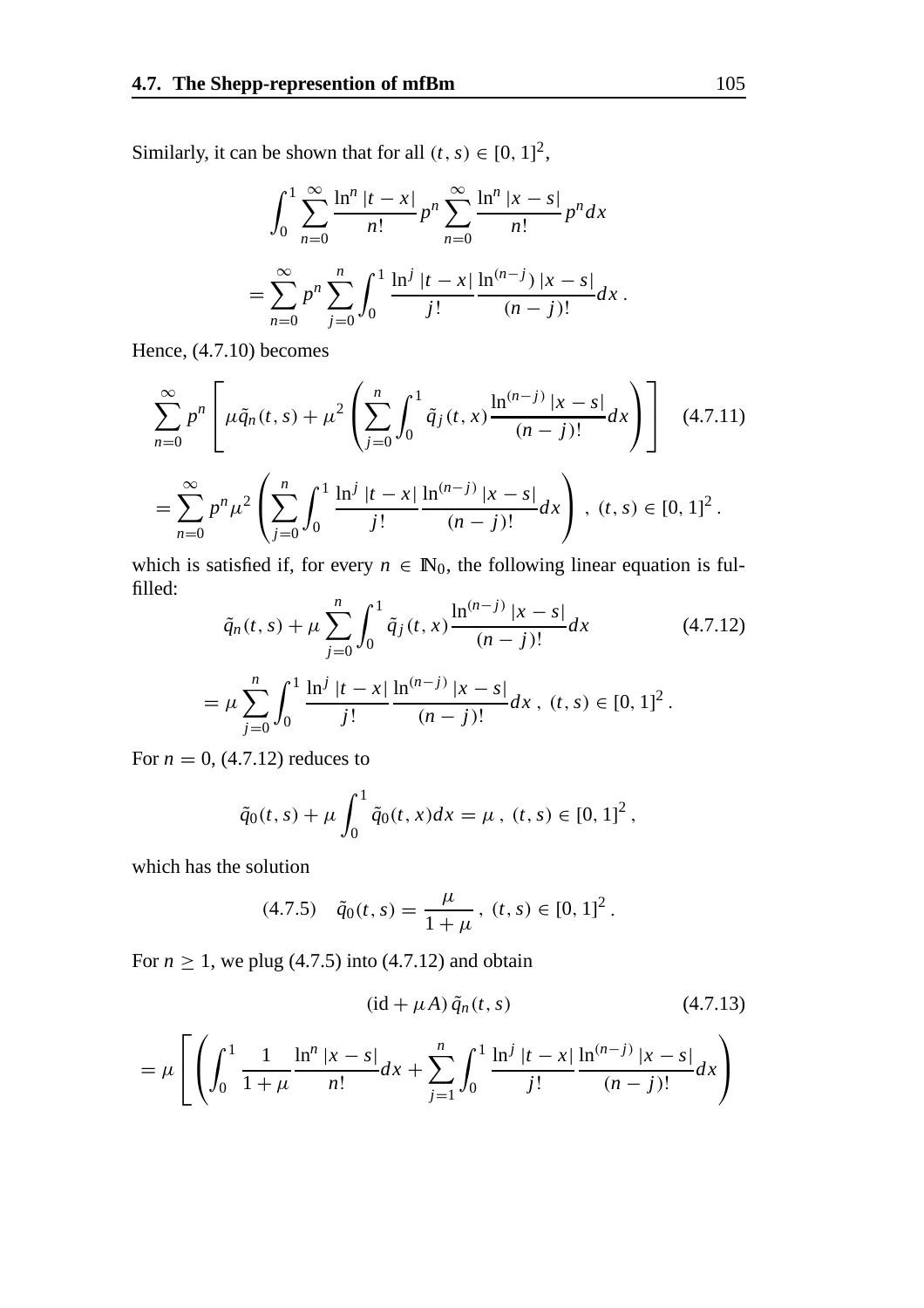Similarly, it can be shown that for all  $(t, s) \in [0, 1]^2$ ,

$$
\int_0^1 \sum_{n=0}^\infty \frac{\ln^n |t - x|}{n!} p^n \sum_{n=0}^\infty \frac{\ln^n |x - s|}{n!} p^n dx
$$
  
= 
$$
\sum_{n=0}^\infty p^n \sum_{j=0}^n \int_0^1 \frac{\ln^j |t - x|}{j!} \frac{\ln^{(n-j)} |x - s|}{(n-j)!} dx.
$$

Hence, (4.7.10) becomes

$$
\sum_{n=0}^{\infty} p^n \left[ \mu \tilde{q}_n(t,s) + \mu^2 \left( \sum_{j=0}^n \int_0^1 \tilde{q}_j(t,x) \frac{\ln^{(n-j)} |x-s|}{(n-j)!} dx \right) \right] \quad (4.7.11)
$$
  
= 
$$
\sum_{n=0}^{\infty} p^n \mu^2 \left( \sum_{j=0}^n \int_0^1 \frac{\ln^j |t-x|}{j!} \frac{\ln^{(n-j)} |x-s|}{(n-j)!} dx \right), (t,s) \in [0, 1]^2.
$$

which is satisfied if, for every  $n \in \mathbb{N}_0$ , the following linear equation is fulfilled:

$$
\tilde{q}_n(t,s) + \mu \sum_{j=0}^n \int_0^1 \tilde{q}_j(t,x) \frac{\ln^{(n-j)} |x-s|}{(n-j)!} dx
$$
\n
$$
= \mu \sum_{j=0}^n \int_0^1 \frac{\ln^j |t-x|}{j!} \frac{\ln^{(n-j)} |x-s|}{(n-j)!} dx, \ (t,s) \in [0,1]^2.
$$
\n(4.7.12)

For  $n = 0$ , (4.7.12) reduces to

$$
\tilde{q}_0(t,s) + \mu \int_0^1 \tilde{q}_0(t,x)dx = \mu, \ (t,s) \in [0,1]^2,
$$

which has the solution

$$
(4.7.5) \quad \tilde{q}_0(t,s) = \frac{\mu}{1+\mu}, \ (t,s) \in [0,1]^2.
$$

For  $n \geq 1$ , we plug (4.7.5) into (4.7.12) and obtain

$$
(\mathrm{id} + \mu A) \tilde{q}_n(t, s) \qquad (4.7.13)
$$

$$
= \mu \left[ \left( \int_0^1 \frac{1}{1+\mu} \frac{\ln^n |x-s|}{n!} dx + \sum_{j=1}^n \int_0^1 \frac{\ln^j |t-x|}{j!} \frac{\ln^{(n-j)} |x-s|}{(n-j)!} dx \right) \right]
$$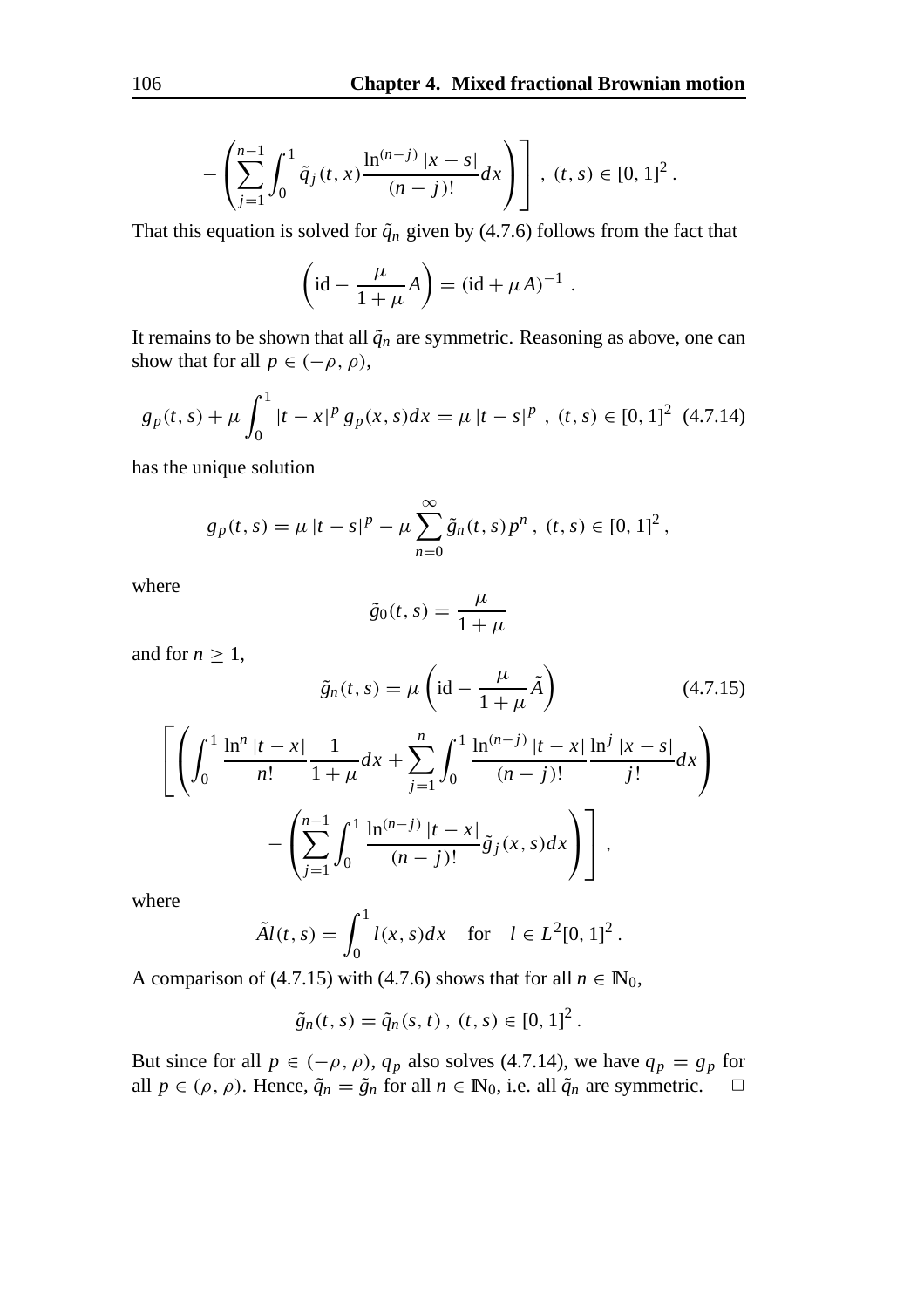$$
-\left(\sum_{j=1}^{n-1}\int_0^1 \tilde{q}_j(t,x)\frac{\ln^{(n-j)}|x-s|}{(n-j)!}dx\right)\right], (t,s)\in [0,1]^2.
$$

That this equation is solved for  $\tilde{q}_n$  given by (4.7.6) follows from the fact that

$$
\left(\mathrm{id} - \frac{\mu}{1+\mu}A\right) = \left(\mathrm{id} + \mu A\right)^{-1}.
$$

It remains to be shown that all  $\tilde{q}_n$  are symmetric. Reasoning as above, one can show that for all  $p \in (-\rho, \rho)$ ,

$$
g_p(t,s) + \mu \int_0^1 |t - x|^p g_p(x,s) dx = \mu |t - s|^p , (t,s) \in [0,1]^2 \tag{4.7.14}
$$

has the unique solution

$$
g_p(t,s) = \mu |t - s|^p - \mu \sum_{n=0}^{\infty} \tilde{g}_n(t,s) p^n, (t,s) \in [0,1]^2,
$$

where

$$
\tilde{g}_0(t,s) = \frac{\mu}{1+\mu}
$$

and for  $n \geq 1$ ,

$$
\tilde{g}_n(t,s) = \mu \left( \mathrm{id} - \frac{\mu}{1+\mu} \tilde{A} \right) \tag{4.7.15}
$$
\n
$$
\left[ \left( \int_0^1 \frac{\ln^n |t-x|}{n!} \frac{1}{1+\mu} dx + \sum_{j=1}^n \int_0^1 \frac{\ln^{(n-j)} |t-x|}{(n-j)!} \frac{\ln^j |x-s|}{j!} dx \right) - \left( \sum_{j=1}^{n-1} \int_0^1 \frac{\ln^{(n-j)} |t-x|}{(n-j)!} \tilde{g}_j(x,s) dx \right) \right],
$$

where

$$
\tilde{A}l(t,s) = \int_0^1 l(x,s)dx
$$
 for  $l \in L^2[0,1]^2$ .

A comparison of (4.7.15) with (4.7.6) shows that for all  $n \in \mathbb{N}_0$ ,

$$
\tilde{g}_n(t,s) = \tilde{q}_n(s,t), (t,s) \in [0,1]^2.
$$

But since for all  $p \in (-\rho, \rho)$ ,  $q_p$  also solves (4.7.14), we have  $q_p = g_p$  for all  $p \in (\rho, \rho)$ . Hence,  $\tilde{q}_n = \tilde{g}_n$  for all  $n \in \mathbb{N}_0$ , i.e. all  $\tilde{q}_n$  are symmetric.  $\Box$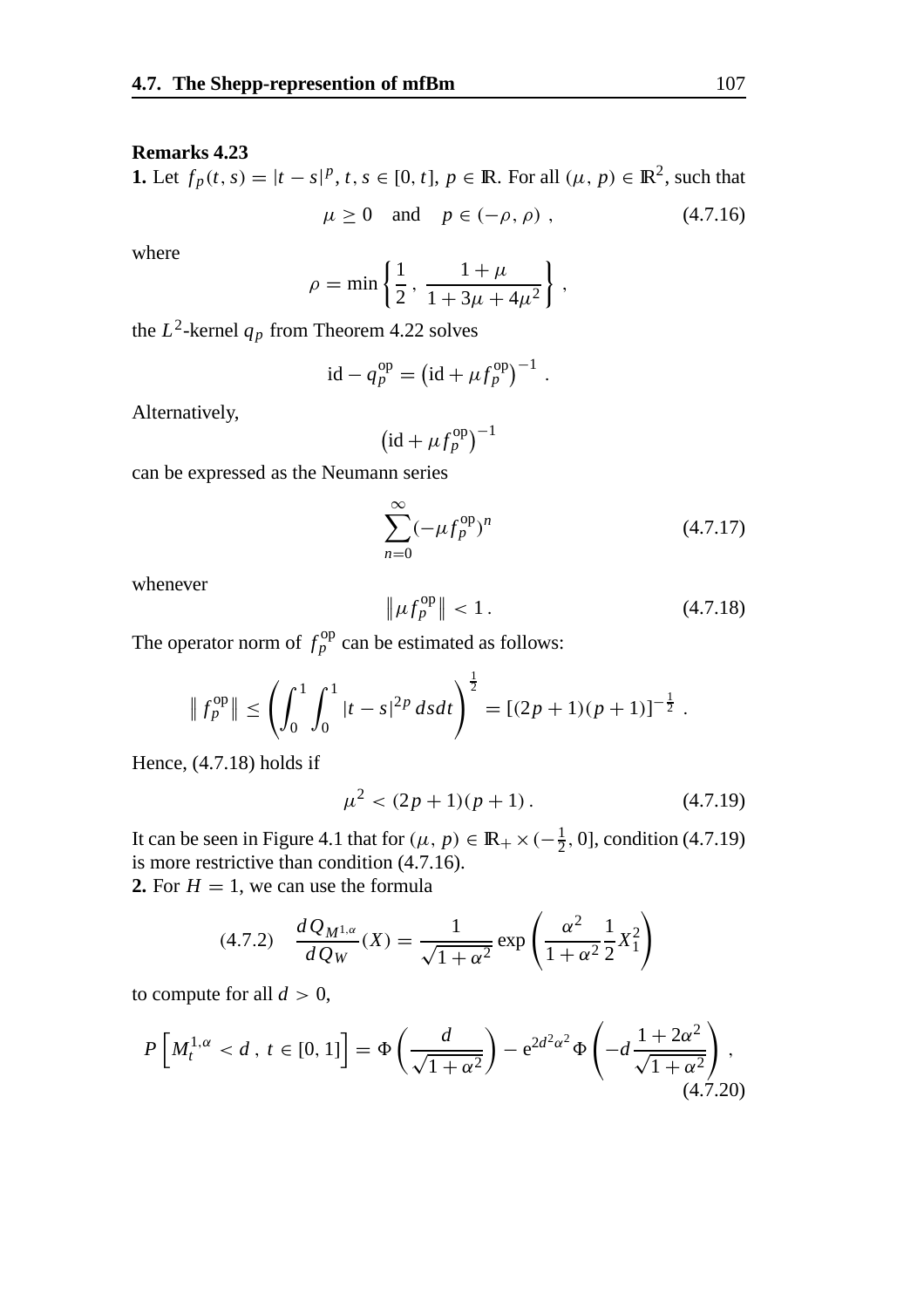## **Remarks 4.23**

**1.** Let  $f_p(t, s) = |t - s|^p$ ,  $t, s \in [0, t]$ ,  $p \in \mathbb{R}$ . For all  $(\mu, p) \in \mathbb{R}^2$ , such that  $\mu \ge 0$  and  $p \in (-\rho, \rho)$ , (4.7.16)

where

$$
\rho = \min \left\{ \frac{1}{2}, \, \frac{1 + \mu}{1 + 3\mu + 4\mu^2} \right\},\,
$$

the  $L^2$ -kernel  $q_p$  from Theorem 4.22 solves

$$
id - q_p^{op} = \left(id + \mu f_p^{op}\right)^{-1}.
$$

Alternatively,

$$
\left(\mathrm{id}+\mu f_p^{\mathrm{op}}\right)^{-1}
$$

can be expressed as the Neumann series

$$
\sum_{n=0}^{\infty} (-\mu f_p^{\text{op}})^n \tag{4.7.17}
$$

whenever

$$
\|\mu f_p^{\text{op}}\| < 1\,. \tag{4.7.18}
$$

The operator norm of  $f_p^{\text{op}}$  can be estimated as follows:

$$
\|f_p^{\rm op}\| \le \left(\int_0^1 \int_0^1 |t-s|^{2p} ds dt\right)^{\frac{1}{2}} = [(2p+1)(p+1)]^{-\frac{1}{2}}.
$$

Hence, (4.7.18) holds if

$$
\mu^2 < (2p+1)(p+1) \,. \tag{4.7.19}
$$

It can be seen in Figure 4.1 that for  $(\mu, p) \in \mathbb{R}_+ \times (-\frac{1}{2}, 0]$ , condition (4.7.19) is more restrictive than condition (4.7.16).

**2.** For  $H = 1$ , we can use the formula

$$
(4.7.2) \quad \frac{dQ_{M^{1,\alpha}}}{dQ_W}(X) = \frac{1}{\sqrt{1+\alpha^2}} \exp\left(\frac{\alpha^2}{1+\alpha^2} \frac{1}{2} X_1^2\right)
$$

to compute for all  $d > 0$ ,

$$
P\left[M_t^{1,\alpha} < d \,,\ t \in [0,1]\right] = \Phi\left(\frac{d}{\sqrt{1+\alpha^2}}\right) - e^{2d^2\alpha^2} \Phi\left(-d\frac{1+2\alpha^2}{\sqrt{1+\alpha^2}}\right),\tag{4.7.20}
$$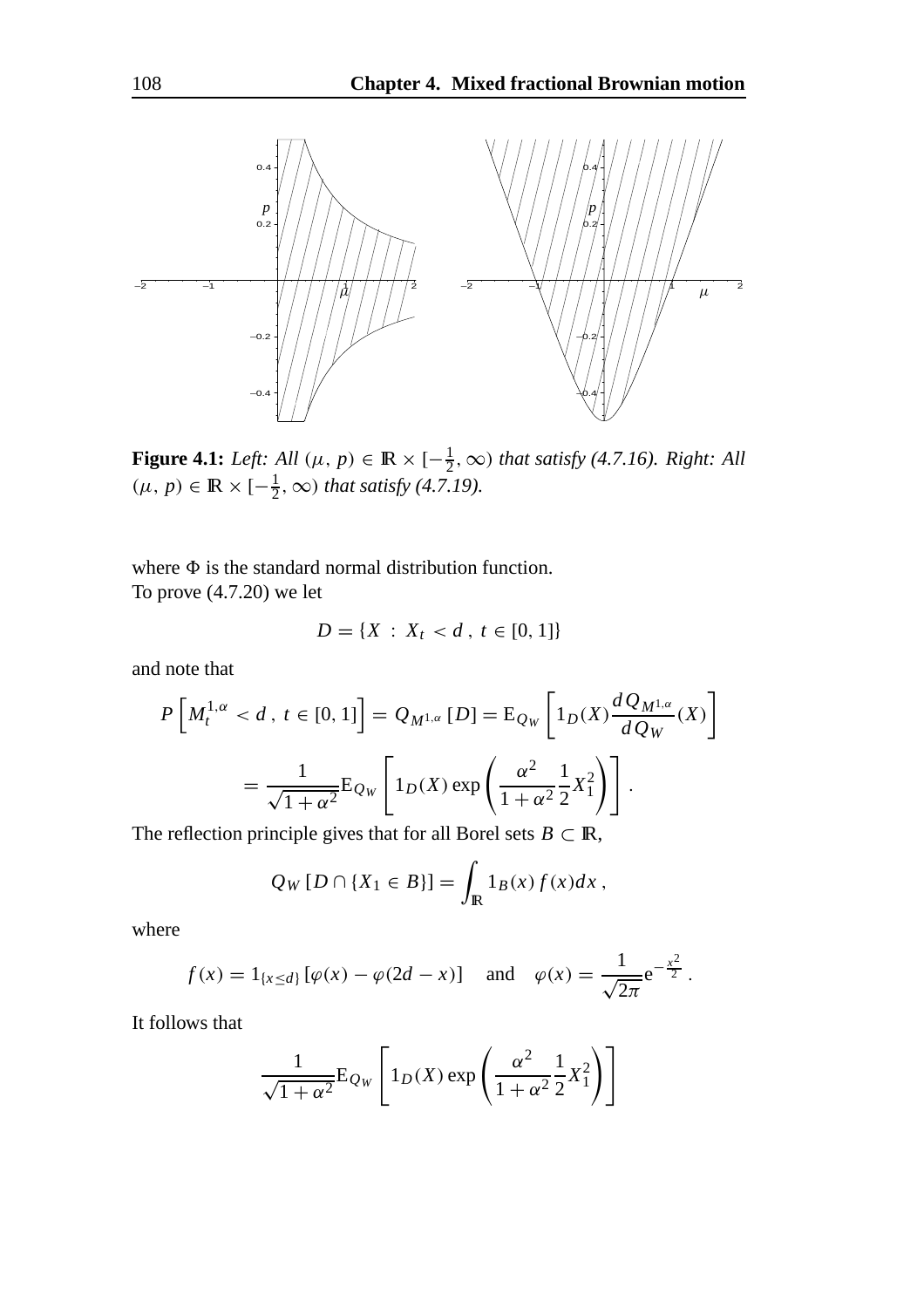

**Figure 4.1:** *Left:* All  $(\mu, p) \in \mathbb{R} \times [-\frac{1}{2}, \infty)$  *that satisfy* (4.7.16). Right: All  $(\mu, p) \in \mathbb{R} \times [-\frac{1}{2}, \infty)$  *that satisfy (4.7.19).* 

where  $\Phi$  is the standard normal distribution function. To prove (4.7.20) we let

$$
D = \{X : X_t < d \,, \, t \in [0, 1]\}
$$

and note that

$$
P\left[M_t^{1,\alpha} < d \,, \, t \in [0,1]\right] = Q_{M^{1,\alpha}}\left[D\right] = E_{Q_W}\left[1_D(X)\frac{dQ_{M^{1,\alpha}}}{dQ_W}(X)\right]
$$
\n
$$
= \frac{1}{\sqrt{1+\alpha^2}}E_{Q_W}\left[1_D(X)\exp\left(\frac{\alpha^2}{1+\alpha^2}\frac{1}{2}X_1^2\right)\right].
$$

The reflection principle gives that for all Borel sets  $B \subset \mathbb{R}$ ,

$$
Q_W [D \cap \{X_1 \in B\}] = \int_{\mathbb{R}} 1_B(x) f(x) dx,
$$

where

$$
f(x) = 1_{\{x \le d\}} [\varphi(x) - \varphi(2d - x)]
$$
 and  $\varphi(x) = \frac{1}{\sqrt{2\pi}} e^{-\frac{x^2}{2}}$ .

It follows that

$$
\frac{1}{\sqrt{1+\alpha^2}} \mathbf{E}_{Q_W} \left[ 1_D(X) \exp\left(\frac{\alpha^2}{1+\alpha^2} \frac{1}{2} X_1^2\right) \right]
$$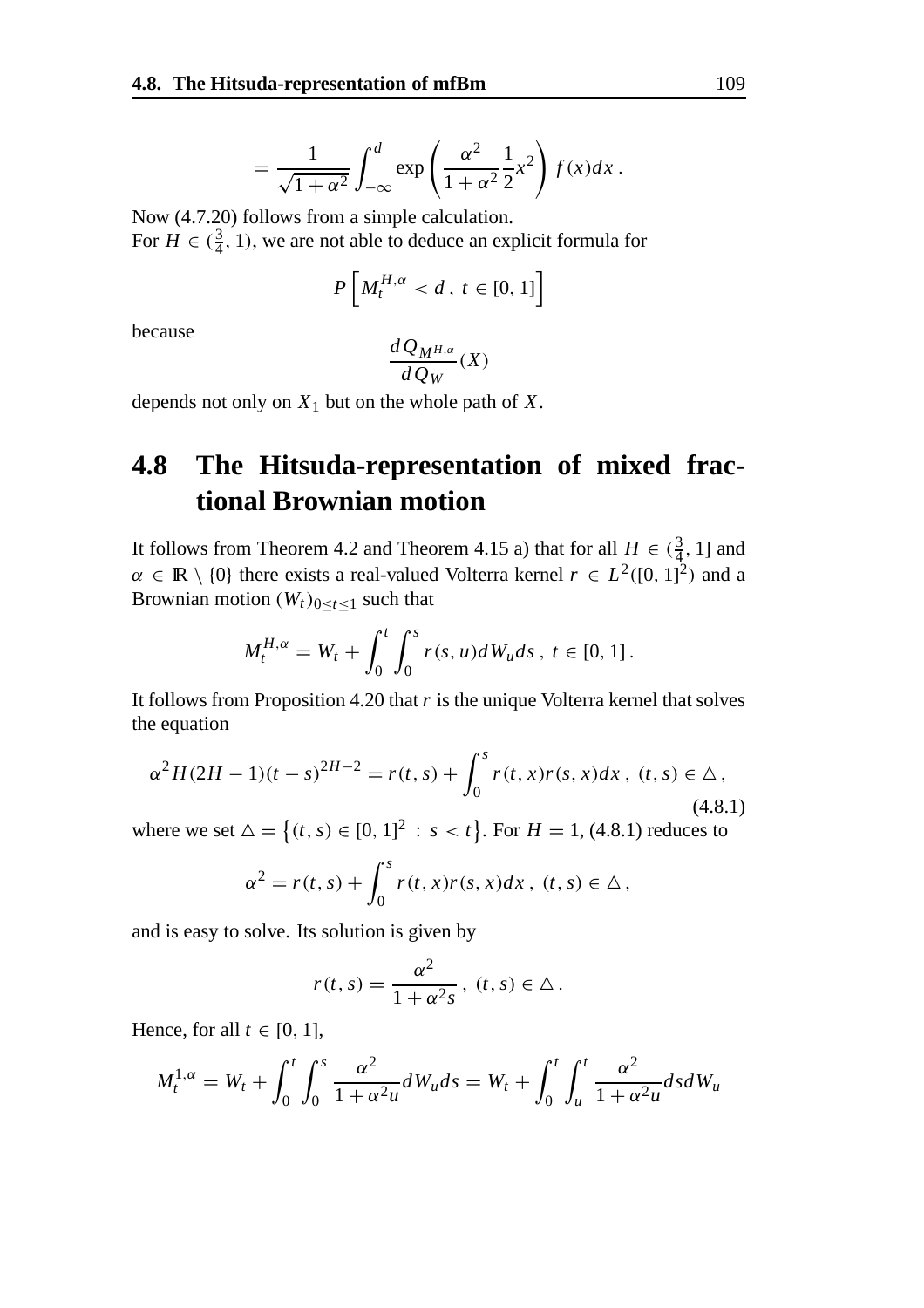$$
= \frac{1}{\sqrt{1+\alpha^2}} \int_{-\infty}^d \exp\left(\frac{\alpha^2}{1+\alpha^2} \frac{1}{2} x^2\right) f(x) dx.
$$

Now (4.7.20) follows from a simple calculation. For  $H \in (\frac{3}{4}, 1)$ , we are not able to deduce an explicit formula for

$$
P\left[M_t^{H,\alpha} < d \,,\, t \in [0,1]\right]
$$

because

$$
\frac{dQ_{M^{H,\alpha}}}{dQ_W}(X)
$$

depends not only on *X*<sup>1</sup> but on the whole path of *X*.

## **4.8 The Hitsuda-representation of mixed fractional Brownian motion**

It follows from Theorem 4.2 and Theorem 4.15 a) that for all  $H \in (\frac{3}{4}, 1]$  and  $\alpha \in \mathbb{R} \setminus \{0\}$  there exists a real-valued Volterra kernel  $r \in L^2([0, 1]^2)$  and a Brownian motion  $(W_t)_{0 \le t \le 1}$  such that

$$
M_t^{H,\alpha} = W_t + \int_0^t \int_0^s r(s, u) dW_u ds, \ t \in [0, 1].
$$

It follows from Proposition 4.20 that *r* is the unique Volterra kernel that solves the equation

$$
\alpha^{2}H(2H-1)(t-s)^{2H-2} = r(t,s) + \int_{0}^{s} r(t,x)r(s,x)dx, \ (t,s) \in \Delta,
$$
\n(4.8.1)

where we set  $\Delta = \{(t, s) \in [0, 1]^2 : s < t\}$ . For  $H = 1, (4.8.1)$  reduces to

$$
\alpha^2 = r(t,s) + \int_0^s r(t,x)r(s,x)dx, \ (t,s) \in \Delta,
$$

and is easy to solve. Its solution is given by

$$
r(t,s) = \frac{\alpha^2}{1 + \alpha^2 s}, \ (t,s) \in \Delta.
$$

Hence, for all  $t \in [0, 1]$ ,

$$
M_t^{1,\alpha} = W_t + \int_0^t \int_0^s \frac{\alpha^2}{1 + \alpha^2 u} dW_u ds = W_t + \int_0^t \int_u^t \frac{\alpha^2}{1 + \alpha^2 u} ds dW_u
$$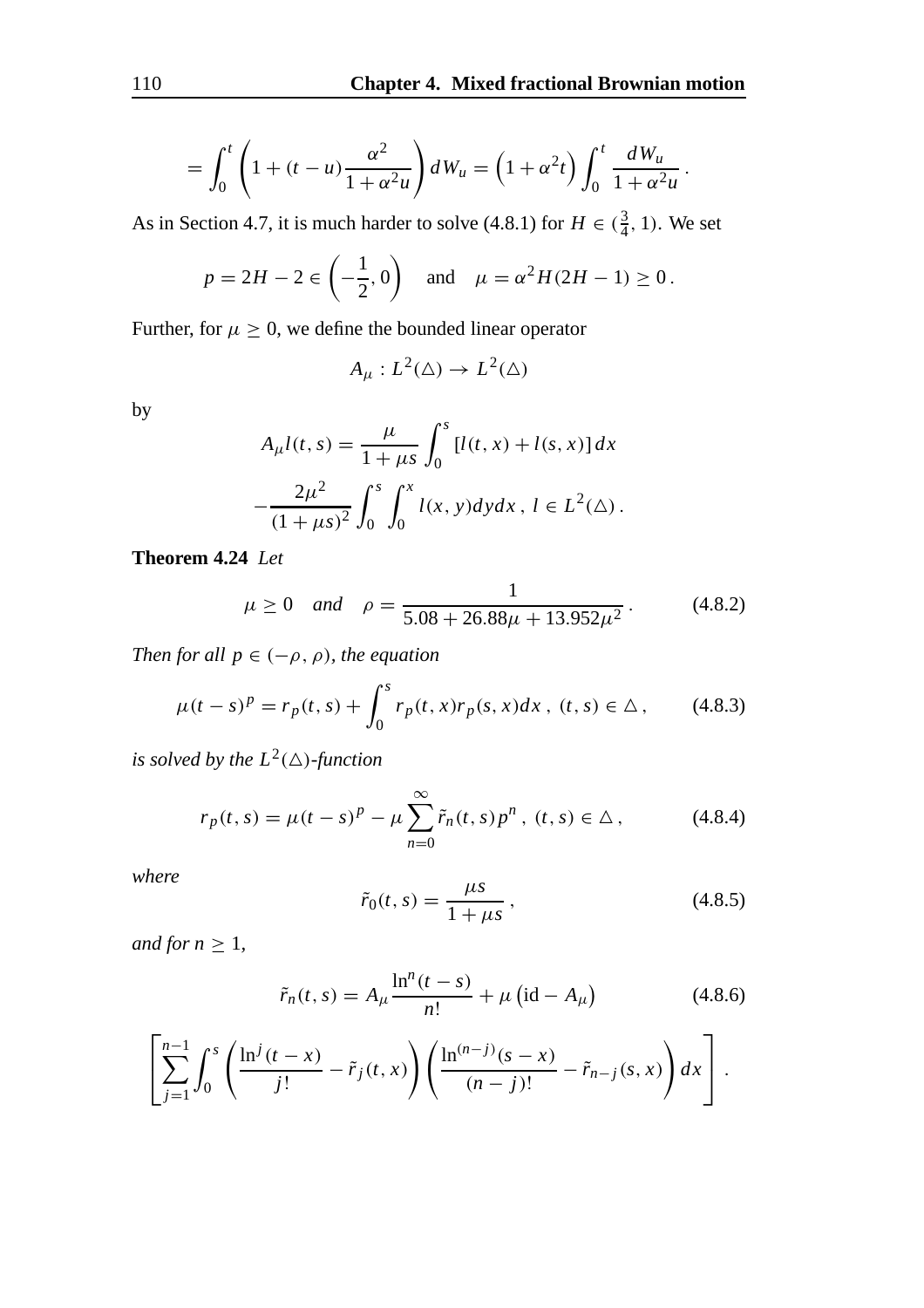$$
= \int_0^t \left(1 + (t - u) \frac{\alpha^2}{1 + \alpha^2 u}\right) dW_u = \left(1 + \alpha^2 t\right) \int_0^t \frac{dW_u}{1 + \alpha^2 u}.
$$

As in Section 4.7, it is much harder to solve (4.8.1) for  $H \in (\frac{3}{4}, 1)$ . We set

$$
p = 2H - 2 \in \left(-\frac{1}{2}, 0\right)
$$
 and  $\mu = \alpha^2 H(2H - 1) \ge 0$ .

Further, for  $\mu \geq 0$ , we define the bounded linear operator

$$
A_{\mu}: L^2(\Delta) \to L^2(\Delta)
$$

by

$$
A_{\mu}l(t,s) = \frac{\mu}{1 + \mu s} \int_0^s [l(t,x) + l(s,x)] dx
$$

$$
-\frac{2\mu^2}{(1 + \mu s)^2} \int_0^s \int_0^x l(x,y) dy dx, l \in L^2(\Delta).
$$

**Theorem 4.24** *Let*

$$
\mu \ge 0
$$
 and  $\rho = \frac{1}{5.08 + 26.88\mu + 13.952\mu^2}$  (4.8.2)

*Then for all*  $p \in (-\rho, \rho)$ *, the equation* 

$$
\mu(t-s)^p = r_p(t,s) + \int_0^s r_p(t,x)r_p(s,x)dx, \ (t,s) \in \Delta, \qquad (4.8.3)
$$

*is solved by the*  $L^2(\Delta)$ *-function* 

$$
r_p(t,s) = \mu(t-s)^p - \mu \sum_{n=0}^{\infty} \tilde{r}_n(t,s) p^n, (t,s) \in \Delta,
$$
 (4.8.4)

*where*

$$
\tilde{r}_0(t,s) = \frac{\mu s}{1 + \mu s},
$$
\n(4.8.5)

*and for*  $n \geq 1$ *,* 

$$
\tilde{r}_n(t,s) = A_\mu \frac{\ln^n(t-s)}{n!} + \mu \left(\text{id} - A_\mu\right) \tag{4.8.6}
$$

$$
\left[\sum_{j=1}^{n-1}\int_0^s \left(\frac{\ln^j(t-x)}{j!}-\tilde{r}_j(t,x)\right)\left(\frac{\ln^{(n-j)}(s-x)}{(n-j)!}-\tilde{r}_{n-j}(s,x)\right)dx\right].
$$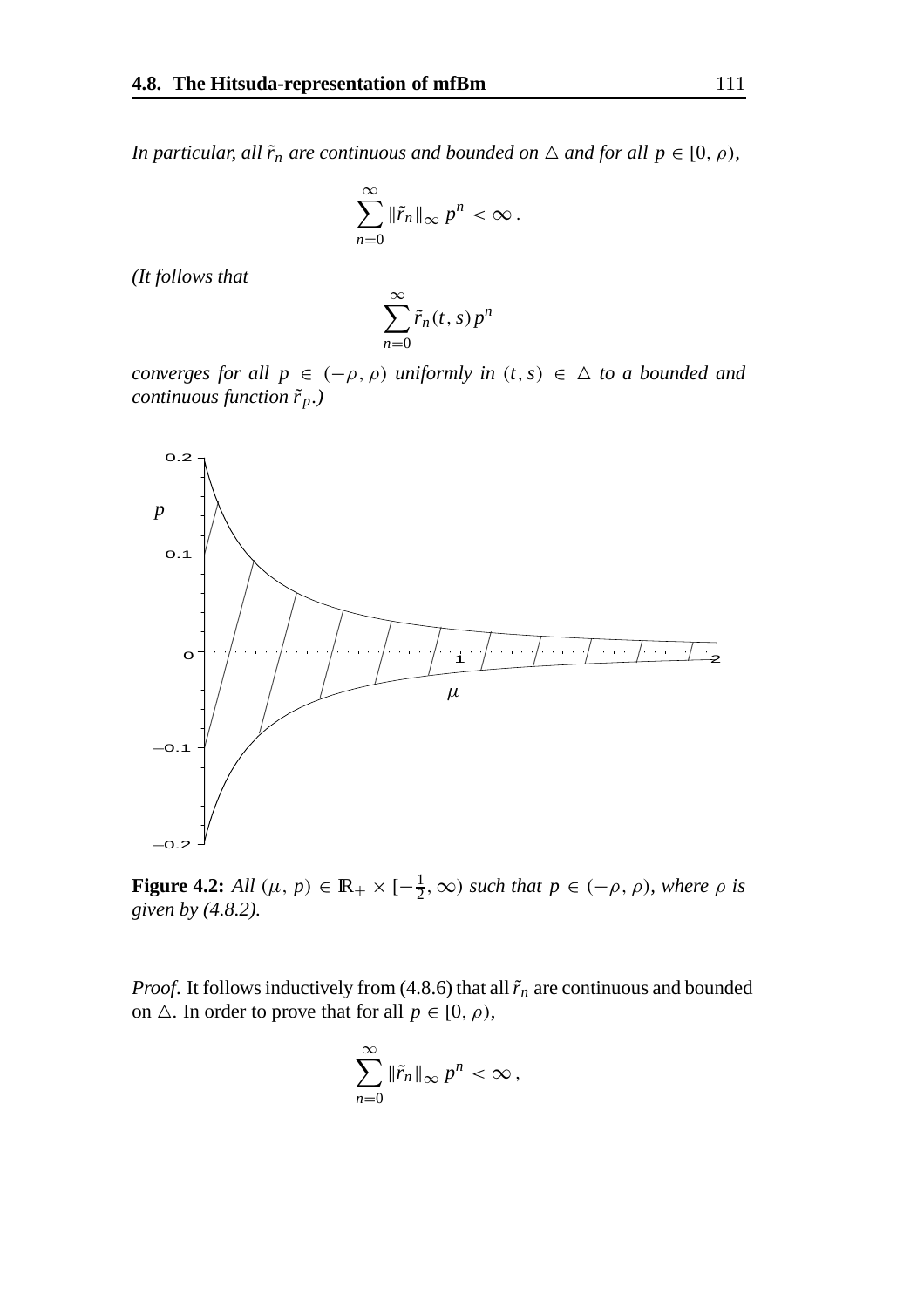*In particular, all*  $\tilde{r}_n$  *are continuous and bounded on*  $\triangle$  *and for all*  $p \in [0, \rho)$ *,* 

$$
\sum_{n=0}^{\infty} \|\tilde{r}_n\|_{\infty} p^n < \infty.
$$

*(It follows that*

$$
\sum_{n=0}^{\infty} \tilde{r}_n(t,s) p^n
$$

*converges for all*  $p \in (-\rho, \rho)$  *uniformly in*  $(t, s) \in \Delta$  *to a bounded and continuous function*  $\tilde{r}_p$ *.*)



**Figure 4.2:** *All*  $(\mu, p) \in \mathbb{R}_+ \times [-\frac{1}{2}, \infty)$  *such that*  $p \in (-\rho, \rho)$ *, where*  $\rho$  *is given by (4.8.2).*

*Proof.* It follows inductively from (4.8.6) that all  $\tilde{r}_n$  are continuous and bounded on  $\triangle$ . In order to prove that for all  $p \in [0, \rho)$ ,

$$
\sum_{n=0}^{\infty} \|\tilde{r}_n\|_{\infty} p^n < \infty,
$$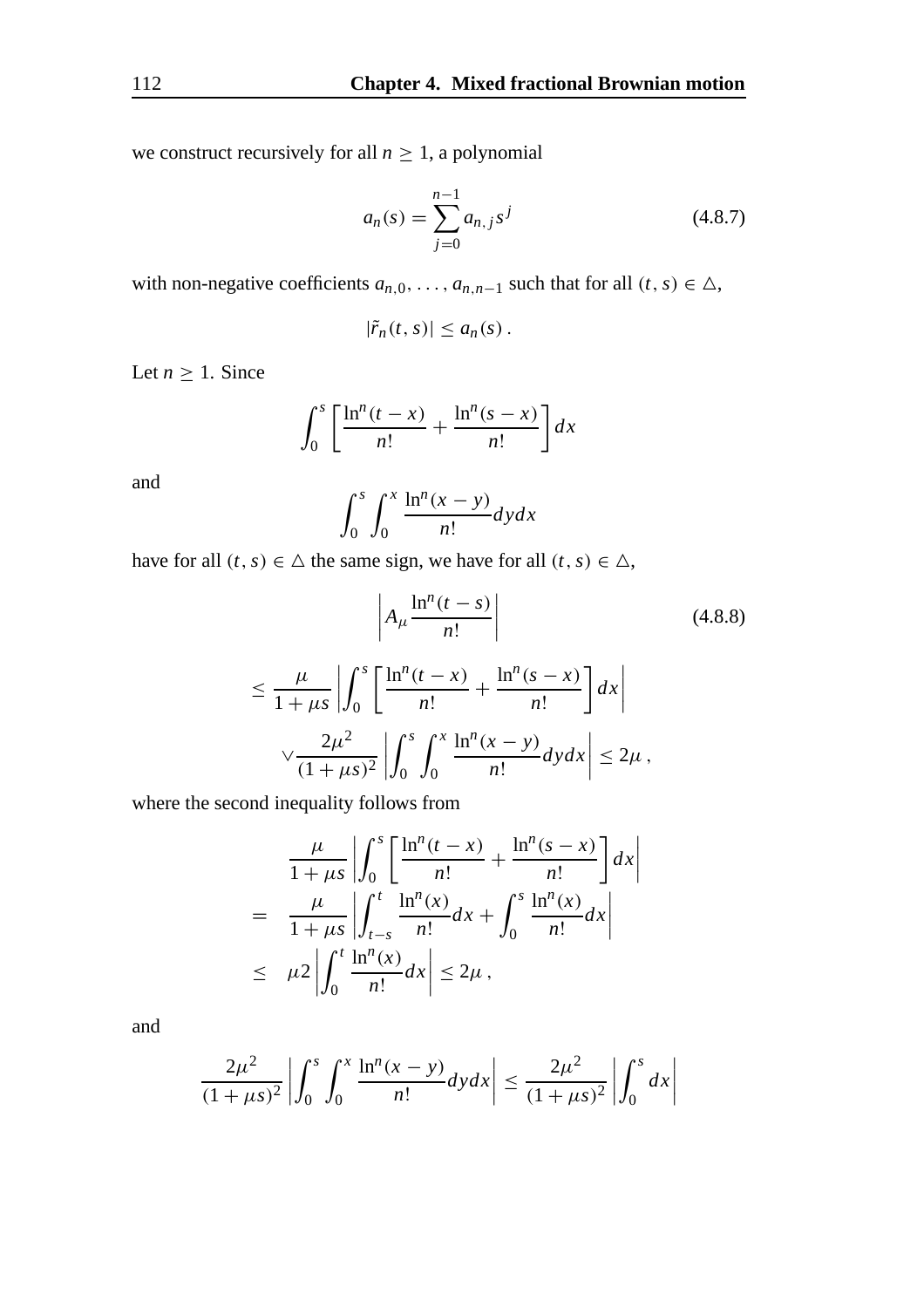we construct recursively for all  $n \geq 1$ , a polynomial

$$
a_n(s) = \sum_{j=0}^{n-1} a_{n,j} s^j
$$
 (4.8.7)

with non-negative coefficients  $a_{n,0}, \ldots, a_{n,n-1}$  such that for all  $(t, s) \in \Delta$ ,

$$
|\tilde{r}_n(t,s)| \leq a_n(s).
$$

Let  $n \geq 1$ . Since

$$
\int_0^s \left[ \frac{\ln^n(t-x)}{n!} + \frac{\ln^n(s-x)}{n!} \right] dx
$$

and

$$
\int_0^s \int_0^x \frac{\ln^n(x-y)}{n!} dy dx
$$

have for all  $(t, s) \in \Delta$  the same sign, we have for all  $(t, s) \in \Delta$ ,

$$
\left| A_{\mu} \frac{\ln^{n}(t-s)}{n!} \right|
$$
\n
$$
\leq \frac{\mu}{1+\mu s} \left| \int_{0}^{s} \left[ \frac{\ln^{n}(t-x)}{n!} + \frac{\ln^{n}(s-x)}{n!} \right] dx \right|
$$
\n
$$
\sqrt{\frac{2\mu^{2}}{(1+\mu s)^{2}}} \left| \int_{0}^{s} \int_{0}^{x} \frac{\ln^{n}(x-y)}{n!} dy dx \right| \leq 2\mu,
$$
\n(4.8.8)

where the second inequality follows from

$$
\frac{\mu}{1+\mu s} \left| \int_0^s \left[ \frac{\ln^n(t-x)}{n!} + \frac{\ln^n(s-x)}{n!} \right] dx \right|
$$
\n
$$
= \frac{\mu}{1+\mu s} \left| \int_{t-s}^t \frac{\ln^n(x)}{n!} dx + \int_0^s \frac{\ln^n(x)}{n!} dx \right|
$$
\n
$$
\leq \mu 2 \left| \int_0^t \frac{\ln^n(x)}{n!} dx \right| \leq 2\mu,
$$

and

$$
\frac{2\mu^2}{(1+\mu s)^2} \left| \int_0^s \int_0^x \frac{\ln^n(x-y)}{n!} dy dx \right| \le \frac{2\mu^2}{(1+\mu s)^2} \left| \int_0^s dx \right|
$$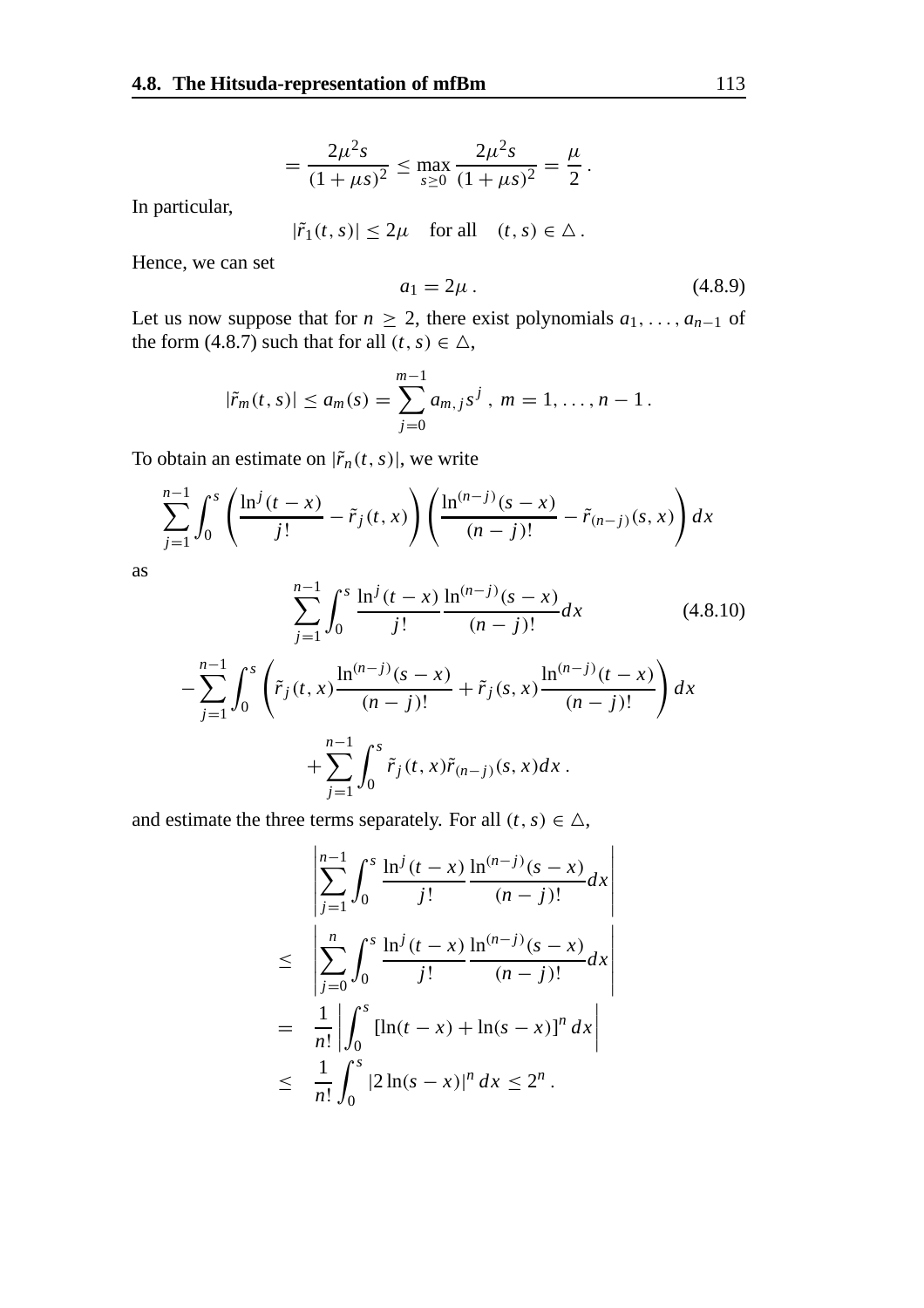$$
= \frac{2\mu^2 s}{(1+\mu s)^2} \le \max_{s\ge 0} \frac{2\mu^2 s}{(1+\mu s)^2} = \frac{\mu}{2}.
$$

In particular,

$$
|\tilde{r}_1(t,s)| \le 2\mu \quad \text{for all} \quad (t,s) \in \Delta \, .
$$

Hence, we can set

$$
a_1 = 2\mu \tag{4.8.9}
$$

Let us now suppose that for  $n \geq 2$ , there exist polynomials  $a_1, \ldots, a_{n-1}$  of the form (4.8.7) such that for all  $(t, s) \in \Delta$ ,

$$
|\tilde{r}_m(t,s)| \le a_m(s) = \sum_{j=0}^{m-1} a_{m,j} s^j, \ m = 1, \ldots, n-1.
$$

To obtain an estimate on  $|\tilde{r}_n(t, s)|$ , we write

$$
\sum_{j=1}^{n-1} \int_0^s \left( \frac{\ln^j(t-x)}{j!} - \tilde{r}_j(t,x) \right) \left( \frac{\ln^{(n-j)}(s-x)}{(n-j)!} - \tilde{r}_{(n-j)}(s,x) \right) dx
$$

as

−

$$
\sum_{j=1}^{n-1} \int_0^s \frac{\ln^j(t-x)}{j!} \frac{\ln^{(n-j)}(s-x)}{(n-j)!} dx
$$
(4.8.10)  

$$
\sum_{j=1}^{n-1} \int_0^s \left( \tilde{r}_j(t,x) \frac{\ln^{(n-j)}(s-x)}{(n-j)!} + \tilde{r}_j(s,x) \frac{\ln^{(n-j)}(t-x)}{(n-j)!} \right) dx
$$
  

$$
+ \sum_{j=1}^{n-1} \int_0^s \tilde{r}_j(t,x) \tilde{r}_{(n-j)}(s,x) dx.
$$

and estimate the three terms separately. For all  $(t, s) \in \Delta$ ,

$$
\begin{aligned}\n&\left|\sum_{j=1}^{n-1} \int_0^s \frac{\ln^j(t-x)}{j!} \frac{\ln^{(n-j)}(s-x)}{(n-j)!} dx\right| \\
&\leq \left|\sum_{j=0}^n \int_0^s \frac{\ln^j(t-x)}{j!} \frac{\ln^{(n-j)}(s-x)}{(n-j)!} dx\right| \\
&= \frac{1}{n!} \left|\int_0^s \left[\ln(t-x) + \ln(s-x)\right]^n dx\right| \\
&\leq \frac{1}{n!} \int_0^s |2\ln(s-x)|^n dx \leq 2^n.\n\end{aligned}
$$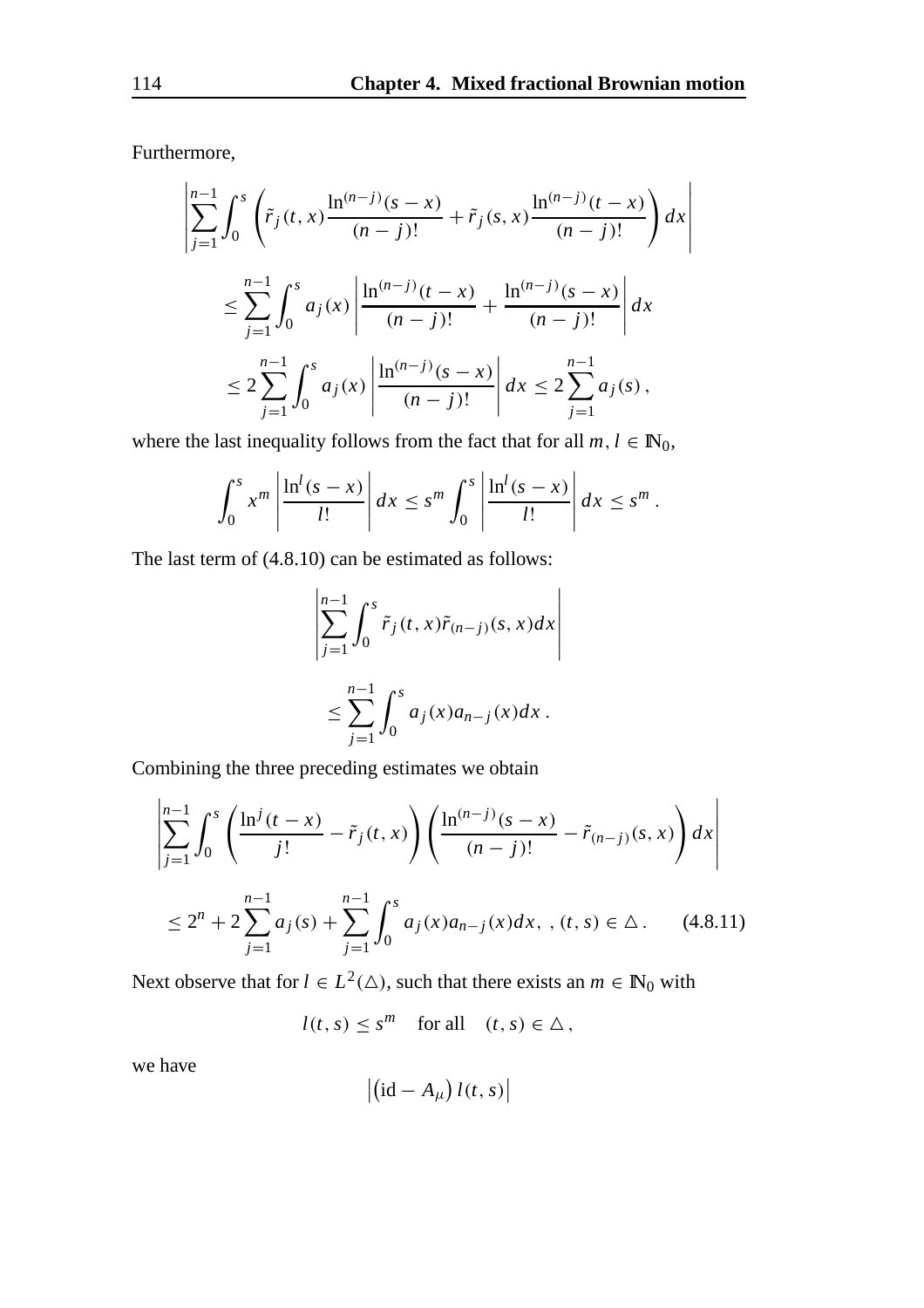Furthermore,

$$
\left| \sum_{j=1}^{n-1} \int_0^s \left( \tilde{r}_j(t, x) \frac{\ln^{(n-j)}(s-x)}{(n-j)!} + \tilde{r}_j(s, x) \frac{\ln^{(n-j)}(t-x)}{(n-j)!} \right) dx \right|
$$
  

$$
\leq \sum_{j=1}^{n-1} \int_0^s a_j(x) \left| \frac{\ln^{(n-j)}(t-x)}{(n-j)!} + \frac{\ln^{(n-j)}(s-x)}{(n-j)!} \right| dx
$$
  

$$
\leq 2 \sum_{j=1}^{n-1} \int_0^s a_j(x) \left| \frac{\ln^{(n-j)}(s-x)}{(n-j)!} \right| dx \leq 2 \sum_{j=1}^{n-1} a_j(s),
$$

where the last inequality follows from the fact that for all  $m, l \in \mathbb{N}_0$ ,

$$
\int_0^s x^m \left| \frac{\ln^l(s-x)}{l!} \right| dx \leq s^m \int_0^s \left| \frac{\ln^l(s-x)}{l!} \right| dx \leq s^m.
$$

The last term of (4.8.10) can be estimated as follows:

$$
\left|\sum_{j=1}^{n-1} \int_0^s \tilde{r}_j(t, x)\tilde{r}_{(n-j)}(s, x)dx\right|
$$
  

$$
\leq \sum_{j=1}^{n-1} \int_0^s a_j(x)a_{n-j}(x)dx.
$$

Combining the three preceding estimates we obtain

$$
\left| \sum_{j=1}^{n-1} \int_0^s \left( \frac{\ln^j(t-x)}{j!} - \tilde{r}_j(t,x) \right) \left( \frac{\ln^{(n-j)}(s-x)}{(n-j)!} - \tilde{r}_{(n-j)}(s,x) \right) dx \right|
$$
  
 
$$
\leq 2^n + 2 \sum_{j=1}^{n-1} a_j(s) + \sum_{j=1}^{n-1} \int_0^s a_j(x) a_{n-j}(x) dx, \quad (t,s) \in \Delta. \quad (4.8.11)
$$

Next observe that for  $l \in L^2(\triangle)$ , such that there exists an  $m \in \mathbb{N}_0$  with

 $l(t, s) \leq s^m$  for all  $(t, s) \in \Delta$ ,

we have

$$
\left|\left(\mathrm{id}-A_{\mu}\right)l(t,s)\right|
$$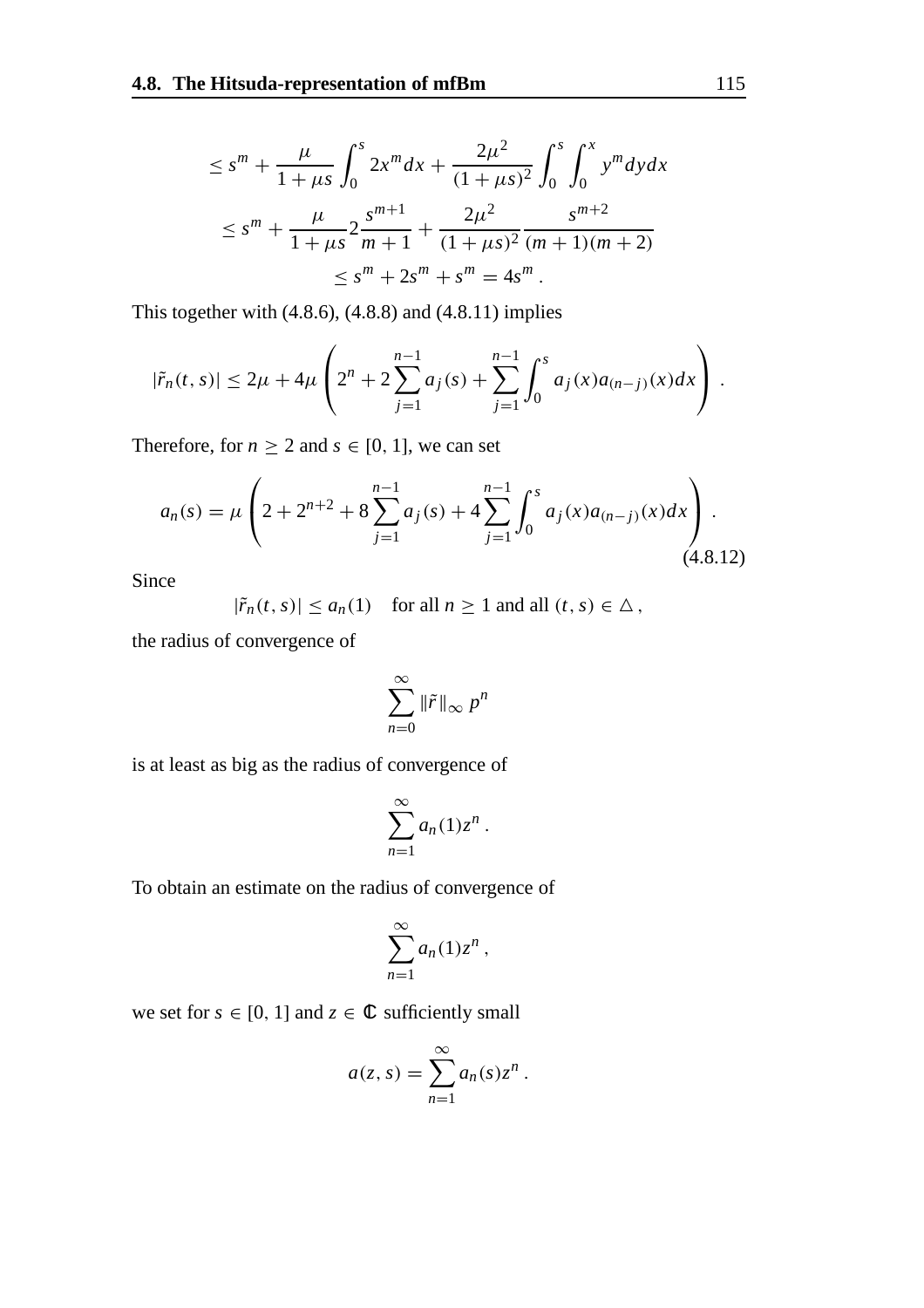$$
\leq s^{m} + \frac{\mu}{1 + \mu s} \int_{0}^{s} 2x^{m} dx + \frac{2\mu^{2}}{(1 + \mu s)^{2}} \int_{0}^{s} \int_{0}^{x} y^{m} dy dx
$$
  

$$
\leq s^{m} + \frac{\mu}{1 + \mu s} 2 \frac{s^{m+1}}{m+1} + \frac{2\mu^{2}}{(1 + \mu s)^{2}} \frac{s^{m+2}}{(m+1)(m+2)}
$$
  

$$
\leq s^{m} + 2s^{m} + s^{m} = 4s^{m}.
$$

This together with  $(4.8.6)$ ,  $(4.8.8)$  and  $(4.8.11)$  implies

$$
|\tilde{r}_n(t,s)| \leq 2\mu + 4\mu \left(2^n + 2\sum_{j=1}^{n-1} a_j(s) + \sum_{j=1}^{n-1} \int_0^s a_j(x) a_{(n-j)}(x) dx\right).
$$

Therefore, for  $n \ge 2$  and  $s \in [0, 1]$ , we can set

$$
a_n(s) = \mu \left( 2 + 2^{n+2} + 8 \sum_{j=1}^{n-1} a_j(s) + 4 \sum_{j=1}^{n-1} \int_0^s a_j(x) a_{(n-j)}(x) dx \right).
$$
\n(4.8.12)

Since

$$
|\tilde{r}_n(t,s)| \le a_n(1) \quad \text{for all } n \ge 1 \text{ and all } (t,s) \in \Delta,
$$

the radius of convergence of

$$
\sum_{n=0}^{\infty} \|\tilde{r}\|_{\infty} p^n
$$

is at least as big as the radius of convergence of

$$
\sum_{n=1}^{\infty} a_n(1) z^n.
$$

To obtain an estimate on the radius of convergence of

$$
\sum_{n=1}^{\infty} a_n(1) z^n,
$$

we set for  $s \in [0, 1]$  and  $z \in \mathbb{C}$  sufficiently small

$$
a(z,s) = \sum_{n=1}^{\infty} a_n(s) z^n.
$$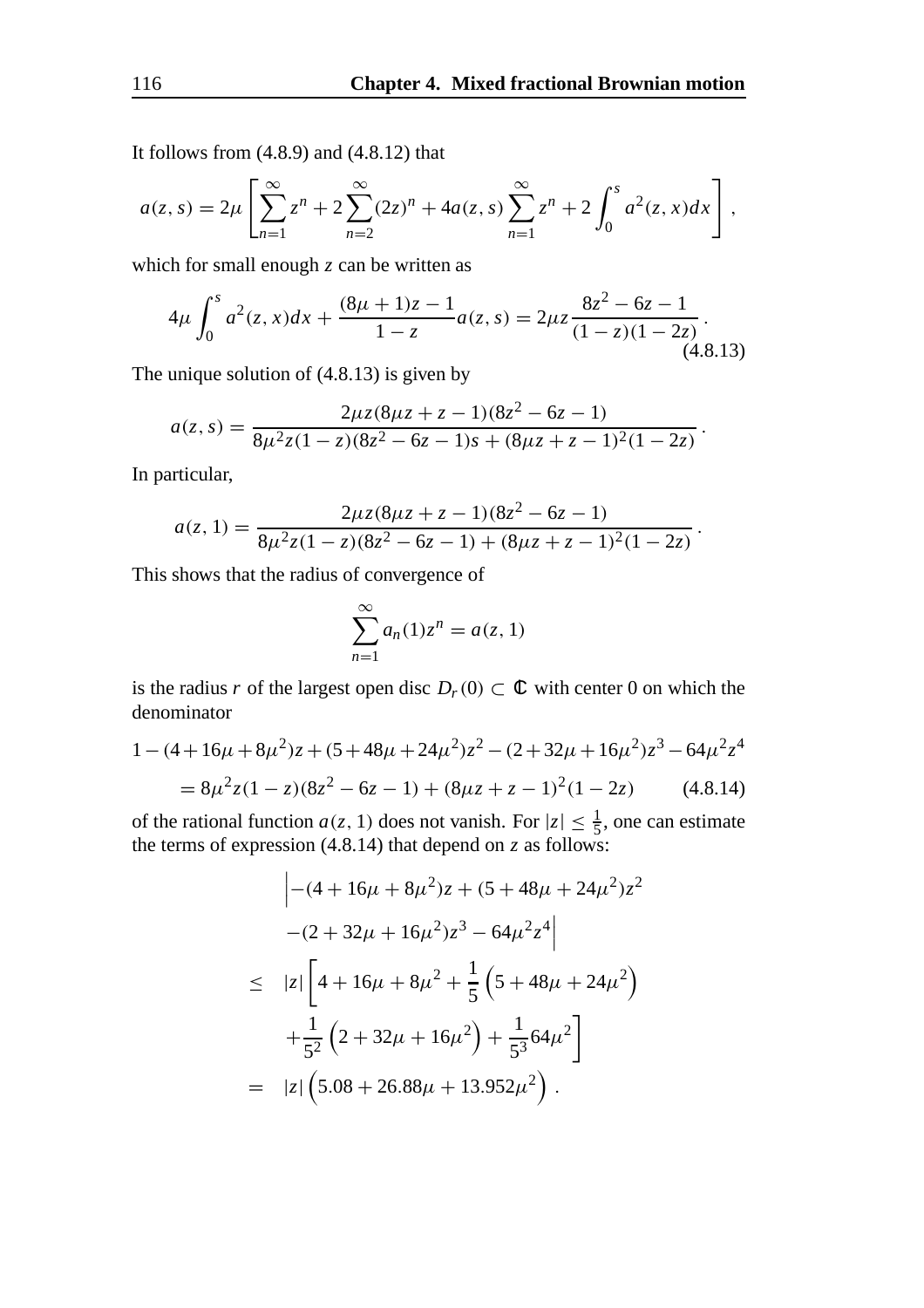It follows from  $(4.8.9)$  and  $(4.8.12)$  that

$$
a(z,s) = 2\mu \left[ \sum_{n=1}^{\infty} z^n + 2 \sum_{n=2}^{\infty} (2z)^n + 4a(z,s) \sum_{n=1}^{\infty} z^n + 2 \int_0^s a^2(z,x) dx \right],
$$

which for small enough *z* can be written as

$$
4\mu \int_0^s a^2(z,x)dx + \frac{(8\mu+1)z-1}{1-z}a(z,s) = 2\mu z \frac{8z^2-6z-1}{(1-z)(1-2z)}.
$$
\n(4.8.13)

The unique solution of (4.8.13) is given by

$$
a(z,s) = \frac{2\mu z (8\mu z + z - 1)(8z^2 - 6z - 1)}{8\mu^2 z (1 - z)(8z^2 - 6z - 1)s + (8\mu z + z - 1)^2 (1 - 2z)}.
$$

In particular,

$$
a(z, 1) = \frac{2\mu z (8\mu z + z - 1)(8z^2 - 6z - 1)}{8\mu^2 z (1 - z)(8z^2 - 6z - 1) + (8\mu z + z - 1)^2 (1 - 2z)}.
$$

This shows that the radius of convergence of

$$
\sum_{n=1}^{\infty} a_n(1) z^n = a(z, 1)
$$

is the radius *r* of the largest open disc  $D_r(0) \subset \mathbb{C}$  with center 0 on which the denominator

$$
1 - (4 + 16\mu + 8\mu^{2})z + (5 + 48\mu + 24\mu^{2})z^{2} - (2 + 32\mu + 16\mu^{2})z^{3} - 64\mu^{2}z^{4}
$$
  
=  $8\mu^{2}z(1 - z)(8z^{2} - 6z - 1) + (8\mu z + z - 1)^{2}(1 - 2z)$  (4.8.14)

of the rational function  $a(z, 1)$  does not vanish. For  $|z| \leq \frac{1}{5}$ , one can estimate the terms of expression (4.8.14) that depend on *z* as follows:

$$
\begin{aligned}\n&\left| -(4 + 16\mu + 8\mu^2)z + (5 + 48\mu + 24\mu^2)z^2 \right. \\
&\left. -(2 + 32\mu + 16\mu^2)z^3 - 64\mu^2 z^4 \right| \\
&\leq |z| \left[ 4 + 16\mu + 8\mu^2 + \frac{1}{5} \left( 5 + 48\mu + 24\mu^2 \right) \right. \\
&\left. + \frac{1}{5^2} \left( 2 + 32\mu + 16\mu^2 \right) + \frac{1}{5^3} 64\mu^2 \right] \\
&= |z| \left( 5.08 + 26.88\mu + 13.952\mu^2 \right).\n\end{aligned}
$$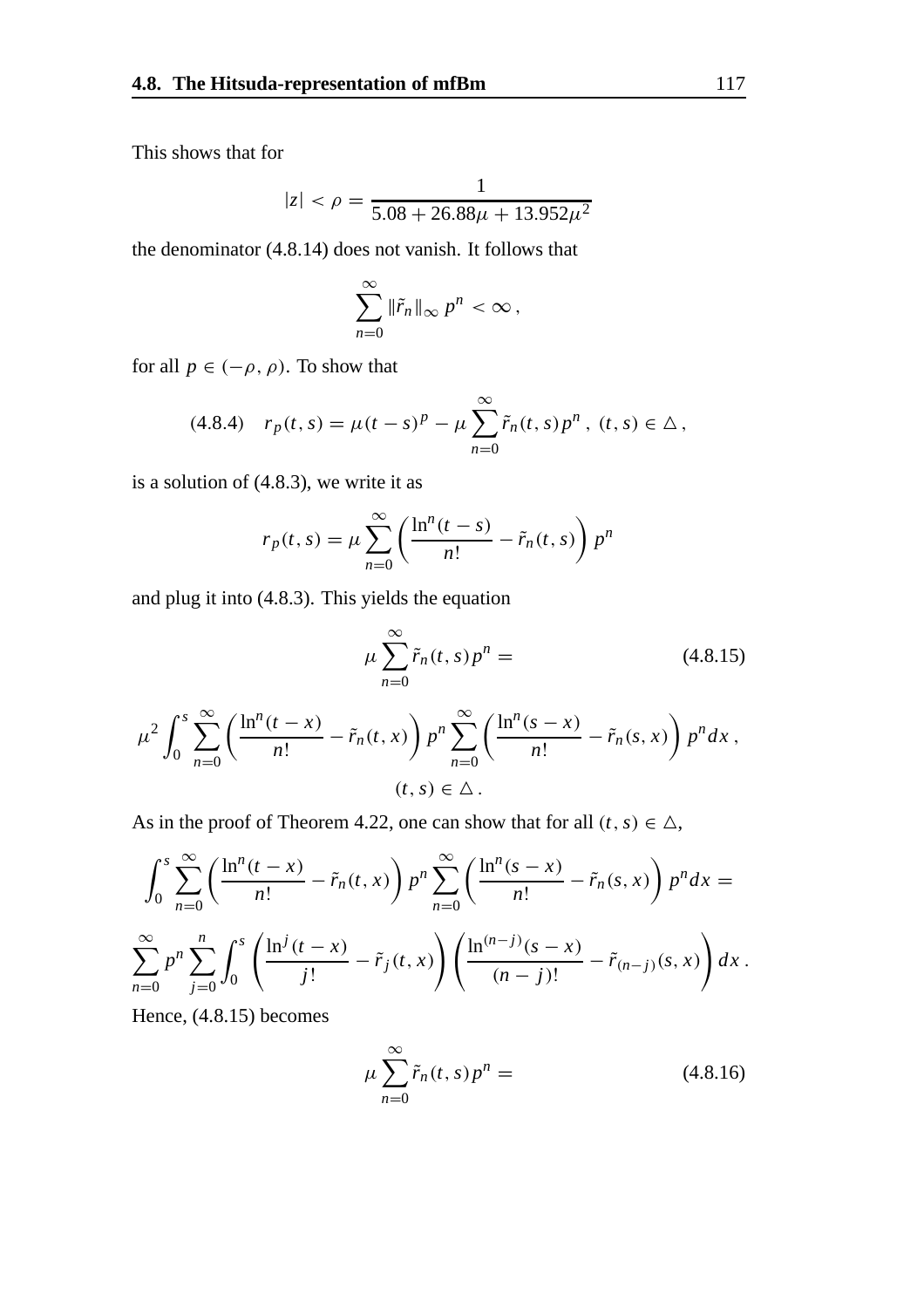This shows that for

$$
|z| < \rho = \frac{1}{5.08 + 26.88\mu + 13.952\mu^2}
$$

the denominator (4.8.14) does not vanish. It follows that

$$
\sum_{n=0}^{\infty} \|\tilde{r}_n\|_{\infty} p^n < \infty,
$$

for all  $p \in (-\rho, \rho)$ . To show that

$$
(4.8.4) \t r_p(t,s) = \mu(t-s)^p - \mu \sum_{n=0}^{\infty} \tilde{r}_n(t,s) p^n, \ (t,s) \in \Delta \,,
$$

is a solution of (4.8.3), we write it as

$$
r_p(t,s) = \mu \sum_{n=0}^{\infty} \left( \frac{\ln^n(t-s)}{n!} - \tilde{r}_n(t,s) \right) p^n
$$

and plug it into (4.8.3). This yields the equation

$$
\mu \sum_{n=0}^{\infty} \tilde{r}_n(t,s) p^n = \qquad (4.8.15)
$$

$$
\frac{x}{x} = \tilde{r}_+(t,x) \ln^n \sum_{n=0}^{\infty} \left( \frac{\ln^n(s-x)}{s} - \tilde{r}_+(s,x) \right) n^n dx
$$

$$
\mu^2 \int_0^s \sum_{n=0}^\infty \left( \frac{\ln^n(t-x)}{n!} - \tilde{r}_n(t,x) \right) p^n \sum_{n=0}^\infty \left( \frac{\ln^n(s-x)}{n!} - \tilde{r}_n(s,x) \right) p^n dx ,
$$
  
(t, s)  $\in \Delta$ .

As in the proof of Theorem 4.22, one can show that for all  $(t, s) \in \Delta$ ,

$$
\int_0^s \sum_{n=0}^\infty \left( \frac{\ln^n(t-x)}{n!} - \tilde{r}_n(t,x) \right) p^n \sum_{n=0}^\infty \left( \frac{\ln^n(s-x)}{n!} - \tilde{r}_n(s,x) \right) p^n dx =
$$
  

$$
\sum_{n=0}^\infty p^n \sum_{j=0}^n \int_0^s \left( \frac{\ln^j(t-x)}{j!} - \tilde{r}_j(t,x) \right) \left( \frac{\ln^{(n-j)}(s-x)}{(n-j)!} - \tilde{r}_{(n-j)}(s,x) \right) dx.
$$

Hence, (4.8.15) becomes

$$
\mu \sum_{n=0}^{\infty} \tilde{r}_n(t,s) p^n = \tag{4.8.16}
$$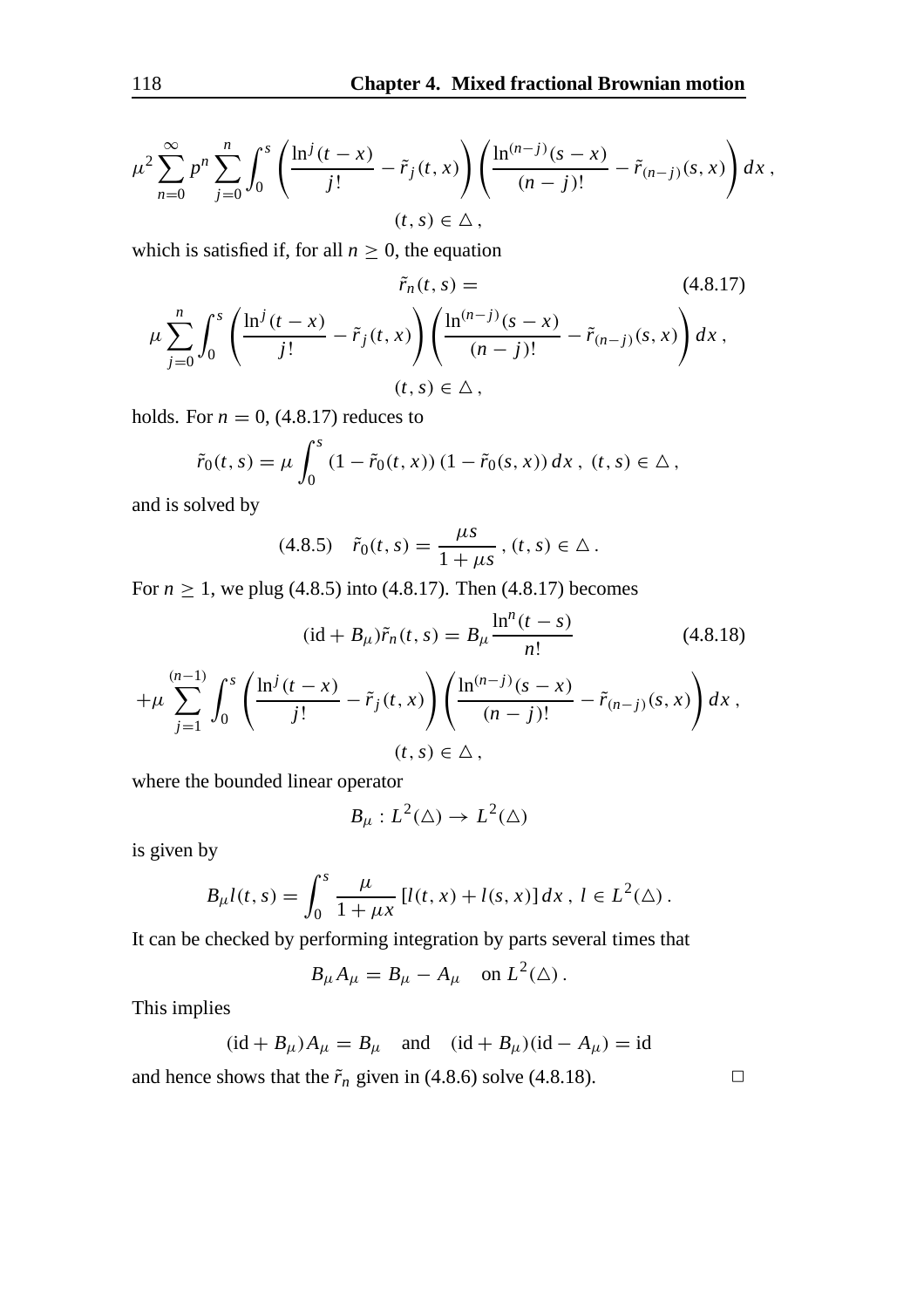$$
\mu^2 \sum_{n=0}^{\infty} p^n \sum_{j=0}^n \int_0^s \left( \frac{\ln^j(t-x)}{j!} - \tilde{r}_j(t,x) \right) \left( \frac{\ln^{(n-j)}(s-x)}{(n-j)!} - \tilde{r}_{(n-j)}(s,x) \right) dx ,
$$
  
(*t*, *s*)  $\in \Delta$ ,

which is satisfied if, for all  $n \geq 0$ , the equation

$$
\tilde{r}_n(t,s) = \qquad (4.8.17)
$$
\n
$$
\mu \sum_{j=0}^n \int_0^s \left( \frac{\ln^j(t-x)}{j!} - \tilde{r}_j(t,x) \right) \left( \frac{\ln^{(n-j)}(s-x)}{(n-j)!} - \tilde{r}_{(n-j)}(s,x) \right) dx,
$$
\n
$$
(t,s) \in \Delta,
$$

holds. For  $n = 0$ , (4.8.17) reduces to

$$
\tilde{r}_0(t,s) = \mu \int_0^s (1 - \tilde{r}_0(t,x)) (1 - \tilde{r}_0(s,x)) dx, \ (t,s) \in \Delta,
$$

and is solved by

$$
(4.8.5) \quad \tilde{r}_0(t,s) = \frac{\mu s}{1 + \mu s}, \, (t,s) \in \Delta \, .
$$

For  $n \ge 1$ , we plug (4.8.5) into (4.8.17). Then (4.8.17) becomes

$$
(\mathrm{id} + B_{\mu})\tilde{r}_n(t,s) = B_{\mu} \frac{\ln^n(t-s)}{n!} \qquad (4.8.18)
$$

$$
+\mu \sum_{j=1}^{(n-1)} \int_0^s \left( \frac{\ln^j(t-x)}{j!} - \tilde{r}_j(t,x) \right) \left( \frac{\ln^{(n-j)}(s-x)}{(n-j)!} - \tilde{r}_{(n-j)}(s,x) \right) dx ,
$$

$$
(t,s) \in \Delta ,
$$

where the bounded linear operator

$$
B_\mu:L^2(\triangle)\to L^2(\triangle)
$$

is given by

$$
B_{\mu}l(t,s) = \int_0^s \frac{\mu}{1 + \mu x} \left[ l(t,x) + l(s,x) \right] dx, \ l \in L^2(\Delta).
$$

It can be checked by performing integration by parts several times that

$$
B_{\mu}A_{\mu} = B_{\mu} - A_{\mu} \quad \text{on } L^{2}(\Delta).
$$

This implies

 $(id + B_{\mu})A_{\mu} = B_{\mu}$  and  $(id + B_{\mu})(id - A_{\mu}) = id$ 

and hence shows that the  $\tilde{r}_n$  given in (4.8.6) solve (4.8.18).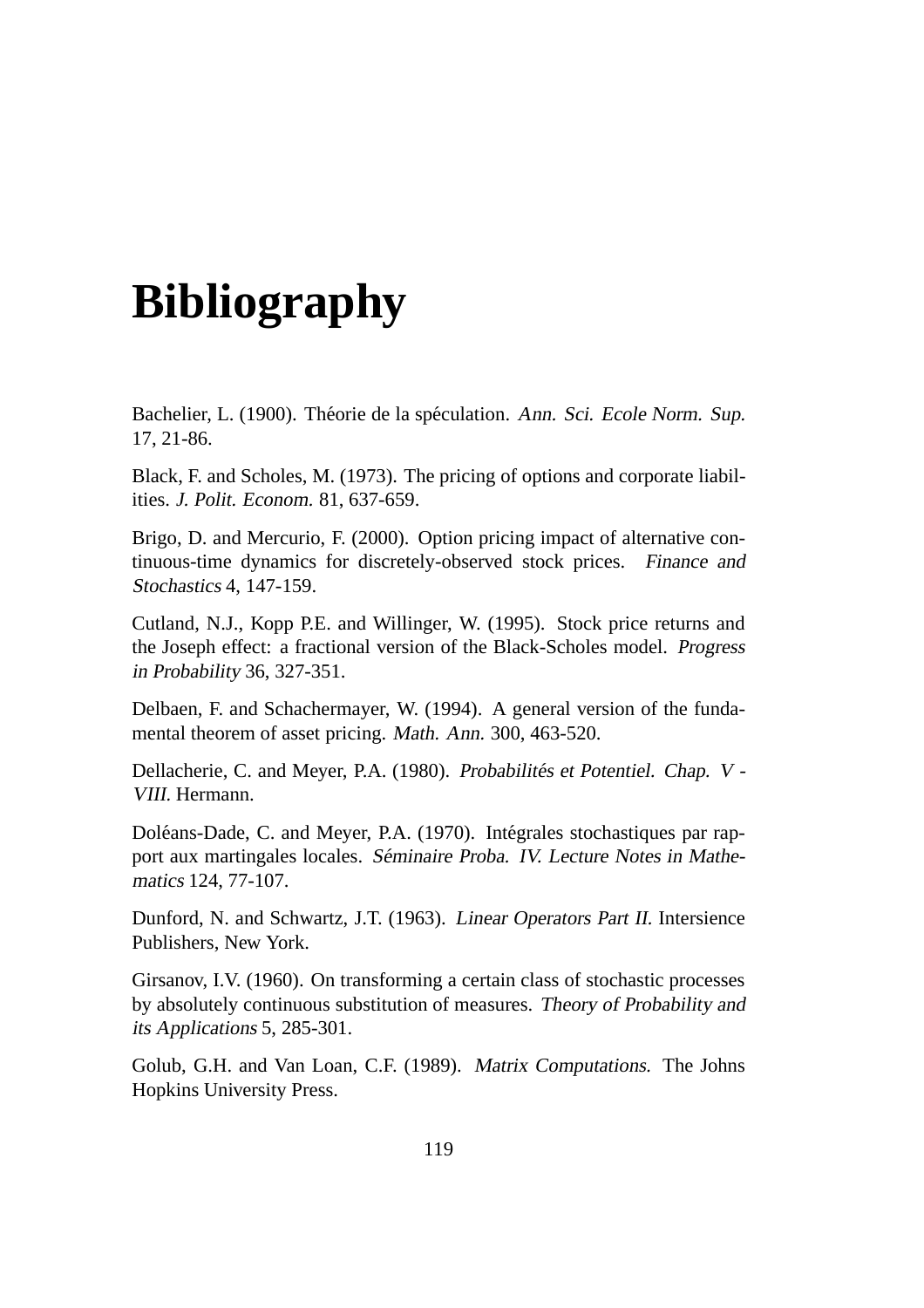## **Bibliography**

Bachelier, L. (1900). Théorie de la spéculation. Ann. Sci. Ecole Norm. Sup. 17, 21-86.

Black, F. and Scholes, M. (1973). The pricing of options and corporate liabilities. J. Polit. Econom. 81, 637-659.

Brigo, D. and Mercurio, F. (2000). Option pricing impact of alternative continuous-time dynamics for discretely-observed stock prices. Finance and Stochastics 4, 147-159.

Cutland, N.J., Kopp P.E. and Willinger, W. (1995). Stock price returns and the Joseph effect: a fractional version of the Black-Scholes model. Progress in Probability 36, 327-351.

Delbaen, F. and Schachermayer, W. (1994). A general version of the fundamental theorem of asset pricing. Math. Ann. 300, 463-520.

Dellacherie, C. and Meyer, P.A. (1980). Probabilités et Potentiel. Chap. V -VIII. Hermann.

Doléans-Dade, C. and Meyer, P.A. (1970). Intégrales stochastiques par rapport aux martingales locales. Séminaire Proba. IV. Lecture Notes in Mathematics 124, 77-107.

Dunford, N. and Schwartz, J.T. (1963). Linear Operators Part II. Intersience Publishers, New York.

Girsanov, I.V. (1960). On transforming a certain class of stochastic processes by absolutely continuous substitution of measures. Theory of Probability and its Applications 5, 285-301.

Golub, G.H. and Van Loan, C.F. (1989). Matrix Computations. The Johns Hopkins University Press.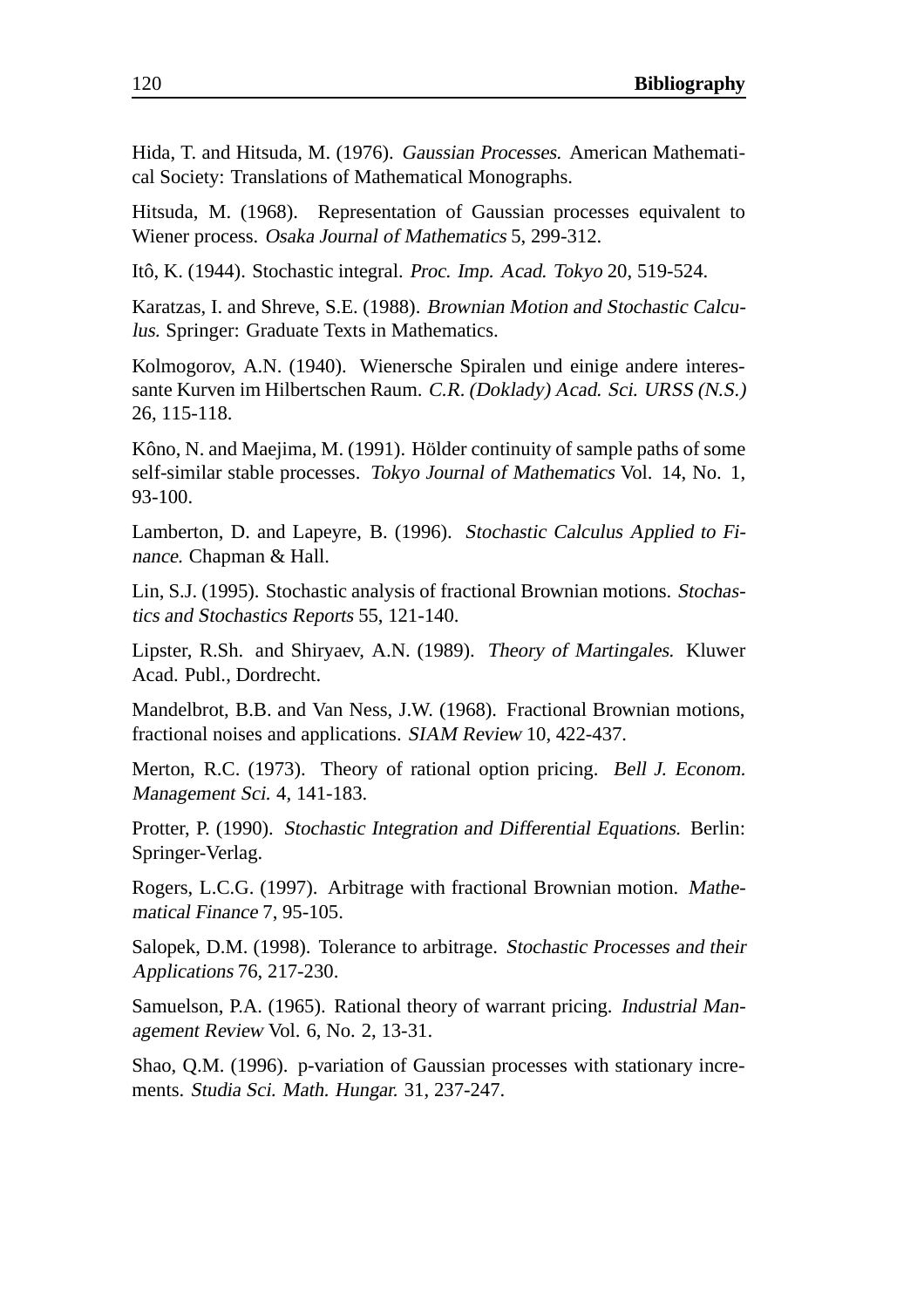Hida, T. and Hitsuda, M. (1976). Gaussian Processes. American Mathematical Society: Translations of Mathematical Monographs.

Hitsuda, M. (1968). Representation of Gaussian processes equivalent to Wiener process. Osaka Journal of Mathematics 5, 299-312.

Itô, K. (1944). Stochastic integral. Proc. Imp. Acad. Tokyo 20, 519-524.

Karatzas, I. and Shreve, S.E. (1988). Brownian Motion and Stochastic Calculus. Springer: Graduate Texts in Mathematics.

Kolmogorov, A.N. (1940). Wienersche Spiralen und einige andere interessante Kurven im Hilbertschen Raum. C.R. (Doklady) Acad. Sci. URSS (N.S.) 26, 115-118.

Kôno, N. and Maejima, M. (1991). Hölder continuity of sample paths of some self-similar stable processes. Tokyo Journal of Mathematics Vol. 14, No. 1, 93-100.

Lamberton, D. and Lapeyre, B. (1996). Stochastic Calculus Applied to Finance. Chapman & Hall.

Lin, S.J. (1995). Stochastic analysis of fractional Brownian motions. Stochastics and Stochastics Reports 55, 121-140.

Lipster, R.Sh. and Shiryaev, A.N. (1989). Theory of Martingales. Kluwer Acad. Publ., Dordrecht.

Mandelbrot, B.B. and Van Ness, J.W. (1968). Fractional Brownian motions, fractional noises and applications. SIAM Review 10, 422-437.

Merton, R.C. (1973). Theory of rational option pricing. Bell J. Econom. Management Sci. 4, 141-183.

Protter, P. (1990). Stochastic Integration and Differential Equations. Berlin: Springer-Verlag.

Rogers, L.C.G. (1997). Arbitrage with fractional Brownian motion. Mathematical Finance 7, 95-105.

Salopek, D.M. (1998). Tolerance to arbitrage. Stochastic Processes and their Applications 76, 217-230.

Samuelson, P.A. (1965). Rational theory of warrant pricing. Industrial Management Review Vol. 6, No. 2, 13-31.

Shao, Q.M. (1996). p-variation of Gaussian processes with stationary increments. Studia Sci. Math. Hungar. 31, 237-247.